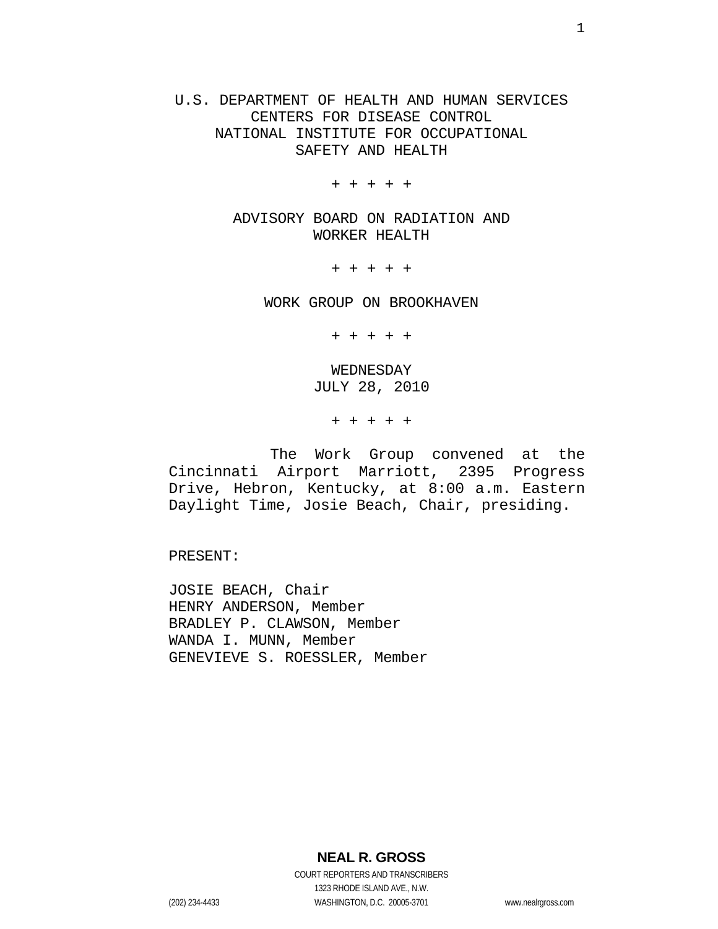U.S. DEPARTMENT OF HEALTH AND HUMAN SERVICES CENTERS FOR DISEASE CONTROL NATIONAL INSTITUTE FOR OCCUPATIONAL SAFETY AND HEALTH

+ + + + +

ADVISORY BOARD ON RADIATION AND WORKER HEALTH

+ + + + +

WORK GROUP ON BROOKHAVEN

+ + + + +

WEDNESDAY JULY 28, 2010

+ + + + +

The Work Group convened at the Cincinnati Airport Marriott, 2395 Progress Drive, Hebron, Kentucky, at 8:00 a.m. Eastern Daylight Time, Josie Beach, Chair, presiding.

PRESENT:

JOSIE BEACH, Chair HENRY ANDERSON, Member BRADLEY P. CLAWSON, Member WANDA I. MUNN, Member GENEVIEVE S. ROESSLER, Member

**NEAL R. GROSS**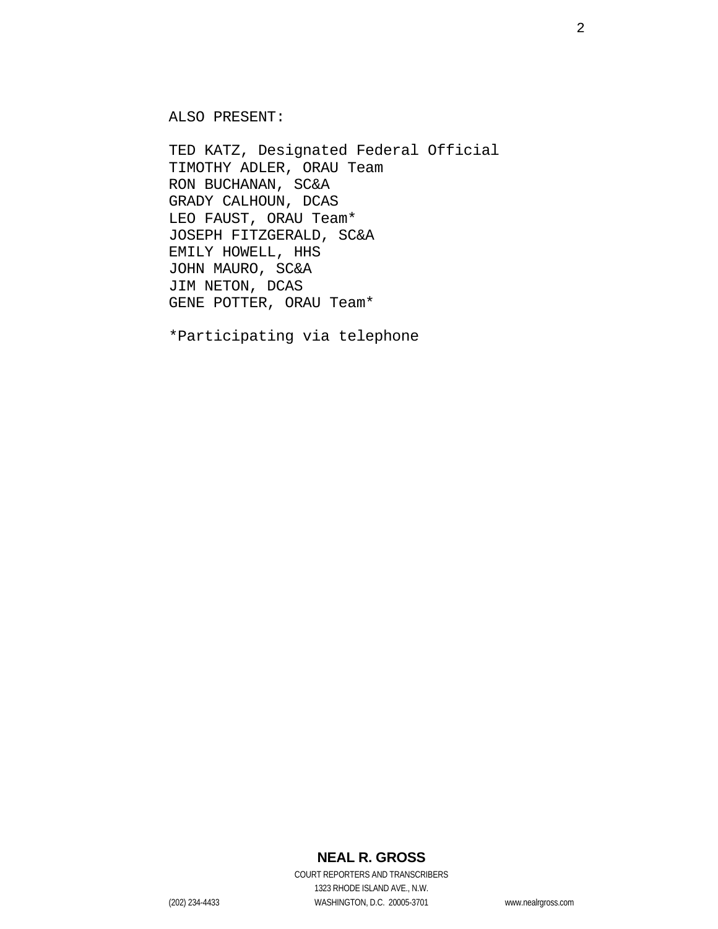ALSO PRESENT:

TED KATZ, Designated Federal Official TIMOTHY ADLER, ORAU Team RON BUCHANAN, SC&A GRADY CALHOUN, DCAS LEO FAUST, ORAU Team\* JOSEPH FITZGERALD, SC&A EMILY HOWELL, HHS JOHN MAURO, SC&A JIM NETON, DCAS GENE POTTER, ORAU Team\*

\*Participating via telephone

## **NEAL R. GROSS**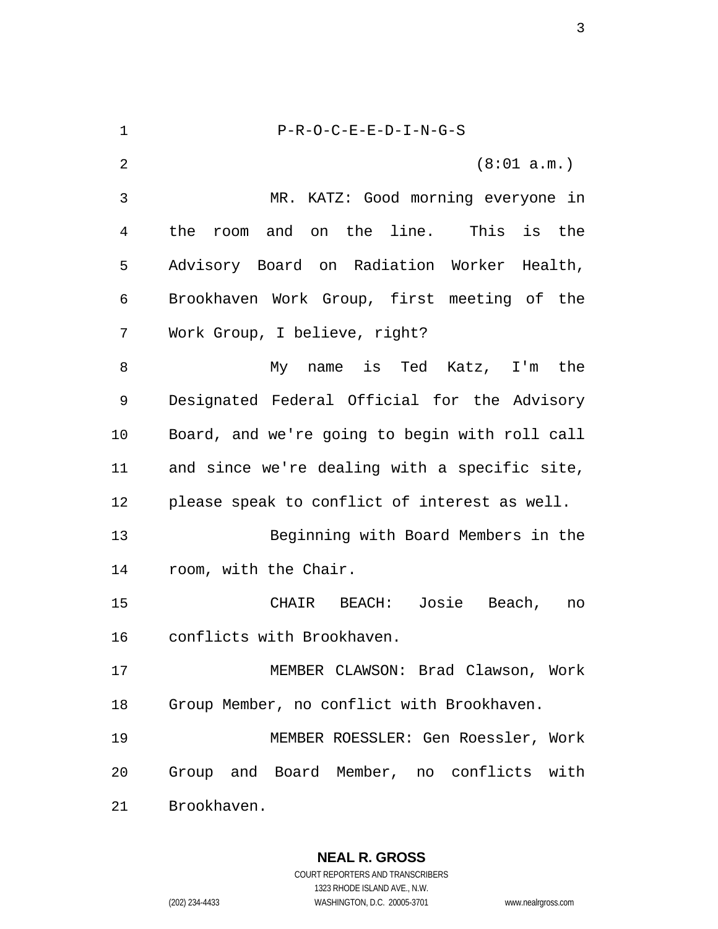| $\mathbf 1$ | $P-R-O-C-E-E-D-I-N-G-S$                               |
|-------------|-------------------------------------------------------|
| 2           | (8:01 a.m.)                                           |
| 3           | MR. KATZ: Good morning everyone in                    |
| 4           | the line.  This<br>the<br>and on<br>is<br>the<br>room |
| 5           | Advisory Board on Radiation Worker Health,            |
| 6           | Brookhaven Work Group, first meeting of the           |
| 7           | Work Group, I believe, right?                         |
| 8           | My name is Ted Katz, I'm the                          |
| 9           | Designated Federal Official for the Advisory          |
| 10          | Board, and we're going to begin with roll call        |
| 11          | and since we're dealing with a specific site,         |
| 12          | please speak to conflict of interest as well.         |
| 13          | Beginning with Board Members in the                   |
| 14          | room, with the Chair.                                 |
| 15          | CHAIR BEACH: Josie<br>Beach,<br>no                    |
| 16          | conflicts with Brookhaven.                            |
| 17          | MEMBER CLAWSON: Brad Clawson, Work                    |
| 18          | Group Member, no conflict with Brookhaven.            |
| 19          | MEMBER ROESSLER: Gen Roessler, Work                   |
| 20          | Group and Board Member, no conflicts with             |
| 21          | Brookhaven.                                           |

**NEAL R. GROSS**  COURT REPORTERS AND TRANSCRIBERS 1323 RHODE ISLAND AVE., N.W. (202) 234-4433 WASHINGTON, D.C. 20005-3701 www.nealrgross.com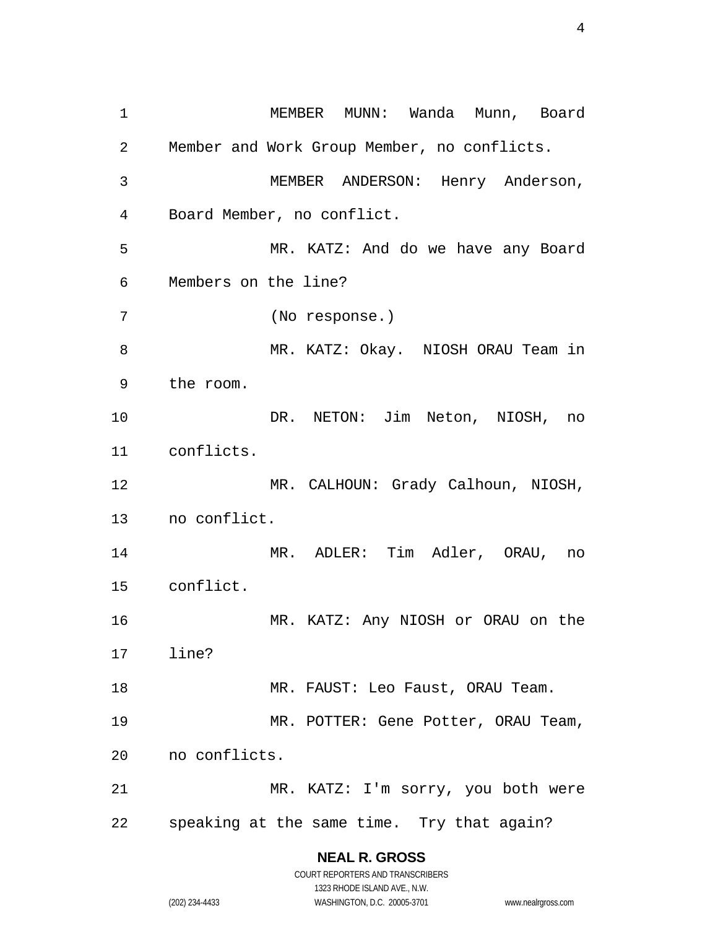MEMBER MUNN: Wanda Munn, Board Member and Work Group Member, no conflicts. MEMBER ANDERSON: Henry Anderson, Board Member, no conflict. MR. KATZ: And do we have any Board Members on the line? (No response.) 8 MR. KATZ: Okay. NIOSH ORAU Team in the room. DR. NETON: Jim Neton, NIOSH, no conflicts. MR. CALHOUN: Grady Calhoun, NIOSH, no conflict. MR. ADLER: Tim Adler, ORAU, no conflict. MR. KATZ: Any NIOSH or ORAU on the line? 18 MR. FAUST: Leo Faust, ORAU Team. MR. POTTER: Gene Potter, ORAU Team, no conflicts. MR. KATZ: I'm sorry, you both were speaking at the same time. Try that again?

> **NEAL R. GROSS**  COURT REPORTERS AND TRANSCRIBERS

> > 1323 RHODE ISLAND AVE., N.W.

(202) 234-4433 WASHINGTON, D.C. 20005-3701 www.nealrgross.com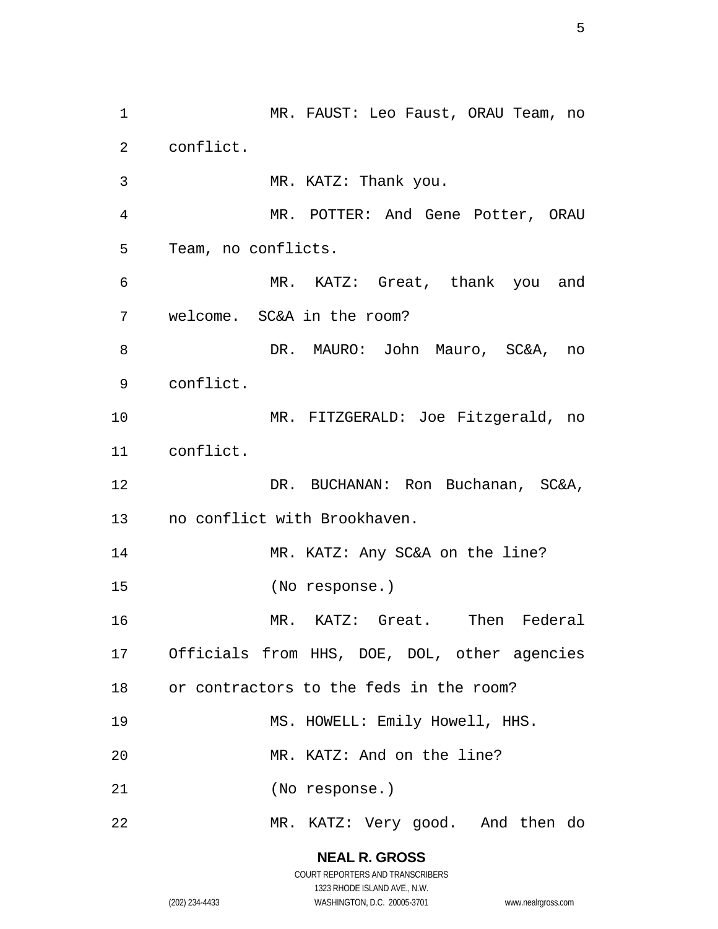MR. FAUST: Leo Faust, ORAU Team, no conflict. MR. KATZ: Thank you. MR. POTTER: And Gene Potter, ORAU Team, no conflicts. MR. KATZ: Great, thank you and welcome. SC&A in the room? DR. MAURO: John Mauro, SC&A, no conflict. MR. FITZGERALD: Joe Fitzgerald, no conflict. DR. BUCHANAN: Ron Buchanan, SC&A, no conflict with Brookhaven. 14 MR. KATZ: Any SC&A on the line? (No response.) MR. KATZ: Great. Then Federal Officials from HHS, DOE, DOL, other agencies or contractors to the feds in the room? MS. HOWELL: Emily Howell, HHS. MR. KATZ: And on the line? (No response.) MR. KATZ: Very good. And then do

> **NEAL R. GROSS**  COURT REPORTERS AND TRANSCRIBERS

> > 1323 RHODE ISLAND AVE., N.W.

(202) 234-4433 WASHINGTON, D.C. 20005-3701 www.nealrgross.com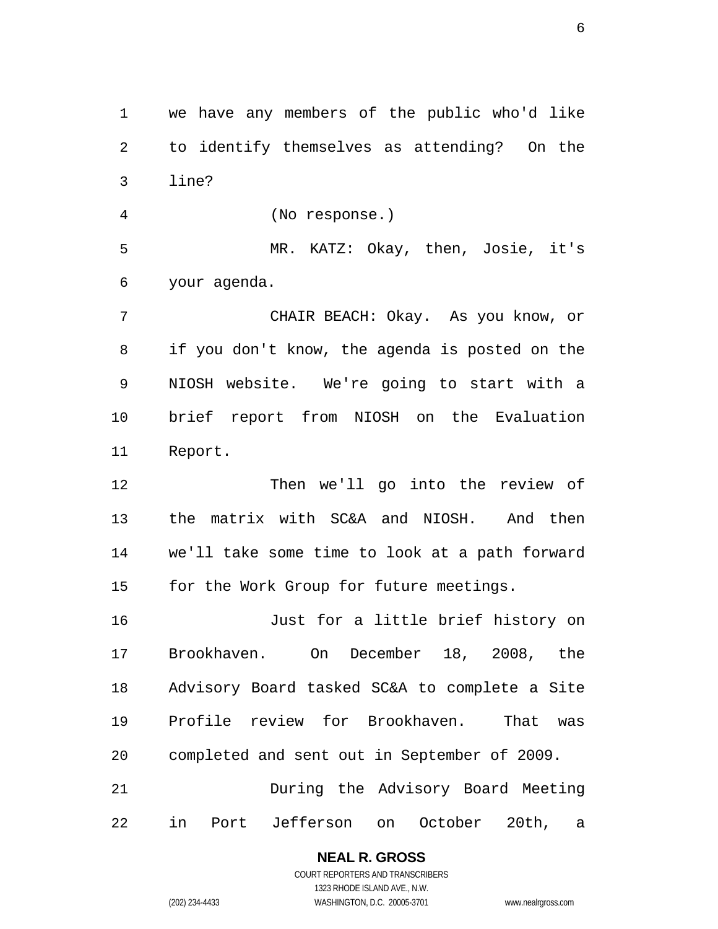we have any members of the public who'd like to identify themselves as attending? On the line?

(No response.) MR. KATZ: Okay, then, Josie, it's

your agenda.

CHAIR BEACH: Okay. As you know, or if you don't know, the agenda is posted on the NIOSH website. We're going to start with a brief report from NIOSH on the Evaluation Report.

Then we'll go into the review of the matrix with SC&A and NIOSH. And then we'll take some time to look at a path forward 15 for the Work Group for future meetings.

Just for a little brief history on Brookhaven. On December 18, 2008, the Advisory Board tasked SC&A to complete a Site Profile review for Brookhaven. That was completed and sent out in September of 2009.

During the Advisory Board Meeting in Port Jefferson on October 20th, a

#### **NEAL R. GROSS**

COURT REPORTERS AND TRANSCRIBERS 1323 RHODE ISLAND AVE., N.W. (202) 234-4433 WASHINGTON, D.C. 20005-3701 www.nealrgross.com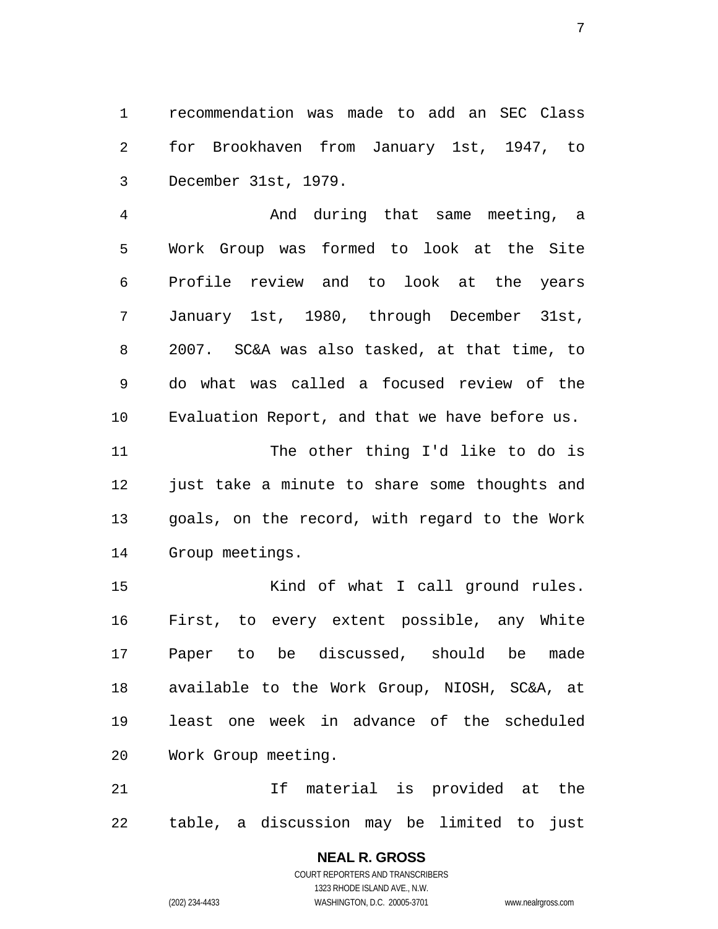recommendation was made to add an SEC Class for Brookhaven from January 1st, 1947, to December 31st, 1979.

And during that same meeting, a Work Group was formed to look at the Site Profile review and to look at the years January 1st, 1980, through December 31st, 2007. SC&A was also tasked, at that time, to do what was called a focused review of the Evaluation Report, and that we have before us.

The other thing I'd like to do is 12 just take a minute to share some thoughts and goals, on the record, with regard to the Work Group meetings.

15 Kind of what I call ground rules. First, to every extent possible, any White Paper to be discussed, should be made available to the Work Group, NIOSH, SC&A, at least one week in advance of the scheduled Work Group meeting.

If material is provided at the table, a discussion may be limited to just

#### **NEAL R. GROSS**  COURT REPORTERS AND TRANSCRIBERS

1323 RHODE ISLAND AVE., N.W. (202) 234-4433 WASHINGTON, D.C. 20005-3701 www.nealrgross.com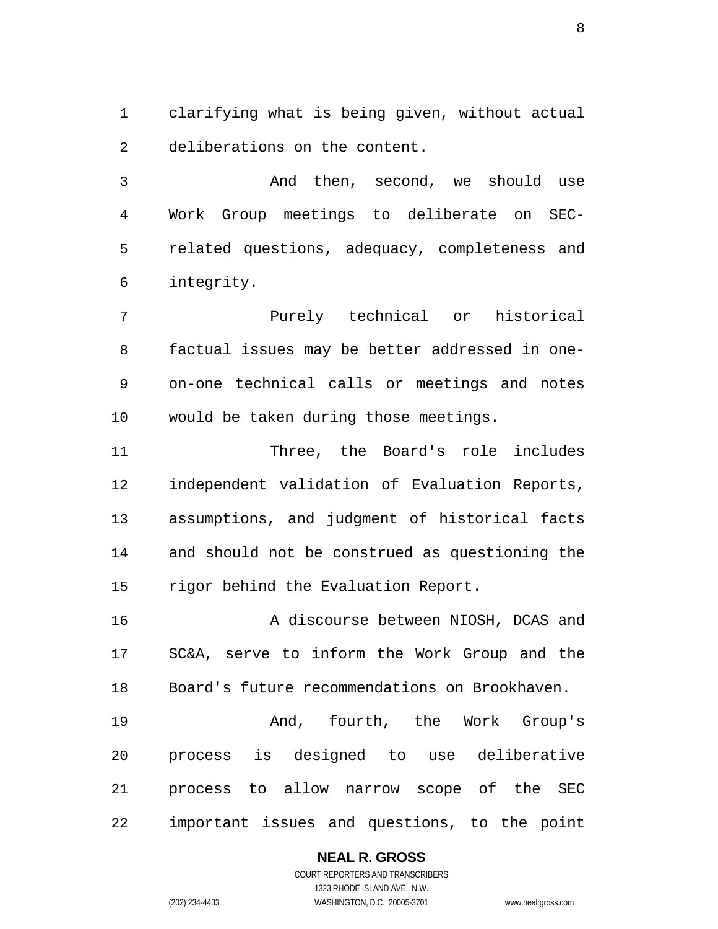clarifying what is being given, without actual deliberations on the content.

And then, second, we should use Work Group meetings to deliberate on SEC-related questions, adequacy, completeness and integrity.

Purely technical or historical factual issues may be better addressed in one-on-one technical calls or meetings and notes would be taken during those meetings.

Three, the Board's role includes independent validation of Evaluation Reports, assumptions, and judgment of historical facts and should not be construed as questioning the rigor behind the Evaluation Report.

A discourse between NIOSH, DCAS and SC&A, serve to inform the Work Group and the Board's future recommendations on Brookhaven.

And, fourth, the Work Group's process is designed to use deliberative process to allow narrow scope of the SEC important issues and questions, to the point

## **NEAL R. GROSS**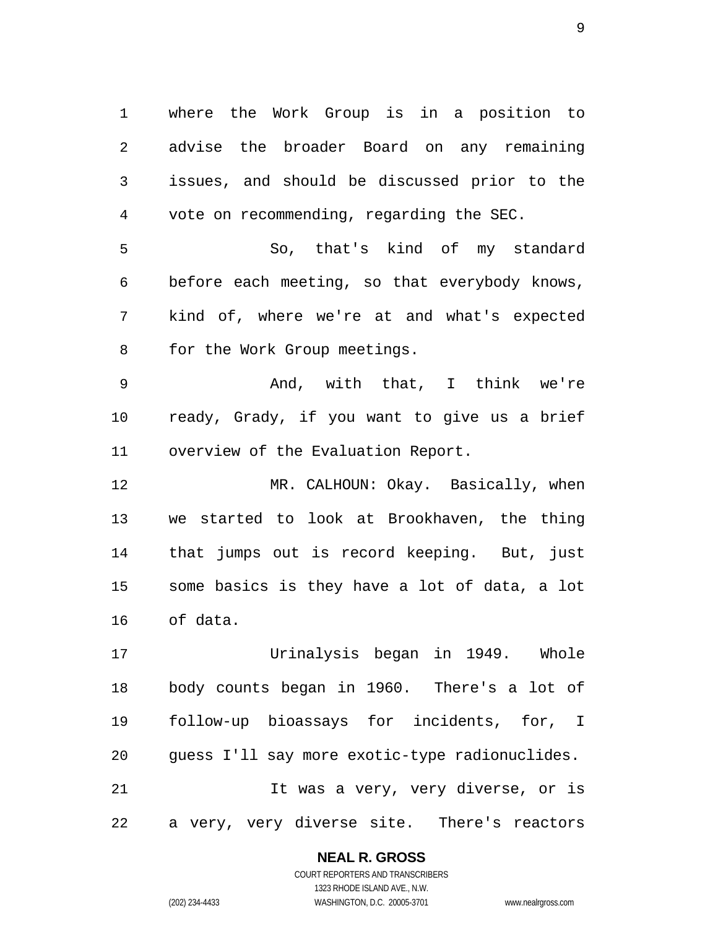where the Work Group is in a position to advise the broader Board on any remaining issues, and should be discussed prior to the vote on recommending, regarding the SEC.

So, that's kind of my standard before each meeting, so that everybody knows, kind of, where we're at and what's expected for the Work Group meetings.

And, with that, I think we're ready, Grady, if you want to give us a brief overview of the Evaluation Report.

MR. CALHOUN: Okay. Basically, when we started to look at Brookhaven, the thing that jumps out is record keeping. But, just some basics is they have a lot of data, a lot of data.

Urinalysis began in 1949. Whole body counts began in 1960. There's a lot of follow-up bioassays for incidents, for, I guess I'll say more exotic-type radionuclides. It was a very, very diverse, or is a very, very diverse site. There's reactors

**NEAL R. GROSS**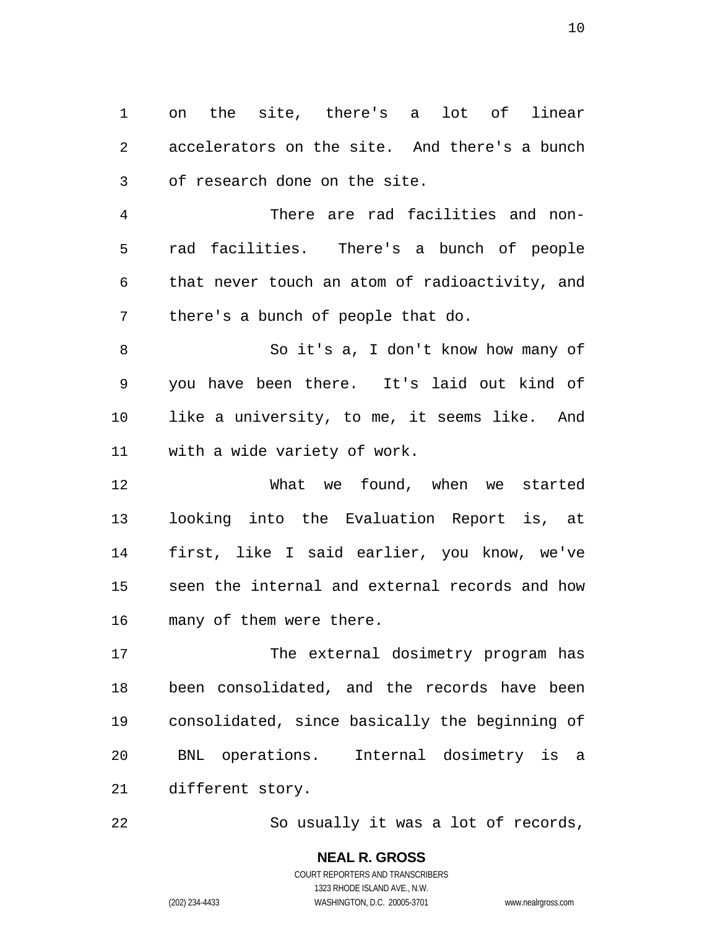on the site, there's a lot of linear accelerators on the site. And there's a bunch of research done on the site.

There are rad facilities and non-rad facilities. There's a bunch of people that never touch an atom of radioactivity, and there's a bunch of people that do.

So it's a, I don't know how many of you have been there. It's laid out kind of like a university, to me, it seems like. And with a wide variety of work.

What we found, when we started looking into the Evaluation Report is, at first, like I said earlier, you know, we've seen the internal and external records and how many of them were there.

The external dosimetry program has been consolidated, and the records have been consolidated, since basically the beginning of BNL operations. Internal dosimetry is a different story.

So usually it was a lot of records,

#### **NEAL R. GROSS**  COURT REPORTERS AND TRANSCRIBERS 1323 RHODE ISLAND AVE., N.W.

(202) 234-4433 WASHINGTON, D.C. 20005-3701 www.nealrgross.com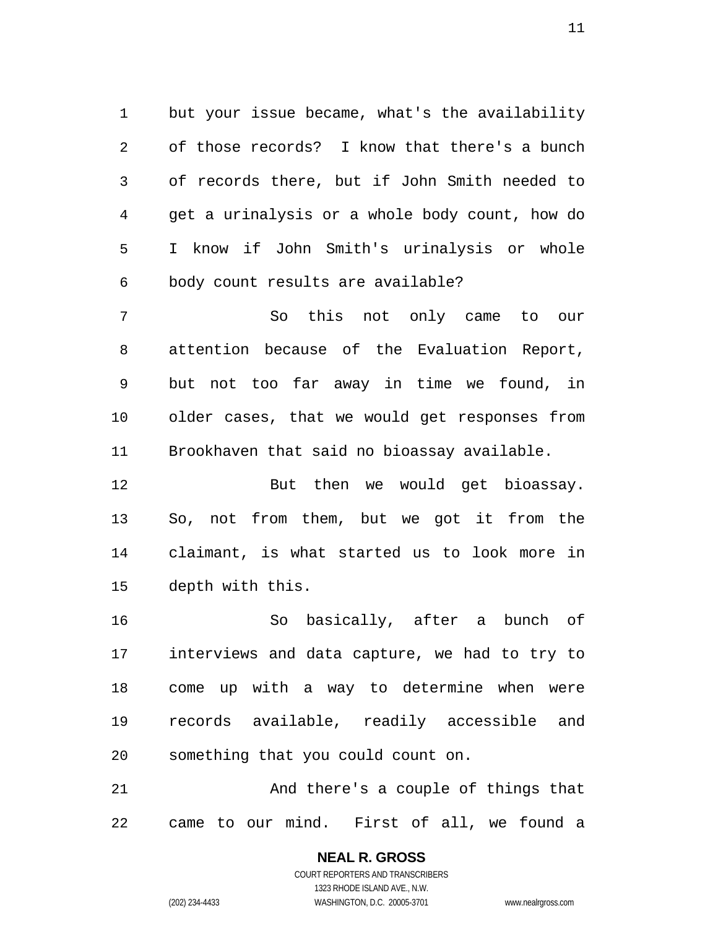but your issue became, what's the availability of those records? I know that there's a bunch of records there, but if John Smith needed to get a urinalysis or a whole body count, how do I know if John Smith's urinalysis or whole body count results are available?

So this not only came to our attention because of the Evaluation Report, but not too far away in time we found, in older cases, that we would get responses from Brookhaven that said no bioassay available.

But then we would get bioassay. So, not from them, but we got it from the claimant, is what started us to look more in depth with this.

So basically, after a bunch of interviews and data capture, we had to try to come up with a way to determine when were records available, readily accessible and something that you could count on.

And there's a couple of things that came to our mind. First of all, we found a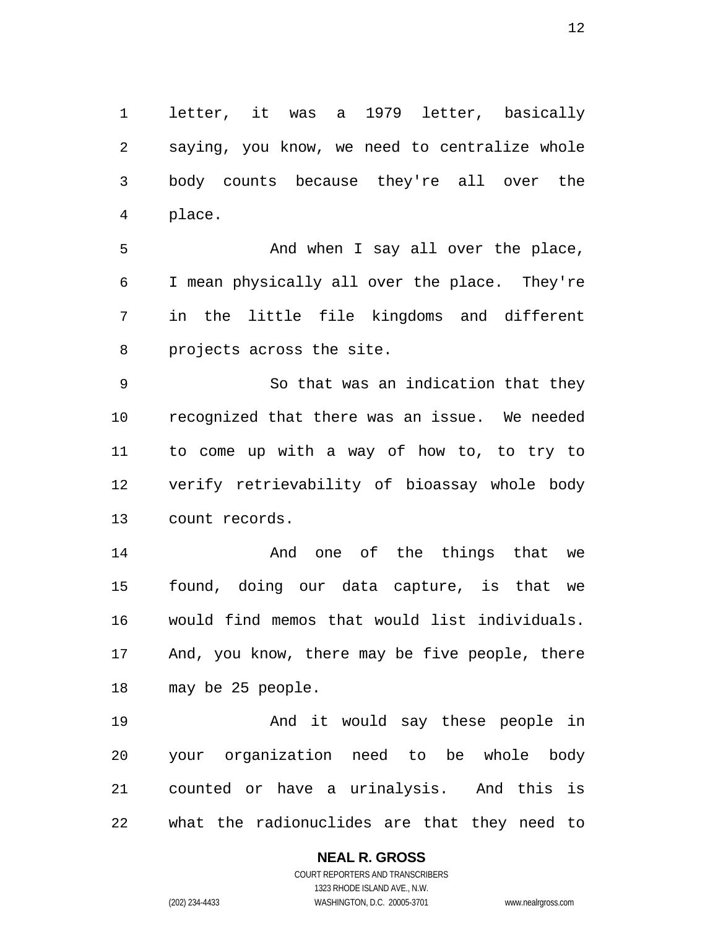letter, it was a 1979 letter, basically saying, you know, we need to centralize whole body counts because they're all over the place.

5 And when I say all over the place, I mean physically all over the place. They're in the little file kingdoms and different projects across the site.

So that was an indication that they recognized that there was an issue. We needed to come up with a way of how to, to try to verify retrievability of bioassay whole body count records.

**And one of the things that we** found, doing our data capture, is that we would find memos that would list individuals. And, you know, there may be five people, there may be 25 people.

And it would say these people in your organization need to be whole body counted or have a urinalysis. And this is what the radionuclides are that they need to

## **NEAL R. GROSS**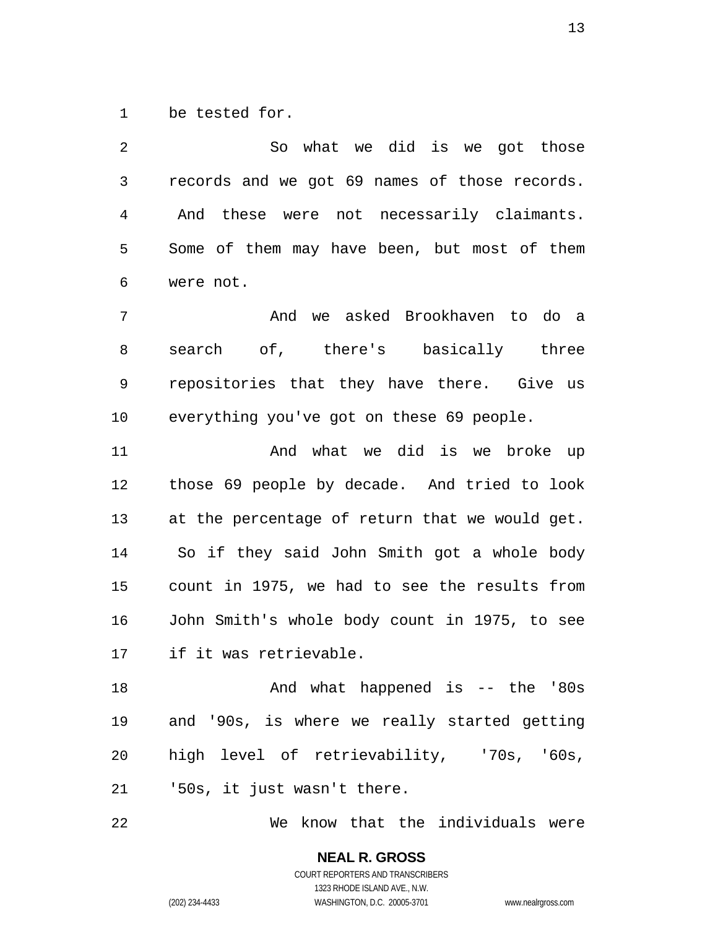be tested for.

So what we did is we got those records and we got 69 names of those records. And these were not necessarily claimants. Some of them may have been, but most of them were not. And we asked Brookhaven to do a search of, there's basically three repositories that they have there. Give us everything you've got on these 69 people. And what we did is we broke up those 69 people by decade. And tried to look

at the percentage of return that we would get. So if they said John Smith got a whole body count in 1975, we had to see the results from John Smith's whole body count in 1975, to see if it was retrievable.

And what happened is -- the '80s and '90s, is where we really started getting high level of retrievability, '70s, '60s, '50s, it just wasn't there.

We know that the individuals were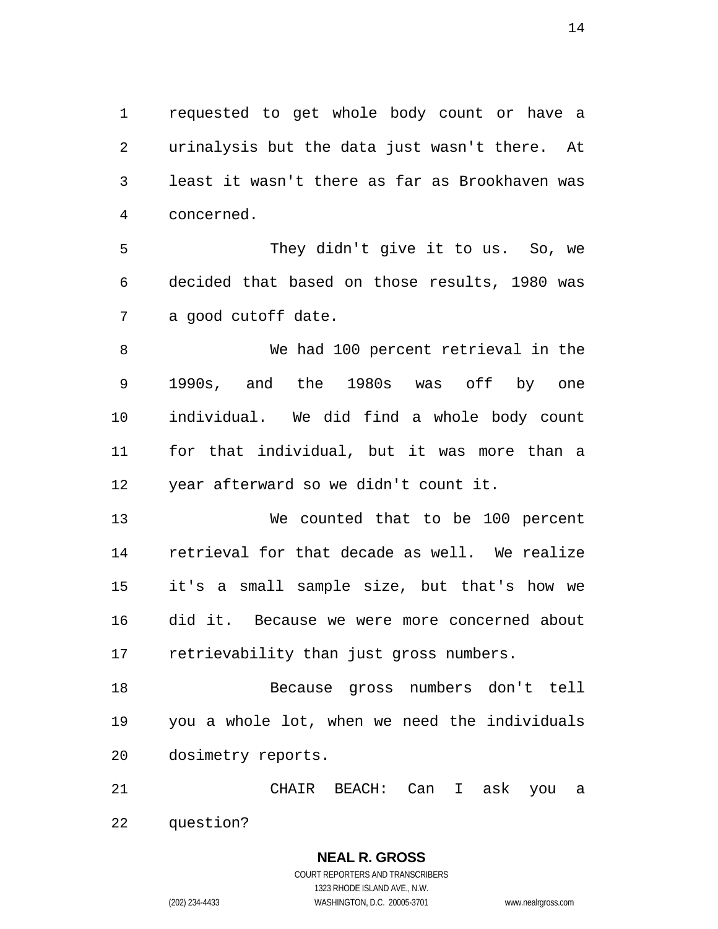requested to get whole body count or have a urinalysis but the data just wasn't there. At least it wasn't there as far as Brookhaven was concerned.

They didn't give it to us. So, we decided that based on those results, 1980 was a good cutoff date.

We had 100 percent retrieval in the 1990s, and the 1980s was off by one individual. We did find a whole body count for that individual, but it was more than a year afterward so we didn't count it.

We counted that to be 100 percent retrieval for that decade as well. We realize it's a small sample size, but that's how we did it. Because we were more concerned about retrievability than just gross numbers.

Because gross numbers don't tell you a whole lot, when we need the individuals dosimetry reports.

CHAIR BEACH: Can I ask you a question?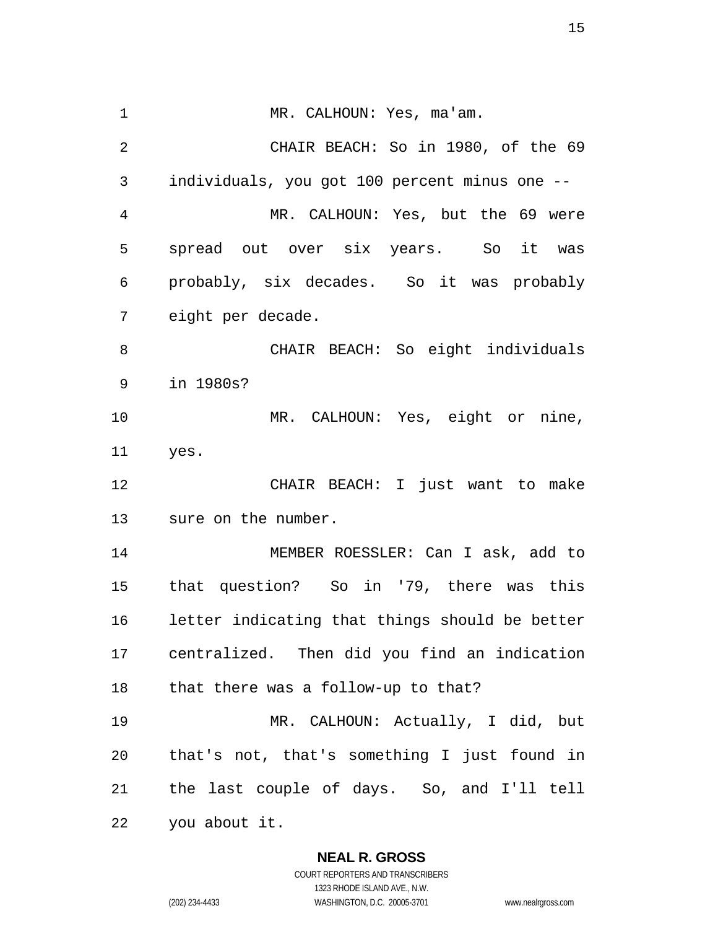1 MR. CALHOUN: Yes, ma'am. CHAIR BEACH: So in 1980, of the 69 individuals, you got 100 percent minus one -- MR. CALHOUN: Yes, but the 69 were spread out over six years. So it was probably, six decades. So it was probably eight per decade. CHAIR BEACH: So eight individuals in 1980s? MR. CALHOUN: Yes, eight or nine, yes. CHAIR BEACH: I just want to make sure on the number. MEMBER ROESSLER: Can I ask, add to that question? So in '79, there was this letter indicating that things should be better centralized. Then did you find an indication that there was a follow-up to that? MR. CALHOUN: Actually, I did, but that's not, that's something I just found in the last couple of days. So, and I'll tell you about it.

> **NEAL R. GROSS**  COURT REPORTERS AND TRANSCRIBERS

1323 RHODE ISLAND AVE., N.W. (202) 234-4433 WASHINGTON, D.C. 20005-3701 www.nealrgross.com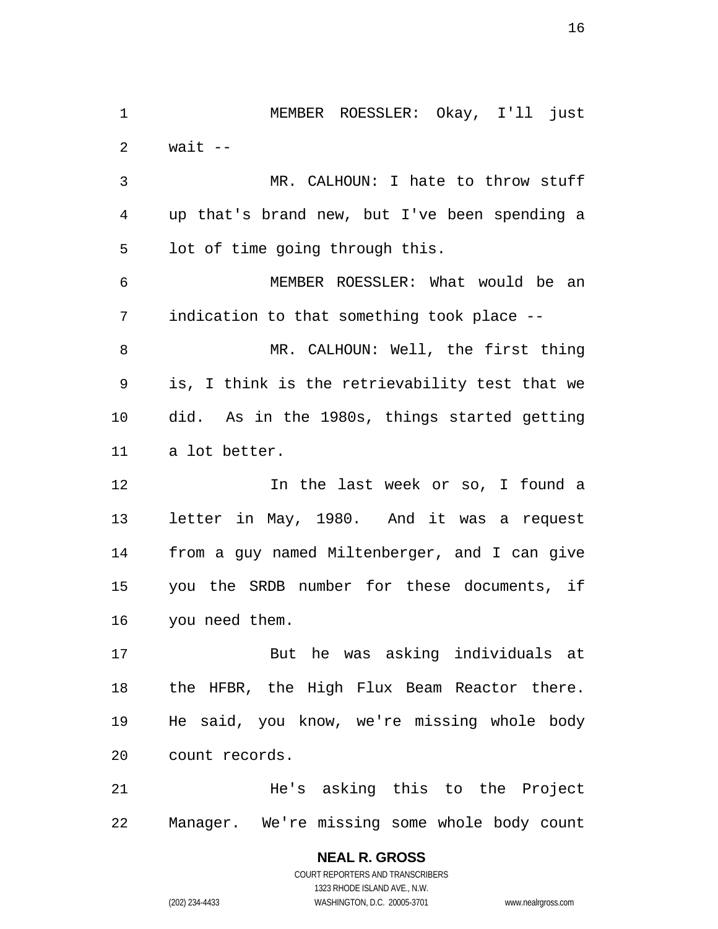MEMBER ROESSLER: Okay, I'll just 2  $wait --$ MR. CALHOUN: I hate to throw stuff up that's brand new, but I've been spending a lot of time going through this. MEMBER ROESSLER: What would be an indication to that something took place -- MR. CALHOUN: Well, the first thing is, I think is the retrievability test that we did. As in the 1980s, things started getting a lot better. In the last week or so, I found a letter in May, 1980. And it was a request from a guy named Miltenberger, and I can give you the SRDB number for these documents, if you need them. But he was asking individuals at the HFBR, the High Flux Beam Reactor there. He said, you know, we're missing whole body count records. He's asking this to the Project Manager. We're missing some whole body count

> COURT REPORTERS AND TRANSCRIBERS 1323 RHODE ISLAND AVE., N.W. (202) 234-4433 WASHINGTON, D.C. 20005-3701 www.nealrgross.com

**NEAL R. GROSS**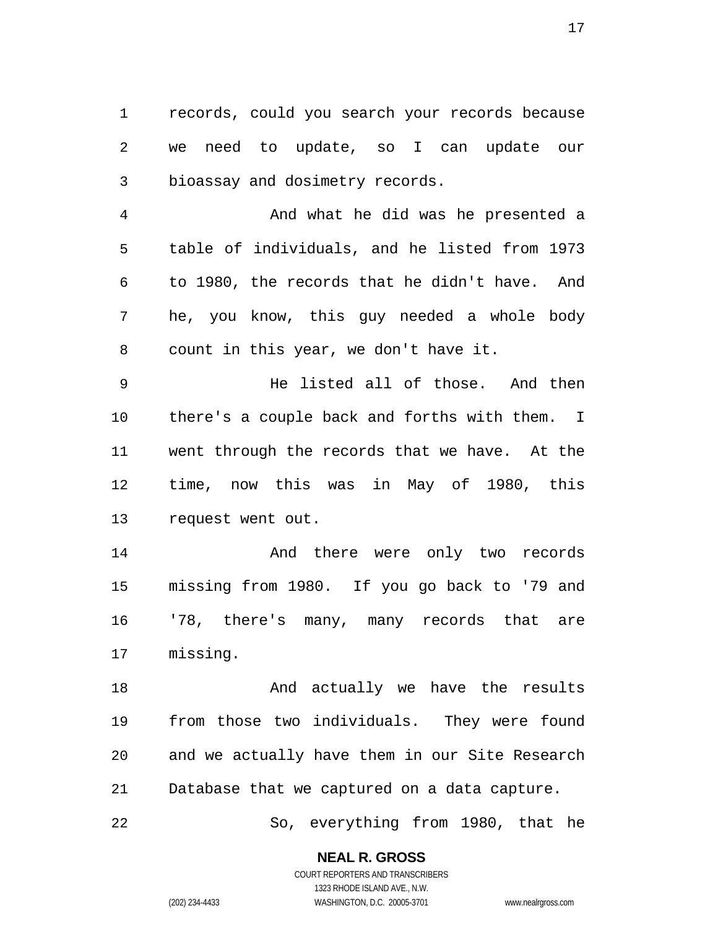records, could you search your records because we need to update, so I can update our bioassay and dosimetry records.

And what he did was he presented a table of individuals, and he listed from 1973 to 1980, the records that he didn't have. And he, you know, this guy needed a whole body count in this year, we don't have it.

He listed all of those. And then there's a couple back and forths with them. I went through the records that we have. At the time, now this was in May of 1980, this request went out.

And there were only two records missing from 1980. If you go back to '79 and '78, there's many, many records that are missing.

18 And actually we have the results from those two individuals. They were found and we actually have them in our Site Research Database that we captured on a data capture.

So, everything from 1980, that he

**NEAL R. GROSS**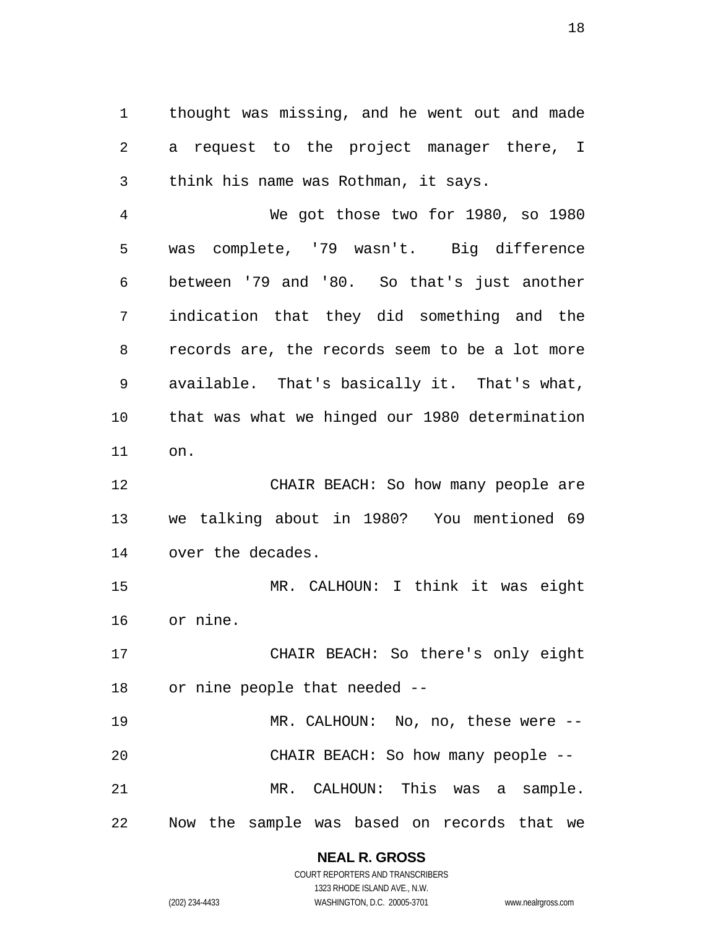thought was missing, and he went out and made a request to the project manager there, I think his name was Rothman, it says.

We got those two for 1980, so 1980 was complete, '79 wasn't. Big difference between '79 and '80. So that's just another indication that they did something and the records are, the records seem to be a lot more available. That's basically it. That's what, that was what we hinged our 1980 determination on.

12 CHAIR BEACH: So how many people are we talking about in 1980? You mentioned 69 over the decades.

MR. CALHOUN: I think it was eight or nine.

CHAIR BEACH: So there's only eight or nine people that needed --

MR. CALHOUN: No, no, these were -- CHAIR BEACH: So how many people -- MR. CALHOUN: This was a sample. Now the sample was based on records that we

## **NEAL R. GROSS**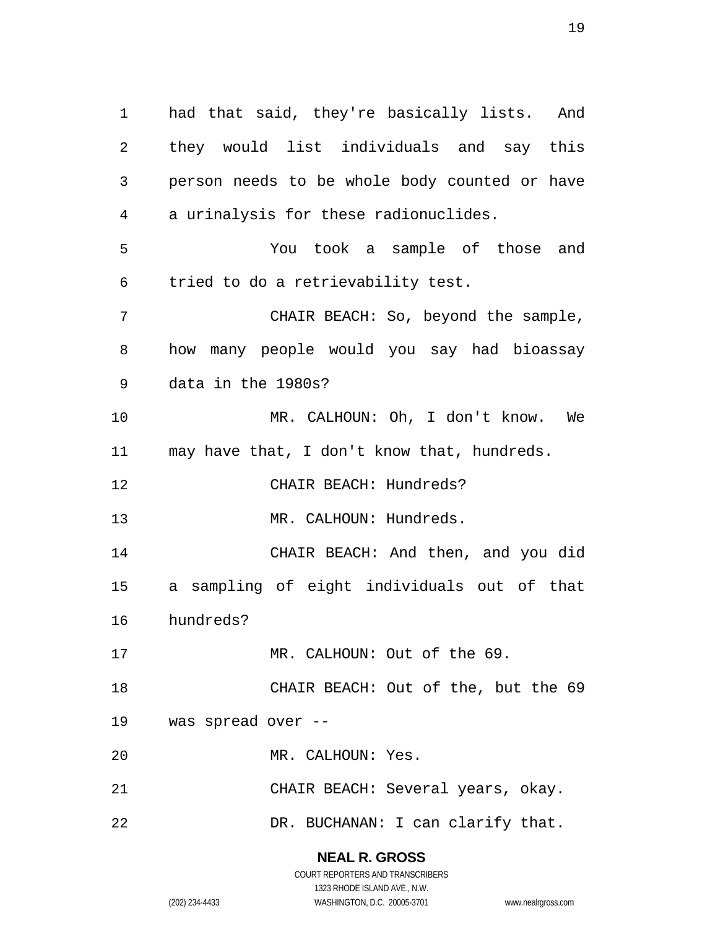had that said, they're basically lists. And they would list individuals and say this person needs to be whole body counted or have a urinalysis for these radionuclides. You took a sample of those and tried to do a retrievability test. CHAIR BEACH: So, beyond the sample, how many people would you say had bioassay data in the 1980s? MR. CALHOUN: Oh, I don't know. We may have that, I don't know that, hundreds. CHAIR BEACH: Hundreds? 13 MR. CALHOUN: Hundreds. CHAIR BEACH: And then, and you did a sampling of eight individuals out of that hundreds? 17 MR. CALHOUN: Out of the 69. CHAIR BEACH: Out of the, but the 69 was spread over -- MR. CALHOUN: Yes. CHAIR BEACH: Several years, okay. 22 DR. BUCHANAN: I can clarify that.

> **NEAL R. GROSS**  COURT REPORTERS AND TRANSCRIBERS

> > 1323 RHODE ISLAND AVE., N.W.

(202) 234-4433 WASHINGTON, D.C. 20005-3701 www.nealrgross.com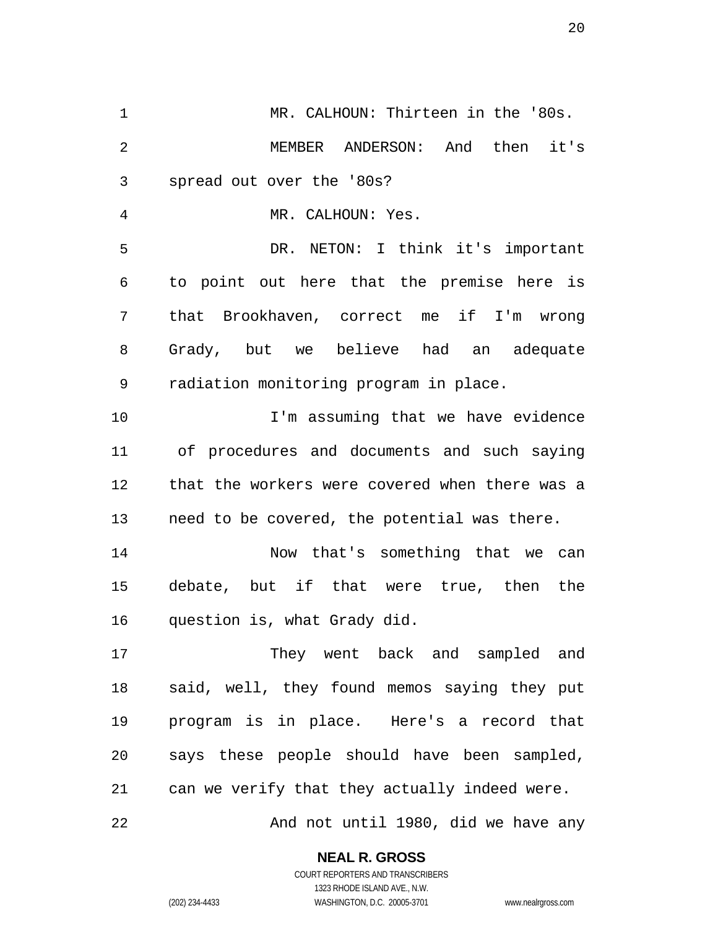MR. CALHOUN: Thirteen in the '80s. MEMBER ANDERSON: And then it's spread out over the '80s? MR. CALHOUN: Yes. DR. NETON: I think it's important to point out here that the premise here is that Brookhaven, correct me if I'm wrong Grady, but we believe had an adequate radiation monitoring program in place. I'm assuming that we have evidence of procedures and documents and such saying that the workers were covered when there was a need to be covered, the potential was there. Now that's something that we can debate, but if that were true, then the question is, what Grady did. They went back and sampled and said, well, they found memos saying they put program is in place. Here's a record that says these people should have been sampled, can we verify that they actually indeed were. And not until 1980, did we have any

**NEAL R. GROSS** 

COURT REPORTERS AND TRANSCRIBERS 1323 RHODE ISLAND AVE., N.W. (202) 234-4433 WASHINGTON, D.C. 20005-3701 www.nealrgross.com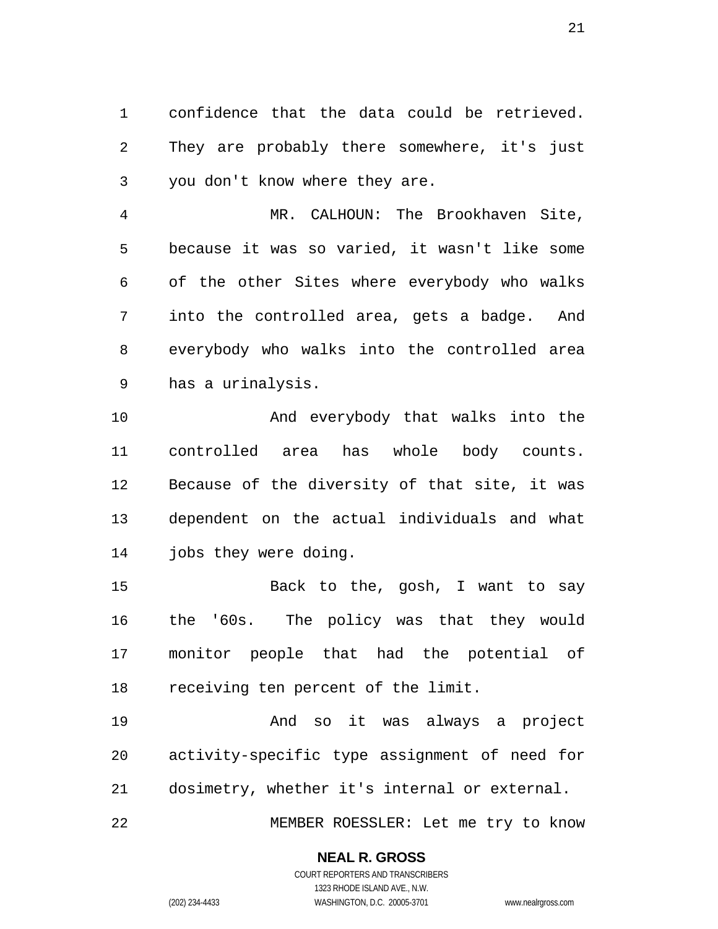confidence that the data could be retrieved. They are probably there somewhere, it's just you don't know where they are.

MR. CALHOUN: The Brookhaven Site, because it was so varied, it wasn't like some of the other Sites where everybody who walks into the controlled area, gets a badge. And everybody who walks into the controlled area has a urinalysis.

And everybody that walks into the controlled area has whole body counts. Because of the diversity of that site, it was dependent on the actual individuals and what jobs they were doing.

Back to the, gosh, I want to say the '60s. The policy was that they would monitor people that had the potential of receiving ten percent of the limit.

And so it was always a project activity-specific type assignment of need for dosimetry, whether it's internal or external.

MEMBER ROESSLER: Let me try to know

#### **NEAL R. GROSS**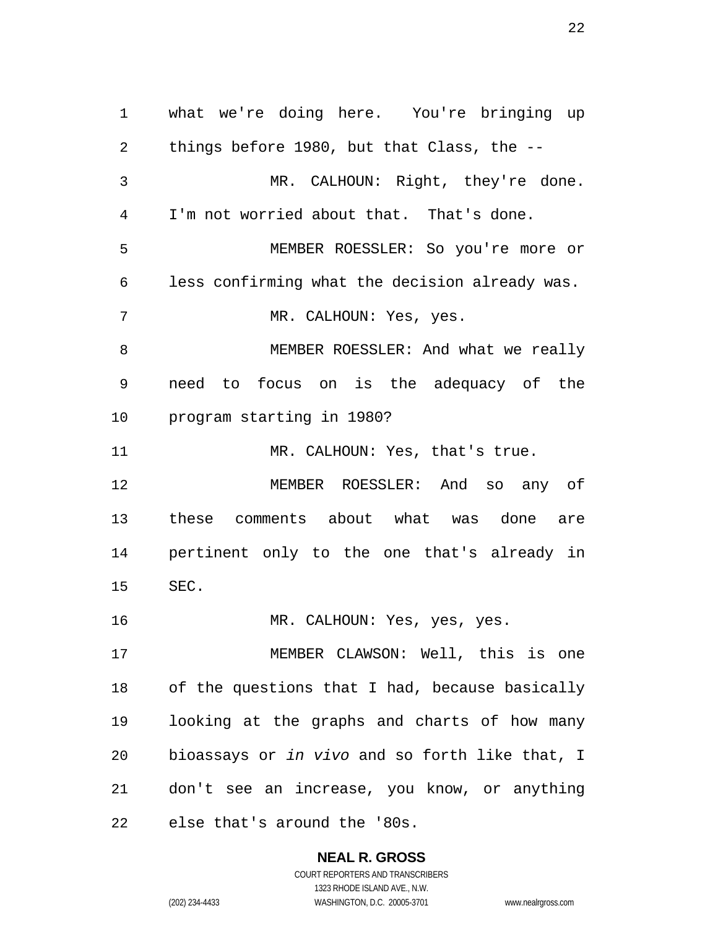what we're doing here. You're bringing up things before 1980, but that Class, the -- MR. CALHOUN: Right, they're done. I'm not worried about that. That's done. MEMBER ROESSLER: So you're more or less confirming what the decision already was. MR. CALHOUN: Yes, yes. MEMBER ROESSLER: And what we really need to focus on is the adequacy of the program starting in 1980? 11 MR. CALHOUN: Yes, that's true. MEMBER ROESSLER: And so any of these comments about what was done are pertinent only to the one that's already in SEC. MR. CALHOUN: Yes, yes, yes. MEMBER CLAWSON: Well, this is one of the questions that I had, because basically looking at the graphs and charts of how many bioassays or *in vivo* and so forth like that, I don't see an increase, you know, or anything else that's around the '80s.

> **NEAL R. GROSS**  COURT REPORTERS AND TRANSCRIBERS 1323 RHODE ISLAND AVE., N.W.

(202) 234-4433 WASHINGTON, D.C. 20005-3701 www.nealrgross.com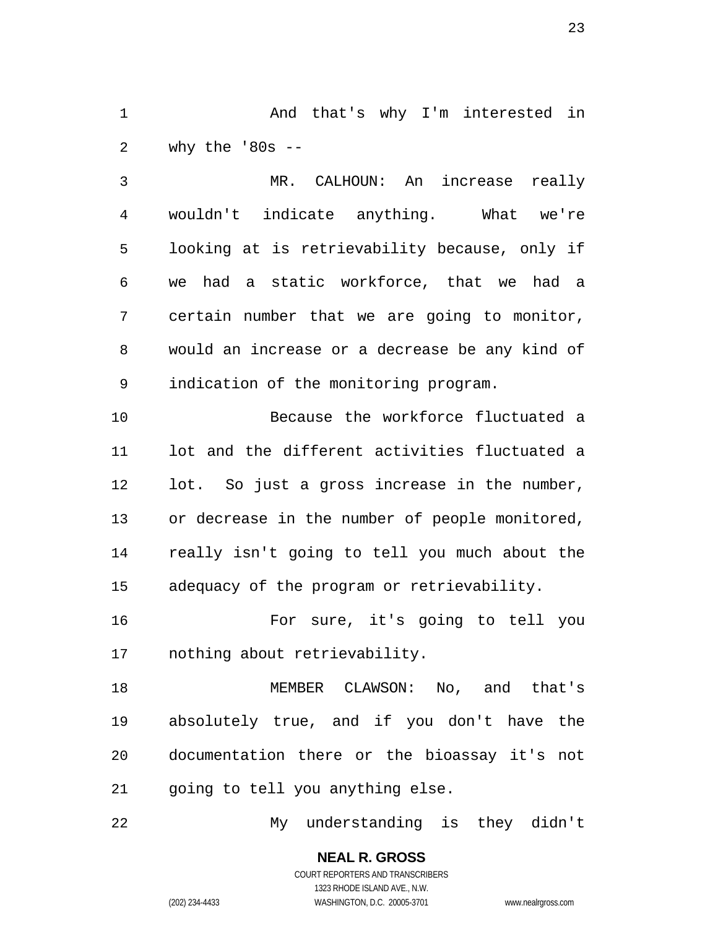And that's why I'm interested in why the '80s --

MR. CALHOUN: An increase really wouldn't indicate anything. What we're looking at is retrievability because, only if we had a static workforce, that we had a certain number that we are going to monitor, would an increase or a decrease be any kind of indication of the monitoring program.

Because the workforce fluctuated a lot and the different activities fluctuated a lot. So just a gross increase in the number, or decrease in the number of people monitored, really isn't going to tell you much about the adequacy of the program or retrievability.

For sure, it's going to tell you nothing about retrievability.

MEMBER CLAWSON: No, and that's absolutely true, and if you don't have the documentation there or the bioassay it's not going to tell you anything else.

My understanding is they didn't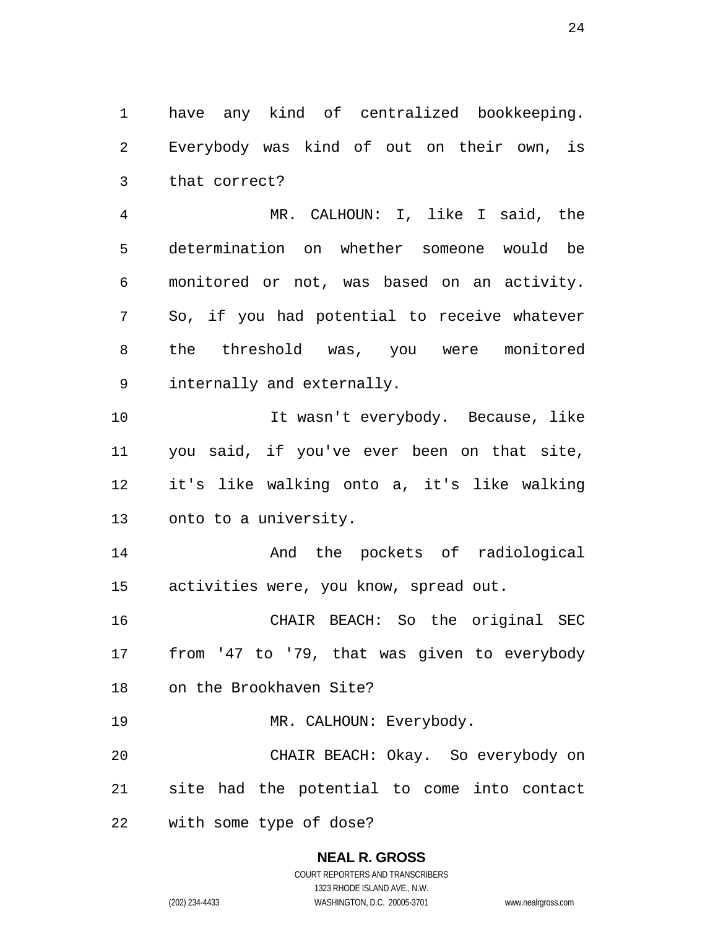have any kind of centralized bookkeeping. Everybody was kind of out on their own, is that correct?

MR. CALHOUN: I, like I said, the determination on whether someone would be monitored or not, was based on an activity. So, if you had potential to receive whatever the threshold was, you were monitored internally and externally.

10 10 It wasn't everybody. Because, like you said, if you've ever been on that site, it's like walking onto a, it's like walking onto to a university.

And the pockets of radiological activities were, you know, spread out.

CHAIR BEACH: So the original SEC from '47 to '79, that was given to everybody on the Brookhaven Site?

19 MR. CALHOUN: Everybody.

CHAIR BEACH: Okay. So everybody on site had the potential to come into contact

with some type of dose?

# **NEAL R. GROSS**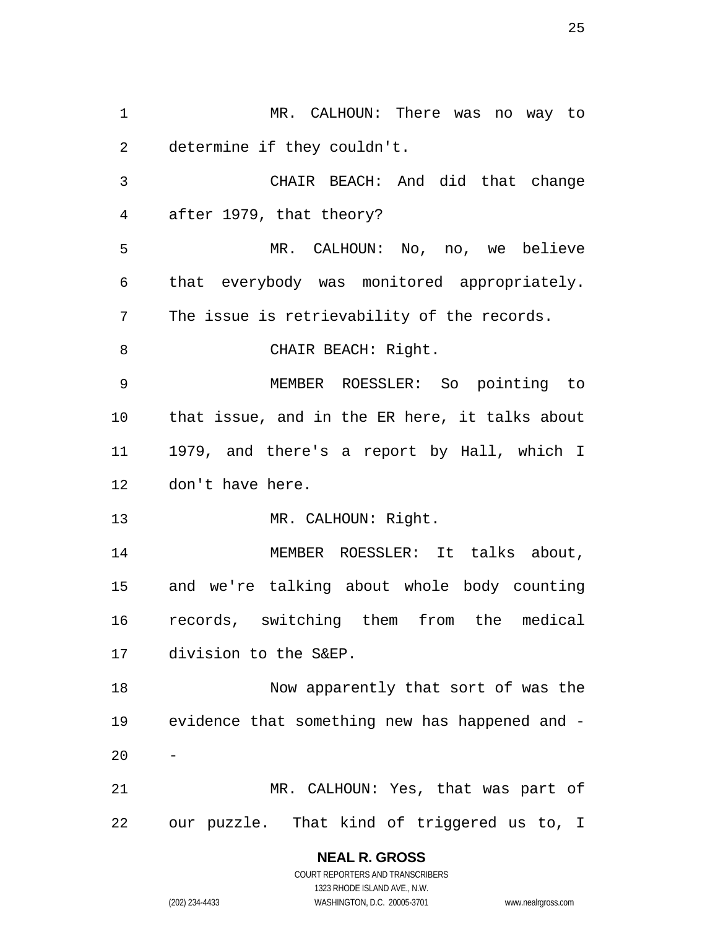MR. CALHOUN: There was no way to determine if they couldn't. CHAIR BEACH: And did that change after 1979, that theory? MR. CALHOUN: No, no, we believe that everybody was monitored appropriately. The issue is retrievability of the records. 8 CHAIR BEACH: Right. MEMBER ROESSLER: So pointing to that issue, and in the ER here, it talks about 1979, and there's a report by Hall, which I don't have here. 13 MR. CALHOUN: Right. MEMBER ROESSLER: It talks about, and we're talking about whole body counting records, switching them from the medical division to the S&EP. Now apparently that sort of was the evidence that something new has happened and - MR. CALHOUN: Yes, that was part of our puzzle. That kind of triggered us to, I

> **NEAL R. GROSS**  COURT REPORTERS AND TRANSCRIBERS

> > 1323 RHODE ISLAND AVE., N.W.

(202) 234-4433 WASHINGTON, D.C. 20005-3701 www.nealrgross.com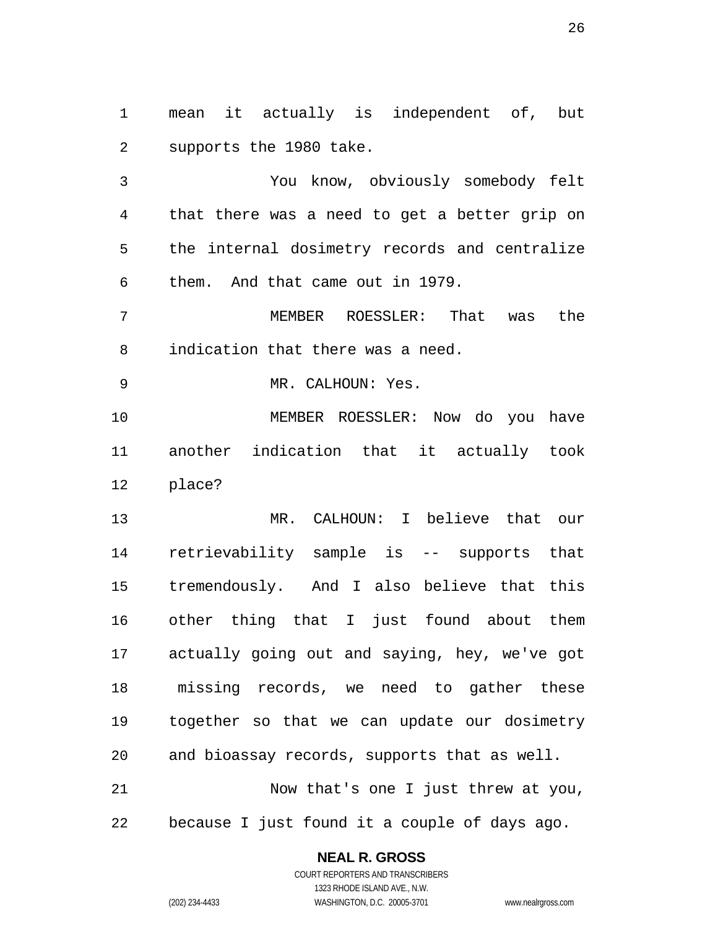mean it actually is independent of, but supports the 1980 take.

You know, obviously somebody felt that there was a need to get a better grip on the internal dosimetry records and centralize them. And that came out in 1979.

MEMBER ROESSLER: That was the indication that there was a need.

9 MR. CALHOUN: Yes.

MEMBER ROESSLER: Now do you have another indication that it actually took place?

MR. CALHOUN: I believe that our retrievability sample is -- supports that tremendously. And I also believe that this other thing that I just found about them actually going out and saying, hey, we've got missing records, we need to gather these together so that we can update our dosimetry and bioassay records, supports that as well. Now that's one I just threw at you,

because I just found it a couple of days ago.

**NEAL R. GROSS** 

COURT REPORTERS AND TRANSCRIBERS 1323 RHODE ISLAND AVE., N.W. (202) 234-4433 WASHINGTON, D.C. 20005-3701 www.nealrgross.com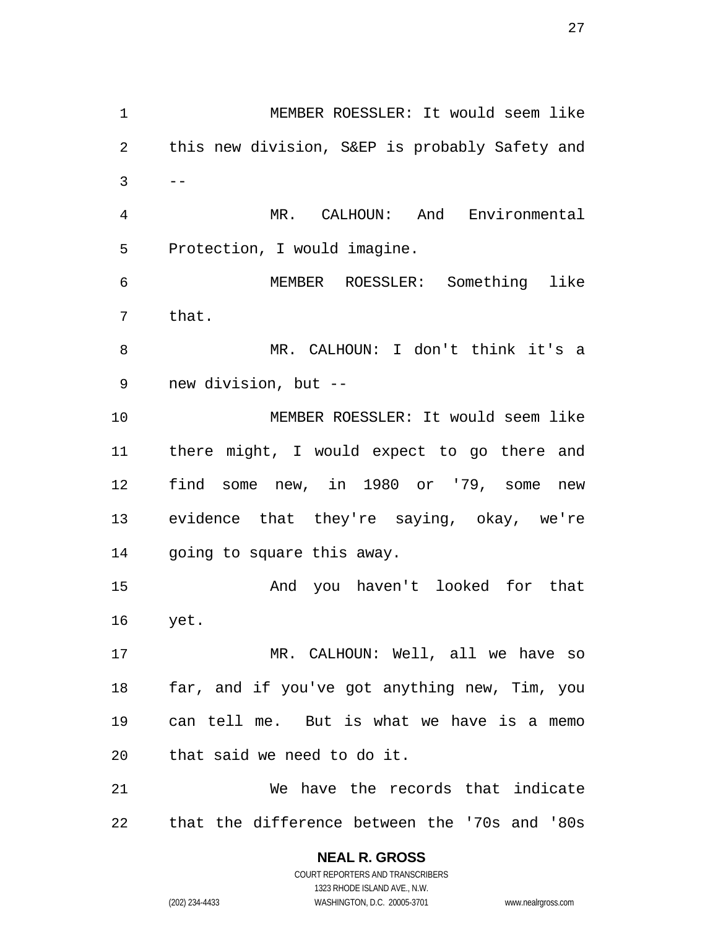MEMBER ROESSLER: It would seem like this new division, S&EP is probably Safety and  $3 \qquad --$ MR. CALHOUN: And Environmental Protection, I would imagine. MEMBER ROESSLER: Something like that. MR. CALHOUN: I don't think it's a new division, but -- MEMBER ROESSLER: It would seem like there might, I would expect to go there and find some new, in 1980 or '79, some new evidence that they're saying, okay, we're going to square this away. And you haven't looked for that yet. MR. CALHOUN: Well, all we have so far, and if you've got anything new, Tim, you can tell me. But is what we have is a memo that said we need to do it. We have the records that indicate that the difference between the '70s and '80s

> **NEAL R. GROSS**  COURT REPORTERS AND TRANSCRIBERS 1323 RHODE ISLAND AVE., N.W. (202) 234-4433 WASHINGTON, D.C. 20005-3701 www.nealrgross.com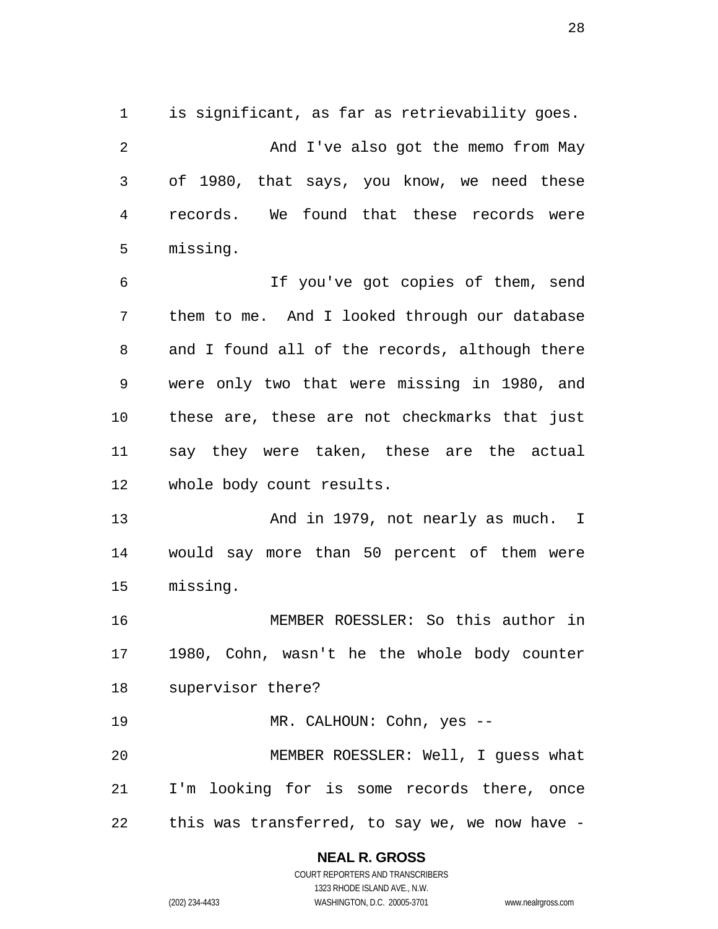is significant, as far as retrievability goes.

2 And I've also got the memo from May of 1980, that says, you know, we need these records. We found that these records were missing.

If you've got copies of them, send them to me. And I looked through our database and I found all of the records, although there were only two that were missing in 1980, and these are, these are not checkmarks that just say they were taken, these are the actual whole body count results.

13 And in 1979, not nearly as much. I would say more than 50 percent of them were missing.

MEMBER ROESSLER: So this author in 1980, Cohn, wasn't he the whole body counter supervisor there?

MR. CALHOUN: Cohn, yes -- MEMBER ROESSLER: Well, I guess what I'm looking for is some records there, once this was transferred, to say we, we now have -

## **NEAL R. GROSS**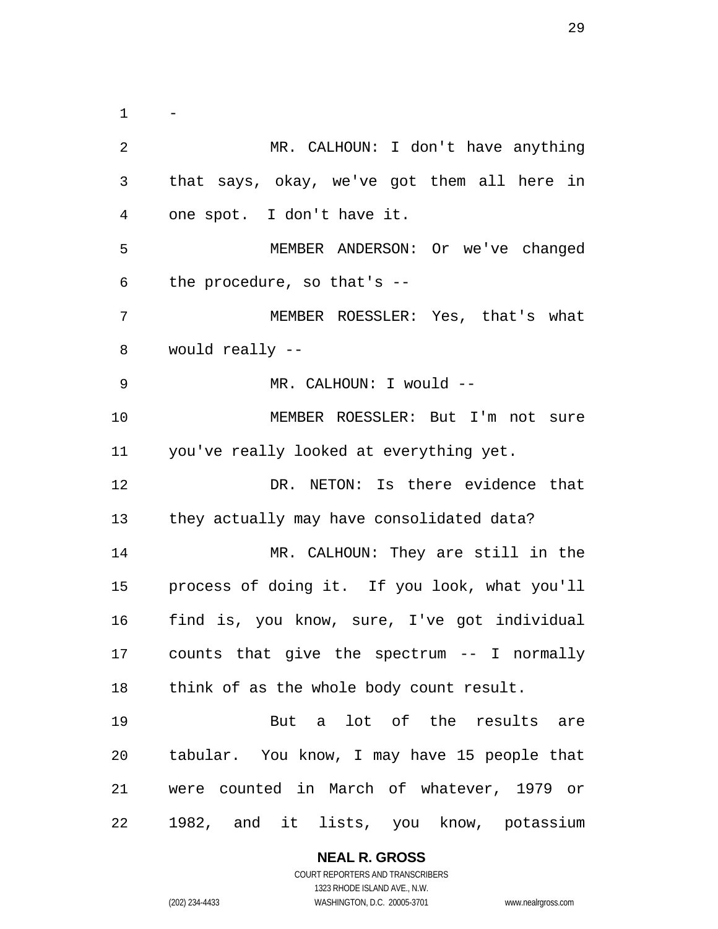$\mathbf{1}$ MR. CALHOUN: I don't have anything that says, okay, we've got them all here in one spot. I don't have it. MEMBER ANDERSON: Or we've changed the procedure, so that's -- MEMBER ROESSLER: Yes, that's what would really -- 9 MR. CALHOUN: I would --MEMBER ROESSLER: But I'm not sure you've really looked at everything yet. DR. NETON: Is there evidence that they actually may have consolidated data? MR. CALHOUN: They are still in the process of doing it. If you look, what you'll find is, you know, sure, I've got individual counts that give the spectrum -- I normally think of as the whole body count result. But a lot of the results are tabular. You know, I may have 15 people that were counted in March of whatever, 1979 or 1982, and it lists, you know, potassium

**NEAL R. GROSS** 

COURT REPORTERS AND TRANSCRIBERS 1323 RHODE ISLAND AVE., N.W. (202) 234-4433 WASHINGTON, D.C. 20005-3701 www.nealrgross.com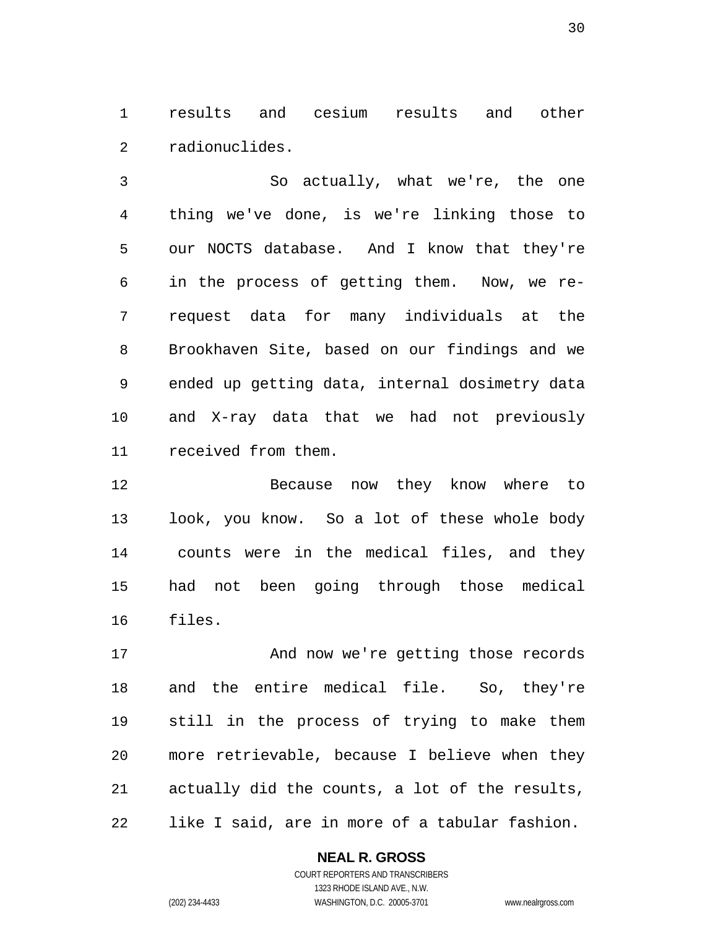results and cesium results and other radionuclides.

So actually, what we're, the one thing we've done, is we're linking those to our NOCTS database. And I know that they're in the process of getting them. Now, we re-request data for many individuals at the Brookhaven Site, based on our findings and we ended up getting data, internal dosimetry data and X-ray data that we had not previously received from them.

Because now they know where to look, you know. So a lot of these whole body counts were in the medical files, and they had not been going through those medical files.

17 And now we're getting those records and the entire medical file. So, they're still in the process of trying to make them more retrievable, because I believe when they actually did the counts, a lot of the results, like I said, are in more of a tabular fashion.

**NEAL R. GROSS**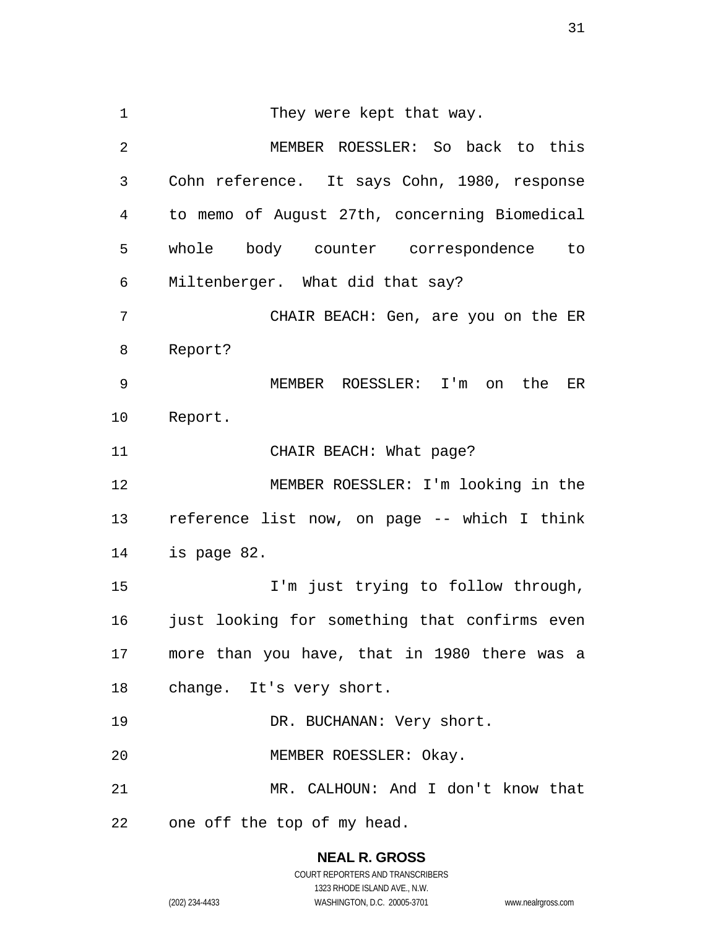1 They were kept that way. MEMBER ROESSLER: So back to this Cohn reference. It says Cohn, 1980, response to memo of August 27th, concerning Biomedical whole body counter correspondence to Miltenberger. What did that say? CHAIR BEACH: Gen, are you on the ER Report? MEMBER ROESSLER: I'm on the ER Report. 11 CHAIR BEACH: What page? MEMBER ROESSLER: I'm looking in the reference list now, on page -- which I think is page 82. I'm just trying to follow through, just looking for something that confirms even more than you have, that in 1980 there was a change. It's very short. 19 DR. BUCHANAN: Very short. MEMBER ROESSLER: Okay. MR. CALHOUN: And I don't know that one off the top of my head.

> **NEAL R. GROSS**  COURT REPORTERS AND TRANSCRIBERS

1323 RHODE ISLAND AVE., N.W. (202) 234-4433 WASHINGTON, D.C. 20005-3701 www.nealrgross.com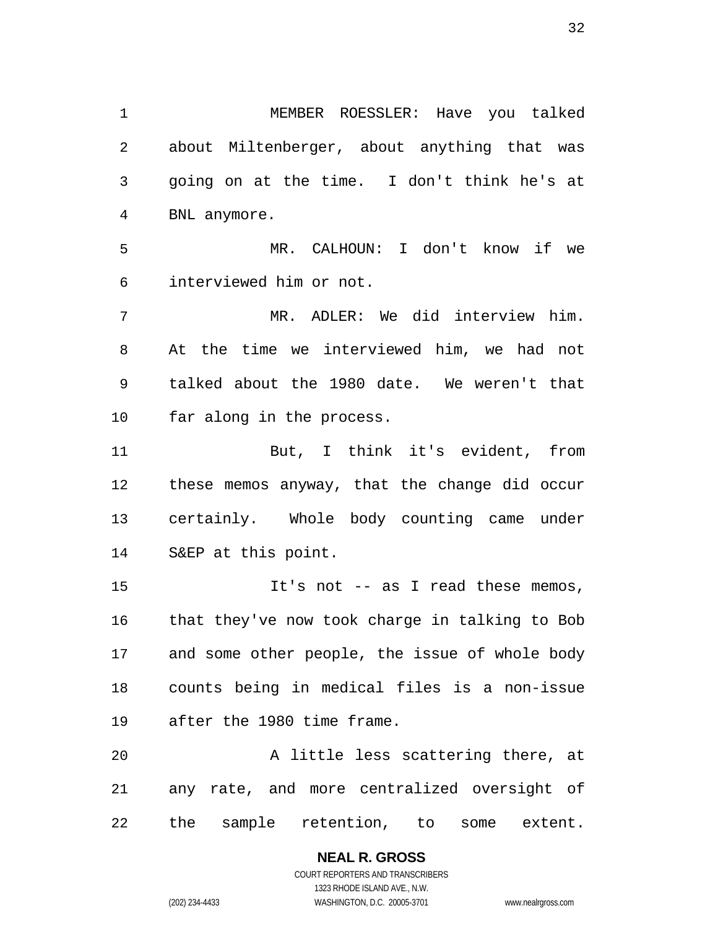MEMBER ROESSLER: Have you talked about Miltenberger, about anything that was going on at the time. I don't think he's at BNL anymore. MR. CALHOUN: I don't know if we interviewed him or not. MR. ADLER: We did interview him. At the time we interviewed him, we had not talked about the 1980 date. We weren't that far along in the process. But, I think it's evident, from these memos anyway, that the change did occur certainly. Whole body counting came under S&EP at this point. It's not -- as I read these memos, that they've now took charge in talking to Bob and some other people, the issue of whole body

counts being in medical files is a non-issue after the 1980 time frame.

A little less scattering there, at any rate, and more centralized oversight of the sample retention, to some extent.

> **NEAL R. GROSS**  COURT REPORTERS AND TRANSCRIBERS 1323 RHODE ISLAND AVE., N.W. (202) 234-4433 WASHINGTON, D.C. 20005-3701 www.nealrgross.com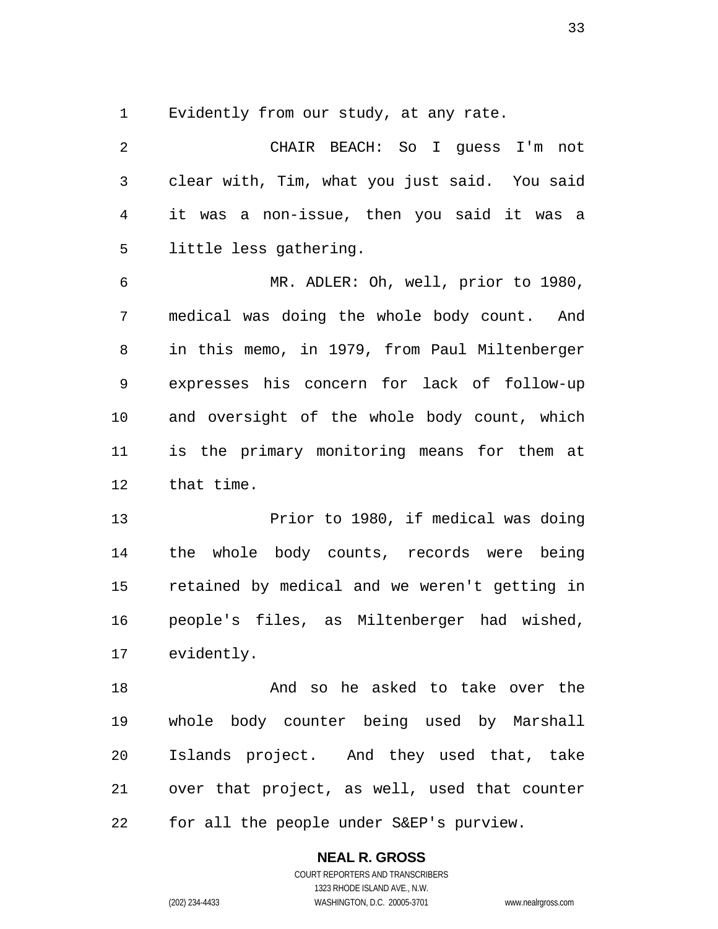Evidently from our study, at any rate.

CHAIR BEACH: So I guess I'm not clear with, Tim, what you just said. You said it was a non-issue, then you said it was a little less gathering. MR. ADLER: Oh, well, prior to 1980, medical was doing the whole body count. And in this memo, in 1979, from Paul Miltenberger expresses his concern for lack of follow-up and oversight of the whole body count, which is the primary monitoring means for them at that time. Prior to 1980, if medical was doing the whole body counts, records were being

retained by medical and we weren't getting in people's files, as Miltenberger had wished, evidently.

And so he asked to take over the whole body counter being used by Marshall Islands project. And they used that, take over that project, as well, used that counter for all the people under S&EP's purview.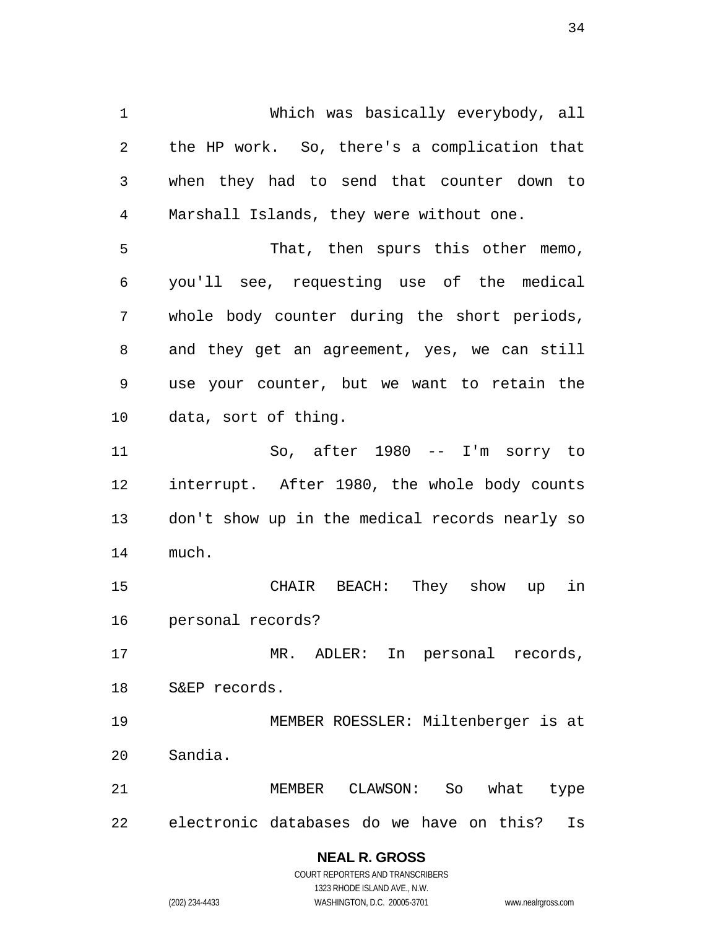Which was basically everybody, all the HP work. So, there's a complication that when they had to send that counter down to Marshall Islands, they were without one. That, then spurs this other memo, you'll see, requesting use of the medical whole body counter during the short periods, and they get an agreement, yes, we can still use your counter, but we want to retain the data, sort of thing. So, after 1980 -- I'm sorry to interrupt. After 1980, the whole body counts don't show up in the medical records nearly so much. CHAIR BEACH: They show up in personal records? MR. ADLER: In personal records, S&EP records. MEMBER ROESSLER: Miltenberger is at Sandia. MEMBER CLAWSON: So what type electronic databases do we have on this? Is **NEAL R. GROSS** 

COURT REPORTERS AND TRANSCRIBERS 1323 RHODE ISLAND AVE., N.W. (202) 234-4433 WASHINGTON, D.C. 20005-3701 www.nealrgross.com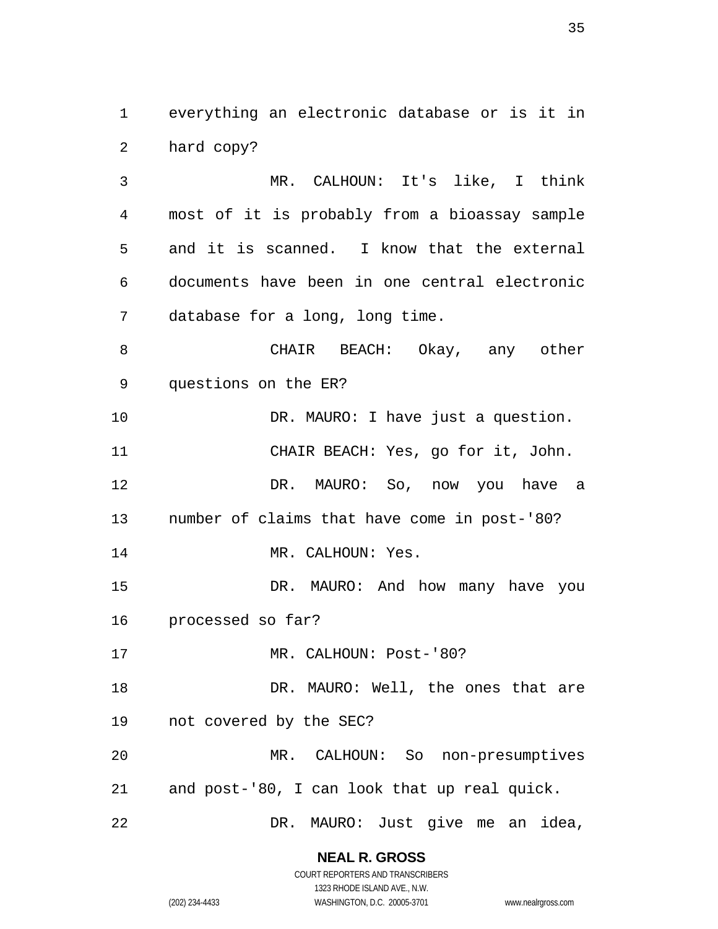everything an electronic database or is it in hard copy?

MR. CALHOUN: It's like, I think most of it is probably from a bioassay sample and it is scanned. I know that the external documents have been in one central electronic database for a long, long time.

CHAIR BEACH: Okay, any other questions on the ER?

10 DR. MAURO: I have just a question. CHAIR BEACH: Yes, go for it, John. DR. MAURO: So, now you have a number of claims that have come in post-'80?

14 MR. CALHOUN: Yes.

DR. MAURO: And how many have you processed so far?

17 MR. CALHOUN: Post-'80?

18 DR. MAURO: Well, the ones that are not covered by the SEC?

MR. CALHOUN: So non-presumptives and post-'80, I can look that up real quick.

DR. MAURO: Just give me an idea,

**NEAL R. GROSS**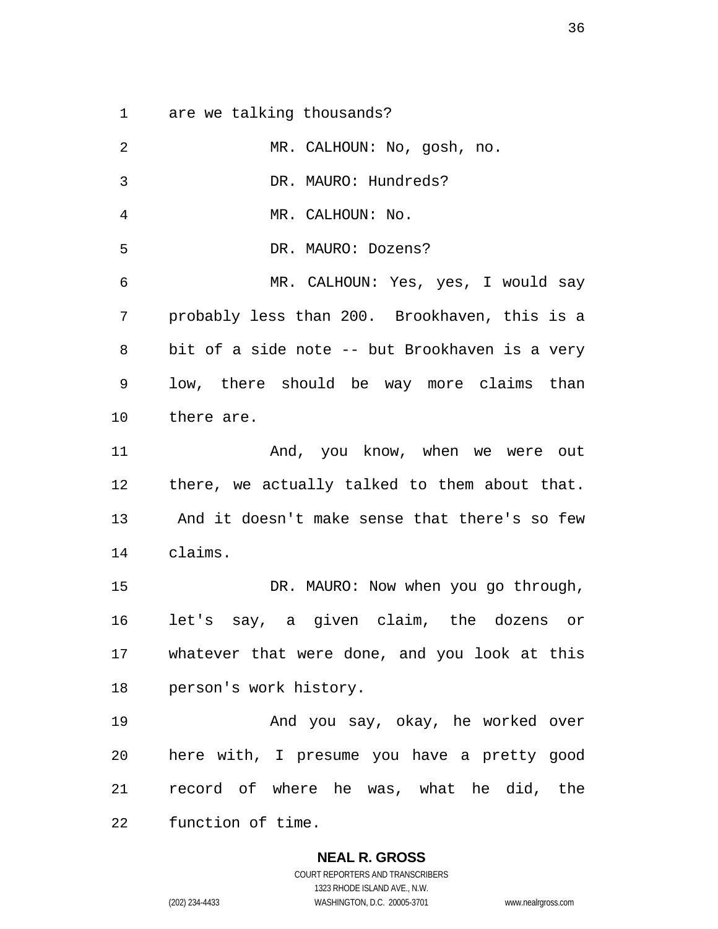are we talking thousands?

| 2            | MR. CALHOUN: No, gosh, no.                     |
|--------------|------------------------------------------------|
| $\mathbf{3}$ | DR. MAURO: Hundreds?                           |
| 4            | MR. CALHOUN: No.                               |
| 5            | DR. MAURO: Dozens?                             |
| 6            | MR. CALHOUN: Yes, yes, I would say             |
| 7            | probably less than 200. Brookhaven, this is a  |
| 8            | bit of a side note -- but Brookhaven is a very |
| 9            | low, there should be way more claims than      |
| 10           | there are.                                     |
| 11           | And, you know, when we were out                |
| 12           | there, we actually talked to them about that.  |
| 13           | And it doesn't make sense that there's so few  |
| 14           | claims.                                        |
| 15           | DR. MAURO: Now when you go through,            |
| 16           | let's say, a given claim, the dozens or        |
| 17           | whatever that were done, and you look at this  |
| 18           | person's work history.                         |
| 19           | And you say, okay, he worked over              |
| 20           | here with, I presume you have a pretty good    |
| 21           | record of where he was, what he did, the       |
| 22           | function of time.                              |

**NEAL R. GROSS**  COURT REPORTERS AND TRANSCRIBERS 1323 RHODE ISLAND AVE., N.W.

(202) 234-4433 WASHINGTON, D.C. 20005-3701 www.nealrgross.com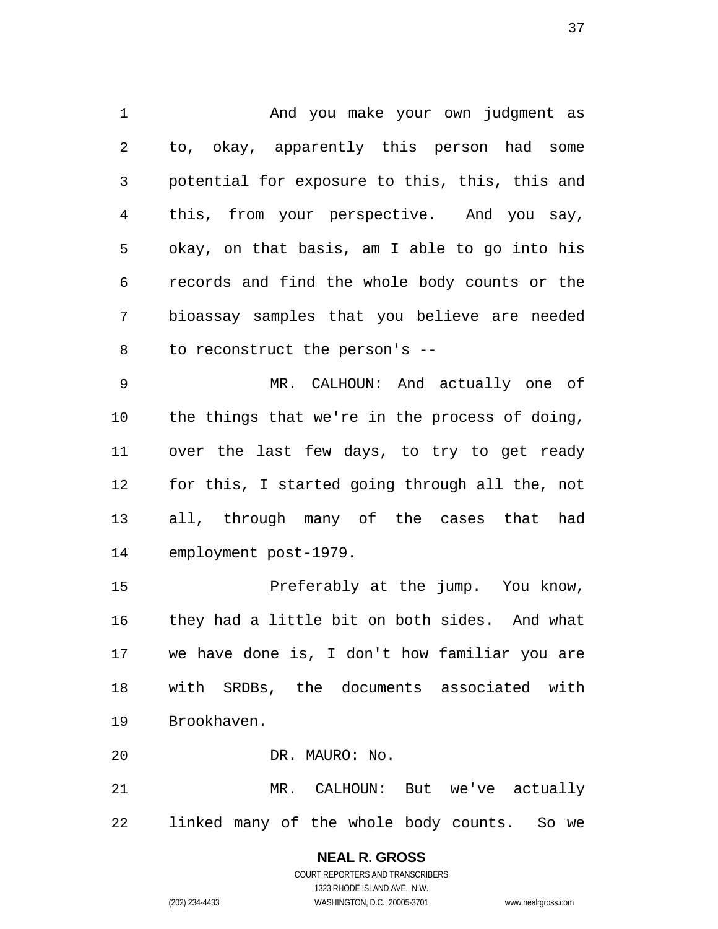And you make your own judgment as to, okay, apparently this person had some potential for exposure to this, this, this and this, from your perspective. And you say, okay, on that basis, am I able to go into his records and find the whole body counts or the bioassay samples that you believe are needed to reconstruct the person's --

MR. CALHOUN: And actually one of the things that we're in the process of doing, over the last few days, to try to get ready for this, I started going through all the, not all, through many of the cases that had employment post-1979.

Preferably at the jump. You know, they had a little bit on both sides. And what we have done is, I don't how familiar you are with SRDBs, the documents associated with Brookhaven.

DR. MAURO: No.

MR. CALHOUN: But we've actually linked many of the whole body counts. So we

## **NEAL R. GROSS**  COURT REPORTERS AND TRANSCRIBERS 1323 RHODE ISLAND AVE., N.W.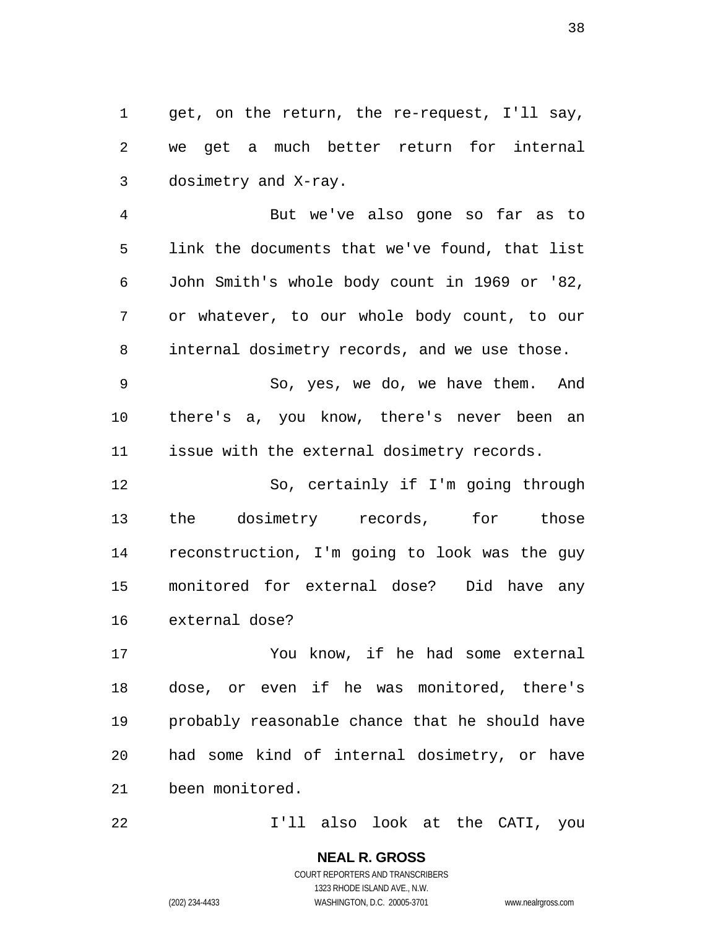get, on the return, the re-request, I'll say, we get a much better return for internal dosimetry and X-ray.

But we've also gone so far as to link the documents that we've found, that list John Smith's whole body count in 1969 or '82, or whatever, to our whole body count, to our internal dosimetry records, and we use those.

So, yes, we do, we have them. And there's a, you know, there's never been an issue with the external dosimetry records.

So, certainly if I'm going through the dosimetry records, for those reconstruction, I'm going to look was the guy monitored for external dose? Did have any external dose?

You know, if he had some external dose, or even if he was monitored, there's probably reasonable chance that he should have had some kind of internal dosimetry, or have been monitored.

I'll also look at the CATI, you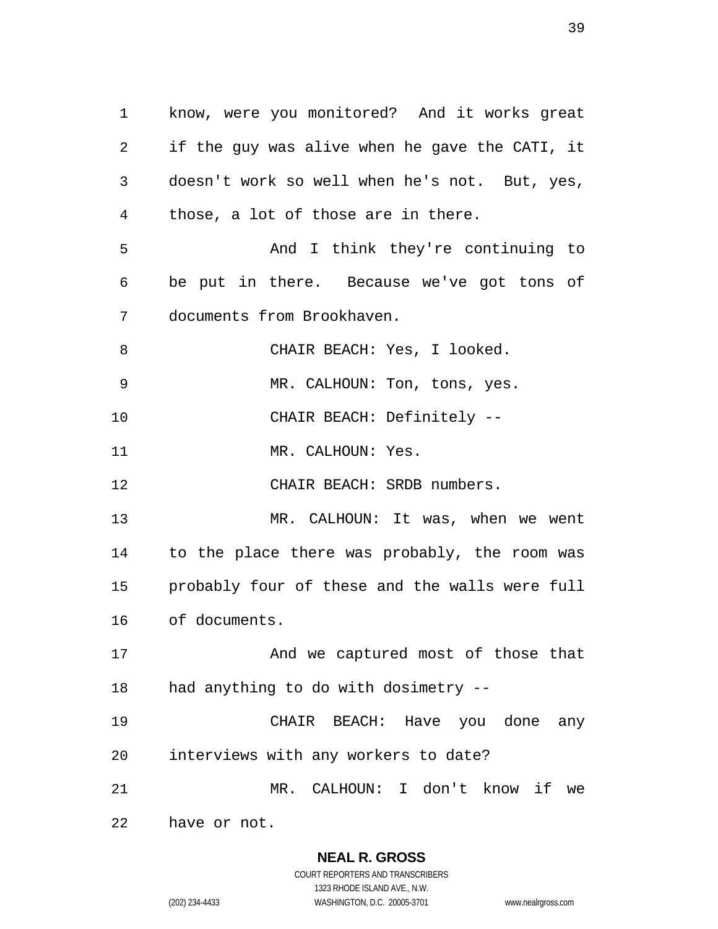know, were you monitored? And it works great if the guy was alive when he gave the CATI, it doesn't work so well when he's not. But, yes, those, a lot of those are in there. And I think they're continuing to be put in there. Because we've got tons of documents from Brookhaven. CHAIR BEACH: Yes, I looked. MR. CALHOUN: Ton, tons, yes. CHAIR BEACH: Definitely -- 11 MR. CALHOUN: Yes. CHAIR BEACH: SRDB numbers. MR. CALHOUN: It was, when we went to the place there was probably, the room was probably four of these and the walls were full of documents. 17 And we captured most of those that had anything to do with dosimetry -- CHAIR BEACH: Have you done any interviews with any workers to date? MR. CALHOUN: I don't know if we have or not.

> **NEAL R. GROSS**  COURT REPORTERS AND TRANSCRIBERS

1323 RHODE ISLAND AVE., N.W. (202) 234-4433 WASHINGTON, D.C. 20005-3701 www.nealrgross.com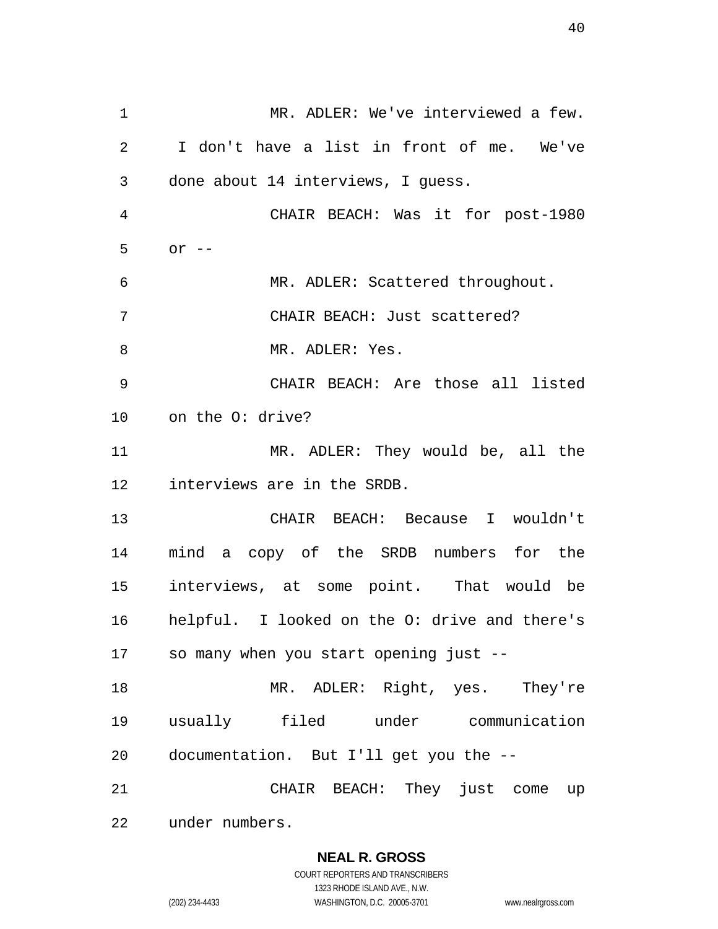MR. ADLER: We've interviewed a few. I don't have a list in front of me. We've done about 14 interviews, I guess. CHAIR BEACH: Was it for post-1980 or -- MR. ADLER: Scattered throughout. CHAIR BEACH: Just scattered? 8 MR. ADLER: Yes. CHAIR BEACH: Are those all listed on the O: drive? MR. ADLER: They would be, all the interviews are in the SRDB. CHAIR BEACH: Because I wouldn't mind a copy of the SRDB numbers for the interviews, at some point. That would be helpful. I looked on the O: drive and there's so many when you start opening just -- 18 MR. ADLER: Right, yes. They're usually filed under communication documentation. But I'll get you the -- CHAIR BEACH: They just come up under numbers.

**NEAL R. GROSS** 

COURT REPORTERS AND TRANSCRIBERS 1323 RHODE ISLAND AVE., N.W. (202) 234-4433 WASHINGTON, D.C. 20005-3701 www.nealrgross.com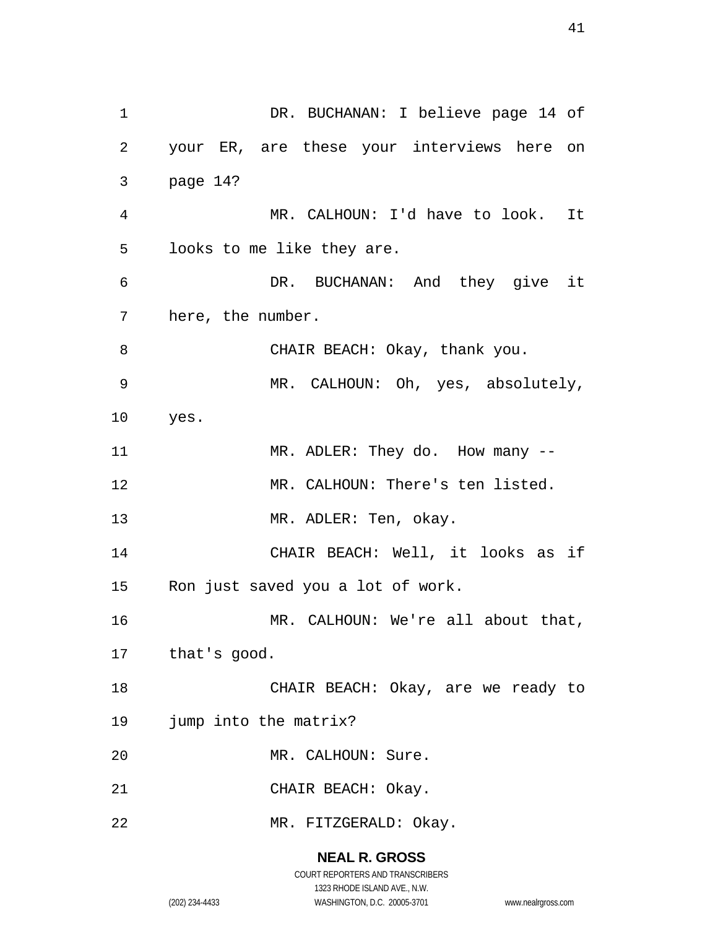1 DR. BUCHANAN: I believe page 14 of your ER, are these your interviews here on page 14? MR. CALHOUN: I'd have to look. It looks to me like they are. DR. BUCHANAN: And they give it here, the number. 8 CHAIR BEACH: Okay, thank you. MR. CALHOUN: Oh, yes, absolutely, yes. 11 MR. ADLER: They do. How many --MR. CALHOUN: There's ten listed. 13 MR. ADLER: Ten, okay. CHAIR BEACH: Well, it looks as if Ron just saved you a lot of work. MR. CALHOUN: We're all about that, that's good. CHAIR BEACH: Okay, are we ready to jump into the matrix? MR. CALHOUN: Sure. CHAIR BEACH: Okay. MR. FITZGERALD: Okay.

### **NEAL R. GROSS**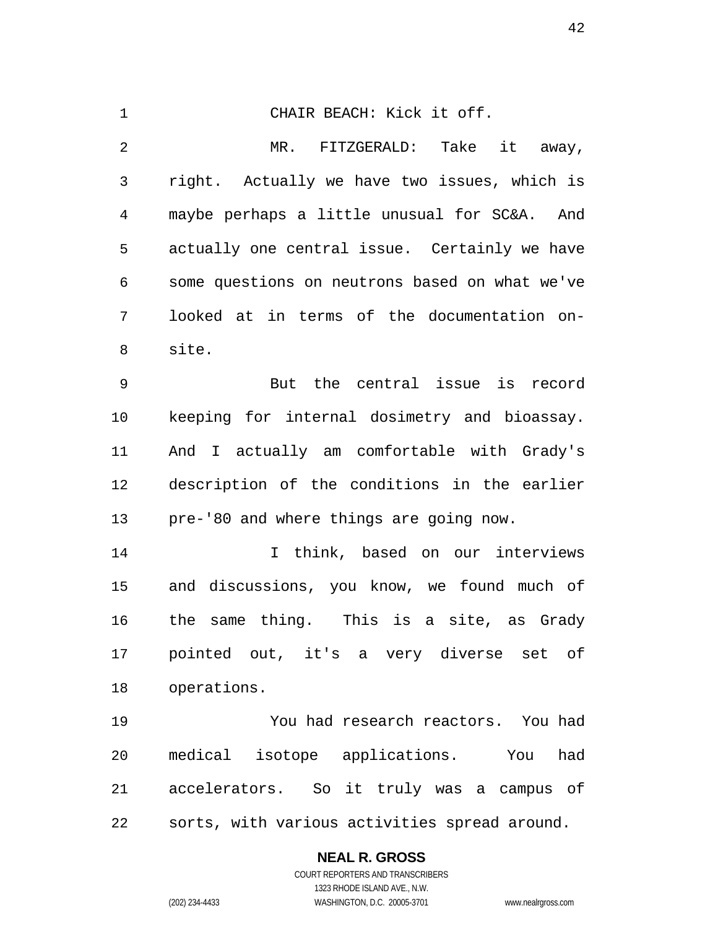CHAIR BEACH: Kick it off. MR. FITZGERALD: Take it away, right. Actually we have two issues, which is maybe perhaps a little unusual for SC&A. And actually one central issue. Certainly we have some questions on neutrons based on what we've looked at in terms of the documentation on-site. But the central issue is record keeping for internal dosimetry and bioassay. And I actually am comfortable with Grady's description of the conditions in the earlier pre-'80 and where things are going now. I think, based on our interviews and discussions, you know, we found much of the same thing. This is a site, as Grady pointed out, it's a very diverse set of operations. You had research reactors. You had medical isotope applications. You had accelerators. So it truly was a campus of sorts, with various activities spread around.

### **NEAL R. GROSS**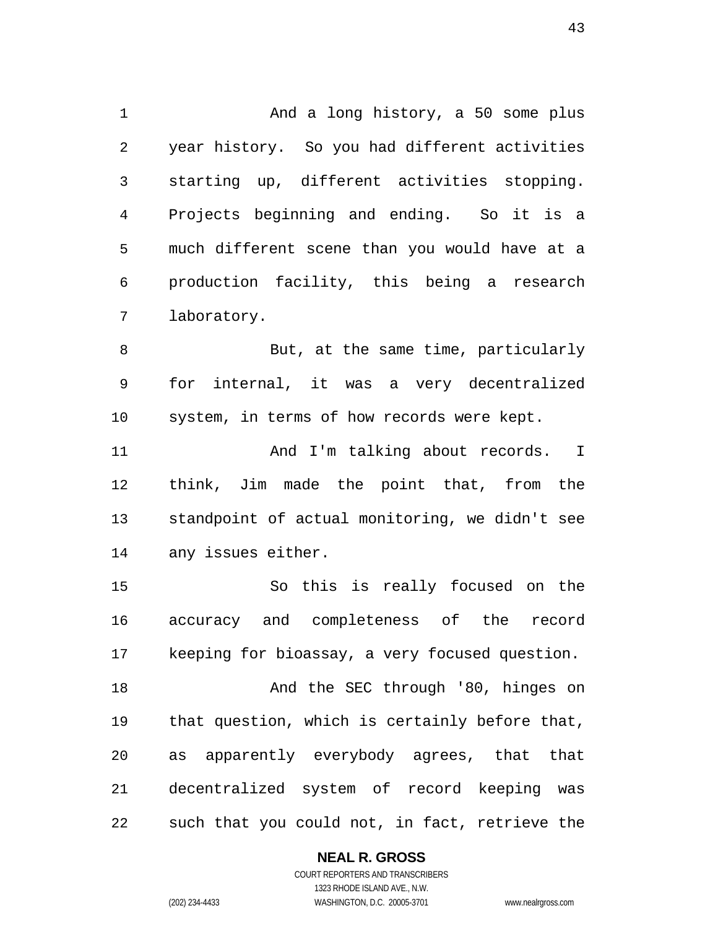1 And a long history, a 50 some plus year history. So you had different activities starting up, different activities stopping. Projects beginning and ending. So it is a much different scene than you would have at a production facility, this being a research laboratory.

But, at the same time, particularly for internal, it was a very decentralized system, in terms of how records were kept.

11 And I'm talking about records. I think, Jim made the point that, from the standpoint of actual monitoring, we didn't see any issues either.

So this is really focused on the accuracy and completeness of the record keeping for bioassay, a very focused question.

18 And the SEC through '80, hinges on that question, which is certainly before that, as apparently everybody agrees, that that decentralized system of record keeping was such that you could not, in fact, retrieve the

### **NEAL R. GROSS**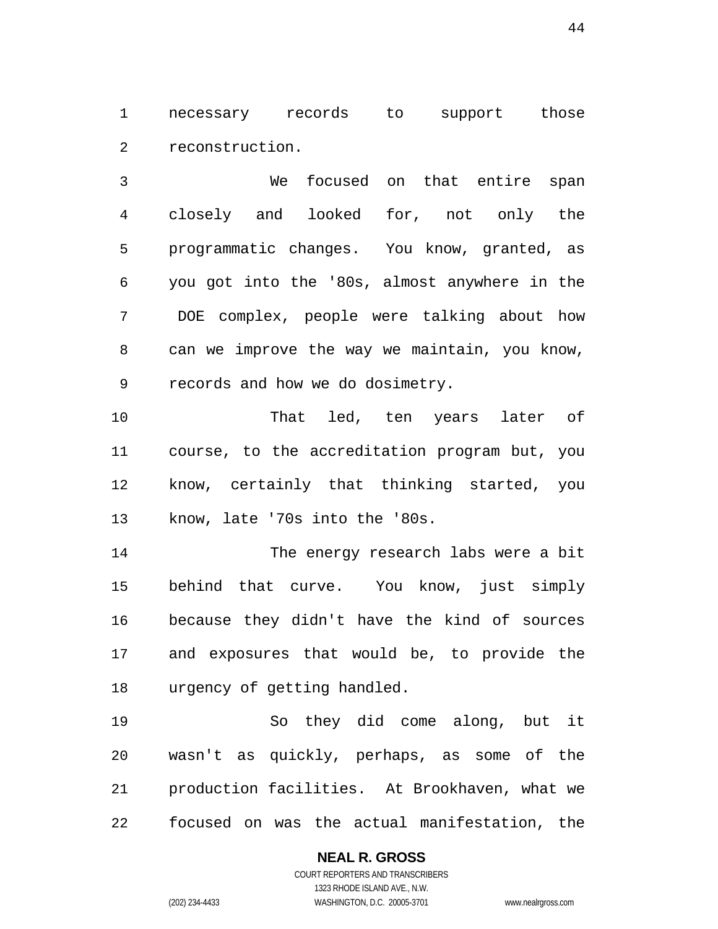necessary records to support those reconstruction.

We focused on that entire span closely and looked for, not only the programmatic changes. You know, granted, as you got into the '80s, almost anywhere in the DOE complex, people were talking about how can we improve the way we maintain, you know, records and how we do dosimetry.

That led, ten years later of course, to the accreditation program but, you know, certainly that thinking started, you know, late '70s into the '80s.

The energy research labs were a bit behind that curve. You know, just simply because they didn't have the kind of sources and exposures that would be, to provide the urgency of getting handled.

So they did come along, but it wasn't as quickly, perhaps, as some of the production facilities. At Brookhaven, what we focused on was the actual manifestation, the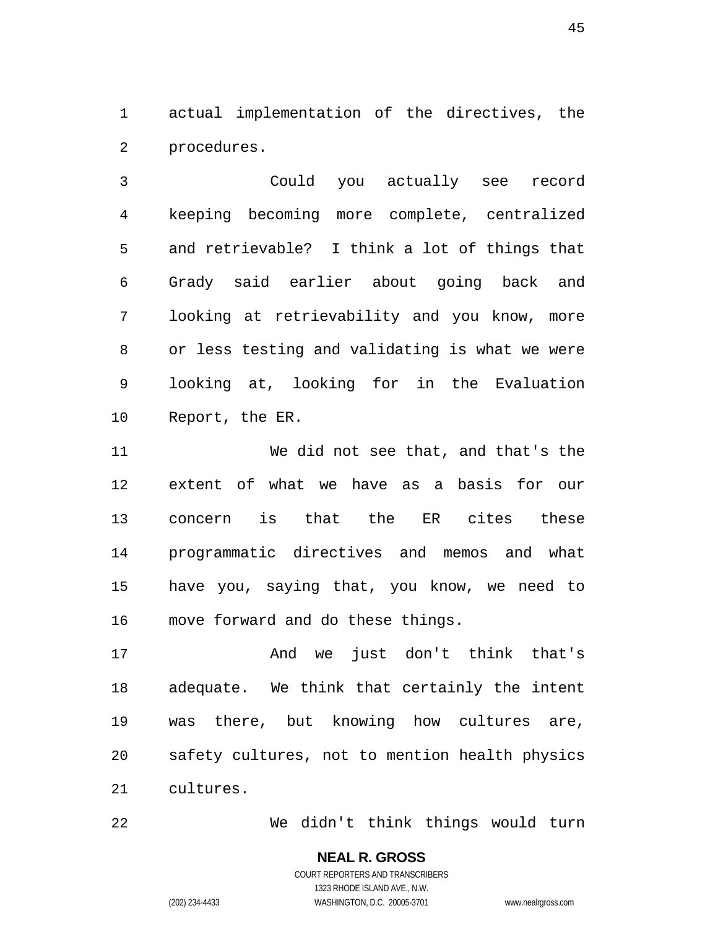actual implementation of the directives, the procedures.

Could you actually see record keeping becoming more complete, centralized and retrievable? I think a lot of things that Grady said earlier about going back and looking at retrievability and you know, more or less testing and validating is what we were looking at, looking for in the Evaluation Report, the ER.

We did not see that, and that's the extent of what we have as a basis for our concern is that the ER cites these programmatic directives and memos and what have you, saying that, you know, we need to move forward and do these things.

And we just don't think that's adequate. We think that certainly the intent was there, but knowing how cultures are, safety cultures, not to mention health physics cultures.

We didn't think things would turn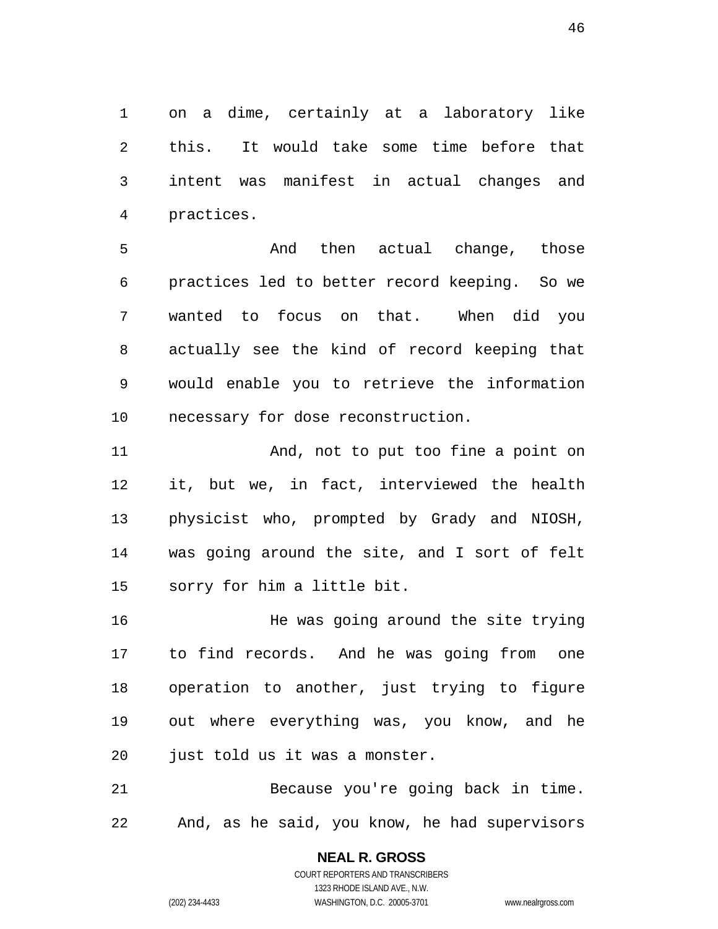on a dime, certainly at a laboratory like this. It would take some time before that intent was manifest in actual changes and practices.

And then actual change, those practices led to better record keeping. So we wanted to focus on that. When did you actually see the kind of record keeping that would enable you to retrieve the information necessary for dose reconstruction.

11 And, not to put too fine a point on it, but we, in fact, interviewed the health physicist who, prompted by Grady and NIOSH, was going around the site, and I sort of felt sorry for him a little bit.

He was going around the site trying to find records. And he was going from one operation to another, just trying to figure out where everything was, you know, and he just told us it was a monster.

Because you're going back in time. And, as he said, you know, he had supervisors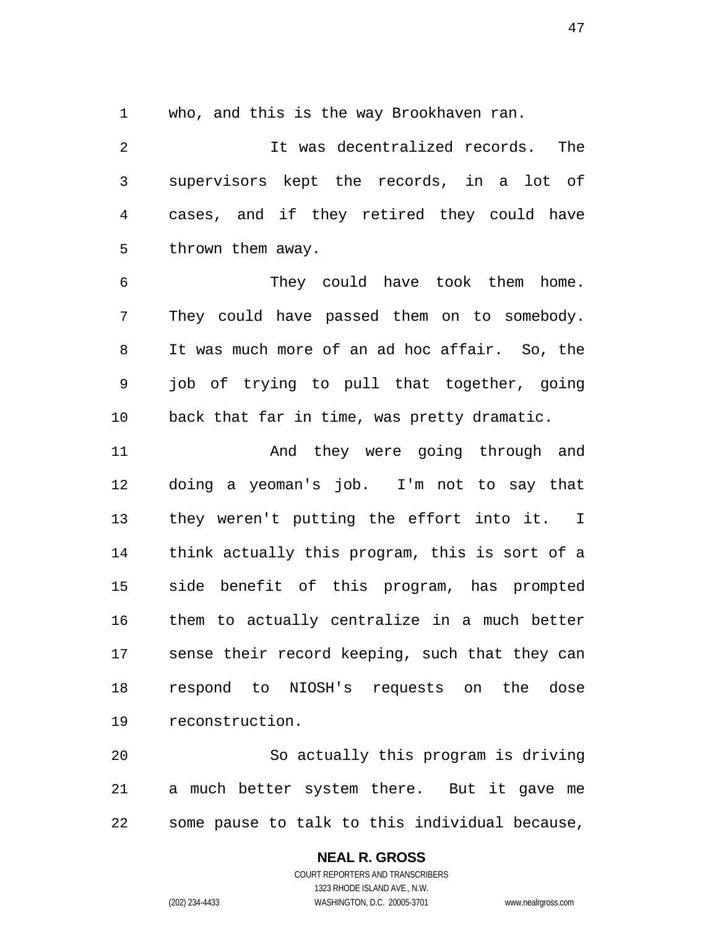who, and this is the way Brookhaven ran.

It was decentralized records. The supervisors kept the records, in a lot of cases, and if they retired they could have thrown them away.

They could have took them home. They could have passed them on to somebody. It was much more of an ad hoc affair. So, the job of trying to pull that together, going back that far in time, was pretty dramatic.

11 And they were going through and doing a yeoman's job. I'm not to say that they weren't putting the effort into it. I think actually this program, this is sort of a side benefit of this program, has prompted them to actually centralize in a much better sense their record keeping, such that they can respond to NIOSH's requests on the dose reconstruction.

So actually this program is driving a much better system there. But it gave me some pause to talk to this individual because,

# **NEAL R. GROSS**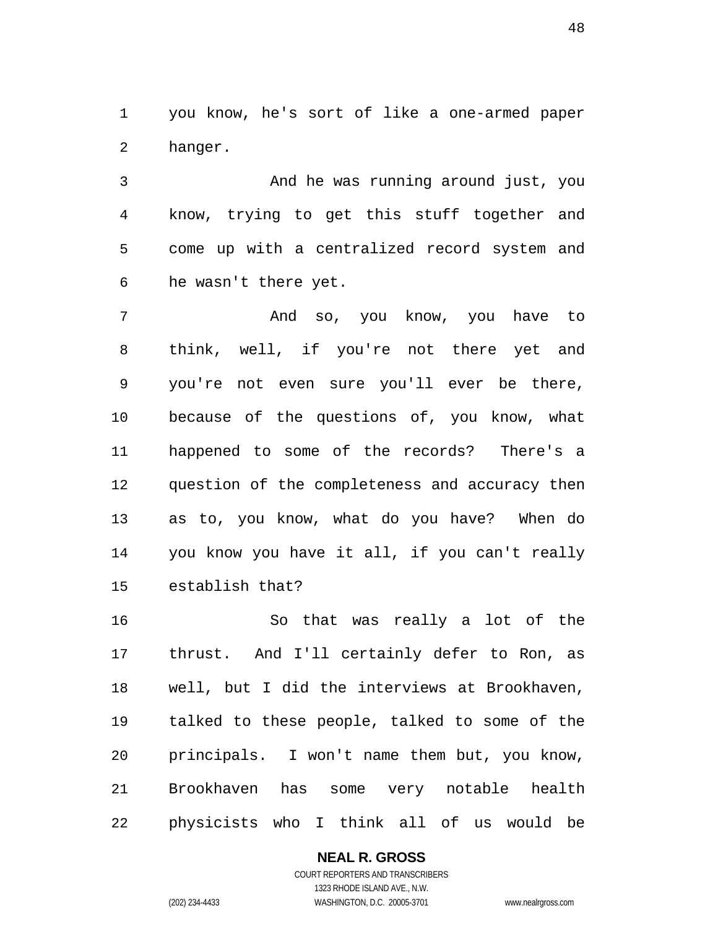you know, he's sort of like a one-armed paper hanger.

And he was running around just, you know, trying to get this stuff together and come up with a centralized record system and he wasn't there yet.

And so, you know, you have to think, well, if you're not there yet and you're not even sure you'll ever be there, because of the questions of, you know, what happened to some of the records? There's a question of the completeness and accuracy then as to, you know, what do you have? When do you know you have it all, if you can't really establish that?

So that was really a lot of the thrust. And I'll certainly defer to Ron, as well, but I did the interviews at Brookhaven, talked to these people, talked to some of the principals. I won't name them but, you know, Brookhaven has some very notable health physicists who I think all of us would be

**NEAL R. GROSS**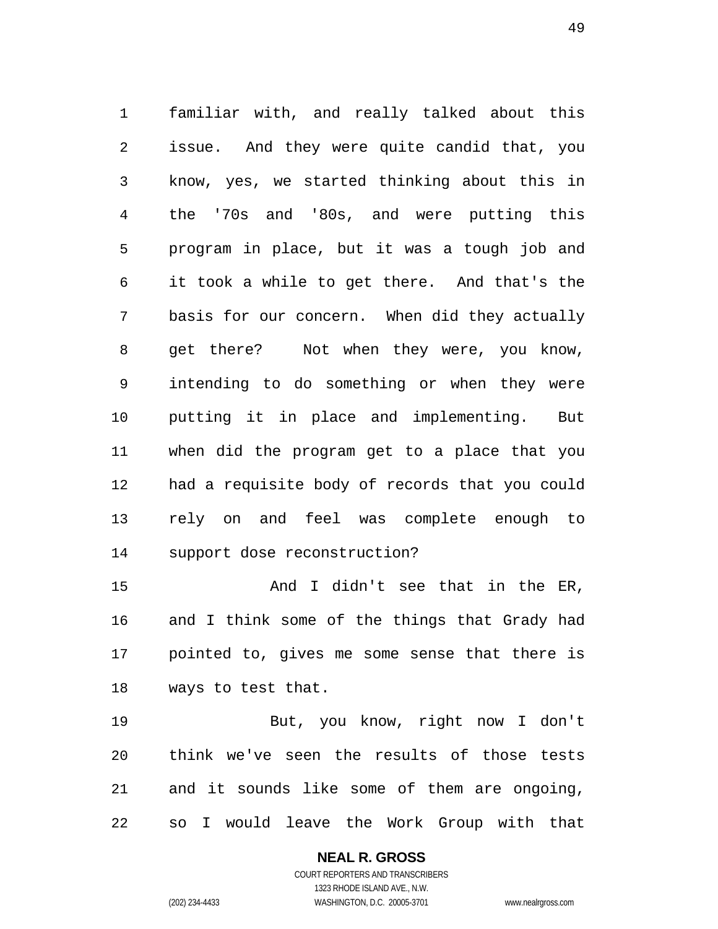familiar with, and really talked about this issue. And they were quite candid that, you know, yes, we started thinking about this in the '70s and '80s, and were putting this program in place, but it was a tough job and it took a while to get there. And that's the basis for our concern. When did they actually get there? Not when they were, you know, intending to do something or when they were putting it in place and implementing. But when did the program get to a place that you had a requisite body of records that you could rely on and feel was complete enough to support dose reconstruction?

And I didn't see that in the ER, and I think some of the things that Grady had pointed to, gives me some sense that there is ways to test that.

But, you know, right now I don't think we've seen the results of those tests and it sounds like some of them are ongoing, so I would leave the Work Group with that

#### **NEAL R. GROSS**  COURT REPORTERS AND TRANSCRIBERS

1323 RHODE ISLAND AVE., N.W. (202) 234-4433 WASHINGTON, D.C. 20005-3701 www.nealrgross.com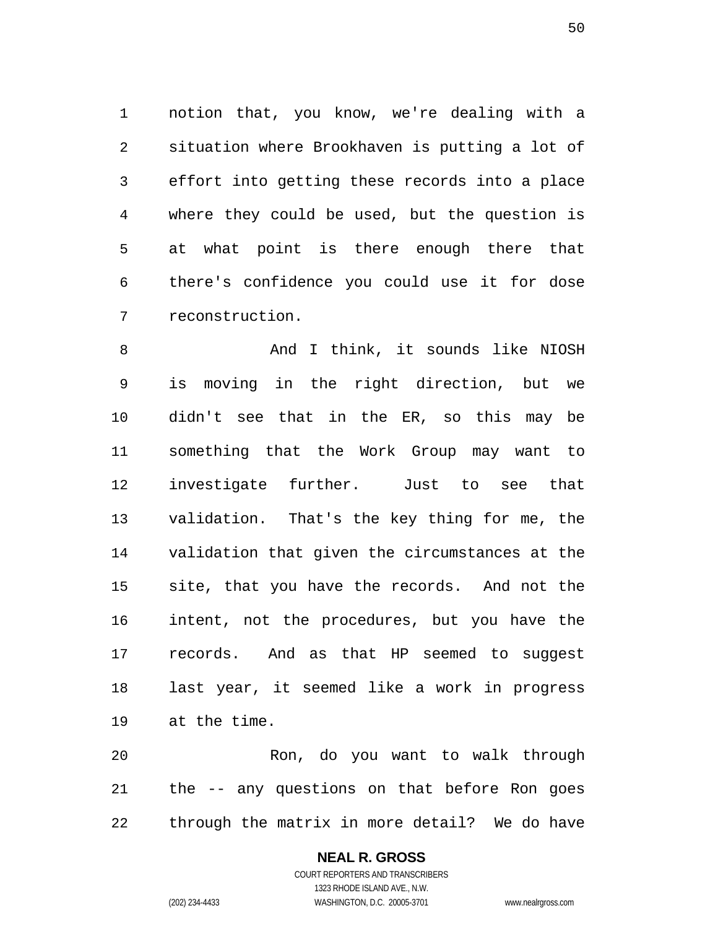notion that, you know, we're dealing with a situation where Brookhaven is putting a lot of effort into getting these records into a place where they could be used, but the question is at what point is there enough there that there's confidence you could use it for dose reconstruction.

8 And I think, it sounds like NIOSH is moving in the right direction, but we didn't see that in the ER, so this may be something that the Work Group may want to investigate further. Just to see that validation. That's the key thing for me, the validation that given the circumstances at the site, that you have the records. And not the intent, not the procedures, but you have the records. And as that HP seemed to suggest last year, it seemed like a work in progress at the time.

Ron, do you want to walk through the -- any questions on that before Ron goes through the matrix in more detail? We do have

# **NEAL R. GROSS**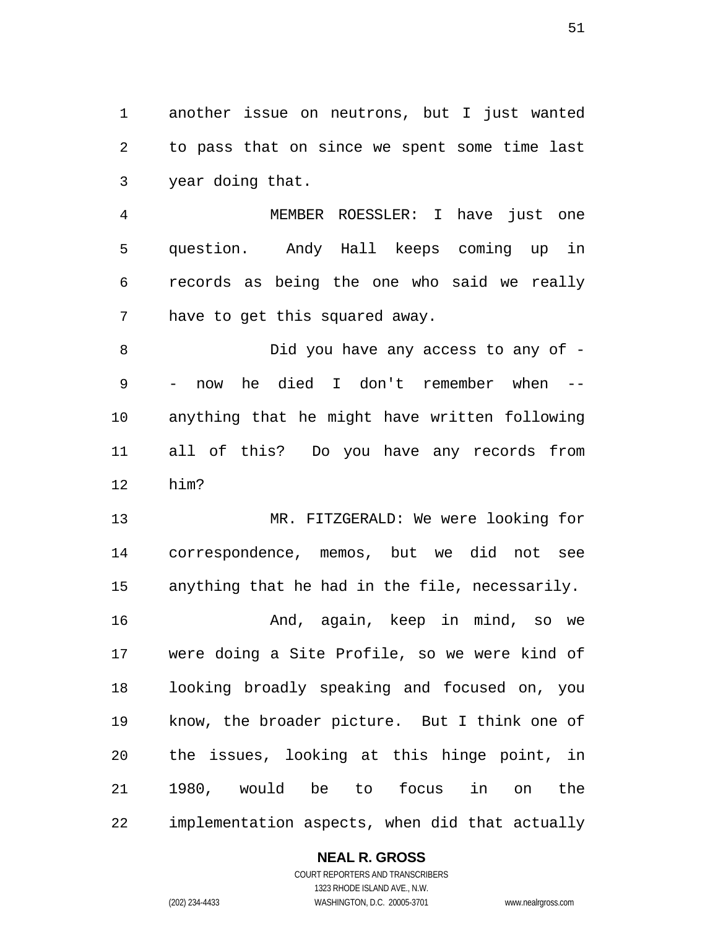another issue on neutrons, but I just wanted to pass that on since we spent some time last year doing that.

MEMBER ROESSLER: I have just one question. Andy Hall keeps coming up in records as being the one who said we really have to get this squared away.

8 Did you have any access to any of -- now he died I don't remember when -- anything that he might have written following all of this? Do you have any records from him?

MR. FITZGERALD: We were looking for correspondence, memos, but we did not see anything that he had in the file, necessarily.

And, again, keep in mind, so we were doing a Site Profile, so we were kind of looking broadly speaking and focused on, you know, the broader picture. But I think one of the issues, looking at this hinge point, in 1980, would be to focus in on the implementation aspects, when did that actually

### **NEAL R. GROSS**

COURT REPORTERS AND TRANSCRIBERS 1323 RHODE ISLAND AVE., N.W. (202) 234-4433 WASHINGTON, D.C. 20005-3701 www.nealrgross.com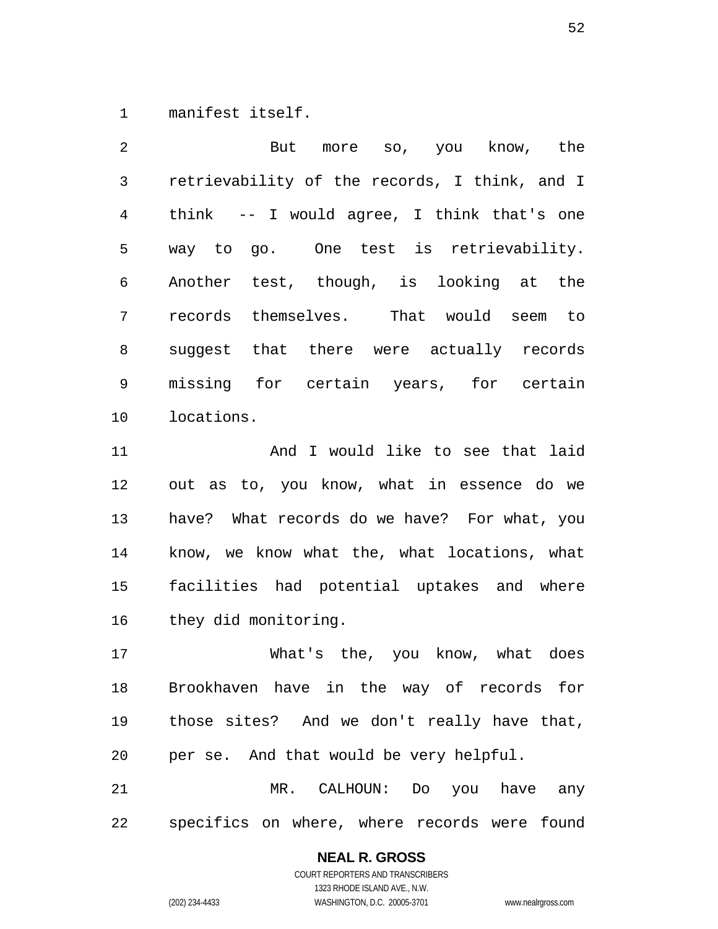manifest itself.

But more so, you know, the retrievability of the records, I think, and I think -- I would agree, I think that's one way to go. One test is retrievability. Another test, though, is looking at the records themselves. That would seem to suggest that there were actually records missing for certain years, for certain locations.

And I would like to see that laid out as to, you know, what in essence do we have? What records do we have? For what, you know, we know what the, what locations, what facilities had potential uptakes and where they did monitoring.

What's the, you know, what does Brookhaven have in the way of records for those sites? And we don't really have that, per se. And that would be very helpful. MR. CALHOUN: Do you have any

specifics on where, where records were found

### **NEAL R. GROSS**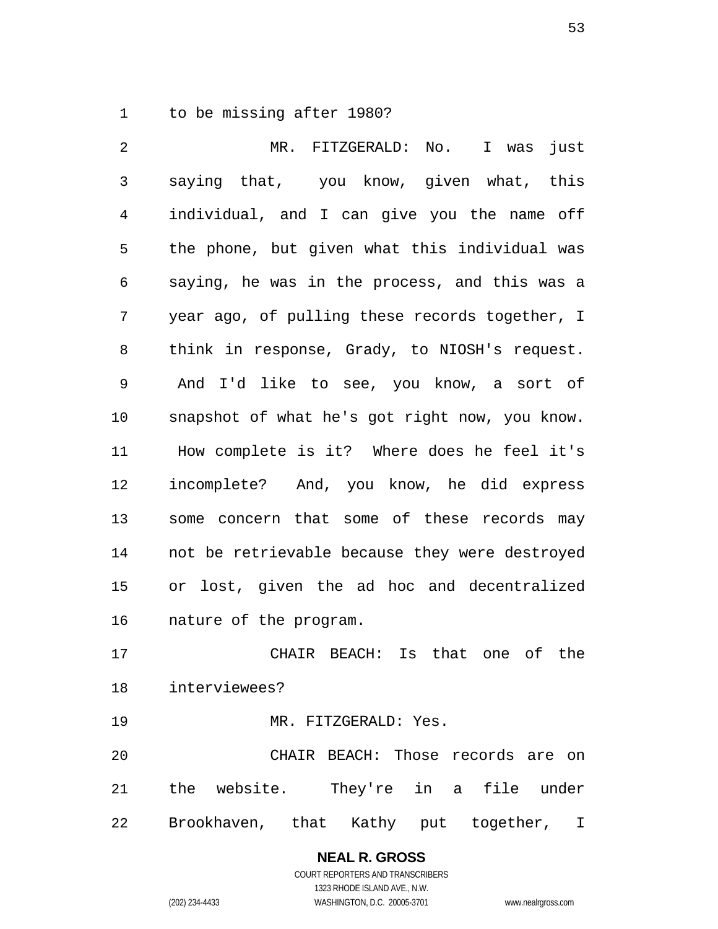to be missing after 1980?

MR. FITZGERALD: No. I was just saying that, you know, given what, this individual, and I can give you the name off the phone, but given what this individual was saying, he was in the process, and this was a year ago, of pulling these records together, I think in response, Grady, to NIOSH's request. And I'd like to see, you know, a sort of snapshot of what he's got right now, you know. How complete is it? Where does he feel it's incomplete? And, you know, he did express some concern that some of these records may not be retrievable because they were destroyed or lost, given the ad hoc and decentralized nature of the program. CHAIR BEACH: Is that one of the interviewees? MR. FITZGERALD: Yes. CHAIR BEACH: Those records are on the website. They're in a file under

Brookhaven, that Kathy put together, I

**NEAL R. GROSS**  COURT REPORTERS AND TRANSCRIBERS 1323 RHODE ISLAND AVE., N.W.

(202) 234-4433 WASHINGTON, D.C. 20005-3701 www.nealrgross.com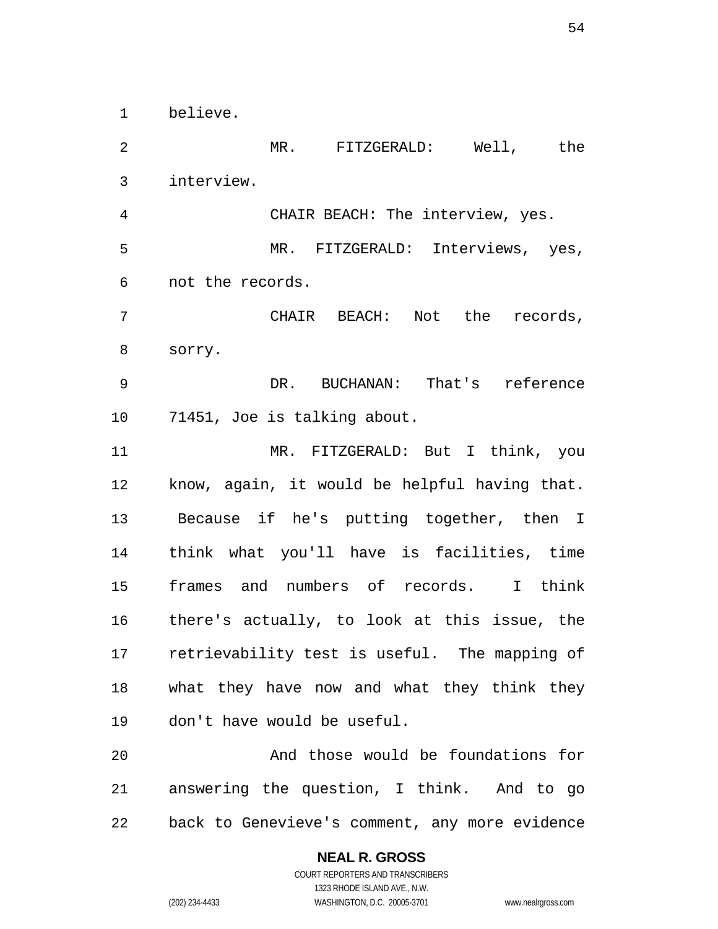believe.

MR. FITZGERALD: Well, the interview. CHAIR BEACH: The interview, yes. MR. FITZGERALD: Interviews, yes, not the records. CHAIR BEACH: Not the records, sorry. DR. BUCHANAN: That's reference 71451, Joe is talking about. MR. FITZGERALD: But I think, you know, again, it would be helpful having that. Because if he's putting together, then I think what you'll have is facilities, time frames and numbers of records. I think there's actually, to look at this issue, the retrievability test is useful. The mapping of what they have now and what they think they don't have would be useful. And those would be foundations for answering the question, I think. And to go back to Genevieve's comment, any more evidence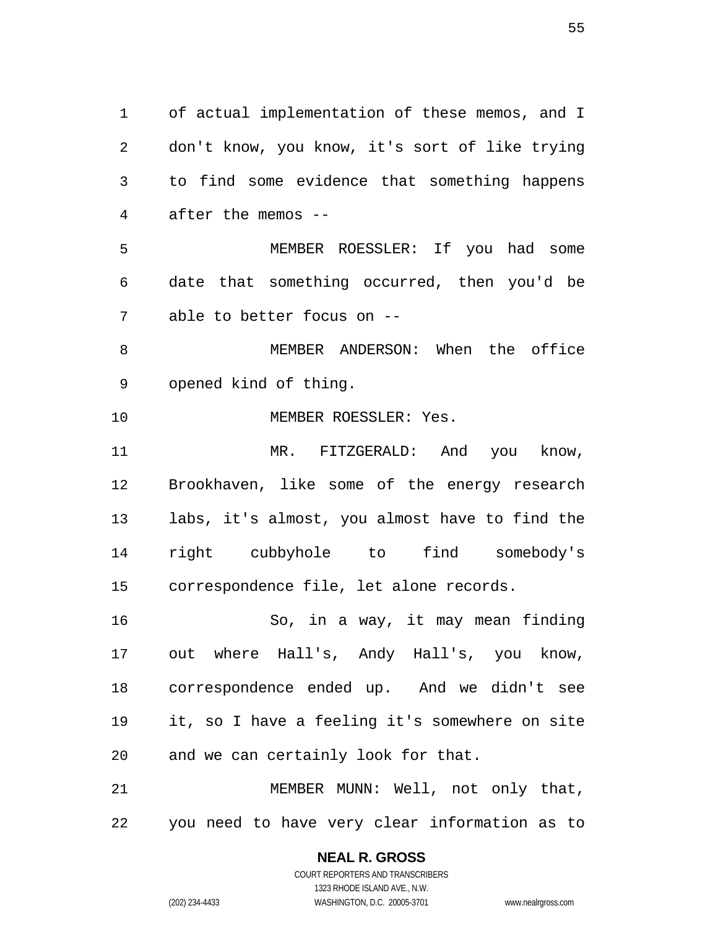of actual implementation of these memos, and I don't know, you know, it's sort of like trying to find some evidence that something happens after the memos -- MEMBER ROESSLER: If you had some date that something occurred, then you'd be able to better focus on -- MEMBER ANDERSON: When the office opened kind of thing. 10 MEMBER ROESSLER: Yes. MR. FITZGERALD: And you know, Brookhaven, like some of the energy research labs, it's almost, you almost have to find the right cubbyhole to find somebody's correspondence file, let alone records. So, in a way, it may mean finding out where Hall's, Andy Hall's, you know, correspondence ended up. And we didn't see it, so I have a feeling it's somewhere on site and we can certainly look for that. MEMBER MUNN: Well, not only that, you need to have very clear information as to

(202) 234-4433 WASHINGTON, D.C. 20005-3701 www.nealrgross.com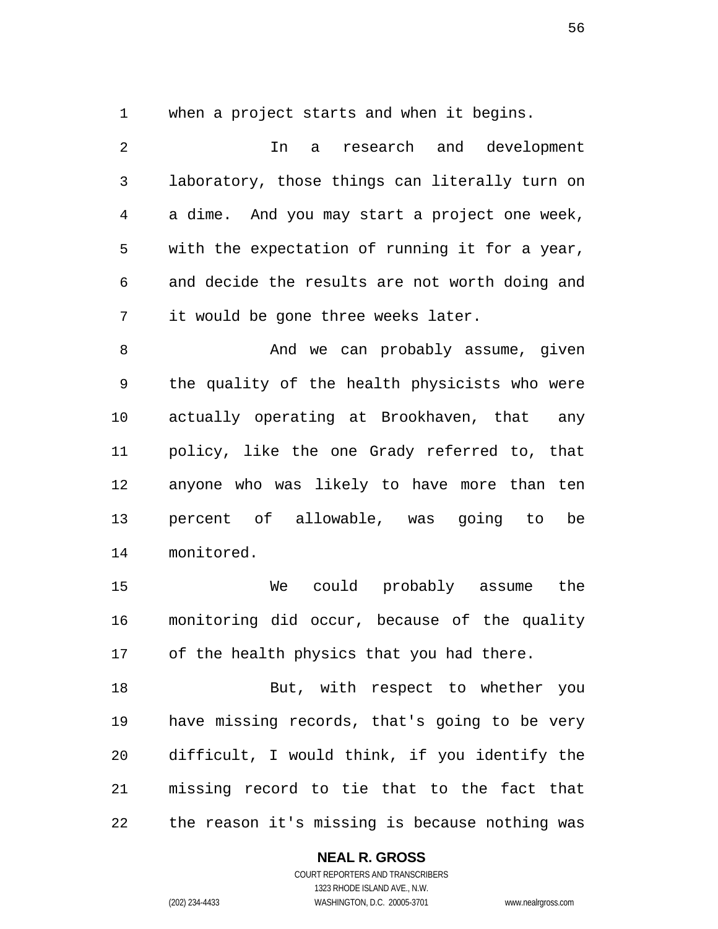when a project starts and when it begins.

In a research and development laboratory, those things can literally turn on a dime. And you may start a project one week, with the expectation of running it for a year, and decide the results are not worth doing and it would be gone three weeks later. 8 And we can probably assume, given the quality of the health physicists who were

policy, like the one Grady referred to, that anyone who was likely to have more than ten percent of allowable, was going to be monitored.

actually operating at Brookhaven, that any

We could probably assume the monitoring did occur, because of the quality of the health physics that you had there.

18 But, with respect to whether you have missing records, that's going to be very difficult, I would think, if you identify the missing record to tie that to the fact that the reason it's missing is because nothing was

### **NEAL R. GROSS**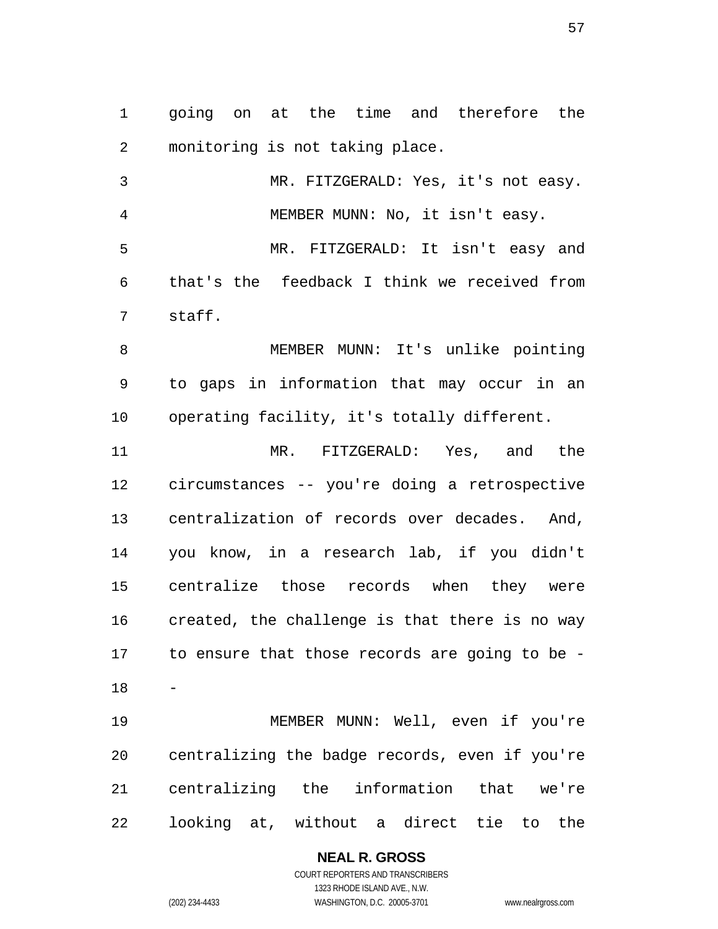going on at the time and therefore the monitoring is not taking place.

MR. FITZGERALD: Yes, it's not easy. MEMBER MUNN: No, it isn't easy. MR. FITZGERALD: It isn't easy and that's the feedback I think we received from staff.

MEMBER MUNN: It's unlike pointing to gaps in information that may occur in an operating facility, it's totally different.

MR. FITZGERALD: Yes, and the circumstances -- you're doing a retrospective centralization of records over decades. And, you know, in a research lab, if you didn't centralize those records when they were created, the challenge is that there is no way to ensure that those records are going to be - 

MEMBER MUNN: Well, even if you're centralizing the badge records, even if you're centralizing the information that we're looking at, without a direct tie to the

#### **NEAL R. GROSS**  COURT REPORTERS AND TRANSCRIBERS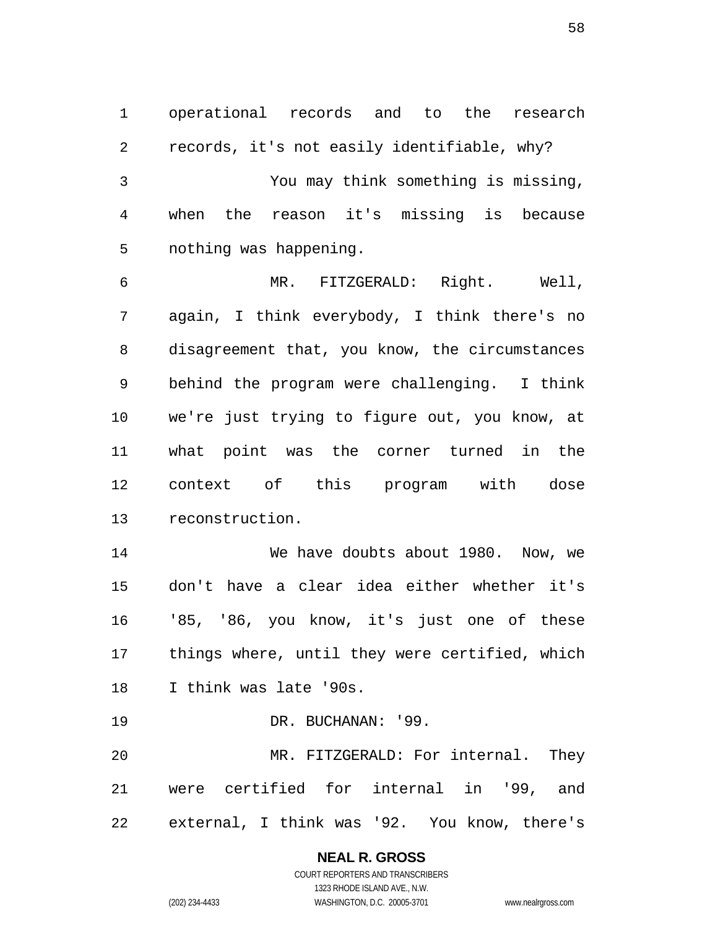operational records and to the research records, it's not easily identifiable, why? You may think something is missing, when the reason it's missing is because nothing was happening.

MR. FITZGERALD: Right. Well, again, I think everybody, I think there's no disagreement that, you know, the circumstances behind the program were challenging. I think we're just trying to figure out, you know, at what point was the corner turned in the context of this program with dose reconstruction.

We have doubts about 1980. Now, we don't have a clear idea either whether it's '85, '86, you know, it's just one of these things where, until they were certified, which I think was late '90s.

19 DR. BUCHANAN: '99.

MR. FITZGERALD: For internal. They were certified for internal in '99, and external, I think was '92. You know, there's

# **NEAL R. GROSS**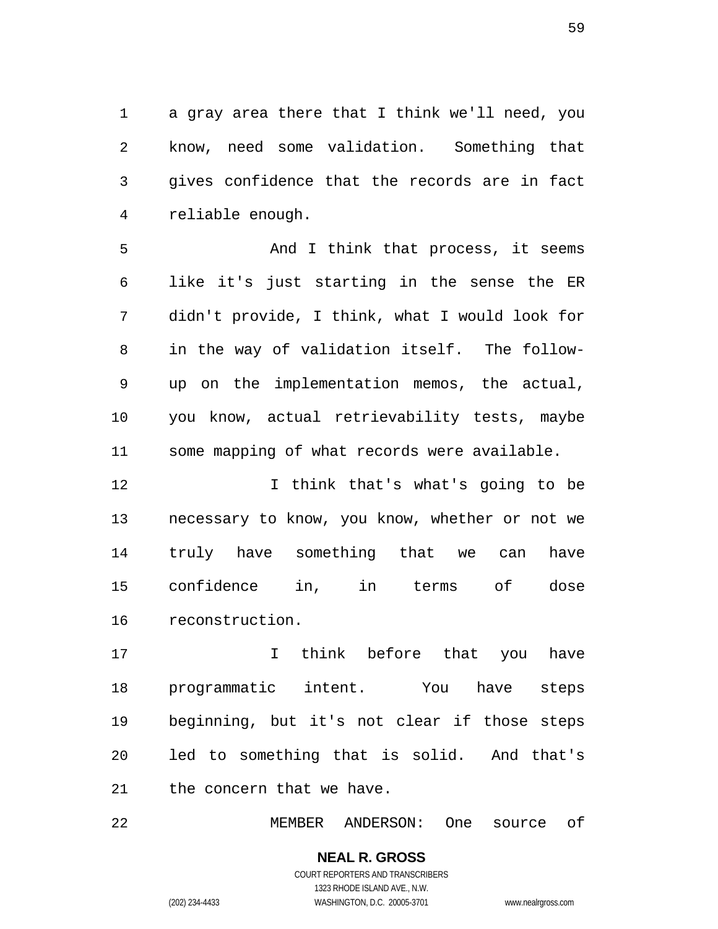a gray area there that I think we'll need, you know, need some validation. Something that gives confidence that the records are in fact reliable enough.

And I think that process, it seems like it's just starting in the sense the ER didn't provide, I think, what I would look for in the way of validation itself. The follow-up on the implementation memos, the actual, you know, actual retrievability tests, maybe some mapping of what records were available.

I think that's what's going to be necessary to know, you know, whether or not we truly have something that we can have confidence in, in terms of dose reconstruction.

I think before that you have programmatic intent. You have steps beginning, but it's not clear if those steps led to something that is solid. And that's the concern that we have.

MEMBER ANDERSON: One source of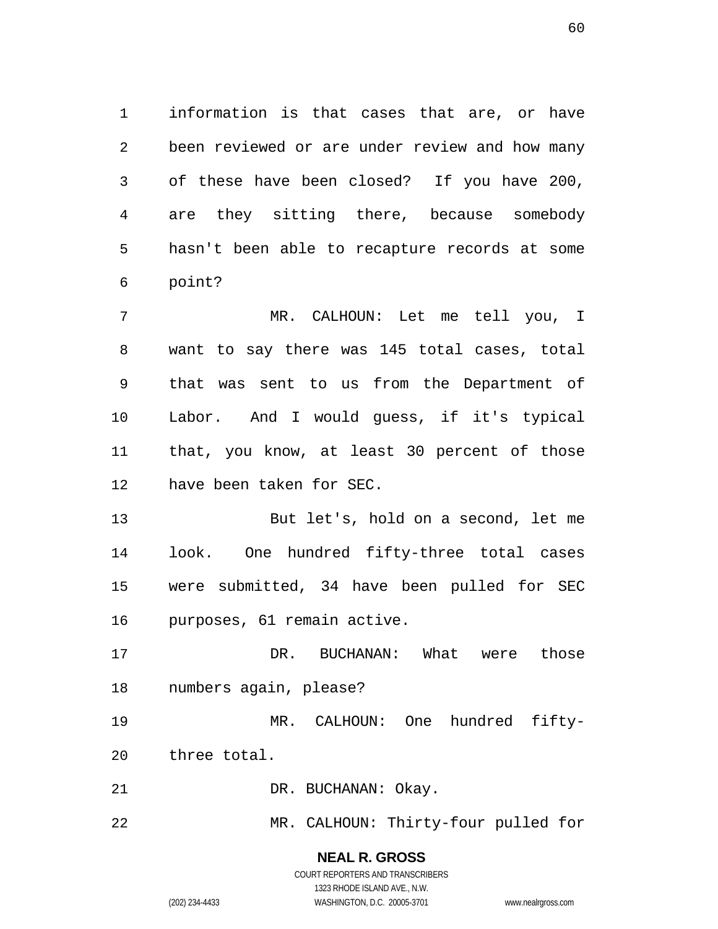information is that cases that are, or have been reviewed or are under review and how many of these have been closed? If you have 200, are they sitting there, because somebody hasn't been able to recapture records at some point?

MR. CALHOUN: Let me tell you, I want to say there was 145 total cases, total that was sent to us from the Department of Labor. And I would guess, if it's typical that, you know, at least 30 percent of those have been taken for SEC.

But let's, hold on a second, let me look. One hundred fifty-three total cases were submitted, 34 have been pulled for SEC purposes, 61 remain active.

DR. BUCHANAN: What were those numbers again, please?

MR. CALHOUN: One hundred fifty-three total.

21 DR. BUCHANAN: Okay.

MR. CALHOUN: Thirty-four pulled for

**NEAL R. GROSS**  COURT REPORTERS AND TRANSCRIBERS

1323 RHODE ISLAND AVE., N.W.

(202) 234-4433 WASHINGTON, D.C. 20005-3701 www.nealrgross.com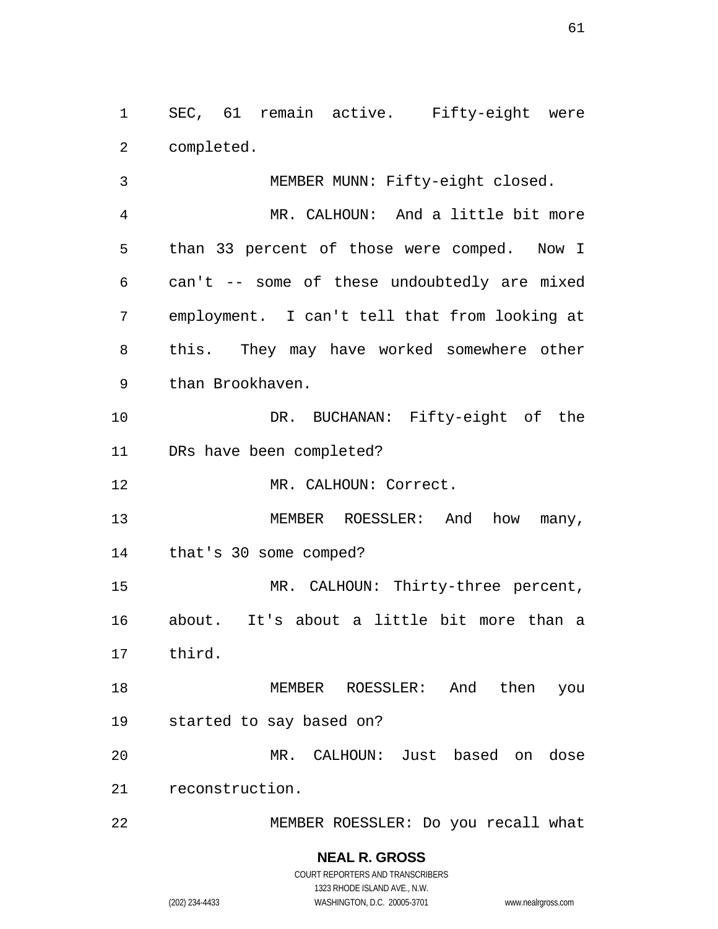SEC, 61 remain active. Fifty-eight were completed.

MEMBER MUNN: Fifty-eight closed. MR. CALHOUN: And a little bit more than 33 percent of those were comped. Now I can't -- some of these undoubtedly are mixed employment. I can't tell that from looking at this. They may have worked somewhere other than Brookhaven. DR. BUCHANAN: Fifty-eight of the DRs have been completed? MR. CALHOUN: Correct. 13 MEMBER ROESSLER: And how many, that's 30 some comped? MR. CALHOUN: Thirty-three percent, about. It's about a little bit more than a third. MEMBER ROESSLER: And then you started to say based on? MR. CALHOUN: Just based on dose reconstruction. MEMBER ROESSLER: Do you recall what

> **NEAL R. GROSS**  COURT REPORTERS AND TRANSCRIBERS 1323 RHODE ISLAND AVE., N.W. (202) 234-4433 WASHINGTON, D.C. 20005-3701 www.nealrgross.com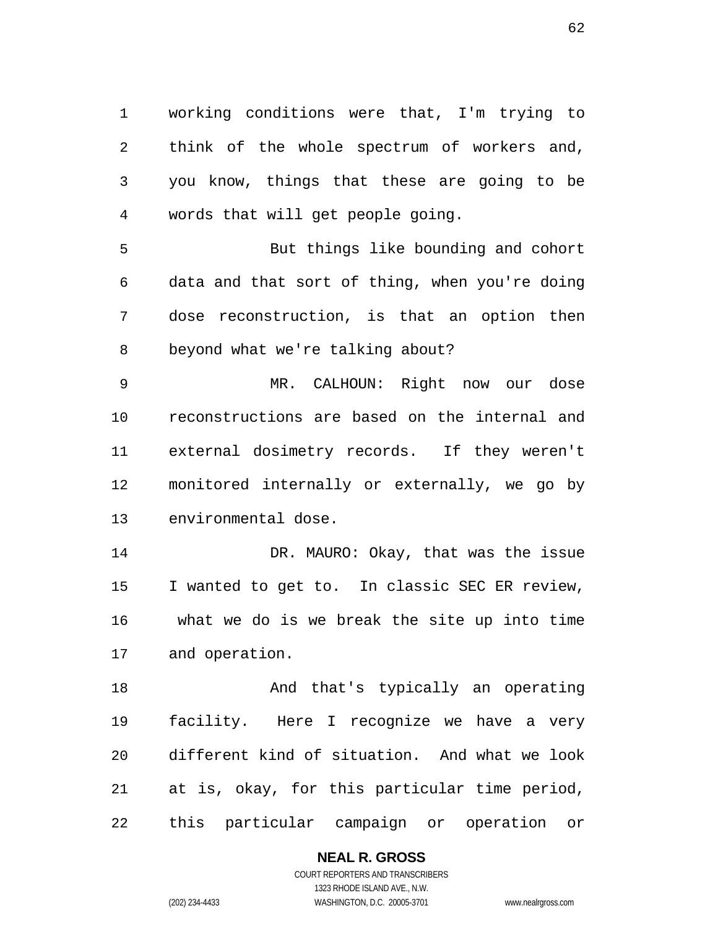working conditions were that, I'm trying to think of the whole spectrum of workers and, you know, things that these are going to be words that will get people going.

But things like bounding and cohort data and that sort of thing, when you're doing dose reconstruction, is that an option then beyond what we're talking about?

MR. CALHOUN: Right now our dose reconstructions are based on the internal and external dosimetry records. If they weren't monitored internally or externally, we go by environmental dose.

14 DR. MAURO: Okay, that was the issue I wanted to get to. In classic SEC ER review, what we do is we break the site up into time and operation.

And that's typically an operating facility. Here I recognize we have a very different kind of situation. And what we look at is, okay, for this particular time period, this particular campaign or operation or

### **NEAL R. GROSS**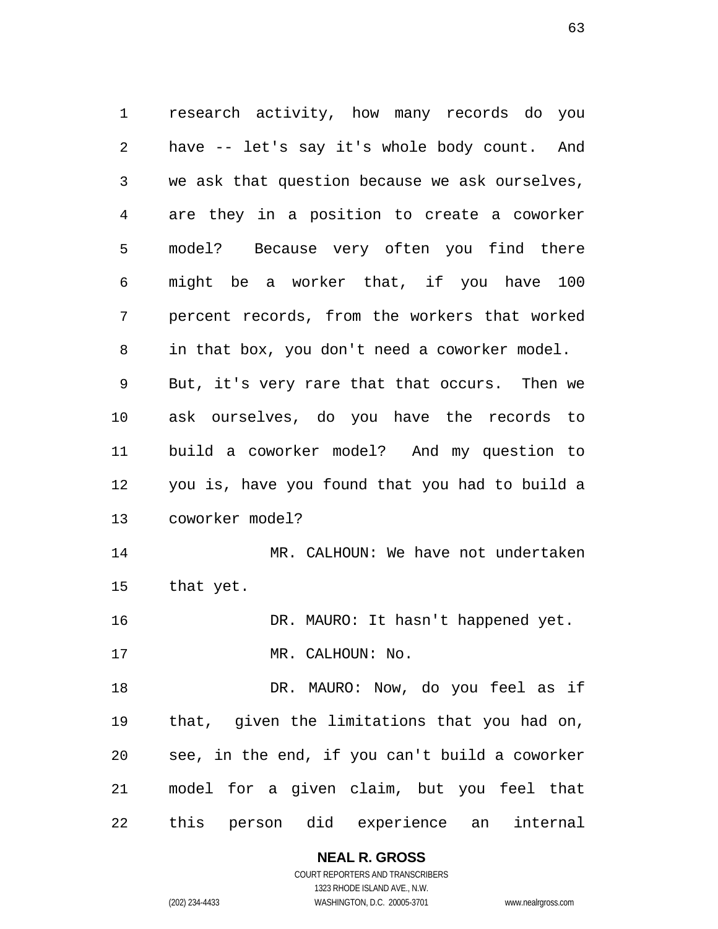research activity, how many records do you have -- let's say it's whole body count. And we ask that question because we ask ourselves, are they in a position to create a coworker model? Because very often you find there might be a worker that, if you have 100 percent records, from the workers that worked in that box, you don't need a coworker model. But, it's very rare that that occurs. Then we ask ourselves, do you have the records to build a coworker model? And my question to you is, have you found that you had to build a coworker model? MR. CALHOUN: We have not undertaken that yet. DR. MAURO: It hasn't happened yet. 17 MR. CALHOUN: No. 18 DR. MAURO: Now, do you feel as if that, given the limitations that you had on, see, in the end, if you can't build a coworker model for a given claim, but you feel that this person did experience an internal

> **NEAL R. GROSS**  COURT REPORTERS AND TRANSCRIBERS

1323 RHODE ISLAND AVE., N.W. (202) 234-4433 WASHINGTON, D.C. 20005-3701 www.nealrgross.com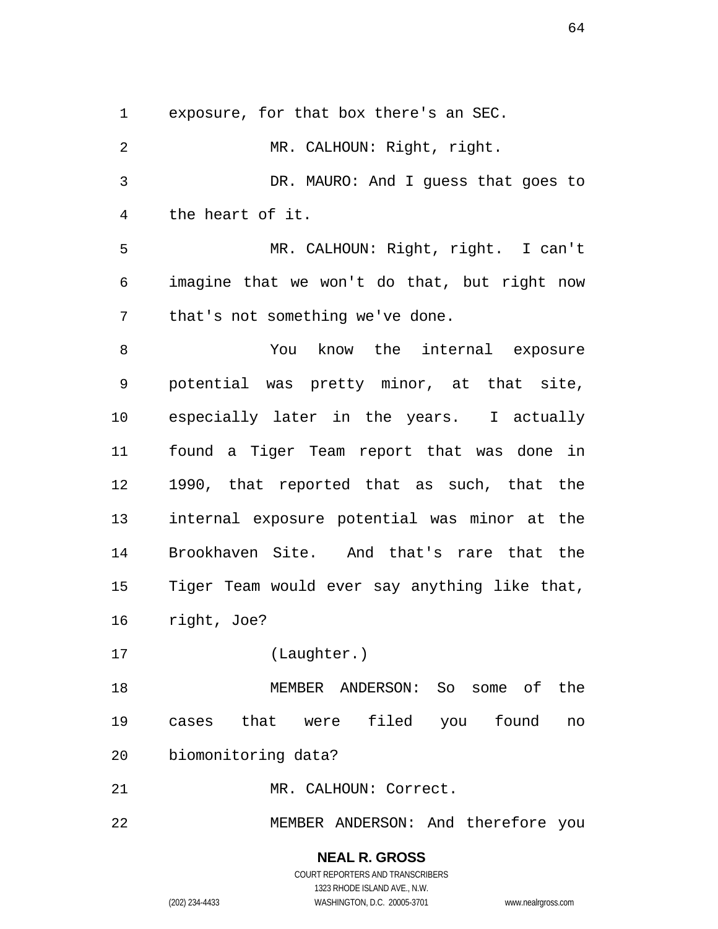exposure, for that box there's an SEC.

MR. CALHOUN: Right, right. DR. MAURO: And I guess that goes to the heart of it. MR. CALHOUN: Right, right. I can't imagine that we won't do that, but right now that's not something we've done. You know the internal exposure potential was pretty minor, at that site, especially later in the years. I actually found a Tiger Team report that was done in 1990, that reported that as such, that the internal exposure potential was minor at the Brookhaven Site. And that's rare that the Tiger Team would ever say anything like that, right, Joe? (Laughter.) MEMBER ANDERSON: So some of the cases that were filed you found no biomonitoring data? MR. CALHOUN: Correct.

MEMBER ANDERSON: And therefore you

**NEAL R. GROSS**  COURT REPORTERS AND TRANSCRIBERS 1323 RHODE ISLAND AVE., N.W. (202) 234-4433 WASHINGTON, D.C. 20005-3701 www.nealrgross.com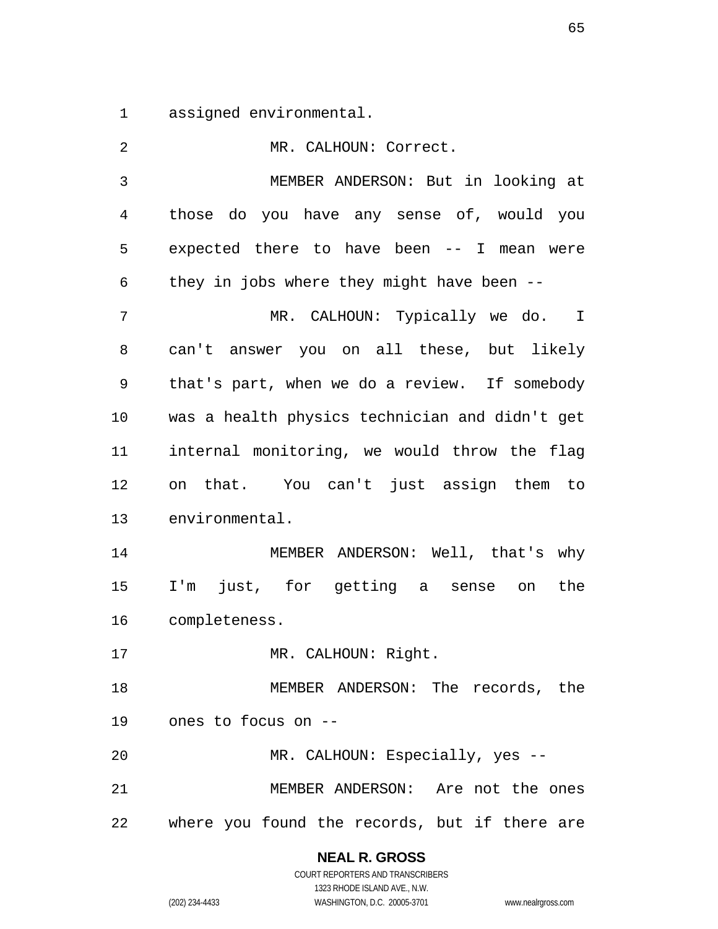assigned environmental.

| 2             | MR. CALHOUN: Correct.                          |
|---------------|------------------------------------------------|
| 3             | MEMBER ANDERSON: But in looking at             |
| 4             | those do you have any sense of, would you      |
| 5             | expected there to have been -- I mean were     |
| 6             | they in jobs where they might have been --     |
| 7             | MR. CALHOUN: Typically we do. I                |
| 8             | can't answer you on all these, but likely      |
| 9             | that's part, when we do a review. If somebody  |
| 10            | was a health physics technician and didn't get |
| 11            | internal monitoring, we would throw the flag   |
| 12            | on that. You can't just assign them to         |
| 13            | environmental.                                 |
| 14            | MEMBER ANDERSON: Well, that's why              |
| 15            | I'm just, for getting a sense on<br>the        |
| 16            | completeness.                                  |
| 17            | MR. CALHOUN: Right.                            |
| 18            | MEMBER ANDERSON: The records, the              |
| 19            | ones to focus on --                            |
| 20            | MR. CALHOUN: Especially, yes --                |
| 21            | MEMBER ANDERSON: Are not the ones              |
| 22 and $\sim$ | where you found the records, but if there are  |

**NEAL R. GROSS**  COURT REPORTERS AND TRANSCRIBERS

1323 RHODE ISLAND AVE., N.W. (202) 234-4433 WASHINGTON, D.C. 20005-3701 www.nealrgross.com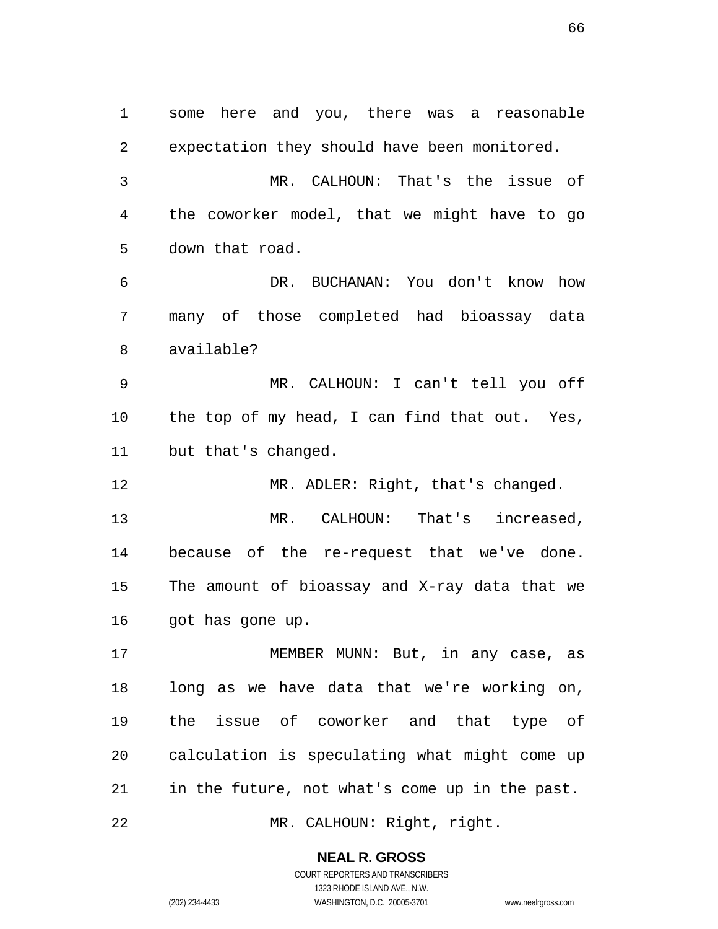some here and you, there was a reasonable expectation they should have been monitored. MR. CALHOUN: That's the issue of the coworker model, that we might have to go down that road. DR. BUCHANAN: You don't know how many of those completed had bioassay data available? MR. CALHOUN: I can't tell you off the top of my head, I can find that out. Yes, but that's changed. 12 MR. ADLER: Right, that's changed. MR. CALHOUN: That's increased, because of the re-request that we've done. The amount of bioassay and X-ray data that we got has gone up. 17 MEMBER MUNN: But, in any case, as long as we have data that we're working on, the issue of coworker and that type of calculation is speculating what might come up in the future, not what's come up in the past. MR. CALHOUN: Right, right.

**NEAL R. GROSS** 

COURT REPORTERS AND TRANSCRIBERS 1323 RHODE ISLAND AVE., N.W. (202) 234-4433 WASHINGTON, D.C. 20005-3701 www.nealrgross.com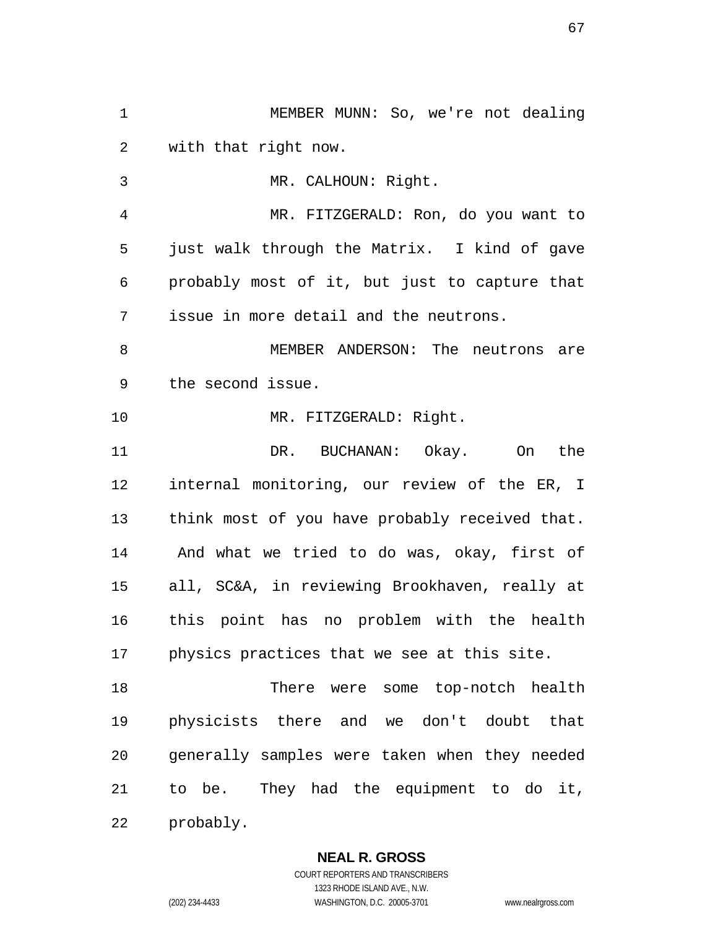MEMBER MUNN: So, we're not dealing with that right now. MR. CALHOUN: Right. MR. FITZGERALD: Ron, do you want to just walk through the Matrix. I kind of gave probably most of it, but just to capture that issue in more detail and the neutrons. MEMBER ANDERSON: The neutrons are the second issue. 10 MR. FITZGERALD: Right. DR. BUCHANAN: Okay. On the internal monitoring, our review of the ER, I think most of you have probably received that. And what we tried to do was, okay, first of all, SC&A, in reviewing Brookhaven, really at this point has no problem with the health physics practices that we see at this site. 18 There were some top-notch health physicists there and we don't doubt that generally samples were taken when they needed to be. They had the equipment to do it, probably.

## **NEAL R. GROSS**

COURT REPORTERS AND TRANSCRIBERS 1323 RHODE ISLAND AVE., N.W. (202) 234-4433 WASHINGTON, D.C. 20005-3701 www.nealrgross.com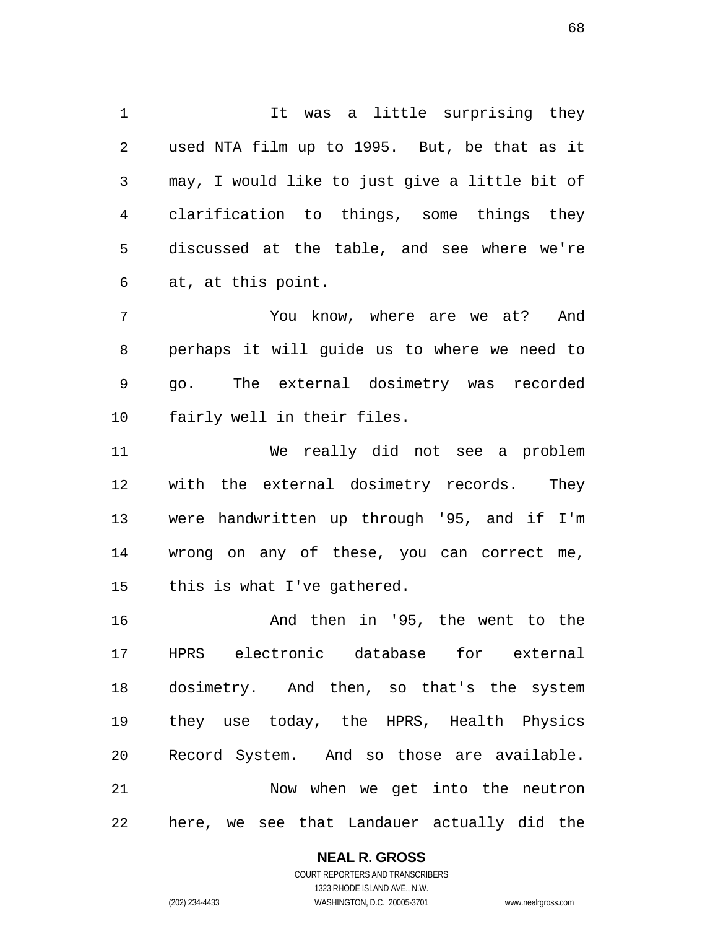1 1 It was a little surprising they used NTA film up to 1995. But, be that as it may, I would like to just give a little bit of clarification to things, some things they discussed at the table, and see where we're at, at this point.

You know, where are we at? And perhaps it will guide us to where we need to go. The external dosimetry was recorded fairly well in their files.

We really did not see a problem with the external dosimetry records. They were handwritten up through '95, and if I'm wrong on any of these, you can correct me, this is what I've gathered.

And then in '95, the went to the HPRS electronic database for external dosimetry. And then, so that's the system they use today, the HPRS, Health Physics Record System. And so those are available. Now when we get into the neutron here, we see that Landauer actually did the

**NEAL R. GROSS**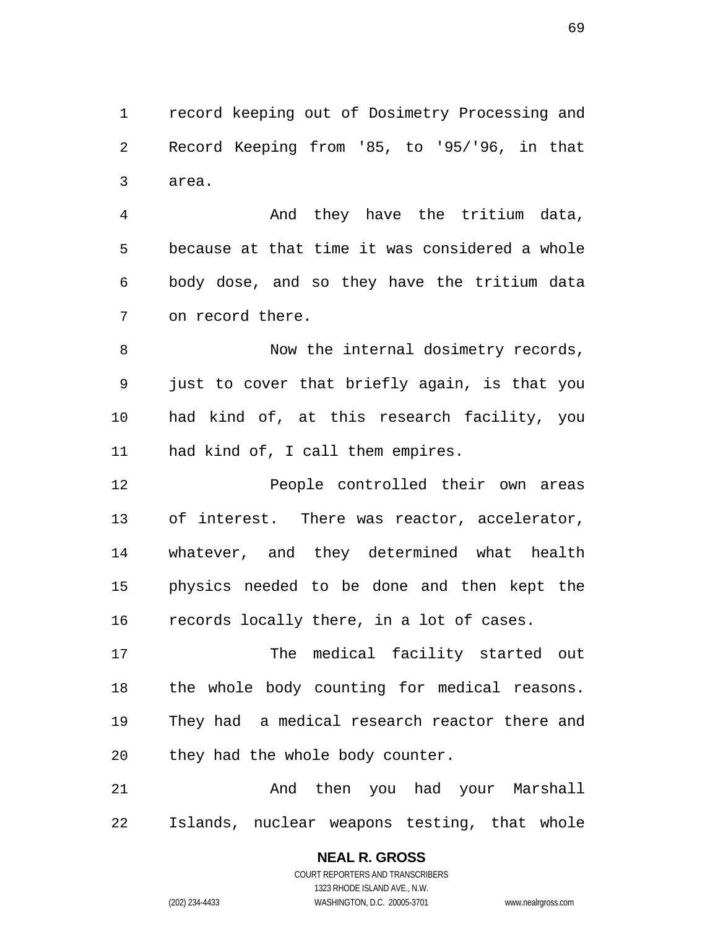record keeping out of Dosimetry Processing and Record Keeping from '85, to '95/'96, in that area.

And they have the tritium data, because at that time it was considered a whole body dose, and so they have the tritium data on record there.

Now the internal dosimetry records, just to cover that briefly again, is that you had kind of, at this research facility, you had kind of, I call them empires.

People controlled their own areas of interest. There was reactor, accelerator, whatever, and they determined what health physics needed to be done and then kept the records locally there, in a lot of cases.

The medical facility started out the whole body counting for medical reasons. They had a medical research reactor there and they had the whole body counter.

And then you had your Marshall Islands, nuclear weapons testing, that whole

## **NEAL R. GROSS**

COURT REPORTERS AND TRANSCRIBERS 1323 RHODE ISLAND AVE., N.W. (202) 234-4433 WASHINGTON, D.C. 20005-3701 www.nealrgross.com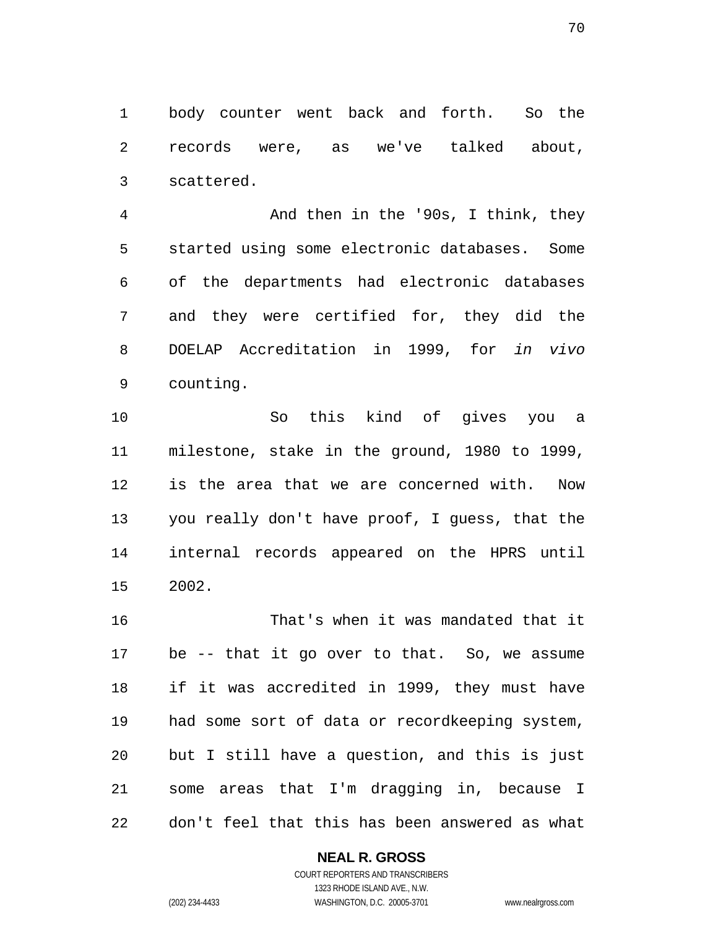body counter went back and forth. So the records were, as we've talked about, scattered.

And then in the '90s, I think, they started using some electronic databases. Some of the departments had electronic databases and they were certified for, they did the DOELAP Accreditation in 1999, for *in vivo*  counting.

So this kind of gives you a milestone, stake in the ground, 1980 to 1999, is the area that we are concerned with. Now you really don't have proof, I guess, that the internal records appeared on the HPRS until 2002.

That's when it was mandated that it be -- that it go over to that. So, we assume if it was accredited in 1999, they must have had some sort of data or recordkeeping system, but I still have a question, and this is just some areas that I'm dragging in, because I don't feel that this has been answered as what

#### **NEAL R. GROSS**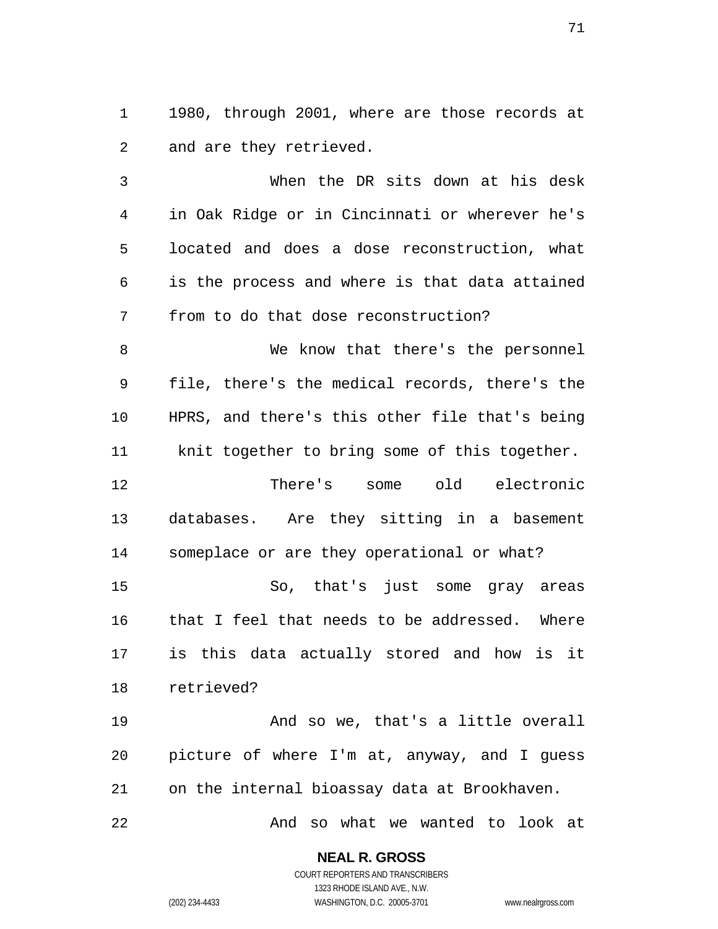1980, through 2001, where are those records at and are they retrieved.

When the DR sits down at his desk in Oak Ridge or in Cincinnati or wherever he's located and does a dose reconstruction, what is the process and where is that data attained from to do that dose reconstruction?

We know that there's the personnel file, there's the medical records, there's the HPRS, and there's this other file that's being knit together to bring some of this together.

There's some old electronic databases. Are they sitting in a basement someplace or are they operational or what?

So, that's just some gray areas that I feel that needs to be addressed. Where is this data actually stored and how is it retrieved?

And so we, that's a little overall picture of where I'm at, anyway, and I guess on the internal bioassay data at Brookhaven.

And so what we wanted to look at

**NEAL R. GROSS**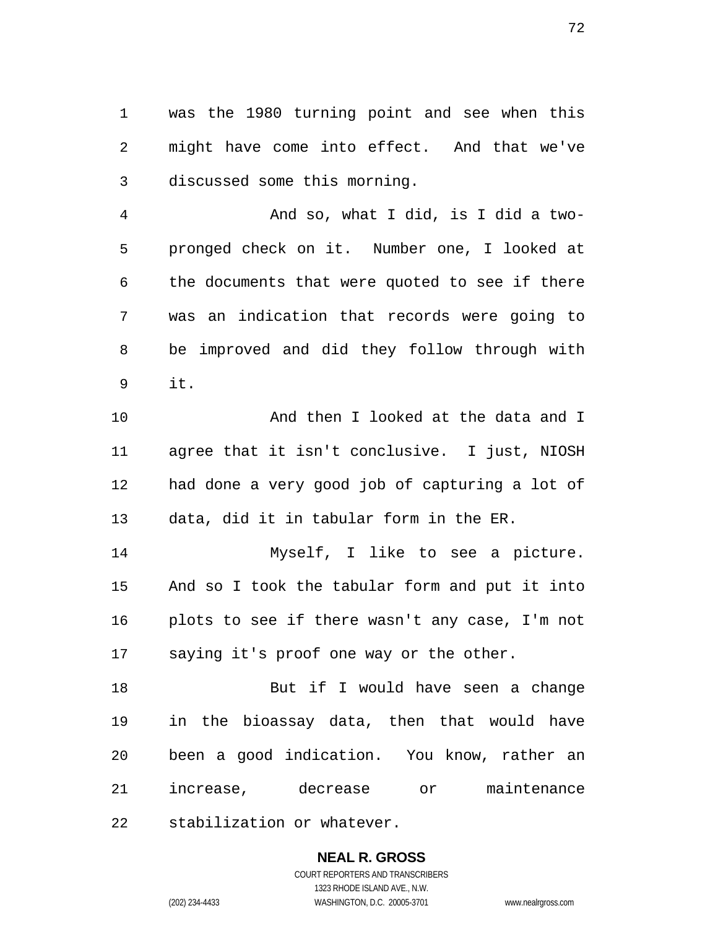was the 1980 turning point and see when this might have come into effect. And that we've discussed some this morning.

And so, what I did, is I did a two-pronged check on it. Number one, I looked at the documents that were quoted to see if there was an indication that records were going to be improved and did they follow through with it.

And then I looked at the data and I agree that it isn't conclusive. I just, NIOSH had done a very good job of capturing a lot of data, did it in tabular form in the ER.

Myself, I like to see a picture. And so I took the tabular form and put it into plots to see if there wasn't any case, I'm not saying it's proof one way or the other.

18 But if I would have seen a change in the bioassay data, then that would have been a good indication. You know, rather an increase, decrease or maintenance stabilization or whatever.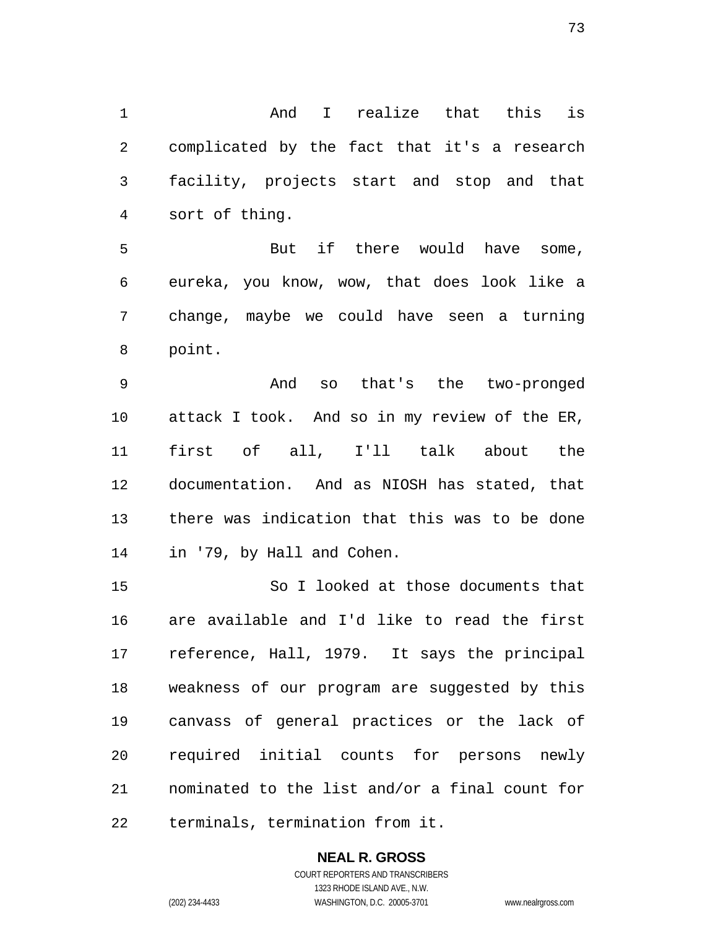And I realize that this is complicated by the fact that it's a research facility, projects start and stop and that sort of thing.

But if there would have some, eureka, you know, wow, that does look like a change, maybe we could have seen a turning point.

And so that's the two-pronged attack I took. And so in my review of the ER, first of all, I'll talk about the documentation. And as NIOSH has stated, that there was indication that this was to be done in '79, by Hall and Cohen.

So I looked at those documents that are available and I'd like to read the first reference, Hall, 1979. It says the principal weakness of our program are suggested by this canvass of general practices or the lack of required initial counts for persons newly nominated to the list and/or a final count for terminals, termination from it.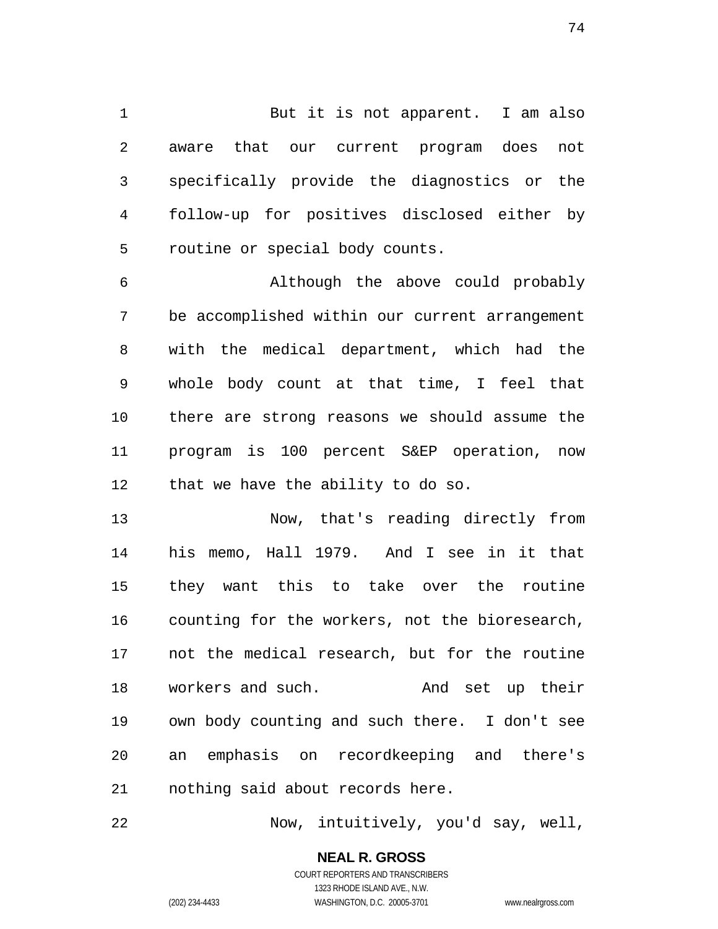1 But it is not apparent. I am also aware that our current program does not specifically provide the diagnostics or the follow-up for positives disclosed either by routine or special body counts.

Although the above could probably be accomplished within our current arrangement with the medical department, which had the whole body count at that time, I feel that there are strong reasons we should assume the program is 100 percent S&EP operation, now that we have the ability to do so.

Now, that's reading directly from his memo, Hall 1979. And I see in it that they want this to take over the routine counting for the workers, not the bioresearch, not the medical research, but for the routine workers and such. And set up their own body counting and such there. I don't see an emphasis on recordkeeping and there's nothing said about records here.

Now, intuitively, you'd say, well,

**NEAL R. GROSS**  COURT REPORTERS AND TRANSCRIBERS 1323 RHODE ISLAND AVE., N.W.

(202) 234-4433 WASHINGTON, D.C. 20005-3701 www.nealrgross.com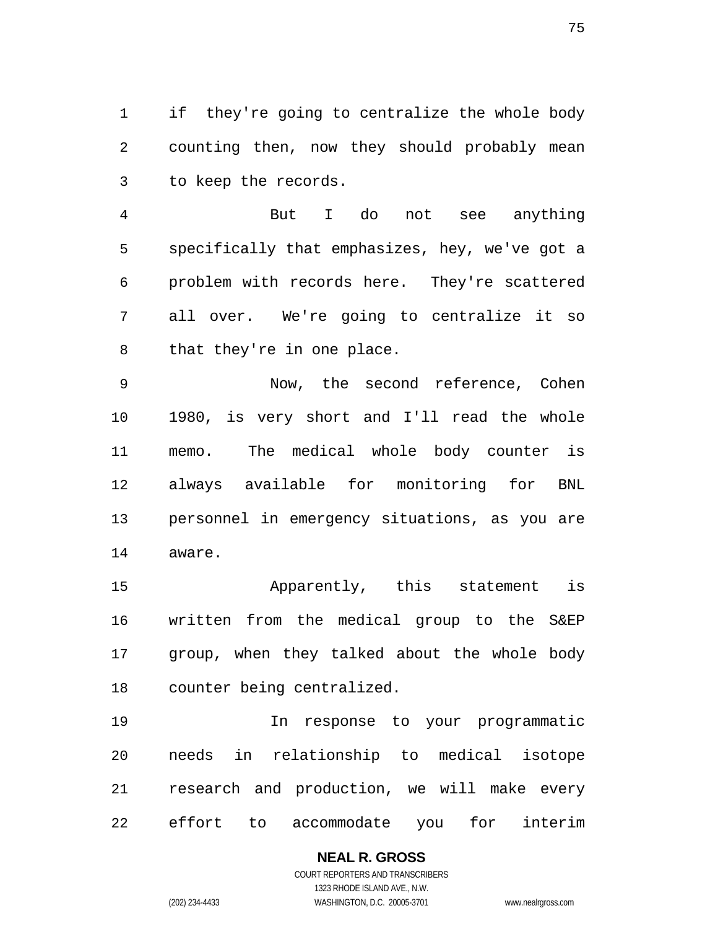if they're going to centralize the whole body counting then, now they should probably mean to keep the records.

But I do not see anything specifically that emphasizes, hey, we've got a problem with records here. They're scattered all over. We're going to centralize it so that they're in one place.

Now, the second reference, Cohen 1980, is very short and I'll read the whole memo. The medical whole body counter is always available for monitoring for BNL personnel in emergency situations, as you are aware.

Apparently, this statement is written from the medical group to the S&EP group, when they talked about the whole body counter being centralized.

In response to your programmatic needs in relationship to medical isotope research and production, we will make every effort to accommodate you for interim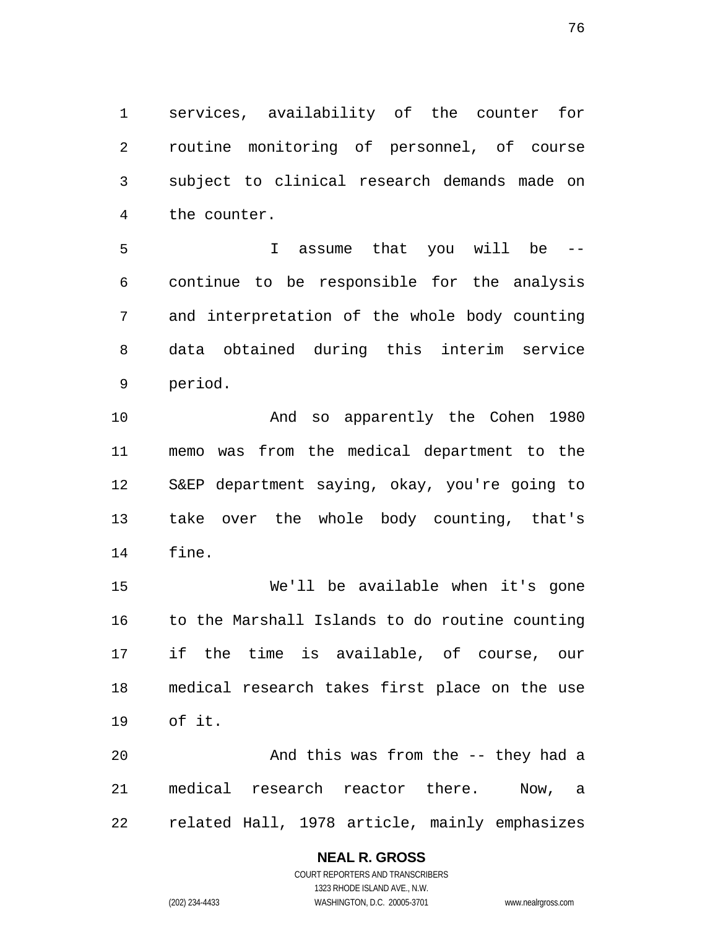services, availability of the counter for routine monitoring of personnel, of course subject to clinical research demands made on the counter.

I assume that you will be -- continue to be responsible for the analysis and interpretation of the whole body counting data obtained during this interim service period.

And so apparently the Cohen 1980 memo was from the medical department to the S&EP department saying, okay, you're going to take over the whole body counting, that's fine.

We'll be available when it's gone to the Marshall Islands to do routine counting if the time is available, of course, our medical research takes first place on the use of it.

And this was from the -- they had a medical research reactor there. Now, a related Hall, 1978 article, mainly emphasizes

#### **NEAL R. GROSS**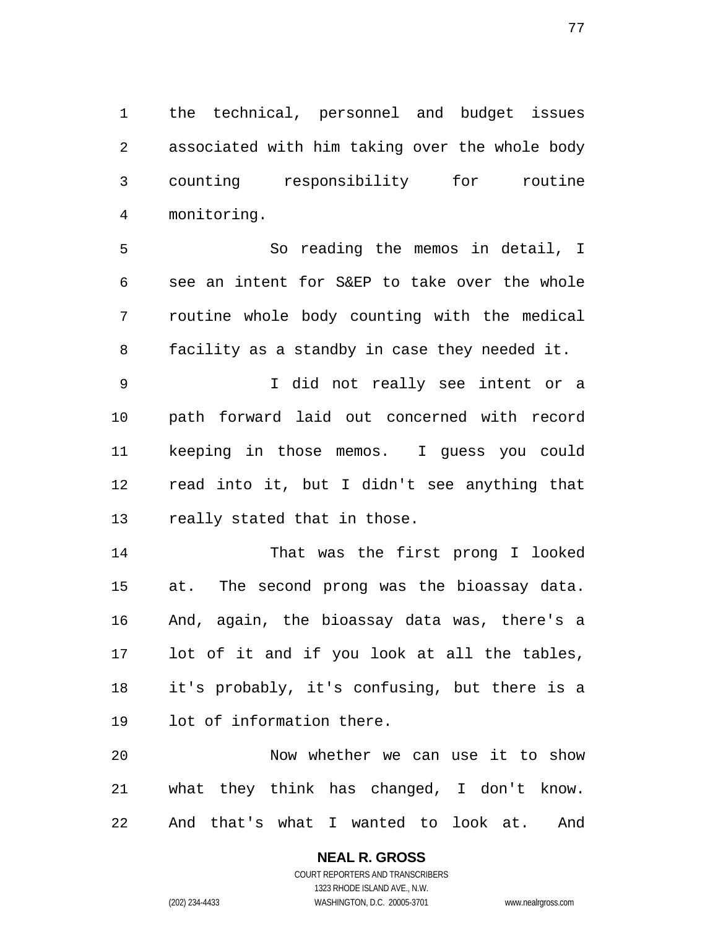the technical, personnel and budget issues associated with him taking over the whole body counting responsibility for routine monitoring.

So reading the memos in detail, I see an intent for S&EP to take over the whole routine whole body counting with the medical facility as a standby in case they needed it.

I did not really see intent or a path forward laid out concerned with record keeping in those memos. I guess you could read into it, but I didn't see anything that really stated that in those.

That was the first prong I looked at. The second prong was the bioassay data. And, again, the bioassay data was, there's a lot of it and if you look at all the tables, it's probably, it's confusing, but there is a lot of information there.

Now whether we can use it to show what they think has changed, I don't know. And that's what I wanted to look at. And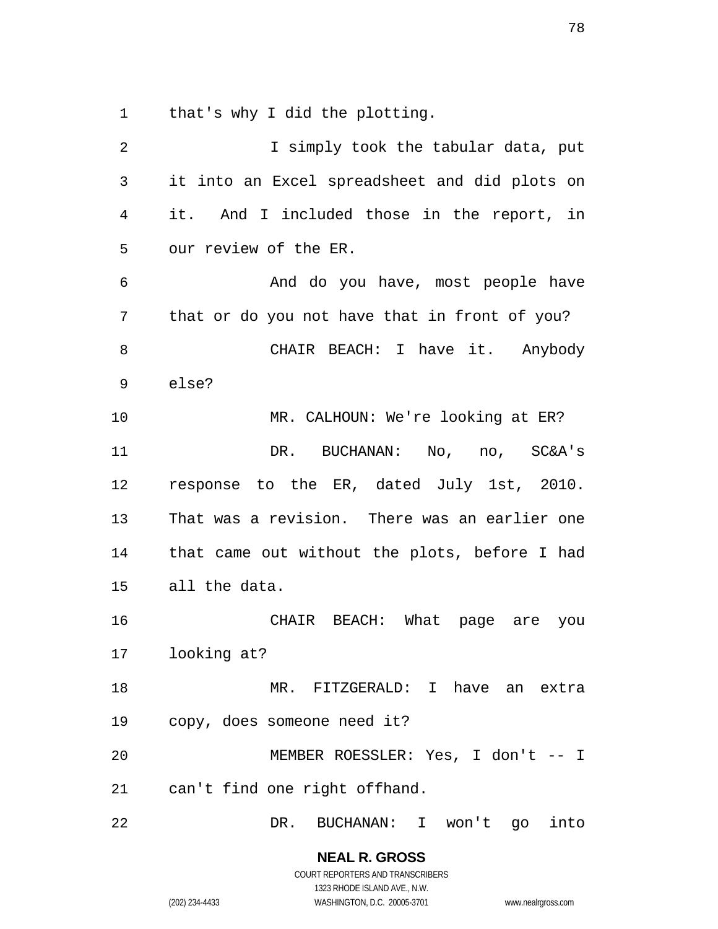that's why I did the plotting.

| 2              | I simply took the tabular data, put           |
|----------------|-----------------------------------------------|
| $\mathfrak{Z}$ | it into an Excel spreadsheet and did plots on |
| 4              | it. And I included those in the report, in    |
| 5              | our review of the ER.                         |
| $\epsilon$     | And do you have, most people have             |
| 7              | that or do you not have that in front of you? |
| 8              | CHAIR BEACH: I have it. Anybody               |
| 9              | else?                                         |
| 10             | MR. CALHOUN: We're looking at ER?             |
| 11             | DR. BUCHANAN: No, no, SC&A's                  |
| 12             | response to the ER, dated July 1st, 2010.     |
| 13             | That was a revision. There was an earlier one |
| 14             | that came out without the plots, before I had |
| 15             | all the data.                                 |
| 16             | CHAIR BEACH: What page are you                |
| 17             | looking at?                                   |
| 18             | MR. FITZGERALD: I have an extra               |
| 19             | copy, does someone need it?                   |
| 20             | MEMBER ROESSLER: Yes, I don't -- I            |
| 21             | can't find one right offhand.                 |
| 22             | DR.<br>BUCHANAN: I won't go<br>into           |

**NEAL R. GROSS**  COURT REPORTERS AND TRANSCRIBERS 1323 RHODE ISLAND AVE., N.W.

(202) 234-4433 WASHINGTON, D.C. 20005-3701 www.nealrgross.com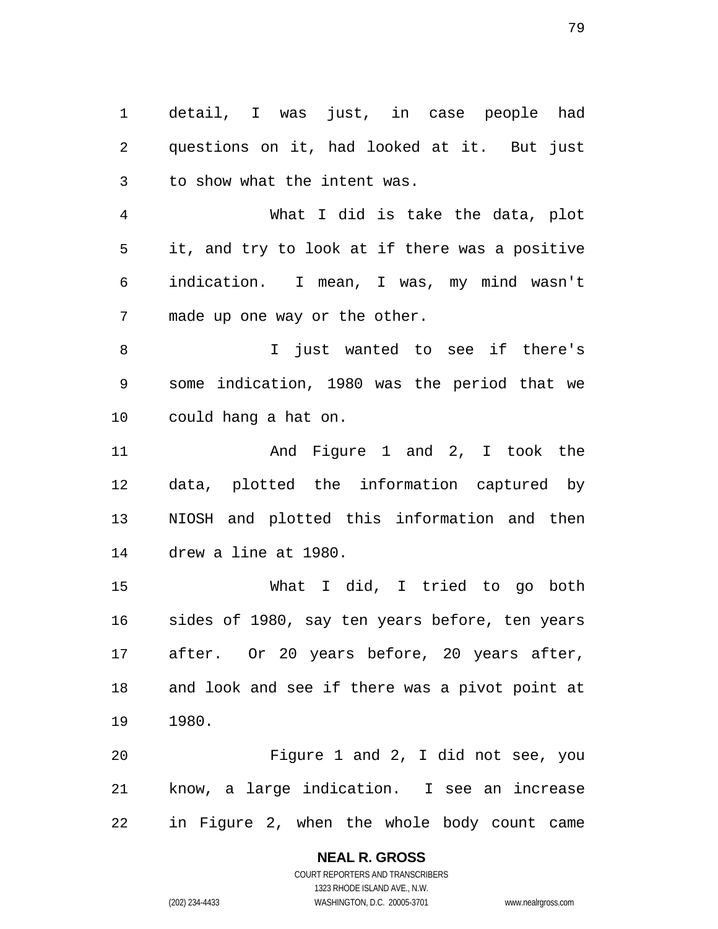detail, I was just, in case people had questions on it, had looked at it. But just to show what the intent was.

What I did is take the data, plot it, and try to look at if there was a positive indication. I mean, I was, my mind wasn't made up one way or the other.

I just wanted to see if there's some indication, 1980 was the period that we could hang a hat on.

11 And Figure 1 and 2, I took the data, plotted the information captured by NIOSH and plotted this information and then drew a line at 1980.

What I did, I tried to go both sides of 1980, say ten years before, ten years after. Or 20 years before, 20 years after, and look and see if there was a pivot point at 1980.

Figure 1 and 2, I did not see, you know, a large indication. I see an increase in Figure 2, when the whole body count came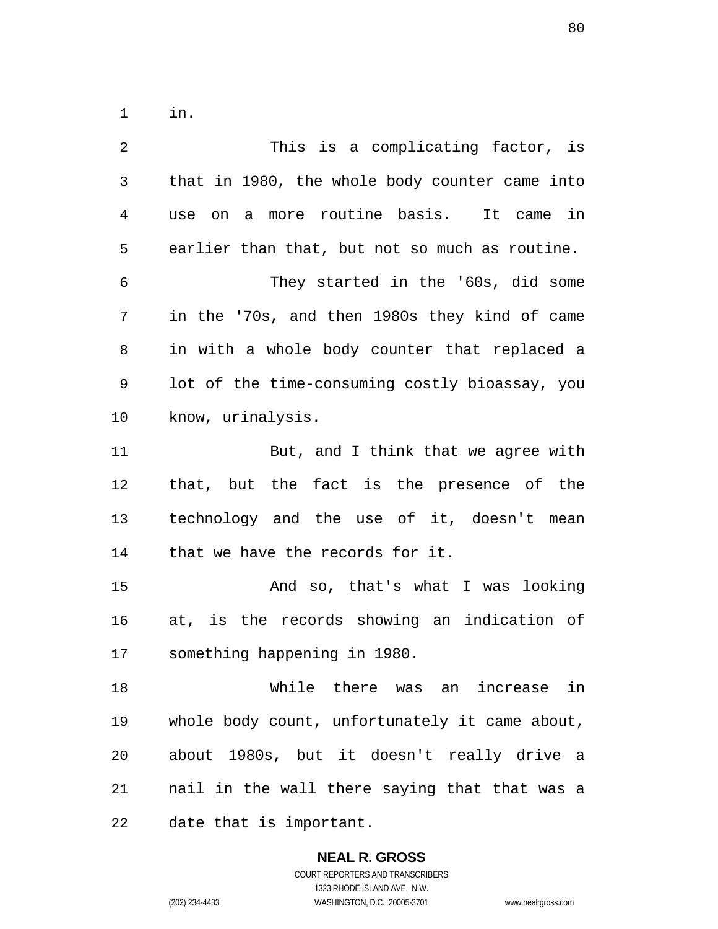in.

| $\overline{2}$ | This is a complicating factor, is              |
|----------------|------------------------------------------------|
| 3              | that in 1980, the whole body counter came into |
| $\overline{4}$ | a more routine basis. It came in<br>use on     |
| 5              | earlier than that, but not so much as routine. |
| 6              | They started in the '60s, did some             |
| 7              | in the '70s, and then 1980s they kind of came  |
| 8              | in with a whole body counter that replaced a   |
| 9              | lot of the time-consuming costly bioassay, you |
| 10             | know, urinalysis.                              |
| 11             | But, and I think that we agree with            |
| 12             | that, but the fact is the presence of the      |
| 13             | technology and the use of it, doesn't mean     |
| 14             | that we have the records for it.               |
| 15             | And so, that's what I was looking              |
| 16             | at, is the records showing an indication of    |
| 17             | something happening in 1980.                   |
| 18             | While there was an increase in                 |
| 19             | whole body count, unfortunately it came about, |
| 20             | about 1980s, but it doesn't really drive a     |
| 21             | nail in the wall there saying that that was a  |
| 22             | date that is important.                        |

**NEAL R. GROSS**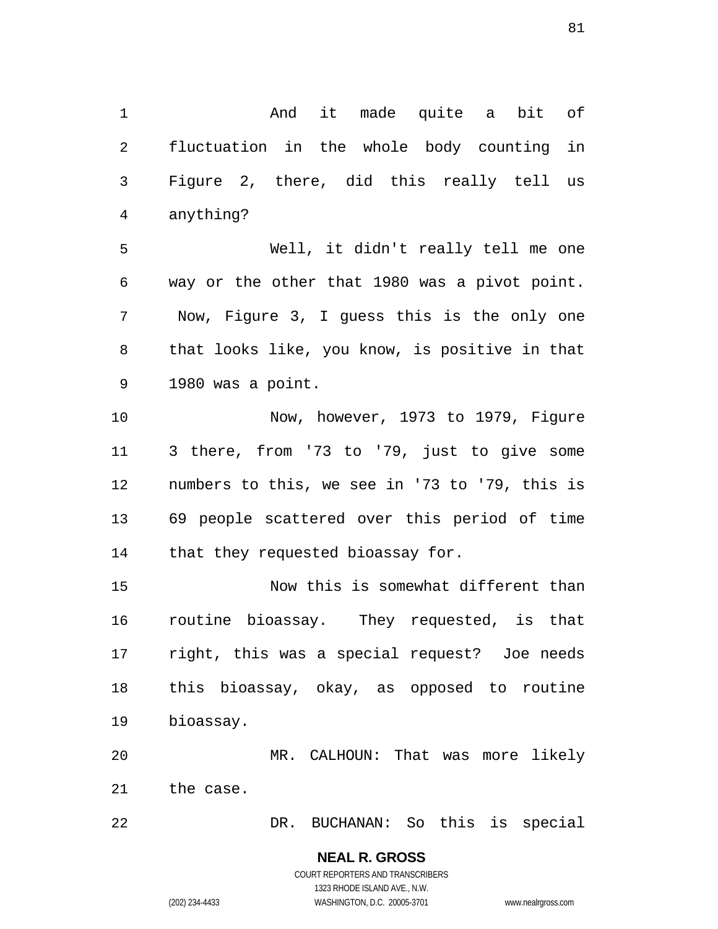And it made quite a bit of fluctuation in the whole body counting in Figure 2, there, did this really tell us anything?

Well, it didn't really tell me one way or the other that 1980 was a pivot point. Now, Figure 3, I guess this is the only one that looks like, you know, is positive in that 1980 was a point.

Now, however, 1973 to 1979, Figure 3 there, from '73 to '79, just to give some numbers to this, we see in '73 to '79, this is 69 people scattered over this period of time 14 that they requested bioassay for.

Now this is somewhat different than routine bioassay. They requested, is that right, this was a special request? Joe needs this bioassay, okay, as opposed to routine bioassay.

MR. CALHOUN: That was more likely the case.

DR. BUCHANAN: So this is special

**NEAL R. GROSS**  COURT REPORTERS AND TRANSCRIBERS 1323 RHODE ISLAND AVE., N.W. (202) 234-4433 WASHINGTON, D.C. 20005-3701 www.nealrgross.com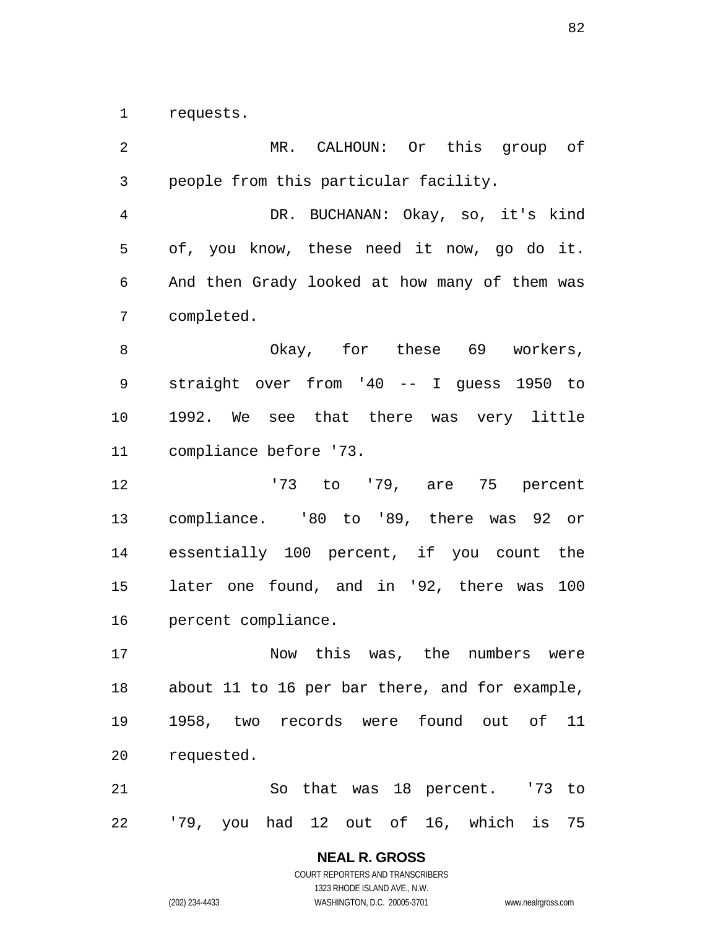requests.

MR. CALHOUN: Or this group of people from this particular facility. DR. BUCHANAN: Okay, so, it's kind of, you know, these need it now, go do it. And then Grady looked at how many of them was completed. 8 Okay, for these 69 workers, straight over from '40 -- I guess 1950 to 1992. We see that there was very little compliance before '73. '73 to '79, are 75 percent compliance. '80 to '89, there was 92 or essentially 100 percent, if you count the later one found, and in '92, there was 100 percent compliance. Now this was, the numbers were about 11 to 16 per bar there, and for example, 1958, two records were found out of 11 requested. So that was 18 percent. '73 to '79, you had 12 out of 16, which is 75

> **NEAL R. GROSS**  COURT REPORTERS AND TRANSCRIBERS 1323 RHODE ISLAND AVE., N.W.

(202) 234-4433 WASHINGTON, D.C. 20005-3701 www.nealrgross.com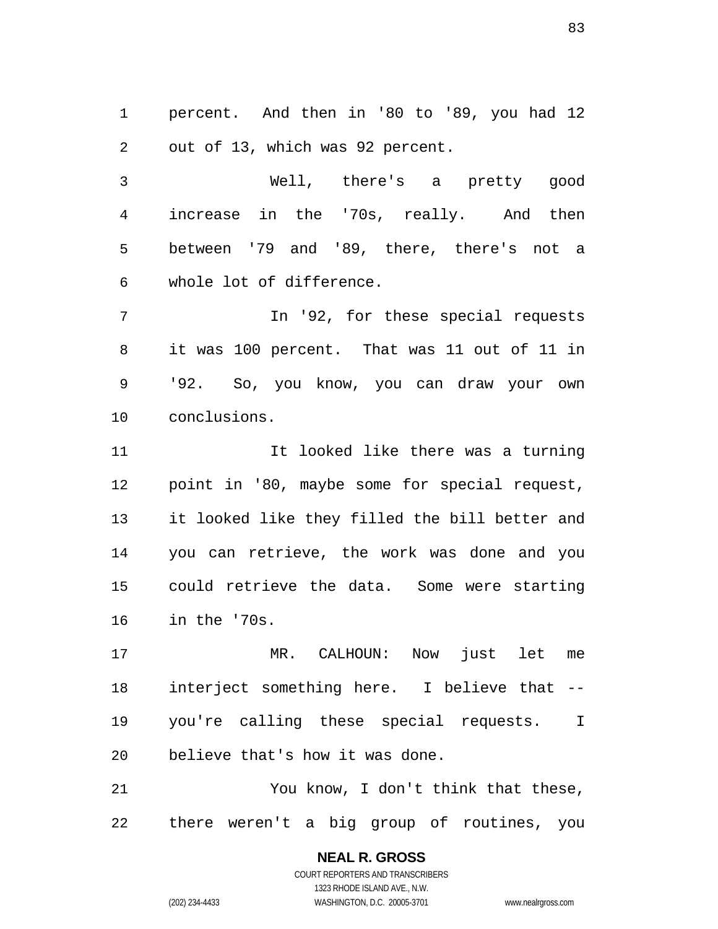percent. And then in '80 to '89, you had 12 out of 13, which was 92 percent.

Well, there's a pretty good increase in the '70s, really. And then between '79 and '89, there, there's not a whole lot of difference.

In '92, for these special requests it was 100 percent. That was 11 out of 11 in '92. So, you know, you can draw your own conclusions.

11 100ked like there was a turning point in '80, maybe some for special request, it looked like they filled the bill better and you can retrieve, the work was done and you could retrieve the data. Some were starting in the '70s.

MR. CALHOUN: Now just let me interject something here. I believe that -- you're calling these special requests. I believe that's how it was done.

You know, I don't think that these, there weren't a big group of routines, you

> **NEAL R. GROSS**  COURT REPORTERS AND TRANSCRIBERS 1323 RHODE ISLAND AVE., N.W. (202) 234-4433 WASHINGTON, D.C. 20005-3701 www.nealrgross.com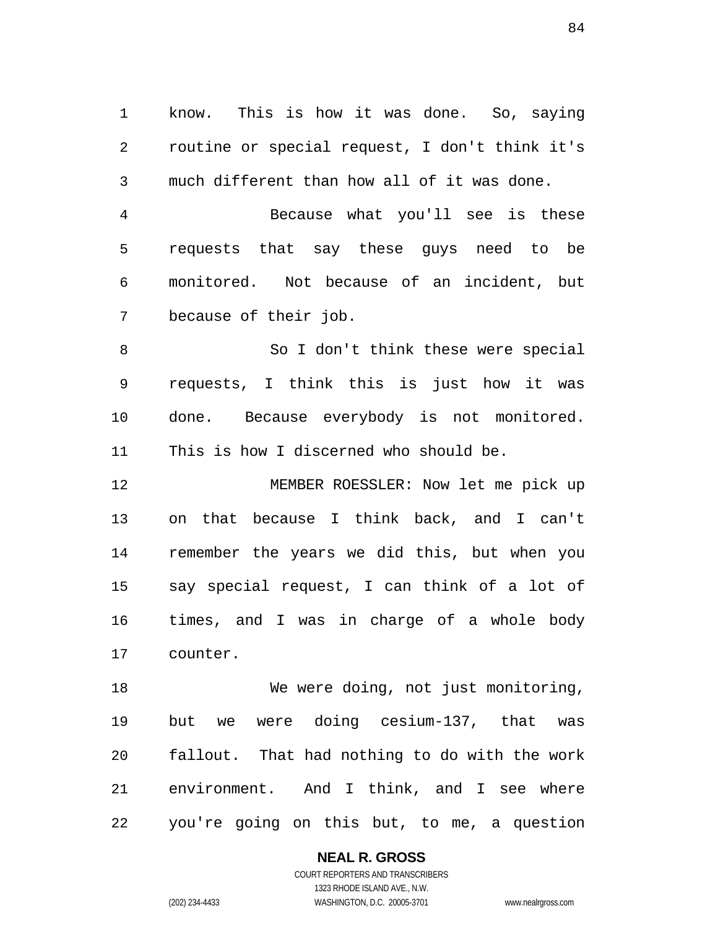know. This is how it was done. So, saying routine or special request, I don't think it's much different than how all of it was done.

Because what you'll see is these requests that say these guys need to be monitored. Not because of an incident, but because of their job.

So I don't think these were special requests, I think this is just how it was done. Because everybody is not monitored. This is how I discerned who should be.

MEMBER ROESSLER: Now let me pick up on that because I think back, and I can't remember the years we did this, but when you say special request, I can think of a lot of times, and I was in charge of a whole body counter.

18 We were doing, not just monitoring, but we were doing cesium-137, that was fallout. That had nothing to do with the work environment. And I think, and I see where you're going on this but, to me, a question

**NEAL R. GROSS** 

COURT REPORTERS AND TRANSCRIBERS 1323 RHODE ISLAND AVE., N.W. (202) 234-4433 WASHINGTON, D.C. 20005-3701 www.nealrgross.com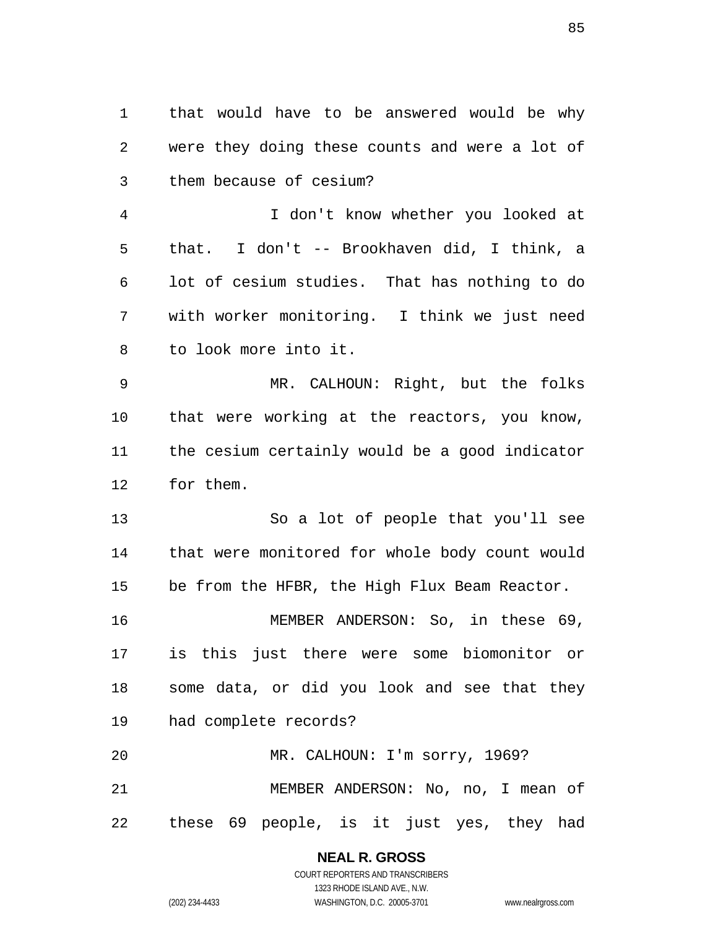that would have to be answered would be why were they doing these counts and were a lot of them because of cesium? I don't know whether you looked at that. I don't -- Brookhaven did, I think, a lot of cesium studies. That has nothing to do with worker monitoring. I think we just need to look more into it. MR. CALHOUN: Right, but the folks that were working at the reactors, you know, the cesium certainly would be a good indicator for them. So a lot of people that you'll see that were monitored for whole body count would be from the HFBR, the High Flux Beam Reactor. MEMBER ANDERSON: So, in these 69, is this just there were some biomonitor or some data, or did you look and see that they had complete records? MR. CALHOUN: I'm sorry, 1969? MEMBER ANDERSON: No, no, I mean of these 69 people, is it just yes, they had

**NEAL R. GROSS** 

COURT REPORTERS AND TRANSCRIBERS 1323 RHODE ISLAND AVE., N.W. (202) 234-4433 WASHINGTON, D.C. 20005-3701 www.nealrgross.com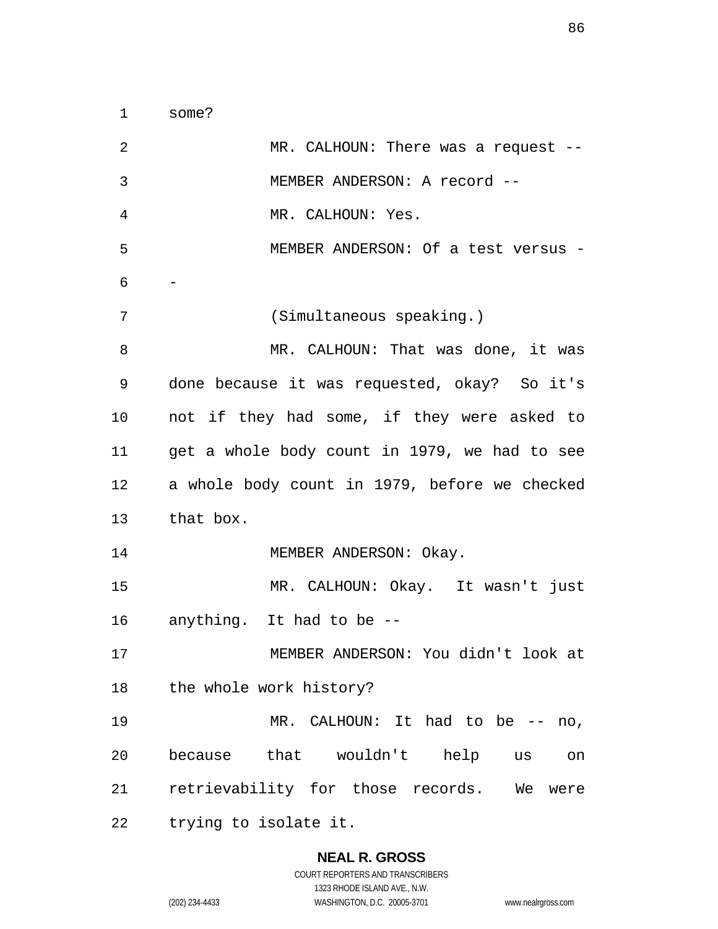| 2  | MR. CALHOUN: There was a request $-$ -        |
|----|-----------------------------------------------|
| 3  | MEMBER ANDERSON: A record --                  |
| 4  | MR. CALHOUN: Yes.                             |
| 5  | MEMBER ANDERSON: Of a test versus -           |
| 6  |                                               |
| 7  | (Simultaneous speaking.)                      |
| 8  | MR. CALHOUN: That was done, it was            |
| 9  | done because it was requested, okay? So it's  |
| 10 | not if they had some, if they were asked to   |
| 11 | get a whole body count in 1979, we had to see |
| 12 | a whole body count in 1979, before we checked |
| 13 | that box.                                     |
| 14 | MEMBER ANDERSON: Okay.                        |
| 15 | MR. CALHOUN: Okay. It wasn't just             |
| 16 | anything. It had to be --                     |
| 17 | MEMBER ANDERSON: You didn't look at           |
| 18 | the whole work history?                       |
| 19 | MR. CALHOUN: It had to be -- no,              |
| 20 | because that wouldn't help us<br>on           |
| 21 | retrievability for those records. We<br>were  |
| 22 | trying to isolate it.                         |

## **NEAL R. GROSS**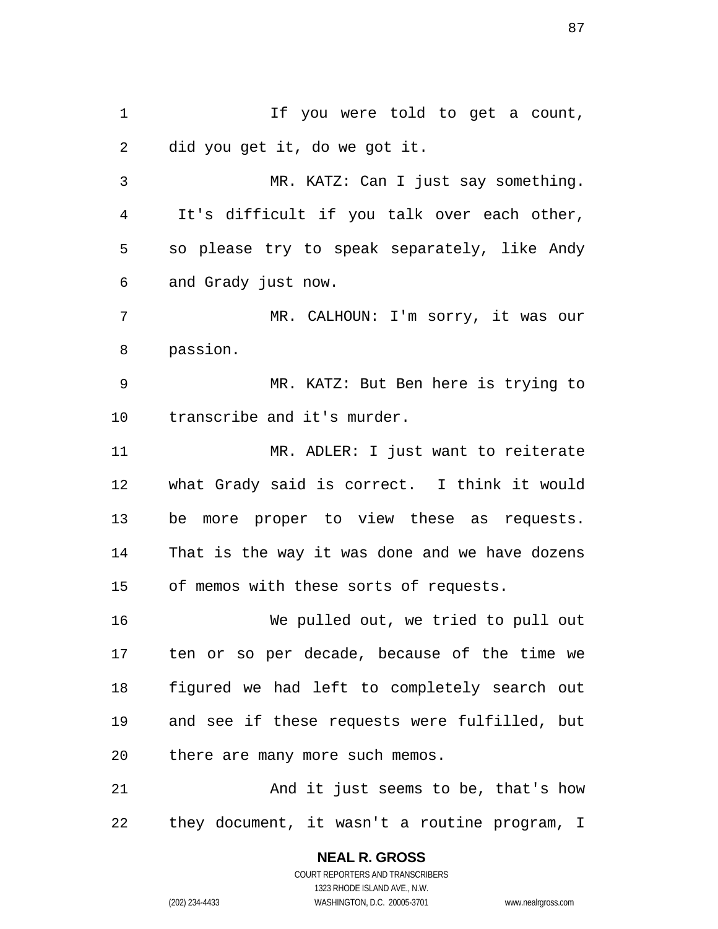If you were told to get a count, did you get it, do we got it.

MR. KATZ: Can I just say something. It's difficult if you talk over each other, so please try to speak separately, like Andy and Grady just now.

MR. CALHOUN: I'm sorry, it was our passion.

MR. KATZ: But Ben here is trying to transcribe and it's murder.

MR. ADLER: I just want to reiterate what Grady said is correct. I think it would be more proper to view these as requests. That is the way it was done and we have dozens of memos with these sorts of requests.

We pulled out, we tried to pull out ten or so per decade, because of the time we figured we had left to completely search out and see if these requests were fulfilled, but there are many more such memos.

And it just seems to be, that's how they document, it wasn't a routine program, I

> **NEAL R. GROSS**  COURT REPORTERS AND TRANSCRIBERS 1323 RHODE ISLAND AVE., N.W. (202) 234-4433 WASHINGTON, D.C. 20005-3701 www.nealrgross.com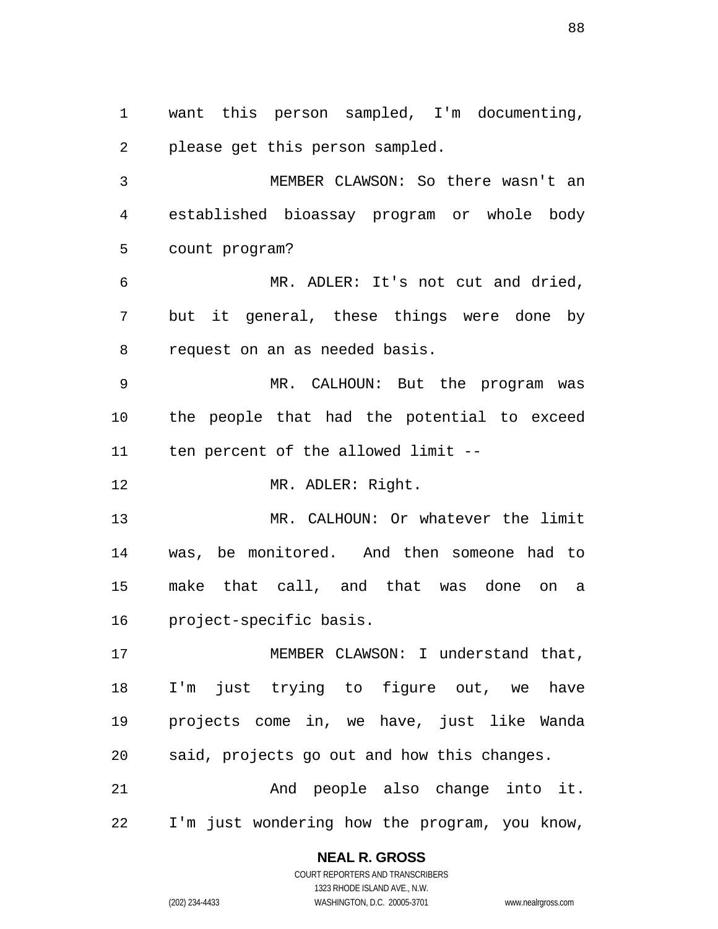want this person sampled, I'm documenting, please get this person sampled.

MEMBER CLAWSON: So there wasn't an established bioassay program or whole body count program?

MR. ADLER: It's not cut and dried, but it general, these things were done by request on an as needed basis.

MR. CALHOUN: But the program was the people that had the potential to exceed ten percent of the allowed limit --

MR. ADLER: Right.

MR. CALHOUN: Or whatever the limit was, be monitored. And then someone had to make that call, and that was done on a project-specific basis.

MEMBER CLAWSON: I understand that, I'm just trying to figure out, we have projects come in, we have, just like Wanda said, projects go out and how this changes. And people also change into it.

I'm just wondering how the program, you know,

#### **NEAL R. GROSS**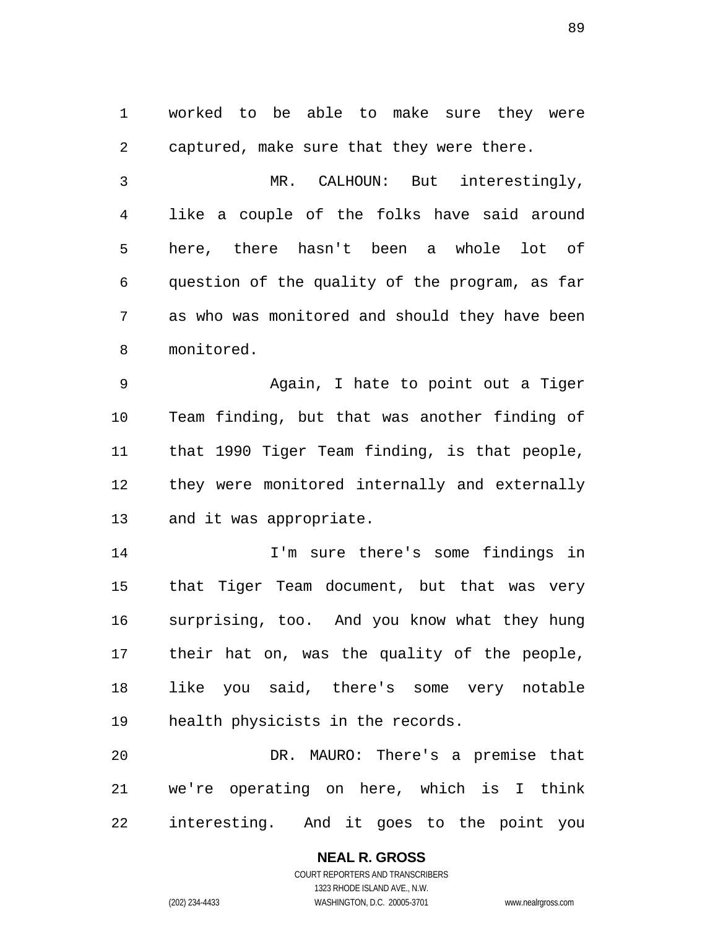worked to be able to make sure they were captured, make sure that they were there.

MR. CALHOUN: But interestingly, like a couple of the folks have said around here, there hasn't been a whole lot of question of the quality of the program, as far as who was monitored and should they have been monitored.

Again, I hate to point out a Tiger Team finding, but that was another finding of that 1990 Tiger Team finding, is that people, they were monitored internally and externally and it was appropriate.

I'm sure there's some findings in that Tiger Team document, but that was very surprising, too. And you know what they hung their hat on, was the quality of the people, like you said, there's some very notable health physicists in the records.

DR. MAURO: There's a premise that we're operating on here, which is I think interesting. And it goes to the point you

> **NEAL R. GROSS**  COURT REPORTERS AND TRANSCRIBERS 1323 RHODE ISLAND AVE., N.W. (202) 234-4433 WASHINGTON, D.C. 20005-3701 www.nealrgross.com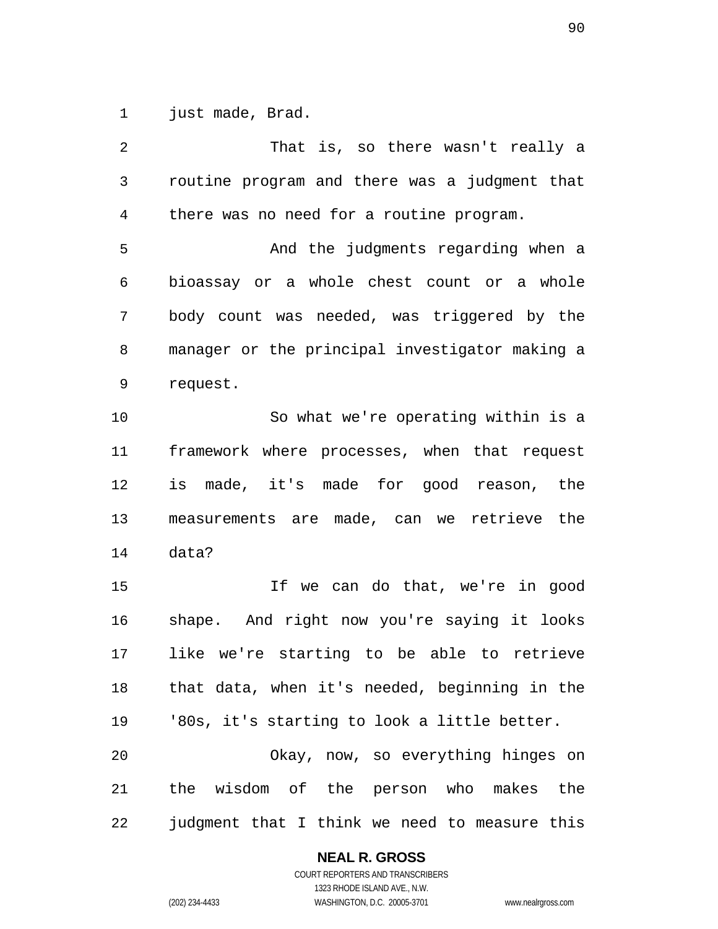1 just made, Brad.

That is, so there wasn't really a routine program and there was a judgment that there was no need for a routine program. And the judgments regarding when a bioassay or a whole chest count or a whole body count was needed, was triggered by the manager or the principal investigator making a request. So what we're operating within is a framework where processes, when that request is made, it's made for good reason, the measurements are made, can we retrieve the data? If we can do that, we're in good shape. And right now you're saying it looks like we're starting to be able to retrieve that data, when it's needed, beginning in the '80s, it's starting to look a little better. Okay, now, so everything hinges on the wisdom of the person who makes the judgment that I think we need to measure this

**NEAL R. GROSS**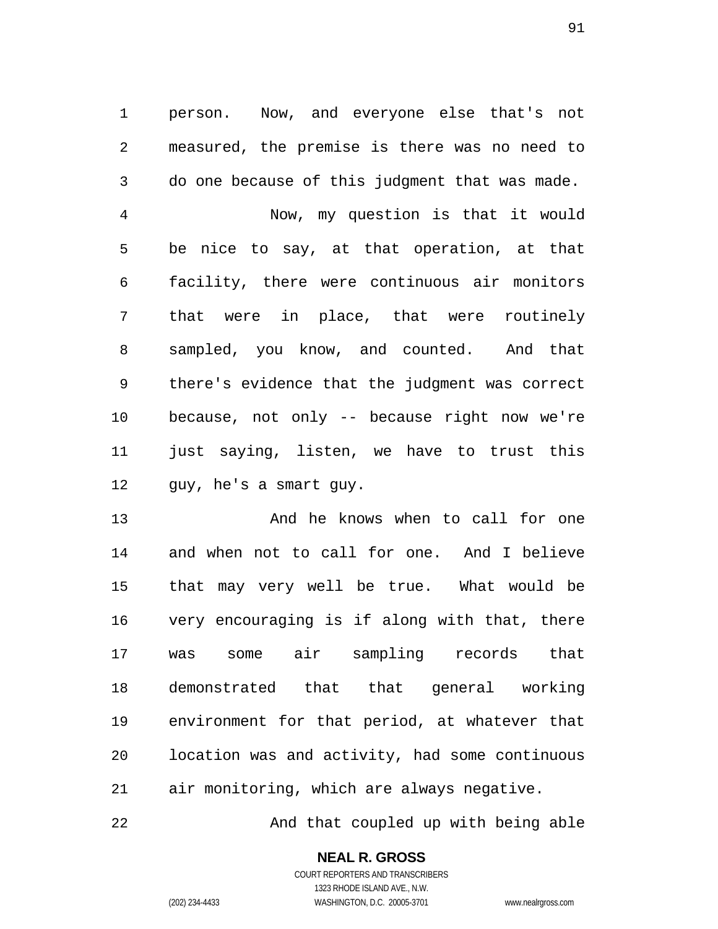person. Now, and everyone else that's not measured, the premise is there was no need to do one because of this judgment that was made.

Now, my question is that it would be nice to say, at that operation, at that facility, there were continuous air monitors that were in place, that were routinely sampled, you know, and counted. And that there's evidence that the judgment was correct because, not only -- because right now we're just saying, listen, we have to trust this guy, he's a smart guy.

13 And he knows when to call for one and when not to call for one. And I believe that may very well be true. What would be very encouraging is if along with that, there was some air sampling records that demonstrated that that general working environment for that period, at whatever that location was and activity, had some continuous air monitoring, which are always negative.

22 And that coupled up with being able

# **NEAL R. GROSS**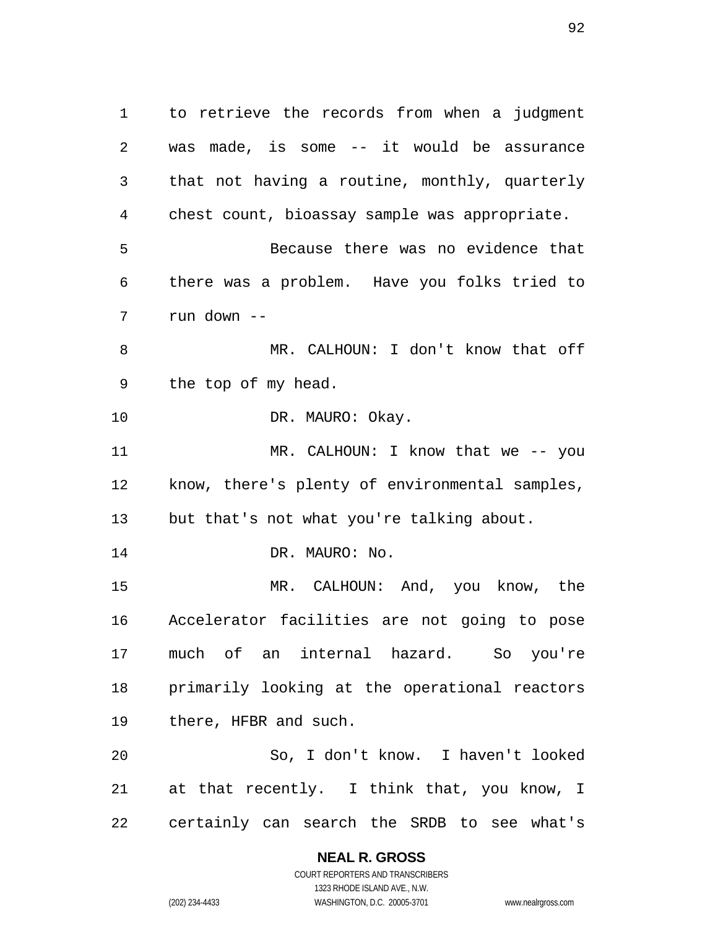to retrieve the records from when a judgment was made, is some -- it would be assurance that not having a routine, monthly, quarterly chest count, bioassay sample was appropriate. Because there was no evidence that there was a problem. Have you folks tried to run down -- MR. CALHOUN: I don't know that off the top of my head. 10 DR. MAURO: Okay. 11 MR. CALHOUN: I know that we -- you know, there's plenty of environmental samples, but that's not what you're talking about. 14 DR. MAURO: No. MR. CALHOUN: And, you know, the Accelerator facilities are not going to pose much of an internal hazard. So you're primarily looking at the operational reactors there, HFBR and such. So, I don't know. I haven't looked at that recently. I think that, you know, I

certainly can search the SRDB to see what's

**NEAL R. GROSS**  COURT REPORTERS AND TRANSCRIBERS

1323 RHODE ISLAND AVE., N.W. (202) 234-4433 WASHINGTON, D.C. 20005-3701 www.nealrgross.com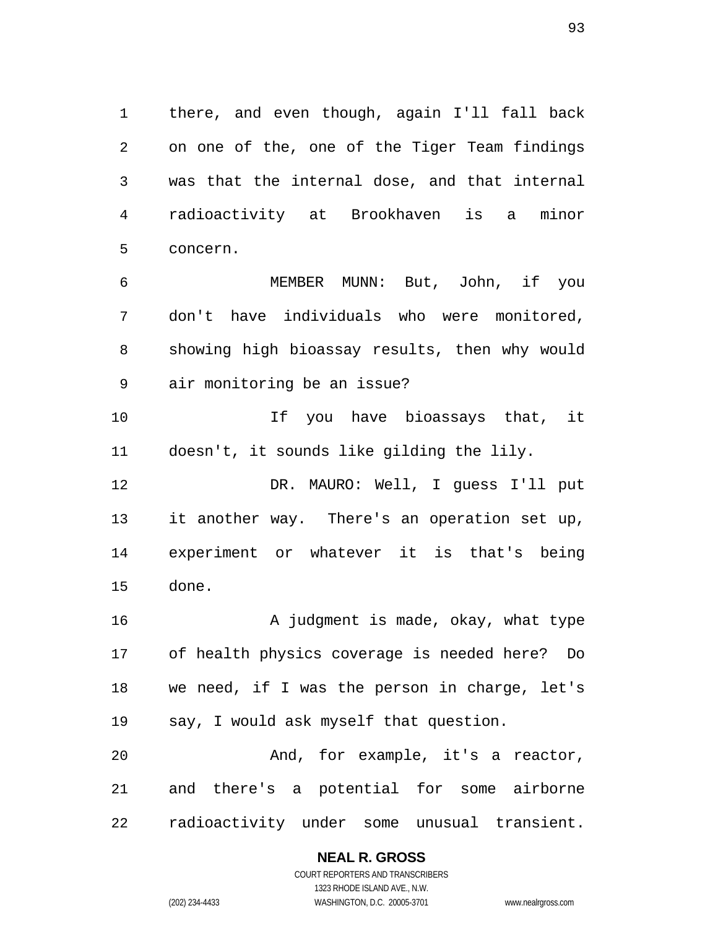there, and even though, again I'll fall back on one of the, one of the Tiger Team findings was that the internal dose, and that internal radioactivity at Brookhaven is a minor concern.

MEMBER MUNN: But, John, if you don't have individuals who were monitored, showing high bioassay results, then why would air monitoring be an issue?

If you have bioassays that, it doesn't, it sounds like gilding the lily.

DR. MAURO: Well, I guess I'll put it another way. There's an operation set up, experiment or whatever it is that's being done.

16 A judgment is made, okay, what type of health physics coverage is needed here? Do we need, if I was the person in charge, let's say, I would ask myself that question.

And, for example, it's a reactor, and there's a potential for some airborne radioactivity under some unusual transient.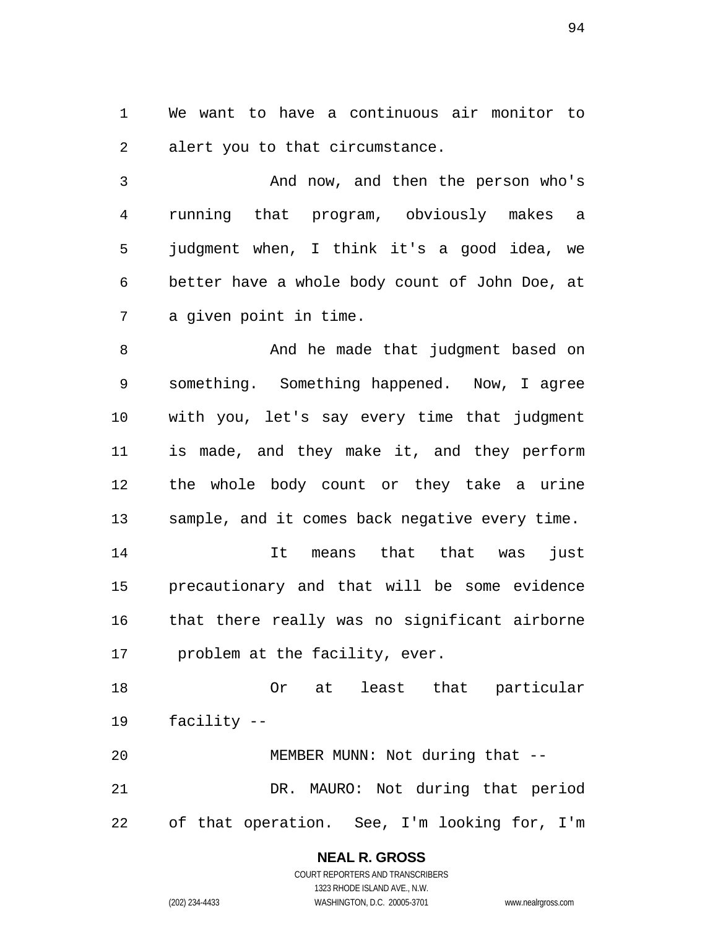We want to have a continuous air monitor to alert you to that circumstance.

And now, and then the person who's running that program, obviously makes a judgment when, I think it's a good idea, we better have a whole body count of John Doe, at a given point in time.

8 And he made that judgment based on something. Something happened. Now, I agree with you, let's say every time that judgment is made, and they make it, and they perform the whole body count or they take a urine sample, and it comes back negative every time.

It means that that was just precautionary and that will be some evidence that there really was no significant airborne problem at the facility, ever.

Or at least that particular facility --

MEMBER MUNN: Not during that -- DR. MAURO: Not during that period of that operation. See, I'm looking for, I'm

> **NEAL R. GROSS**  COURT REPORTERS AND TRANSCRIBERS 1323 RHODE ISLAND AVE., N.W.

(202) 234-4433 WASHINGTON, D.C. 20005-3701 www.nealrgross.com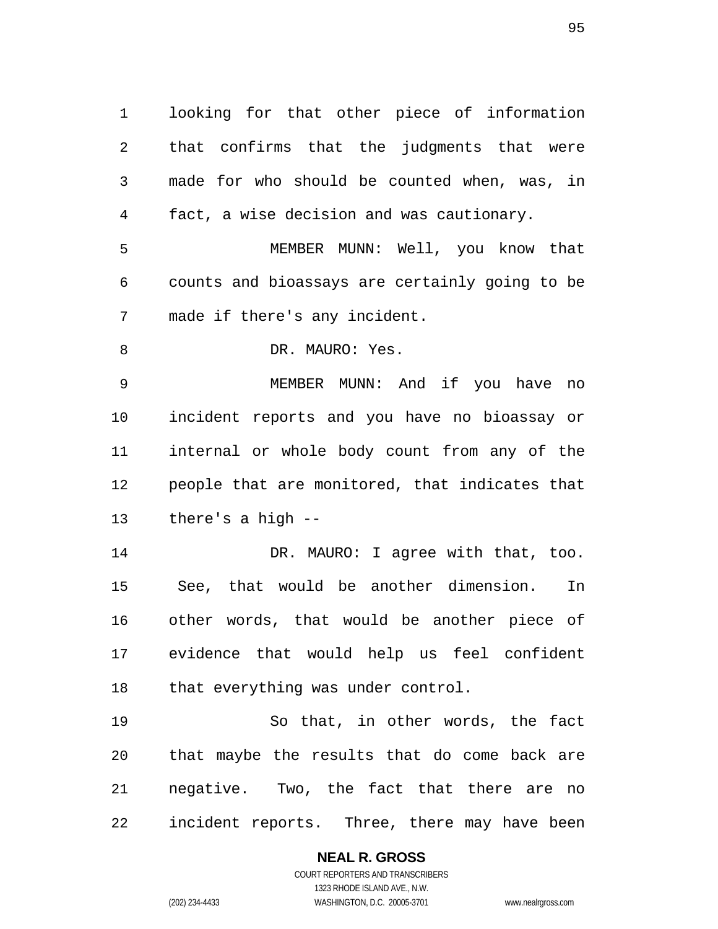looking for that other piece of information that confirms that the judgments that were made for who should be counted when, was, in fact, a wise decision and was cautionary.

MEMBER MUNN: Well, you know that counts and bioassays are certainly going to be made if there's any incident.

8 DR. MAURO: Yes.

MEMBER MUNN: And if you have no incident reports and you have no bioassay or internal or whole body count from any of the people that are monitored, that indicates that there's a high --

DR. MAURO: I agree with that, too. See, that would be another dimension. In other words, that would be another piece of evidence that would help us feel confident 18 that everything was under control.

So that, in other words, the fact that maybe the results that do come back are negative. Two, the fact that there are no incident reports. Three, there may have been

> **NEAL R. GROSS**  COURT REPORTERS AND TRANSCRIBERS

1323 RHODE ISLAND AVE., N.W. (202) 234-4433 WASHINGTON, D.C. 20005-3701 www.nealrgross.com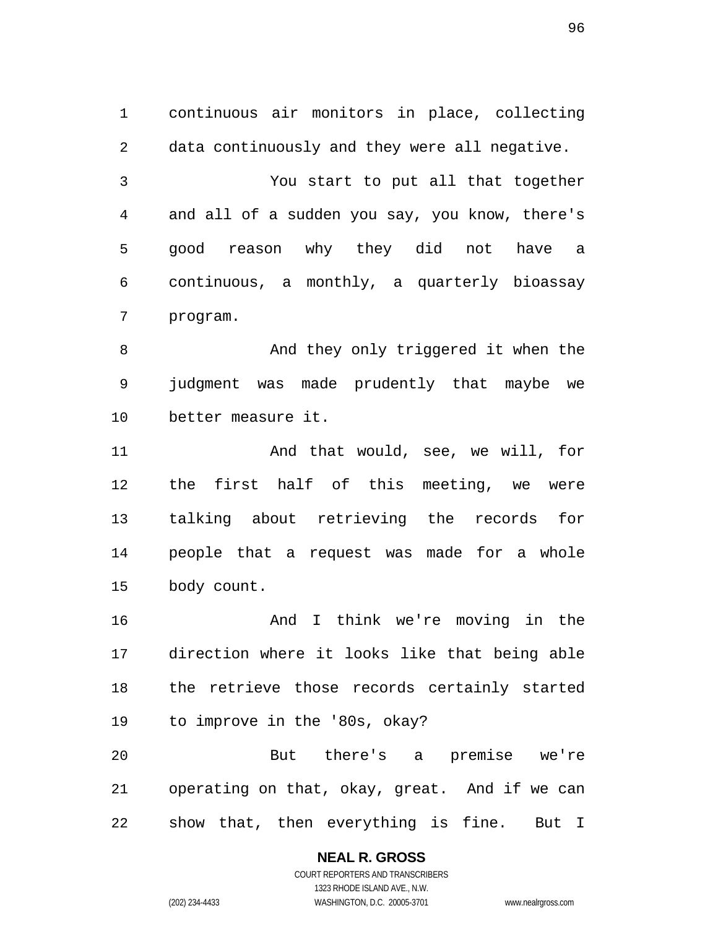continuous air monitors in place, collecting data continuously and they were all negative. You start to put all that together and all of a sudden you say, you know, there's good reason why they did not have a continuous, a monthly, a quarterly bioassay program.

And they only triggered it when the judgment was made prudently that maybe we better measure it.

11 And that would, see, we will, for the first half of this meeting, we were talking about retrieving the records for people that a request was made for a whole body count.

And I think we're moving in the direction where it looks like that being able the retrieve those records certainly started to improve in the '80s, okay?

But there's a premise we're operating on that, okay, great. And if we can show that, then everything is fine. But I

#### **NEAL R. GROSS**  COURT REPORTERS AND TRANSCRIBERS

1323 RHODE ISLAND AVE., N.W. (202) 234-4433 WASHINGTON, D.C. 20005-3701 www.nealrgross.com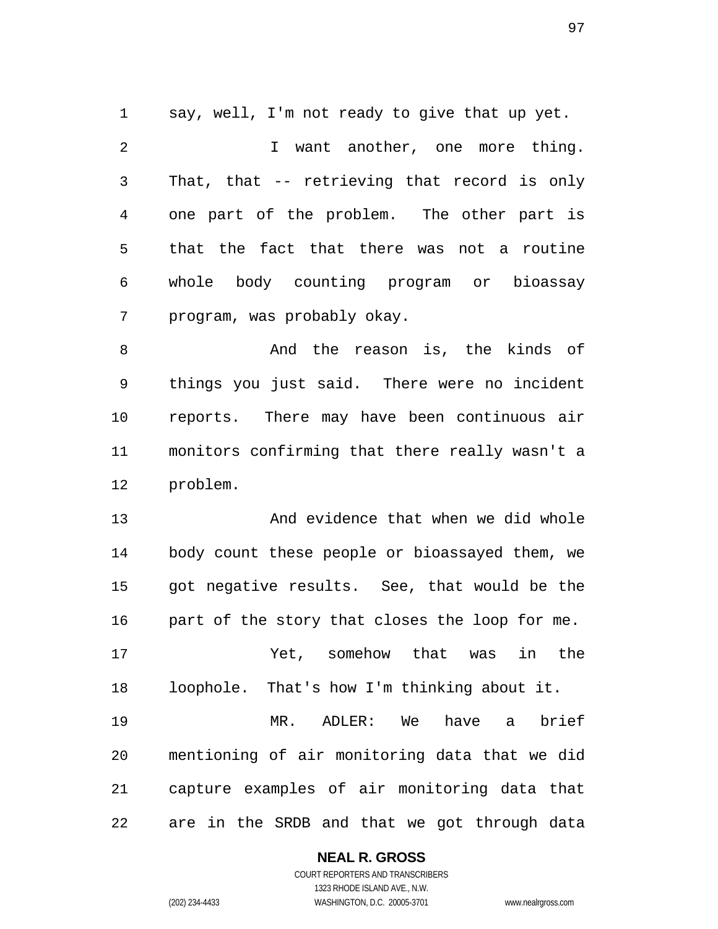say, well, I'm not ready to give that up yet.

2 I want another, one more thing. That, that -- retrieving that record is only one part of the problem. The other part is that the fact that there was not a routine whole body counting program or bioassay program, was probably okay.

And the reason is, the kinds of things you just said. There were no incident reports. There may have been continuous air monitors confirming that there really wasn't a problem.

And evidence that when we did whole body count these people or bioassayed them, we got negative results. See, that would be the part of the story that closes the loop for me.

Yet, somehow that was in the loophole. That's how I'm thinking about it.

MR. ADLER: We have a brief mentioning of air monitoring data that we did capture examples of air monitoring data that are in the SRDB and that we got through data

#### **NEAL R. GROSS**  COURT REPORTERS AND TRANSCRIBERS

1323 RHODE ISLAND AVE., N.W.

(202) 234-4433 WASHINGTON, D.C. 20005-3701 www.nealrgross.com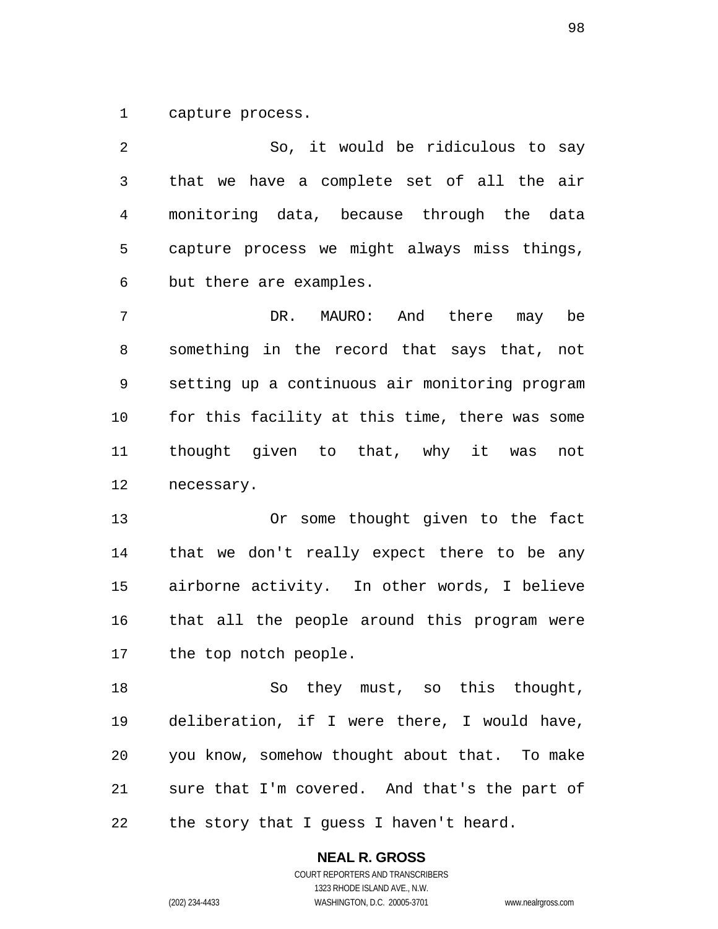capture process.

So, it would be ridiculous to say that we have a complete set of all the air monitoring data, because through the data capture process we might always miss things, but there are examples.

DR. MAURO: And there may be something in the record that says that, not setting up a continuous air monitoring program for this facility at this time, there was some thought given to that, why it was not necessary.

Or some thought given to the fact that we don't really expect there to be any airborne activity. In other words, I believe that all the people around this program were the top notch people.

So they must, so this thought, deliberation, if I were there, I would have, you know, somehow thought about that. To make sure that I'm covered. And that's the part of the story that I guess I haven't heard.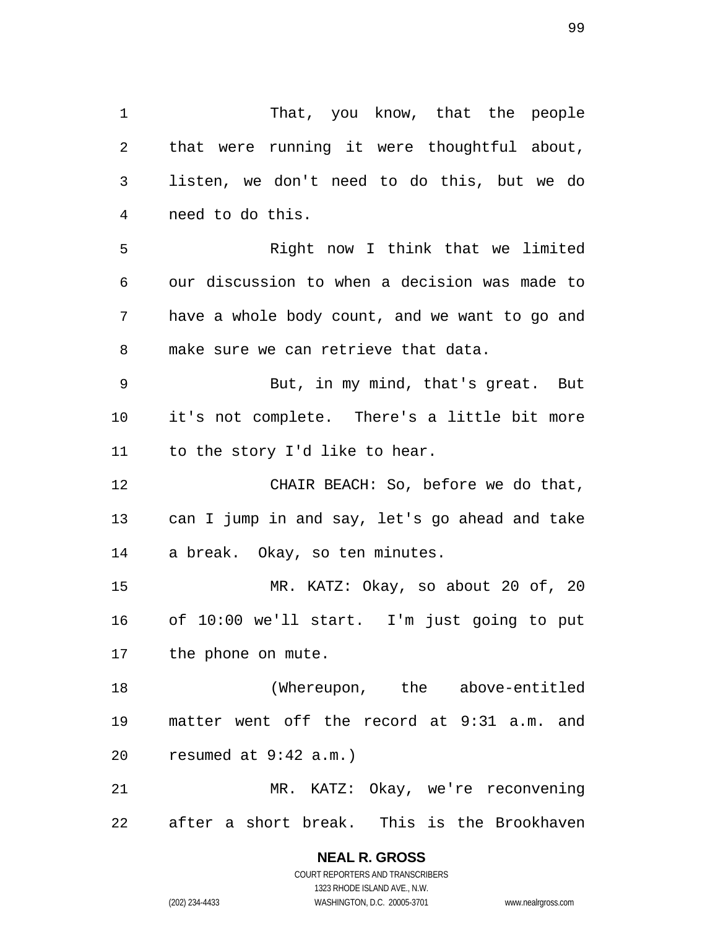That, you know, that the people that were running it were thoughtful about, listen, we don't need to do this, but we do need to do this. Right now I think that we limited our discussion to when a decision was made to have a whole body count, and we want to go and make sure we can retrieve that data. But, in my mind, that's great. But it's not complete. There's a little bit more to the story I'd like to hear. 12 CHAIR BEACH: So, before we do that, can I jump in and say, let's go ahead and take a break. Okay, so ten minutes. MR. KATZ: Okay, so about 20 of, 20 of 10:00 we'll start. I'm just going to put the phone on mute. (Whereupon, the above-entitled matter went off the record at 9:31 a.m. and resumed at 9:42 a.m.) MR. KATZ: Okay, we're reconvening after a short break. This is the Brookhaven

> **NEAL R. GROSS**  COURT REPORTERS AND TRANSCRIBERS 1323 RHODE ISLAND AVE., N.W.

(202) 234-4433 WASHINGTON, D.C. 20005-3701 www.nealrgross.com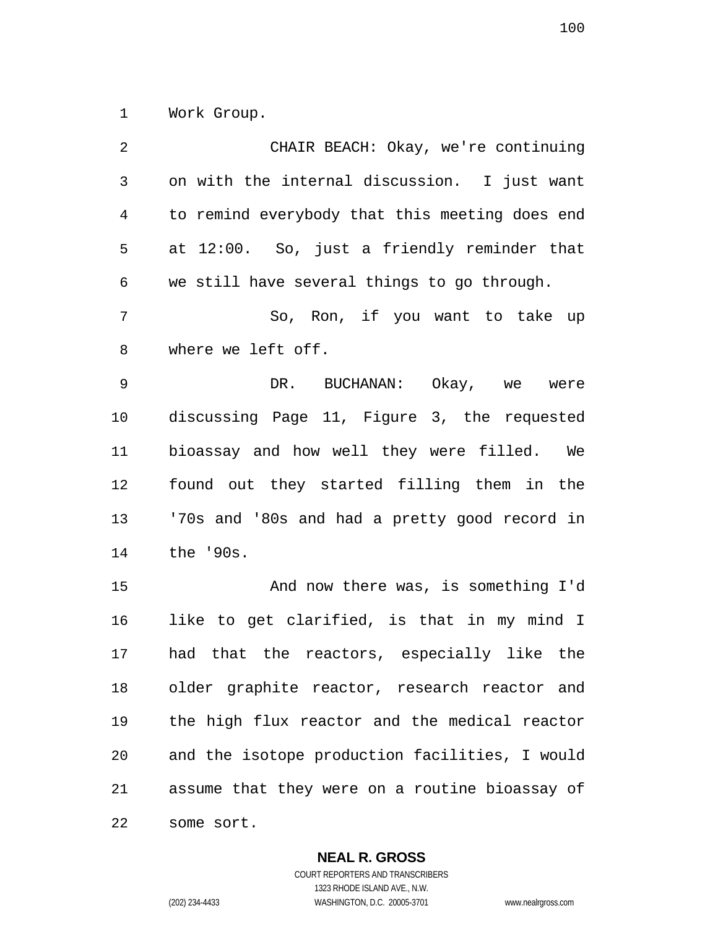Work Group.

| 2              | CHAIR BEACH: Okay, we're continuing            |
|----------------|------------------------------------------------|
| $\mathfrak{Z}$ | on with the internal discussion. I just want   |
| 4              | to remind everybody that this meeting does end |
| 5              | at 12:00. So, just a friendly reminder that    |
| 6              | we still have several things to go through.    |
| 7              | So, Ron, if you want to take up                |
| 8              | where we left off.                             |
| 9              | DR. BUCHANAN: Okay, we were                    |
| 10             | discussing Page 11, Figure 3, the requested    |
| 11             | bioassay and how well they were filled. We     |
| 12             | found out they started filling them in the     |
| 13             | '70s and '80s and had a pretty good record in  |
| 14             | the '90s.                                      |
| 15             | And now there was, is something I'd            |
| 16             | like to get clarified, is that in my mind I    |
| 17             | had that the reactors, especially like the     |
| 18             | older graphite reactor, research reactor and   |
| 19             | the high flux reactor and the medical reactor  |
| 20             | and the isotope production facilities, I would |
| 21             | assume that they were on a routine bioassay of |
| 22             | some sort.                                     |

**NEAL R. GROSS**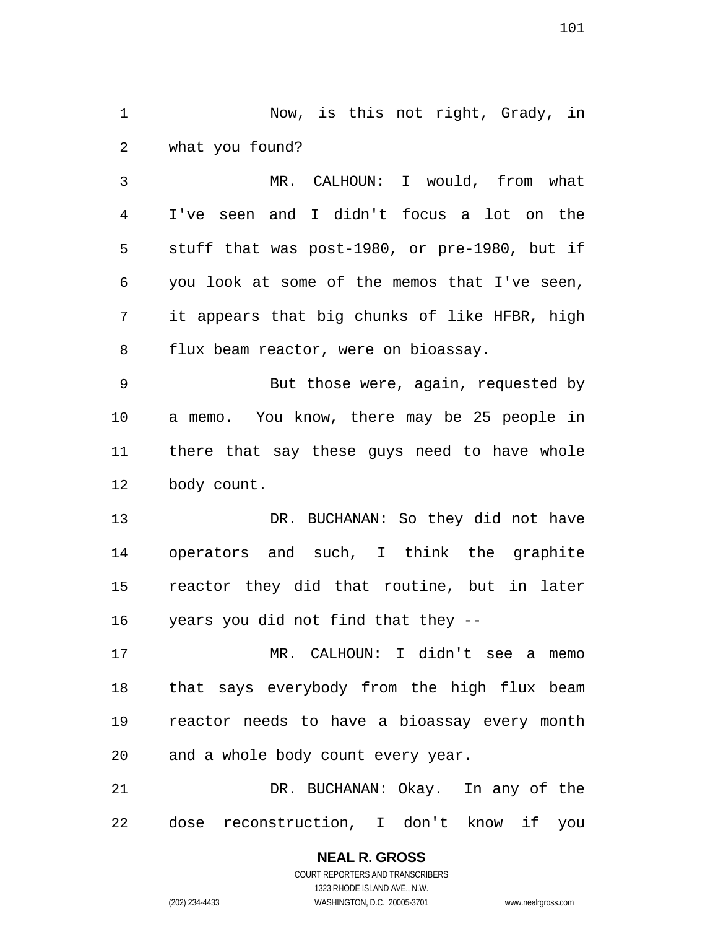Now, is this not right, Grady, in what you found?

MR. CALHOUN: I would, from what I've seen and I didn't focus a lot on the stuff that was post-1980, or pre-1980, but if you look at some of the memos that I've seen, it appears that big chunks of like HFBR, high flux beam reactor, were on bioassay.

But those were, again, requested by a memo. You know, there may be 25 people in there that say these guys need to have whole body count.

13 DR. BUCHANAN: So they did not have operators and such, I think the graphite reactor they did that routine, but in later years you did not find that they --

MR. CALHOUN: I didn't see a memo that says everybody from the high flux beam reactor needs to have a bioassay every month and a whole body count every year.

DR. BUCHANAN: Okay. In any of the dose reconstruction, I don't know if you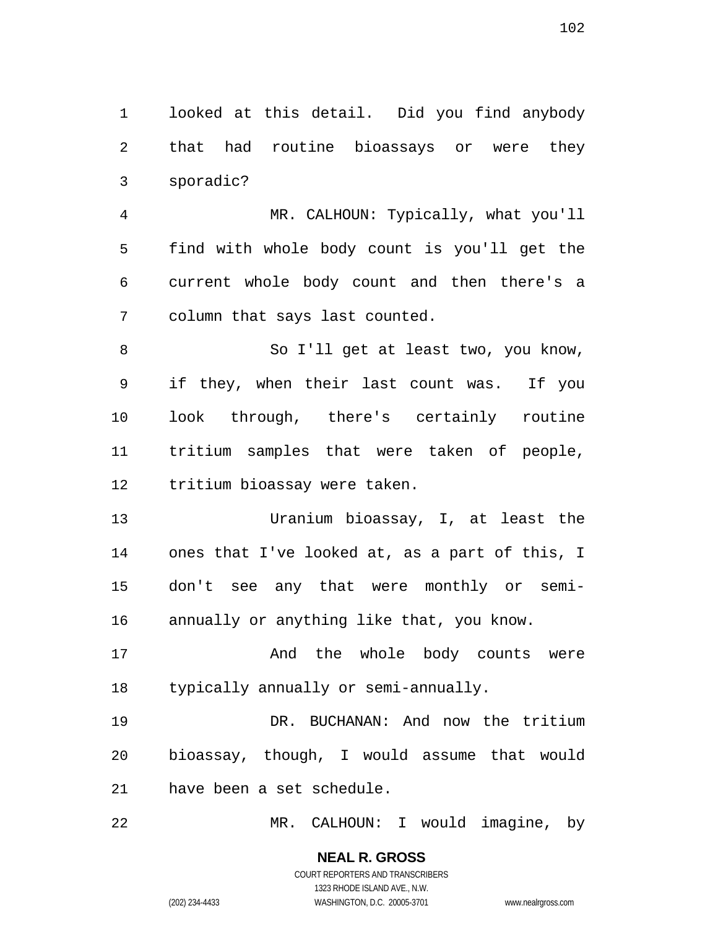looked at this detail. Did you find anybody that had routine bioassays or were they sporadic?

MR. CALHOUN: Typically, what you'll find with whole body count is you'll get the current whole body count and then there's a column that says last counted.

8 So I'll get at least two, you know, if they, when their last count was. If you look through, there's certainly routine tritium samples that were taken of people, tritium bioassay were taken.

Uranium bioassay, I, at least the ones that I've looked at, as a part of this, I don't see any that were monthly or semi-annually or anything like that, you know.

17 and the whole body counts were typically annually or semi-annually.

DR. BUCHANAN: And now the tritium bioassay, though, I would assume that would have been a set schedule.

MR. CALHOUN: I would imagine, by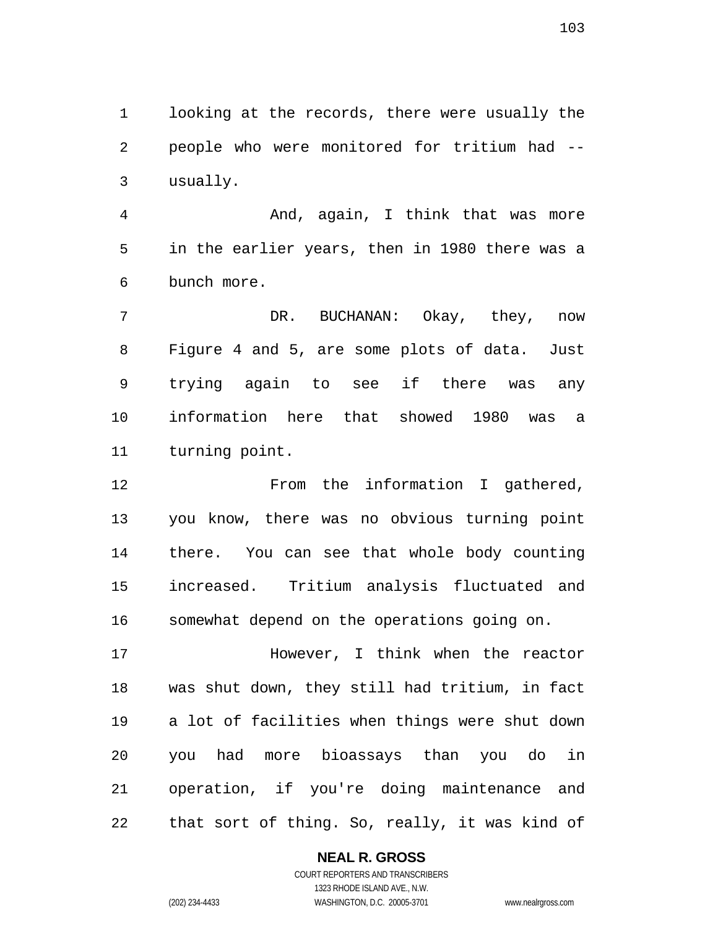looking at the records, there were usually the people who were monitored for tritium had -- usually.

And, again, I think that was more in the earlier years, then in 1980 there was a bunch more.

DR. BUCHANAN: Okay, they, now Figure 4 and 5, are some plots of data. Just trying again to see if there was any information here that showed 1980 was a turning point.

12 From the information I gathered, you know, there was no obvious turning point there. You can see that whole body counting increased. Tritium analysis fluctuated and somewhat depend on the operations going on.

However, I think when the reactor was shut down, they still had tritium, in fact a lot of facilities when things were shut down you had more bioassays than you do in operation, if you're doing maintenance and that sort of thing. So, really, it was kind of

**NEAL R. GROSS**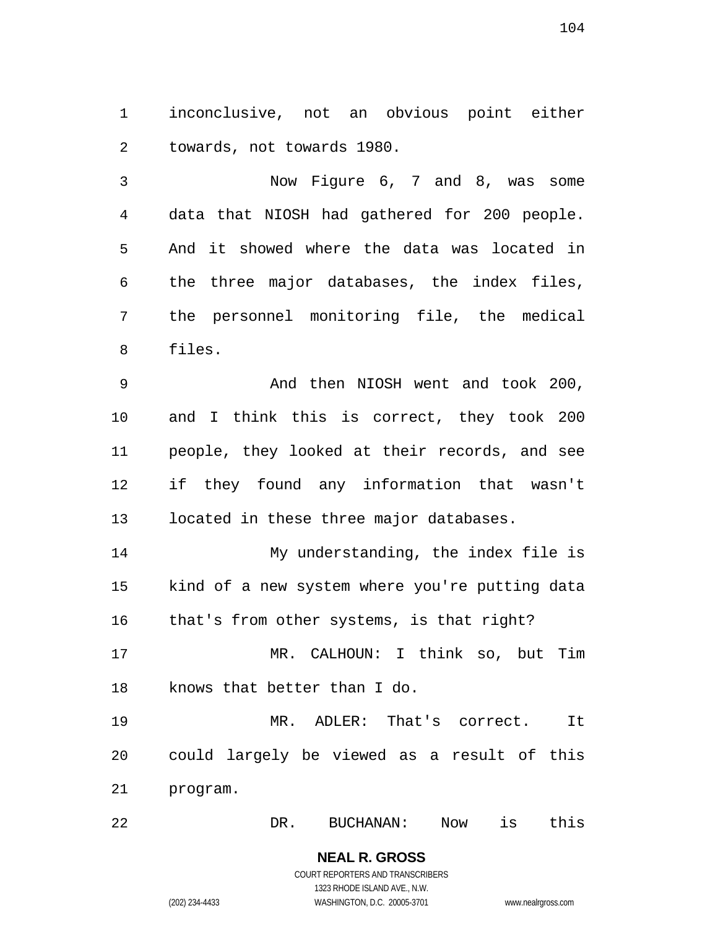inconclusive, not an obvious point either towards, not towards 1980.

Now Figure 6, 7 and 8, was some data that NIOSH had gathered for 200 people. And it showed where the data was located in the three major databases, the index files, the personnel monitoring file, the medical files.

And then NIOSH went and took 200, and I think this is correct, they took 200 people, they looked at their records, and see if they found any information that wasn't located in these three major databases.

My understanding, the index file is kind of a new system where you're putting data that's from other systems, is that right?

MR. CALHOUN: I think so, but Tim knows that better than I do.

MR. ADLER: That's correct. It could largely be viewed as a result of this program.

DR. BUCHANAN: Now is this

**NEAL R. GROSS**  COURT REPORTERS AND TRANSCRIBERS 1323 RHODE ISLAND AVE., N.W. (202) 234-4433 WASHINGTON, D.C. 20005-3701 www.nealrgross.com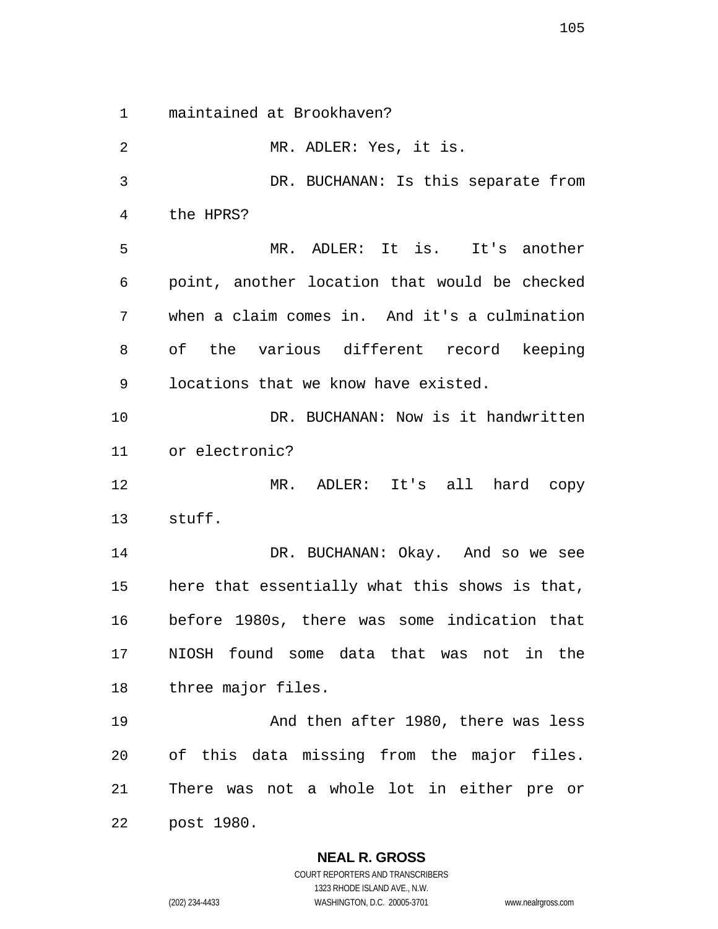maintained at Brookhaven?

MR. ADLER: Yes, it is. DR. BUCHANAN: Is this separate from the HPRS? MR. ADLER: It is. It's another point, another location that would be checked when a claim comes in. And it's a culmination of the various different record keeping locations that we know have existed. DR. BUCHANAN: Now is it handwritten or electronic? MR. ADLER: It's all hard copy stuff. 14 DR. BUCHANAN: Okay. And so we see here that essentially what this shows is that, before 1980s, there was some indication that NIOSH found some data that was not in the three major files. And then after 1980, there was less of this data missing from the major files. There was not a whole lot in either pre or post 1980.

1323 RHODE ISLAND AVE., N.W. (202) 234-4433 WASHINGTON, D.C. 20005-3701 www.nealrgross.com

**NEAL R. GROSS**  COURT REPORTERS AND TRANSCRIBERS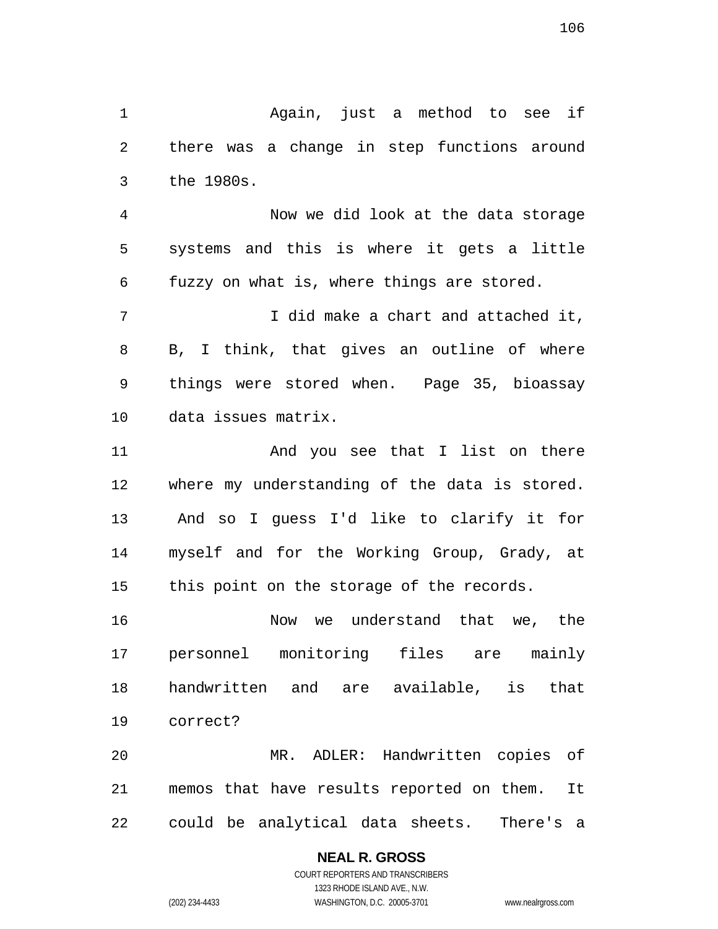Again, just a method to see if there was a change in step functions around the 1980s.

Now we did look at the data storage systems and this is where it gets a little fuzzy on what is, where things are stored.

7 I did make a chart and attached it, B, I think, that gives an outline of where things were stored when. Page 35, bioassay data issues matrix.

11 And you see that I list on there where my understanding of the data is stored. And so I guess I'd like to clarify it for myself and for the Working Group, Grady, at this point on the storage of the records.

Now we understand that we, the personnel monitoring files are mainly handwritten and are available, is that correct?

MR. ADLER: Handwritten copies of memos that have results reported on them. It could be analytical data sheets. There's a

### **NEAL R. GROSS**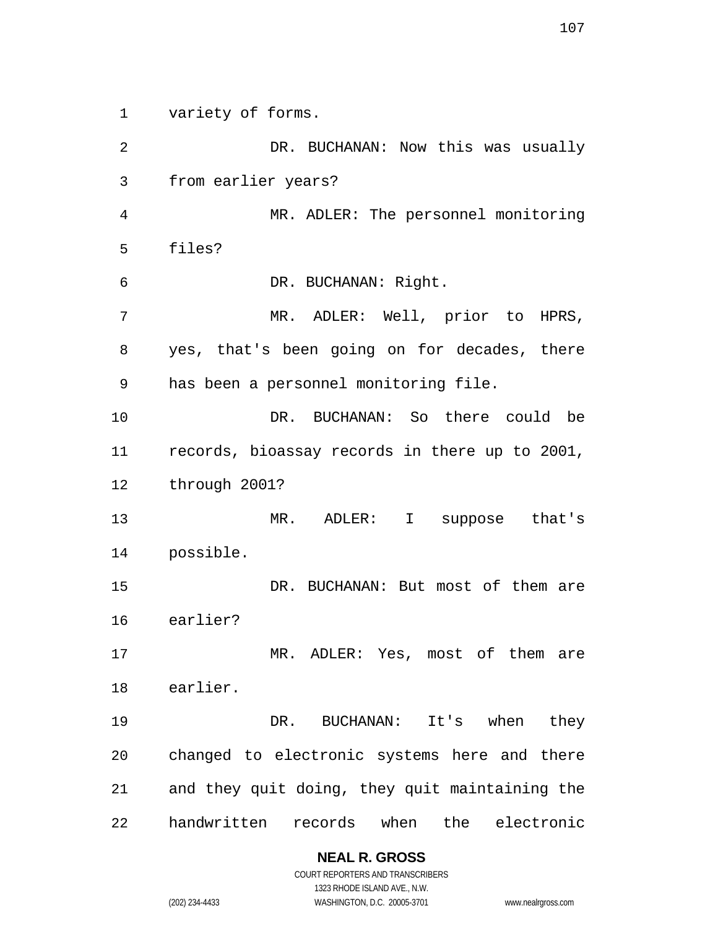variety of forms.

DR. BUCHANAN: Now this was usually from earlier years? MR. ADLER: The personnel monitoring files? DR. BUCHANAN: Right. MR. ADLER: Well, prior to HPRS, yes, that's been going on for decades, there has been a personnel monitoring file. DR. BUCHANAN: So there could be records, bioassay records in there up to 2001, through 2001? MR. ADLER: I suppose that's possible. 15 DR. BUCHANAN: But most of them are earlier? MR. ADLER: Yes, most of them are earlier. DR. BUCHANAN: It's when they changed to electronic systems here and there and they quit doing, they quit maintaining the handwritten records when the electronic

## **NEAL R. GROSS**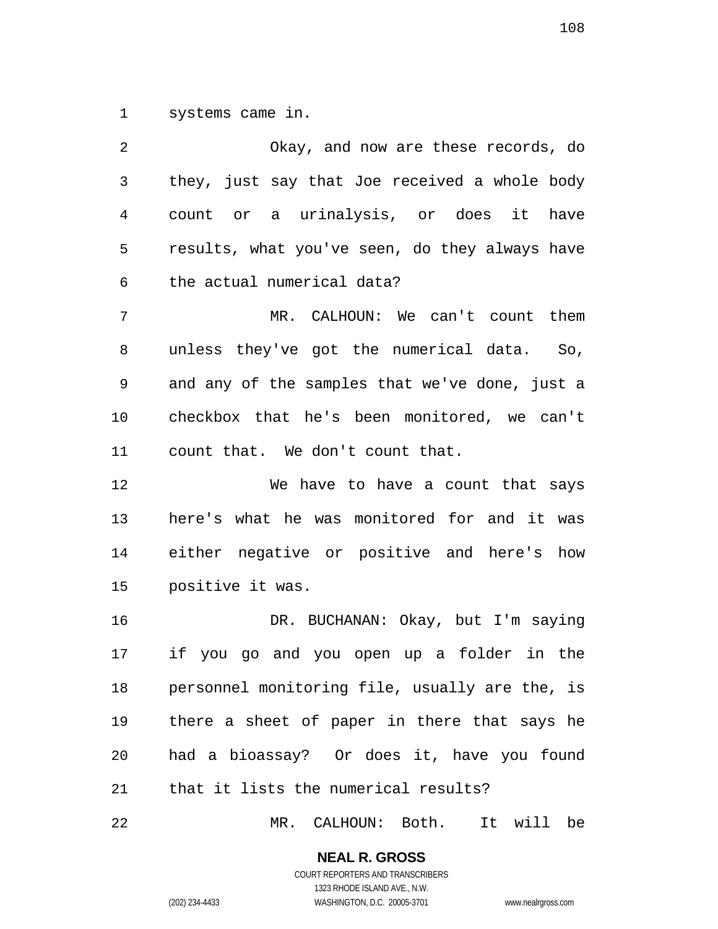systems came in.

Okay, and now are these records, do they, just say that Joe received a whole body count or a urinalysis, or does it have results, what you've seen, do they always have the actual numerical data? MR. CALHOUN: We can't count them unless they've got the numerical data. So, and any of the samples that we've done, just a checkbox that he's been monitored, we can't count that. We don't count that. We have to have a count that says here's what he was monitored for and it was either negative or positive and here's how positive it was. DR. BUCHANAN: Okay, but I'm saying if you go and you open up a folder in the personnel monitoring file, usually are the, is there a sheet of paper in there that says he had a bioassay? Or does it, have you found that it lists the numerical results?

MR. CALHOUN: Both. It will be

**NEAL R. GROSS**  COURT REPORTERS AND TRANSCRIBERS

1323 RHODE ISLAND AVE., N.W.

(202) 234-4433 WASHINGTON, D.C. 20005-3701 www.nealrgross.com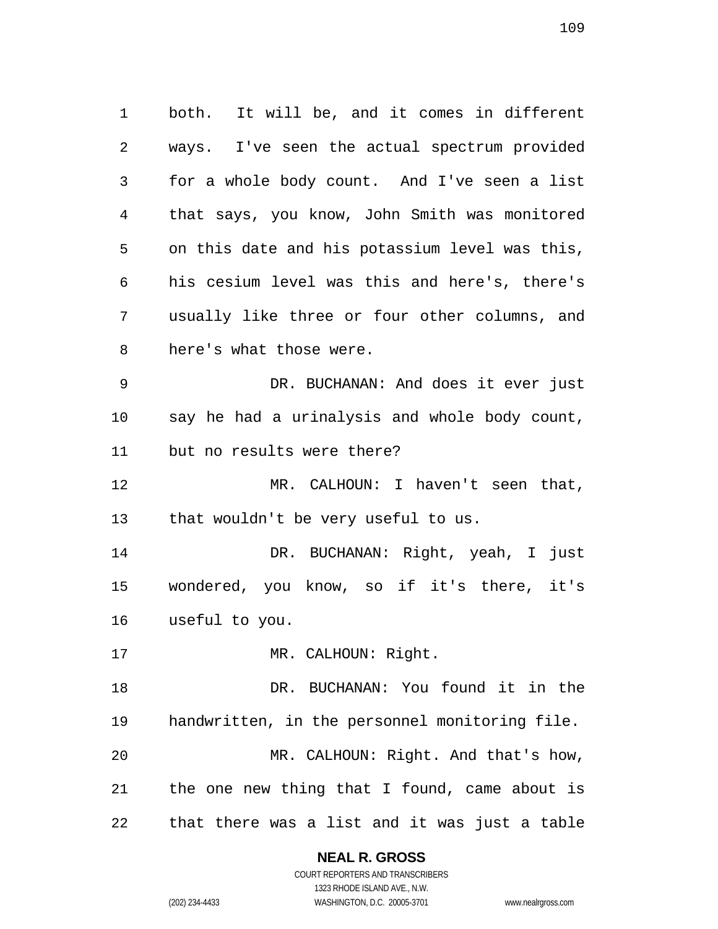both. It will be, and it comes in different ways. I've seen the actual spectrum provided for a whole body count. And I've seen a list that says, you know, John Smith was monitored on this date and his potassium level was this, his cesium level was this and here's, there's usually like three or four other columns, and here's what those were. DR. BUCHANAN: And does it ever just say he had a urinalysis and whole body count, but no results were there? MR. CALHOUN: I haven't seen that, that wouldn't be very useful to us. DR. BUCHANAN: Right, yeah, I just wondered, you know, so if it's there, it's useful to you. 17 MR. CALHOUN: Right. DR. BUCHANAN: You found it in the handwritten, in the personnel monitoring file. MR. CALHOUN: Right. And that's how, the one new thing that I found, came about is

that there was a list and it was just a table

**NEAL R. GROSS**  COURT REPORTERS AND TRANSCRIBERS

1323 RHODE ISLAND AVE., N.W.

(202) 234-4433 WASHINGTON, D.C. 20005-3701 www.nealrgross.com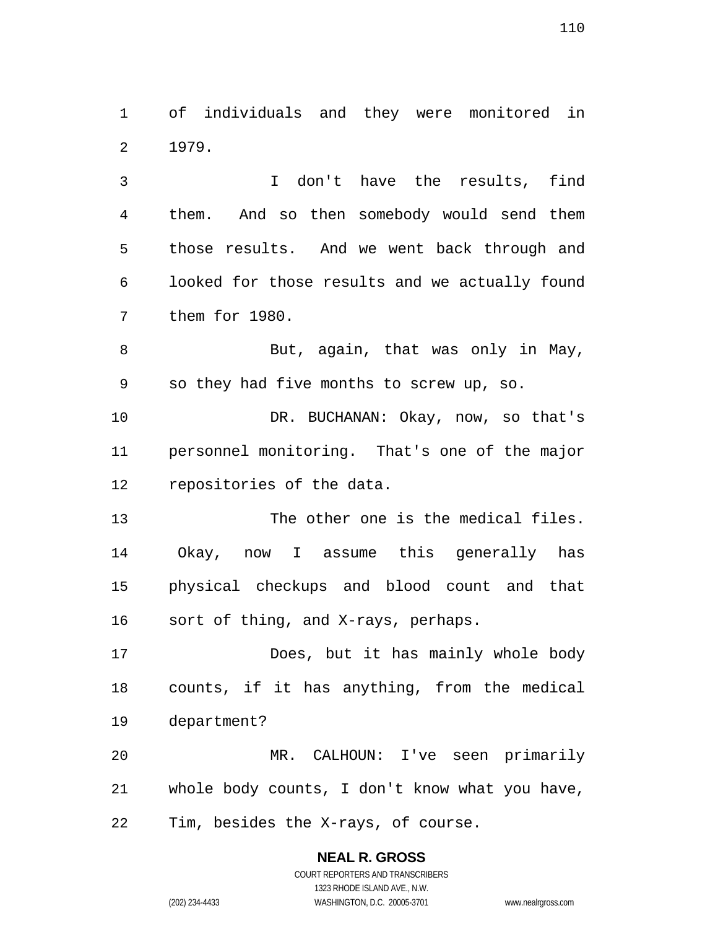of individuals and they were monitored in 1979.

I don't have the results, find them. And so then somebody would send them those results. And we went back through and looked for those results and we actually found them for 1980.

8 But, again, that was only in May, so they had five months to screw up, so.

DR. BUCHANAN: Okay, now, so that's personnel monitoring. That's one of the major repositories of the data.

The other one is the medical files. Okay, now I assume this generally has physical checkups and blood count and that sort of thing, and X-rays, perhaps.

Does, but it has mainly whole body counts, if it has anything, from the medical department?

MR. CALHOUN: I've seen primarily whole body counts, I don't know what you have, Tim, besides the X-rays, of course.

> **NEAL R. GROSS**  COURT REPORTERS AND TRANSCRIBERS 1323 RHODE ISLAND AVE., N.W. (202) 234-4433 WASHINGTON, D.C. 20005-3701 www.nealrgross.com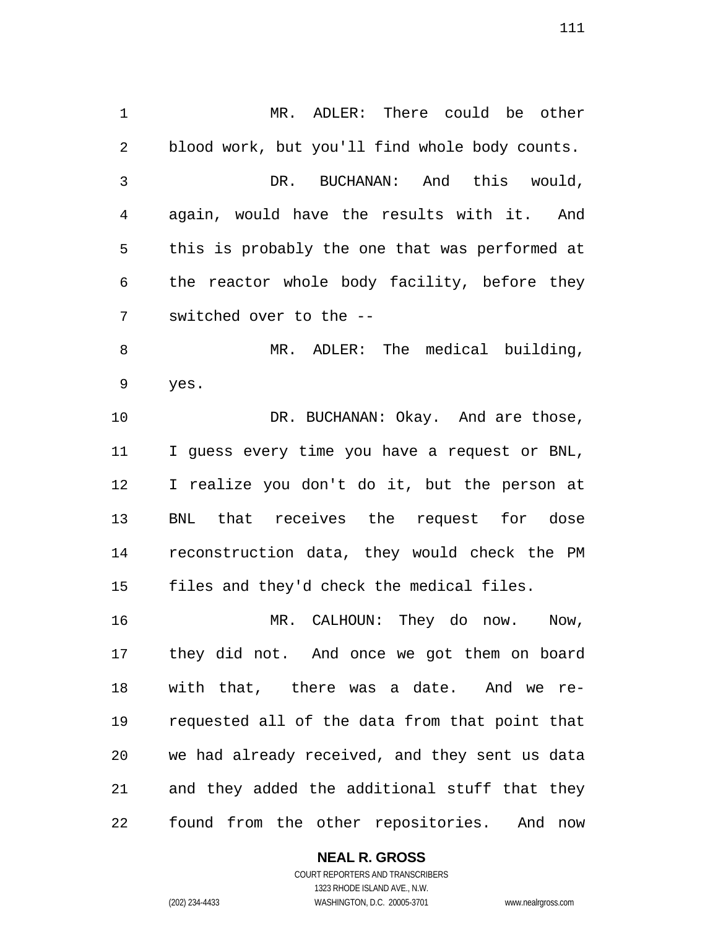MR. ADLER: There could be other blood work, but you'll find whole body counts. DR. BUCHANAN: And this would, again, would have the results with it. And this is probably the one that was performed at the reactor whole body facility, before they switched over to the -- 8 MR. ADLER: The medical building, yes. 10 DR. BUCHANAN: Okay. And are those, I guess every time you have a request or BNL, I realize you don't do it, but the person at BNL that receives the request for dose reconstruction data, they would check the PM files and they'd check the medical files. MR. CALHOUN: They do now. Now, they did not. And once we got them on board with that, there was a date. And we re-requested all of the data from that point that we had already received, and they sent us data

found from the other repositories. And now

and they added the additional stuff that they

### **NEAL R. GROSS**

COURT REPORTERS AND TRANSCRIBERS 1323 RHODE ISLAND AVE., N.W. (202) 234-4433 WASHINGTON, D.C. 20005-3701 www.nealrgross.com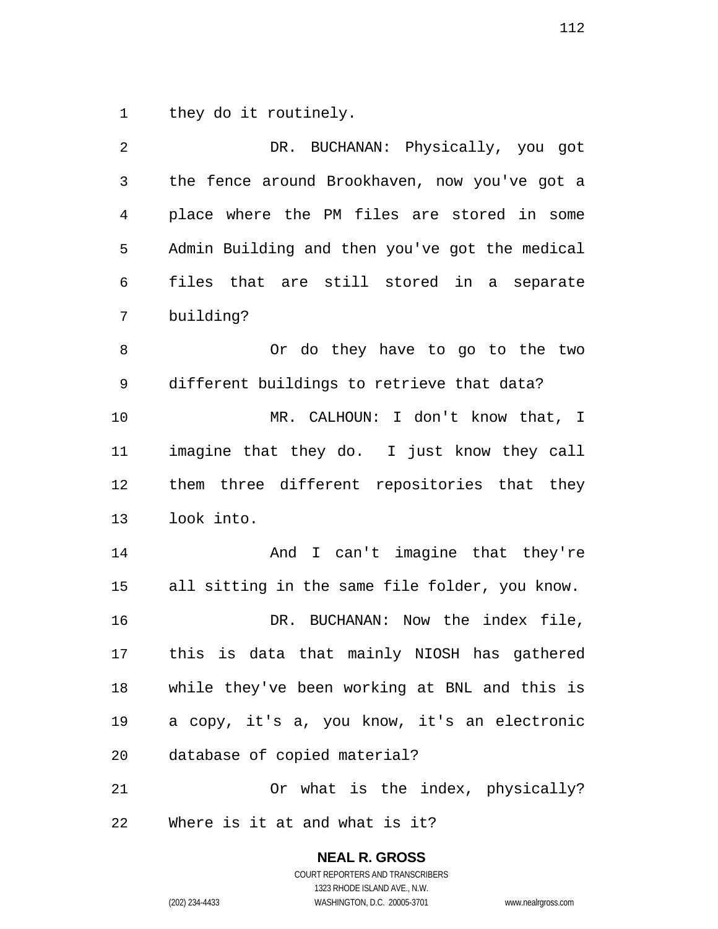they do it routinely.

| $\overline{2}$ | DR. BUCHANAN: Physically, you got              |
|----------------|------------------------------------------------|
| $\mathfrak{Z}$ | the fence around Brookhaven, now you've got a  |
| $\overline{4}$ | place where the PM files are stored in some    |
| 5              | Admin Building and then you've got the medical |
| 6              | files that are still stored in a separate      |
| 7              | building?                                      |
| 8              | Or do they have to go to the two               |
| 9              | different buildings to retrieve that data?     |
| 10             | MR. CALHOUN: I don't know that, I              |
| 11             | imagine that they do. I just know they call    |
| 12             | them three different repositories that they    |
| 13             | look into.                                     |
| 14             | And I can't imagine that they're               |
| 15             | all sitting in the same file folder, you know. |
| 16             | DR. BUCHANAN: Now the index file,              |
| 17             | this is data that mainly NIOSH has gathered    |
| 18             | while they've been working at BNL and this is  |
| 19             | a copy, it's a, you know, it's an electronic   |
| 20             | database of copied material?                   |
| 21             | Or what is the index, physically?              |
|                |                                                |

**NEAL R. GROSS**  COURT REPORTERS AND TRANSCRIBERS 1323 RHODE ISLAND AVE., N.W. (202) 234-4433 WASHINGTON, D.C. 20005-3701 www.nealrgross.com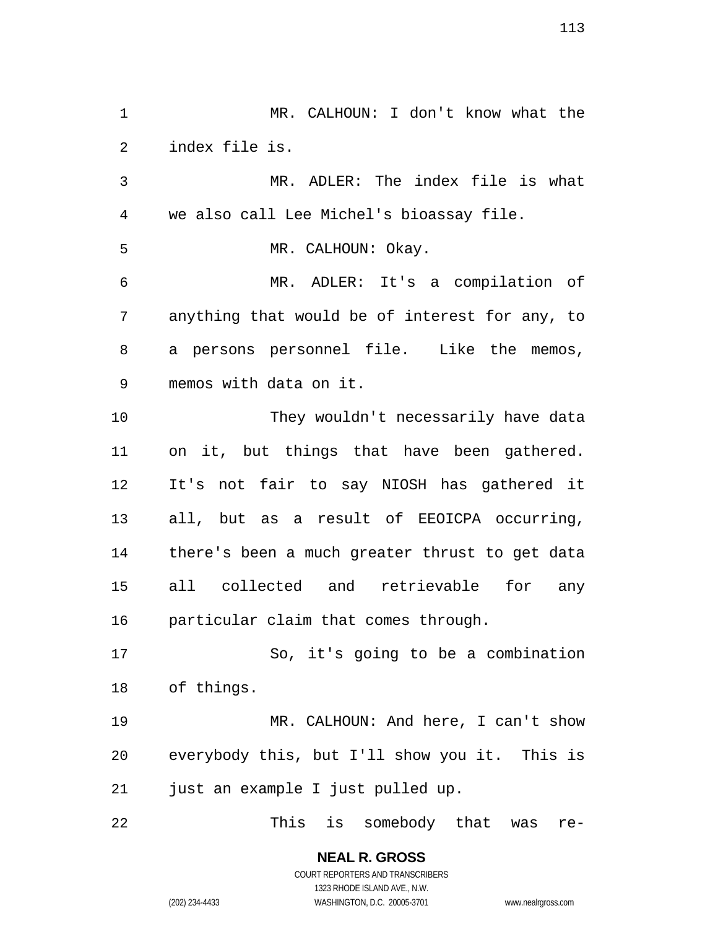MR. CALHOUN: I don't know what the index file is. MR. ADLER: The index file is what we also call Lee Michel's bioassay file. 5 MR. CALHOUN: Okay. MR. ADLER: It's a compilation of anything that would be of interest for any, to a persons personnel file. Like the memos, memos with data on it. They wouldn't necessarily have data on it, but things that have been gathered. It's not fair to say NIOSH has gathered it all, but as a result of EEOICPA occurring, there's been a much greater thrust to get data all collected and retrievable for any particular claim that comes through. So, it's going to be a combination of things. MR. CALHOUN: And here, I can't show everybody this, but I'll show you it. This is just an example I just pulled up. This is somebody that was re-

COURT REPORTERS AND TRANSCRIBERS 1323 RHODE ISLAND AVE., N.W. (202) 234-4433 WASHINGTON, D.C. 20005-3701 www.nealrgross.com

**NEAL R. GROSS**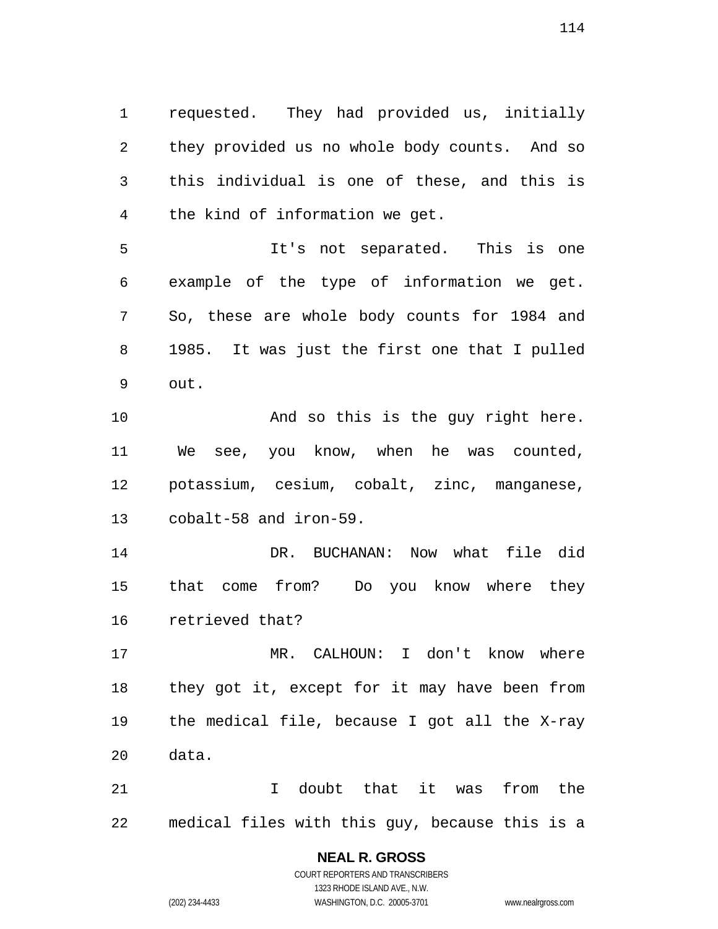requested. They had provided us, initially they provided us no whole body counts. And so this individual is one of these, and this is the kind of information we get.

It's not separated. This is one example of the type of information we get. So, these are whole body counts for 1984 and 1985. It was just the first one that I pulled out.

10 And so this is the guy right here. We see, you know, when he was counted, potassium, cesium, cobalt, zinc, manganese, cobalt-58 and iron-59.

DR. BUCHANAN: Now what file did that come from? Do you know where they retrieved that?

MR. CALHOUN: I don't know where they got it, except for it may have been from the medical file, because I got all the X-ray data.

I doubt that it was from the medical files with this guy, because this is a

# **NEAL R. GROSS**

COURT REPORTERS AND TRANSCRIBERS 1323 RHODE ISLAND AVE., N.W. (202) 234-4433 WASHINGTON, D.C. 20005-3701 www.nealrgross.com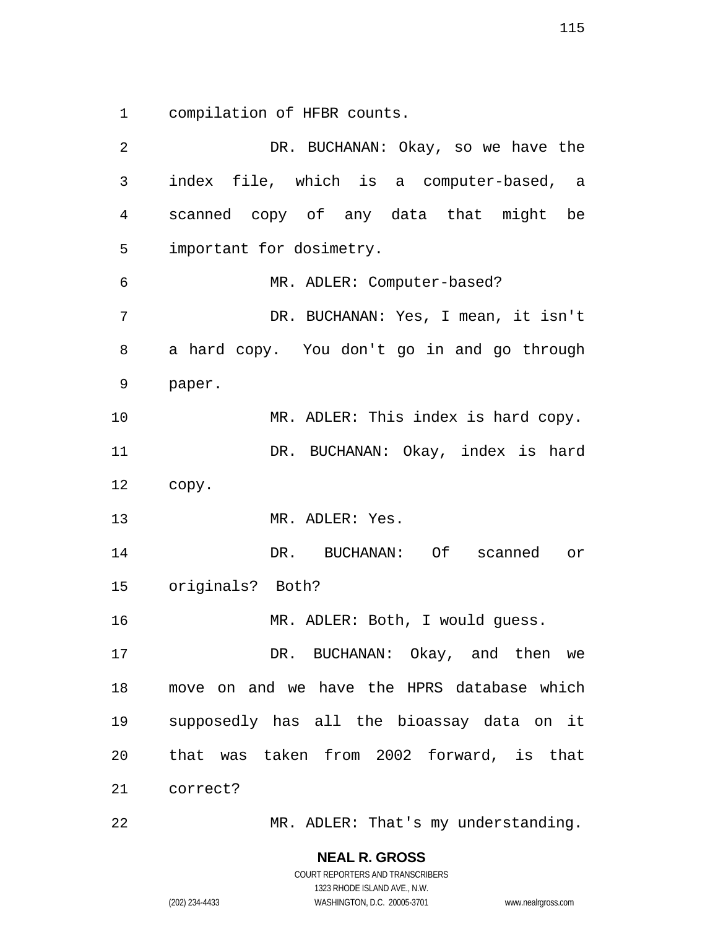compilation of HFBR counts.

DR. BUCHANAN: Okay, so we have the index file, which is a computer-based, a scanned copy of any data that might be important for dosimetry. MR. ADLER: Computer-based? DR. BUCHANAN: Yes, I mean, it isn't a hard copy. You don't go in and go through paper. 10 MR. ADLER: This index is hard copy. 11 DR. BUCHANAN: Okay, index is hard copy. MR. ADLER: Yes. DR. BUCHANAN: Of scanned or originals? Both? MR. ADLER: Both, I would guess. DR. BUCHANAN: Okay, and then we move on and we have the HPRS database which supposedly has all the bioassay data on it that was taken from 2002 forward, is that correct?

MR. ADLER: That's my understanding.

**NEAL R. GROSS**  COURT REPORTERS AND TRANSCRIBERS

1323 RHODE ISLAND AVE., N.W. (202) 234-4433 WASHINGTON, D.C. 20005-3701 www.nealrgross.com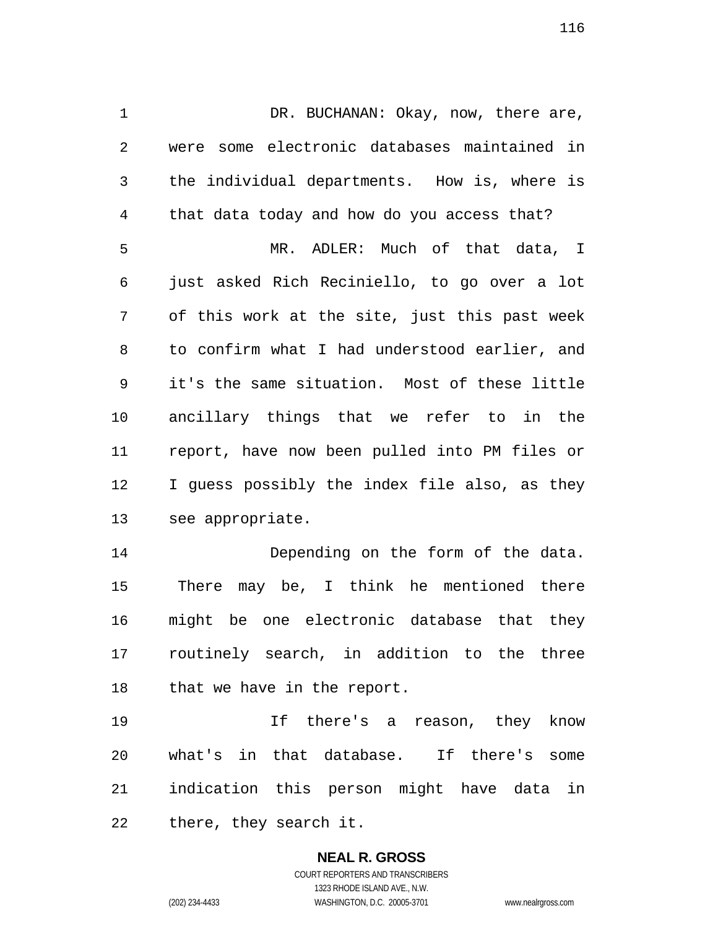1 DR. BUCHANAN: Okay, now, there are, were some electronic databases maintained in the individual departments. How is, where is that data today and how do you access that? MR. ADLER: Much of that data, I just asked Rich Reciniello, to go over a lot of this work at the site, just this past week to confirm what I had understood earlier, and it's the same situation. Most of these little ancillary things that we refer to in the report, have now been pulled into PM files or I guess possibly the index file also, as they see appropriate.

Depending on the form of the data. There may be, I think he mentioned there might be one electronic database that they routinely search, in addition to the three 18 that we have in the report.

If there's a reason, they know what's in that database. If there's some indication this person might have data in there, they search it.

> **NEAL R. GROSS**  COURT REPORTERS AND TRANSCRIBERS 1323 RHODE ISLAND AVE., N.W. (202) 234-4433 WASHINGTON, D.C. 20005-3701 www.nealrgross.com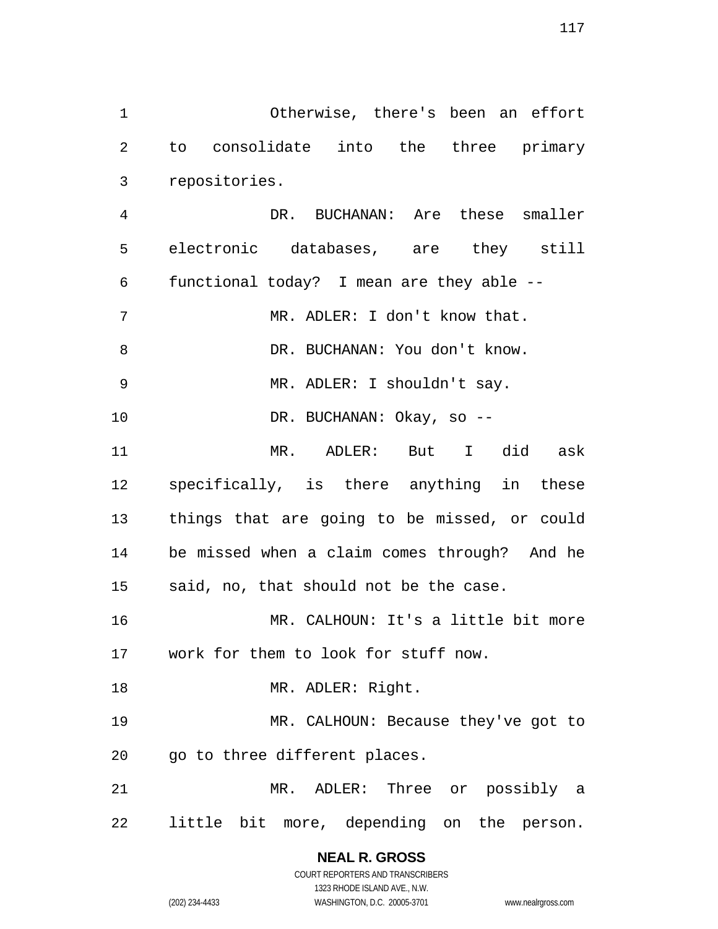Otherwise, there's been an effort to consolidate into the three primary repositories.

DR. BUCHANAN: Are these smaller electronic databases, are they still functional today? I mean are they able -- 7 MR. ADLER: I don't know that. 8 DR. BUCHANAN: You don't know. MR. ADLER: I shouldn't say. DR. BUCHANAN: Okay, so -- MR. ADLER: But I did ask specifically, is there anything in these things that are going to be missed, or could be missed when a claim comes through? And he said, no, that should not be the case. MR. CALHOUN: It's a little bit more work for them to look for stuff now. 18 MR. ADLER: Right. MR. CALHOUN: Because they've got to 20 go to three different places. MR. ADLER: Three or possibly a

little bit more, depending on the person.

**NEAL R. GROSS**  COURT REPORTERS AND TRANSCRIBERS

1323 RHODE ISLAND AVE., N.W.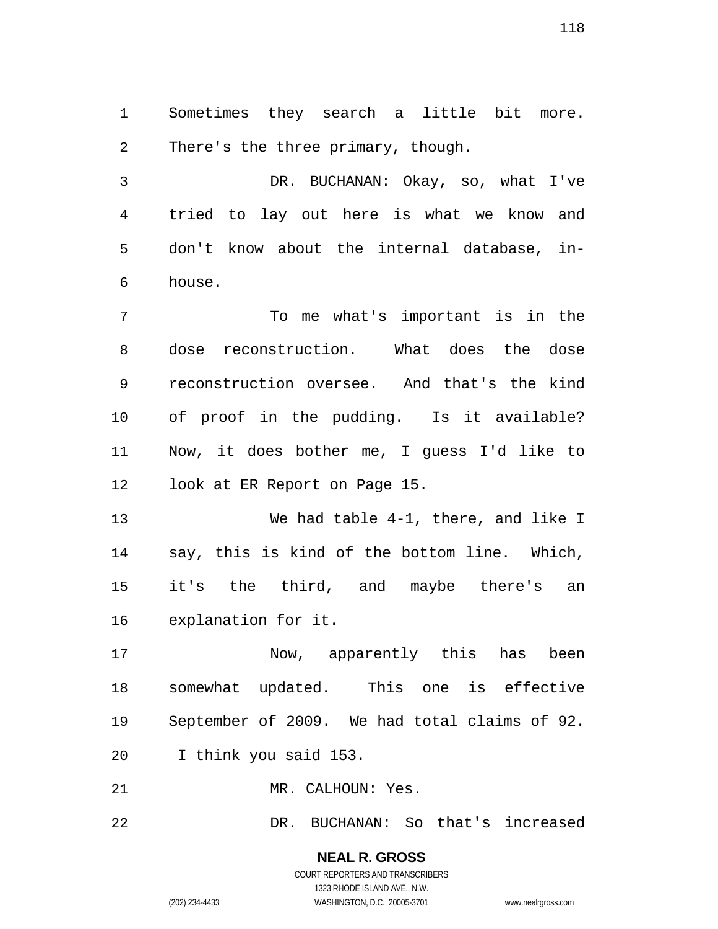Sometimes they search a little bit more. There's the three primary, though.

DR. BUCHANAN: Okay, so, what I've tried to lay out here is what we know and don't know about the internal database, in-house.

To me what's important is in the dose reconstruction. What does the dose reconstruction oversee. And that's the kind of proof in the pudding. Is it available? Now, it does bother me, I guess I'd like to look at ER Report on Page 15.

We had table 4-1, there, and like I say, this is kind of the bottom line. Which, it's the third, and maybe there's an explanation for it.

Now, apparently this has been somewhat updated. This one is effective September of 2009. We had total claims of 92. I think you said 153.

MR. CALHOUN: Yes.

DR. BUCHANAN: So that's increased

**NEAL R. GROSS**  COURT REPORTERS AND TRANSCRIBERS 1323 RHODE ISLAND AVE., N.W. (202) 234-4433 WASHINGTON, D.C. 20005-3701 www.nealrgross.com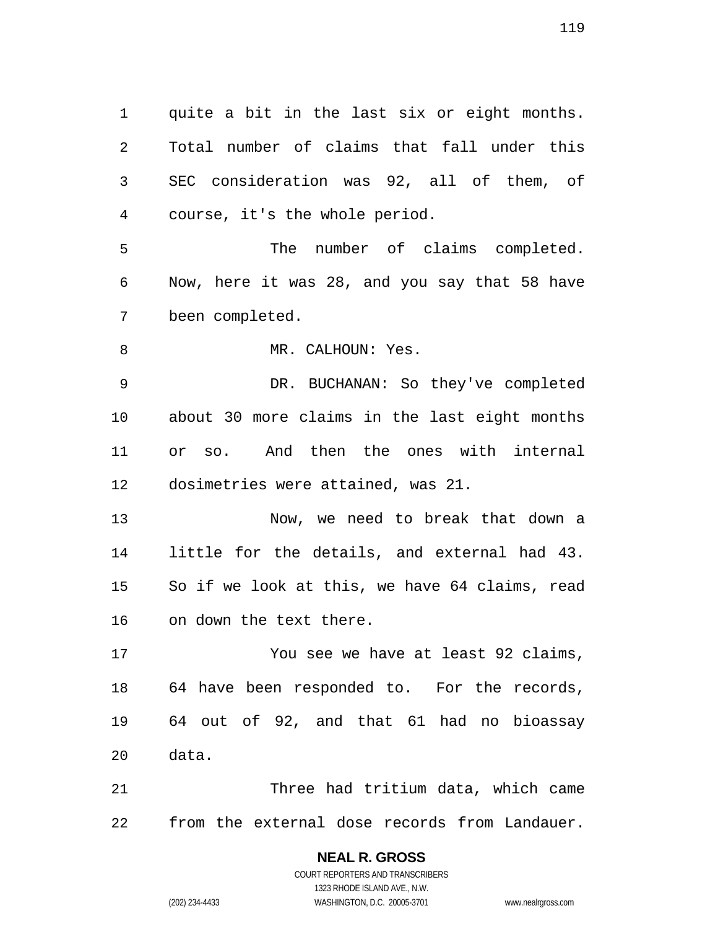quite a bit in the last six or eight months. Total number of claims that fall under this SEC consideration was 92, all of them, of course, it's the whole period. The number of claims completed. Now, here it was 28, and you say that 58 have been completed. 8 MR. CALHOUN: Yes. DR. BUCHANAN: So they've completed about 30 more claims in the last eight months or so. And then the ones with internal dosimetries were attained, was 21. Now, we need to break that down a little for the details, and external had 43. So if we look at this, we have 64 claims, read on down the text there. You see we have at least 92 claims, 64 have been responded to. For the records, 64 out of 92, and that 61 had no bioassay data. Three had tritium data, which came

from the external dose records from Landauer.

COURT REPORTERS AND TRANSCRIBERS 1323 RHODE ISLAND AVE., N.W. (202) 234-4433 WASHINGTON, D.C. 20005-3701 www.nealrgross.com

**NEAL R. GROSS**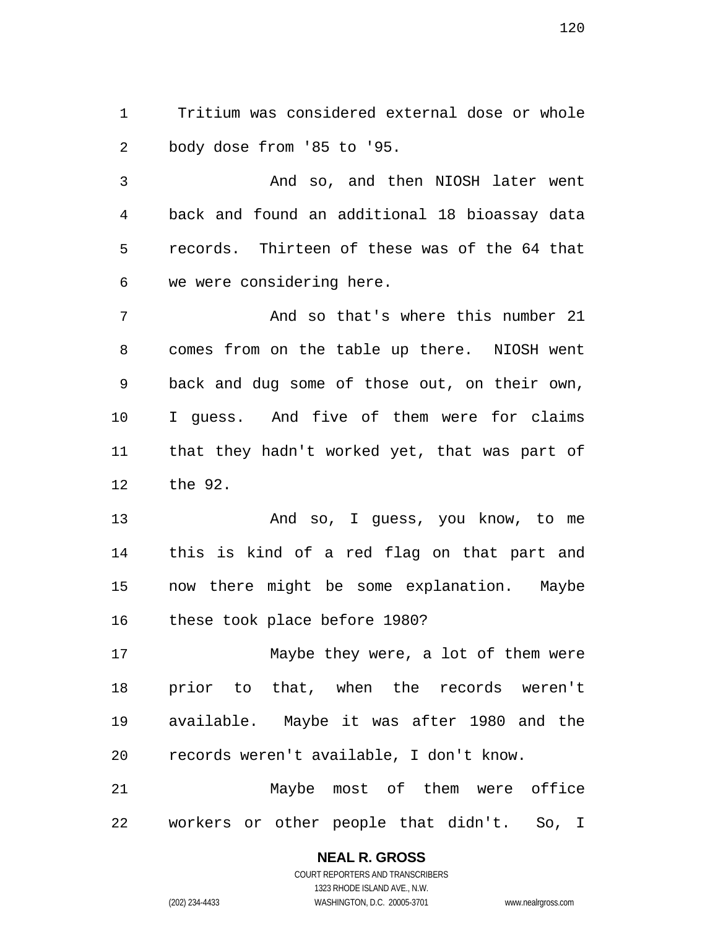Tritium was considered external dose or whole body dose from '85 to '95.

And so, and then NIOSH later went back and found an additional 18 bioassay data records. Thirteen of these was of the 64 that we were considering here.

And so that's where this number 21 comes from on the table up there. NIOSH went back and dug some of those out, on their own, I guess. And five of them were for claims that they hadn't worked yet, that was part of the 92.

And so, I guess, you know, to me this is kind of a red flag on that part and now there might be some explanation. Maybe these took place before 1980?

Maybe they were, a lot of them were prior to that, when the records weren't available. Maybe it was after 1980 and the records weren't available, I don't know.

Maybe most of them were office workers or other people that didn't. So, I

### **NEAL R. GROSS**

COURT REPORTERS AND TRANSCRIBERS 1323 RHODE ISLAND AVE., N.W. (202) 234-4433 WASHINGTON, D.C. 20005-3701 www.nealrgross.com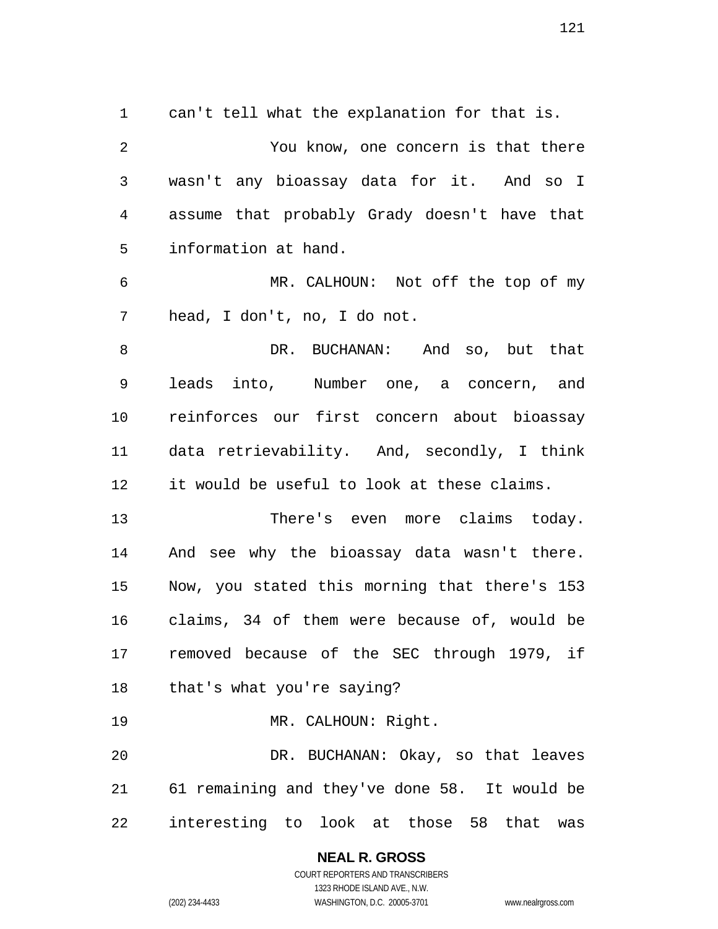can't tell what the explanation for that is. You know, one concern is that there wasn't any bioassay data for it. And so I assume that probably Grady doesn't have that information at hand. MR. CALHOUN: Not off the top of my head, I don't, no, I do not. 8 BUCHANAN: And so, but that leads into, Number one, a concern, and reinforces our first concern about bioassay data retrievability. And, secondly, I think it would be useful to look at these claims. There's even more claims today. And see why the bioassay data wasn't there. Now, you stated this morning that there's 153 claims, 34 of them were because of, would be removed because of the SEC through 1979, if that's what you're saying? MR. CALHOUN: Right. DR. BUCHANAN: Okay, so that leaves 61 remaining and they've done 58. It would be interesting to look at those 58 that was

> **NEAL R. GROSS**  COURT REPORTERS AND TRANSCRIBERS 1323 RHODE ISLAND AVE., N.W. (202) 234-4433 WASHINGTON, D.C. 20005-3701 www.nealrgross.com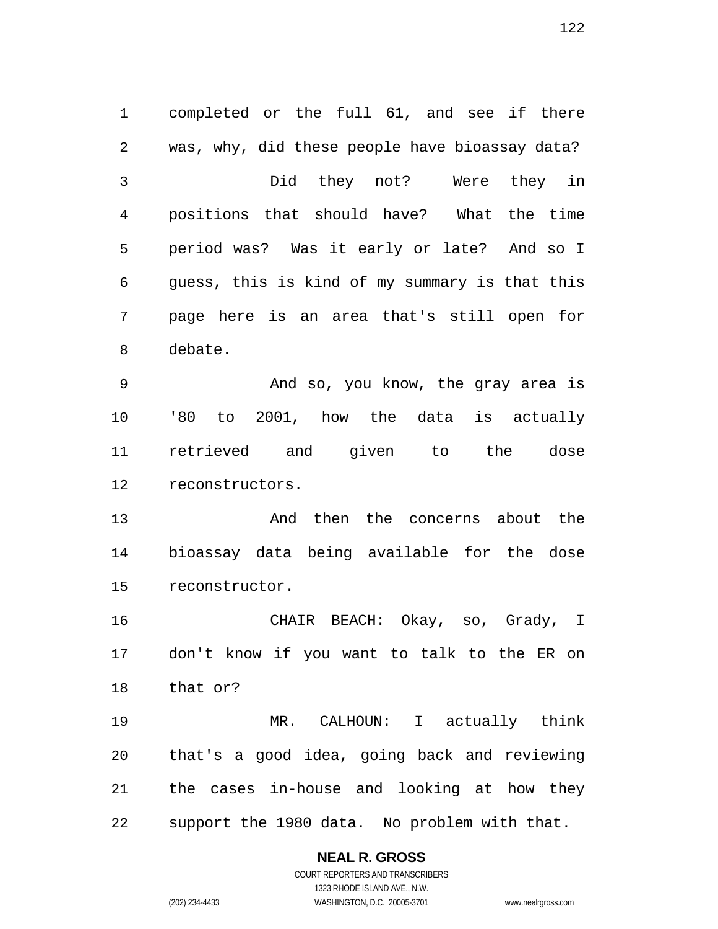completed or the full 61, and see if there was, why, did these people have bioassay data? Did they not? Were they in positions that should have? What the time period was? Was it early or late? And so I guess, this is kind of my summary is that this page here is an area that's still open for debate. And so, you know, the gray area is '80 to 2001, how the data is actually retrieved and given to the dose reconstructors. And then the concerns about the bioassay data being available for the dose reconstructor. CHAIR BEACH: Okay, so, Grady, I don't know if you want to talk to the ER on that or? MR. CALHOUN: I actually think

that's a good idea, going back and reviewing the cases in-house and looking at how they support the 1980 data. No problem with that.

> **NEAL R. GROSS**  COURT REPORTERS AND TRANSCRIBERS

> > 1323 RHODE ISLAND AVE., N.W.

(202) 234-4433 WASHINGTON, D.C. 20005-3701 www.nealrgross.com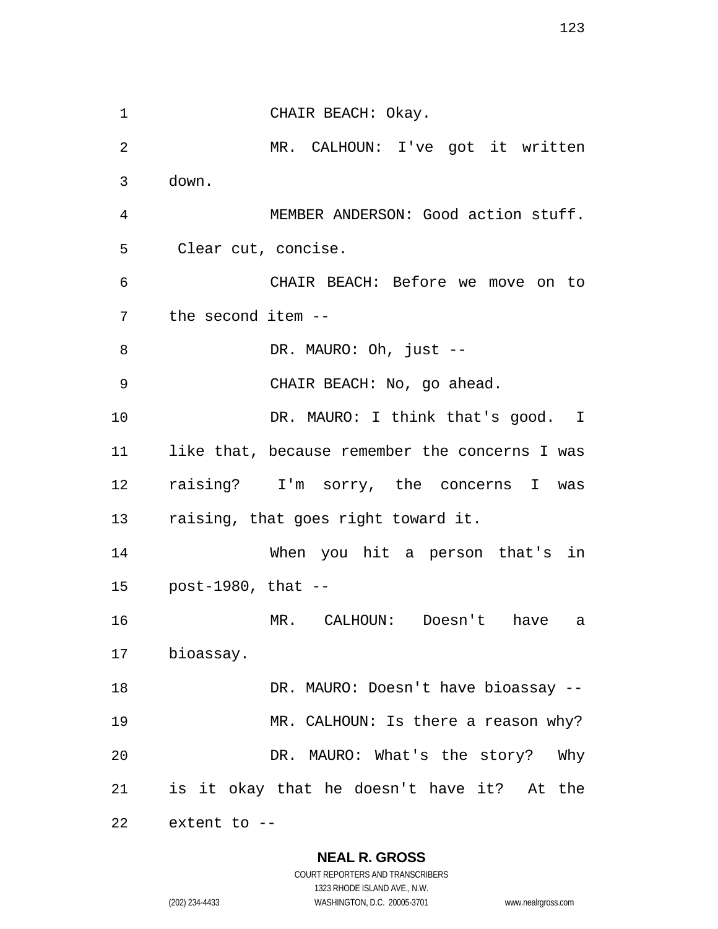CHAIR BEACH: Okay. MR. CALHOUN: I've got it written down. MEMBER ANDERSON: Good action stuff. Clear cut, concise. CHAIR BEACH: Before we move on to the second item -- 8 DR. MAURO: Oh, just --CHAIR BEACH: No, go ahead. 10 DR. MAURO: I think that's good. I like that, because remember the concerns I was raising? I'm sorry, the concerns I was raising, that goes right toward it. When you hit a person that's in post-1980, that -- MR. CALHOUN: Doesn't have a bioassay. 18 DR. MAURO: Doesn't have bioassay --19 MR. CALHOUN: Is there a reason why? DR. MAURO: What's the story? Why is it okay that he doesn't have it? At the extent to --

**NEAL R. GROSS** 

COURT REPORTERS AND TRANSCRIBERS 1323 RHODE ISLAND AVE., N.W. (202) 234-4433 WASHINGTON, D.C. 20005-3701 www.nealrgross.com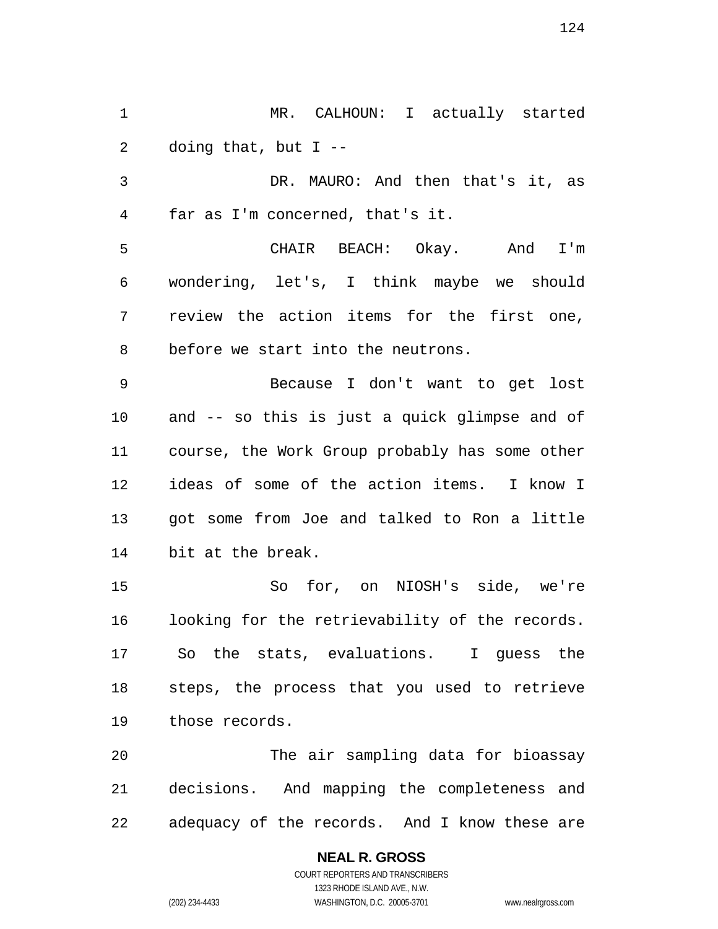MR. CALHOUN: I actually started doing that, but I --

DR. MAURO: And then that's it, as far as I'm concerned, that's it.

CHAIR BEACH: Okay. And I'm wondering, let's, I think maybe we should review the action items for the first one, before we start into the neutrons.

Because I don't want to get lost and -- so this is just a quick glimpse and of course, the Work Group probably has some other ideas of some of the action items. I know I got some from Joe and talked to Ron a little bit at the break.

So for, on NIOSH's side, we're looking for the retrievability of the records. So the stats, evaluations. I guess the steps, the process that you used to retrieve those records.

The air sampling data for bioassay decisions. And mapping the completeness and adequacy of the records. And I know these are

> **NEAL R. GROSS**  COURT REPORTERS AND TRANSCRIBERS 1323 RHODE ISLAND AVE., N.W. (202) 234-4433 WASHINGTON, D.C. 20005-3701 www.nealrgross.com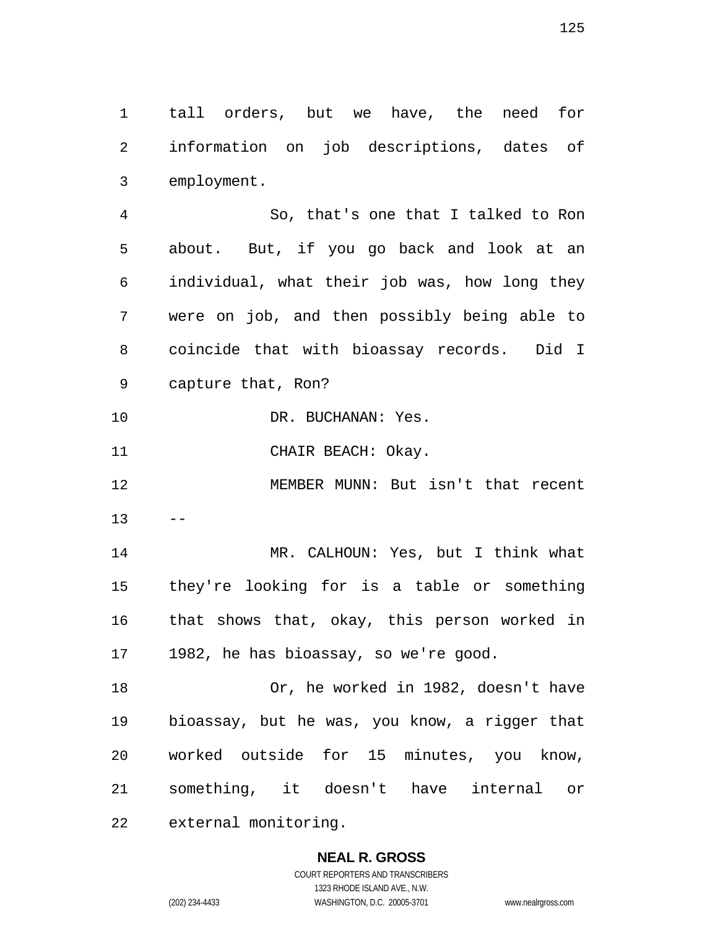tall orders, but we have, the need for information on job descriptions, dates of employment.

So, that's one that I talked to Ron about. But, if you go back and look at an individual, what their job was, how long they were on job, and then possibly being able to coincide that with bioassay records. Did I capture that, Ron?

DR. BUCHANAN: Yes.

11 CHAIR BEACH: Okay.

MEMBER MUNN: But isn't that recent  $13 - -$ 

MR. CALHOUN: Yes, but I think what they're looking for is a table or something that shows that, okay, this person worked in 1982, he has bioassay, so we're good.

Or, he worked in 1982, doesn't have bioassay, but he was, you know, a rigger that worked outside for 15 minutes, you know, something, it doesn't have internal or external monitoring.

> **NEAL R. GROSS**  COURT REPORTERS AND TRANSCRIBERS

> > 1323 RHODE ISLAND AVE., N.W.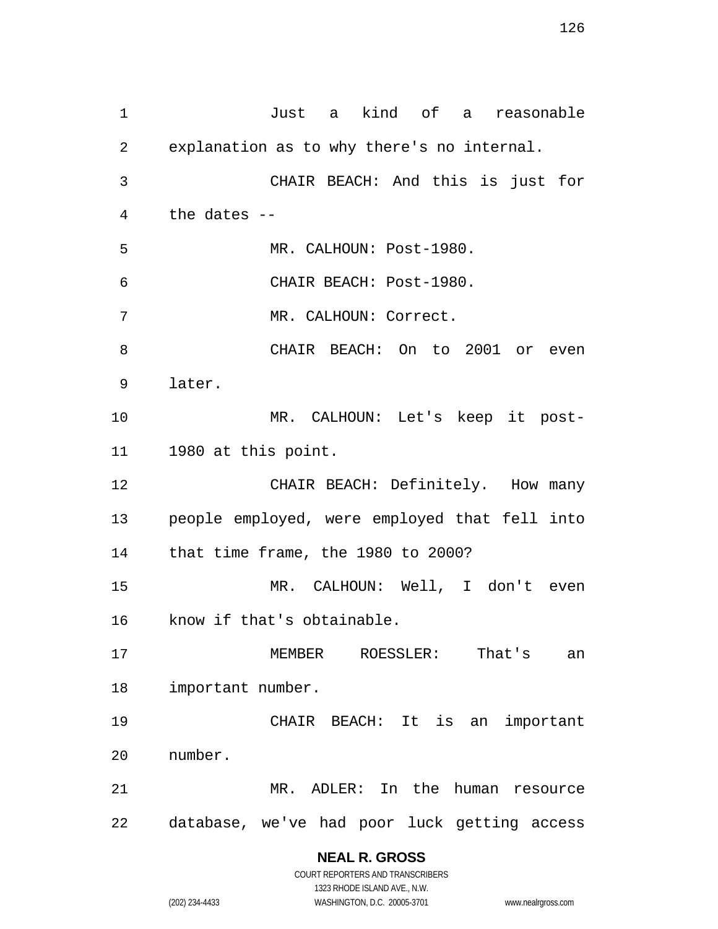Just a kind of a reasonable explanation as to why there's no internal. CHAIR BEACH: And this is just for the dates -- MR. CALHOUN: Post-1980. CHAIR BEACH: Post-1980. MR. CALHOUN: Correct. CHAIR BEACH: On to 2001 or even later. MR. CALHOUN: Let's keep it post-1980 at this point. 12 CHAIR BEACH: Definitely. How many people employed, were employed that fell into that time frame, the 1980 to 2000? MR. CALHOUN: Well, I don't even know if that's obtainable. MEMBER ROESSLER: That's an important number. CHAIR BEACH: It is an important number. MR. ADLER: In the human resource database, we've had poor luck getting access

# **NEAL R. GROSS**

COURT REPORTERS AND TRANSCRIBERS 1323 RHODE ISLAND AVE., N.W. (202) 234-4433 WASHINGTON, D.C. 20005-3701 www.nealrgross.com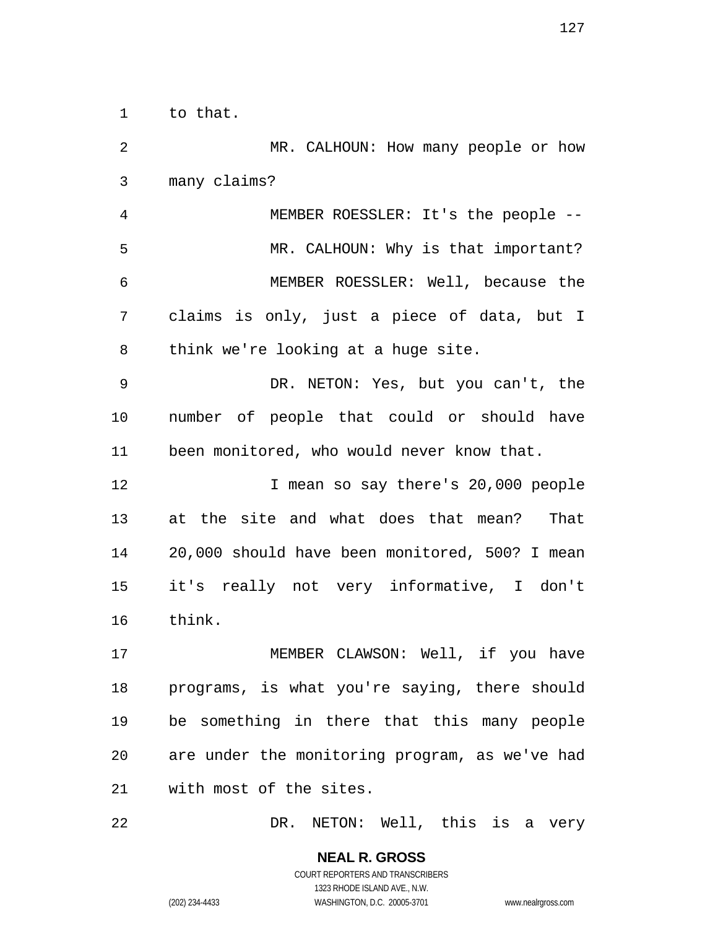to that.

MR. CALHOUN: How many people or how many claims? MEMBER ROESSLER: It's the people -- MR. CALHOUN: Why is that important? MEMBER ROESSLER: Well, because the claims is only, just a piece of data, but I think we're looking at a huge site. DR. NETON: Yes, but you can't, the number of people that could or should have been monitored, who would never know that. 12 I mean so say there's 20,000 people at the site and what does that mean? That 20,000 should have been monitored, 500? I mean it's really not very informative, I don't think. 17 MEMBER CLAWSON: Well, if you have programs, is what you're saying, there should be something in there that this many people are under the monitoring program, as we've had with most of the sites.

DR. NETON: Well, this is a very

**NEAL R. GROSS**  COURT REPORTERS AND TRANSCRIBERS 1323 RHODE ISLAND AVE., N.W. (202) 234-4433 WASHINGTON, D.C. 20005-3701 www.nealrgross.com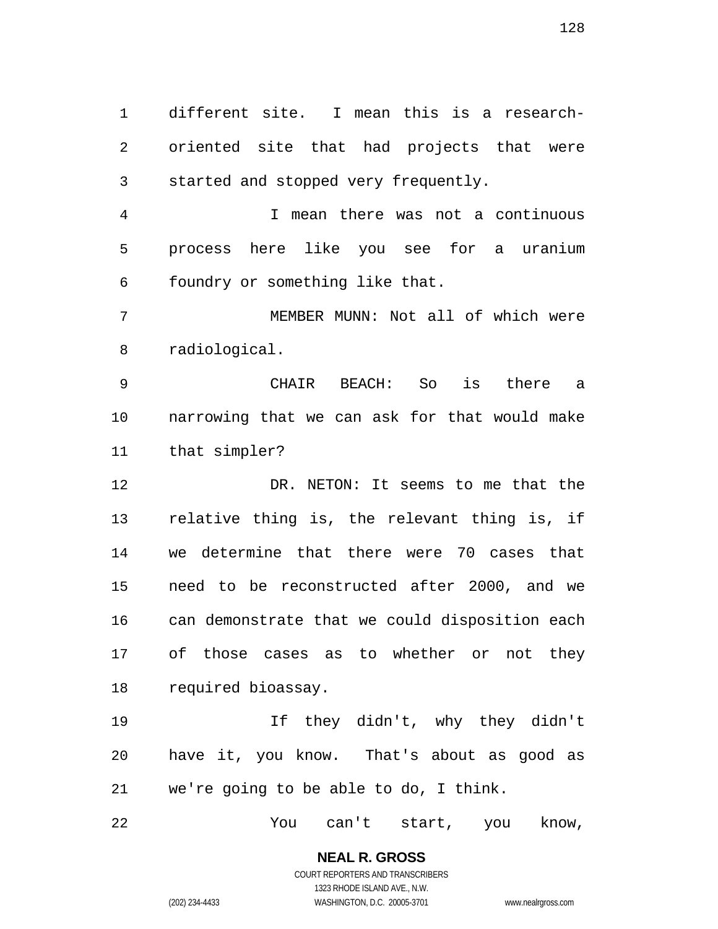different site. I mean this is a research-oriented site that had projects that were started and stopped very frequently.

I mean there was not a continuous process here like you see for a uranium foundry or something like that.

MEMBER MUNN: Not all of which were radiological.

CHAIR BEACH: So is there a narrowing that we can ask for that would make that simpler?

DR. NETON: It seems to me that the relative thing is, the relevant thing is, if we determine that there were 70 cases that need to be reconstructed after 2000, and we can demonstrate that we could disposition each of those cases as to whether or not they required bioassay.

If they didn't, why they didn't have it, you know. That's about as good as we're going to be able to do, I think.

You can't start, you know,

**NEAL R. GROSS**  COURT REPORTERS AND TRANSCRIBERS 1323 RHODE ISLAND AVE., N.W.

(202) 234-4433 WASHINGTON, D.C. 20005-3701 www.nealrgross.com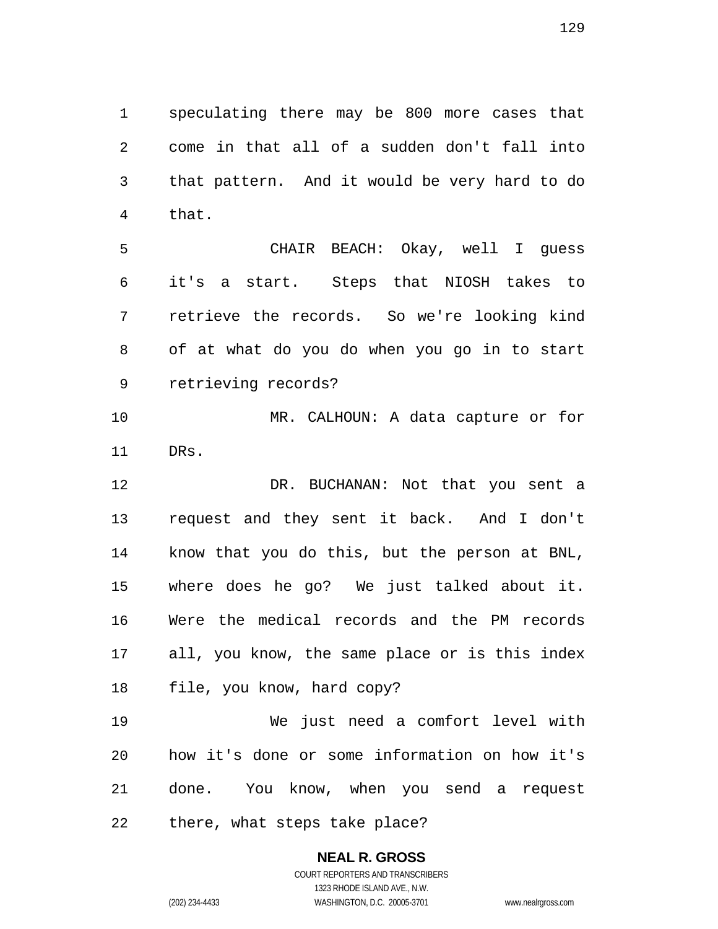speculating there may be 800 more cases that come in that all of a sudden don't fall into that pattern. And it would be very hard to do that.

CHAIR BEACH: Okay, well I guess it's a start. Steps that NIOSH takes to retrieve the records. So we're looking kind of at what do you do when you go in to start retrieving records?

MR. CALHOUN: A data capture or for DRs.

DR. BUCHANAN: Not that you sent a request and they sent it back. And I don't know that you do this, but the person at BNL, where does he go? We just talked about it. Were the medical records and the PM records all, you know, the same place or is this index file, you know, hard copy?

We just need a comfort level with how it's done or some information on how it's done. You know, when you send a request there, what steps take place?

#### **NEAL R. GROSS**  COURT REPORTERS AND TRANSCRIBERS 1323 RHODE ISLAND AVE., N.W.

(202) 234-4433 WASHINGTON, D.C. 20005-3701 www.nealrgross.com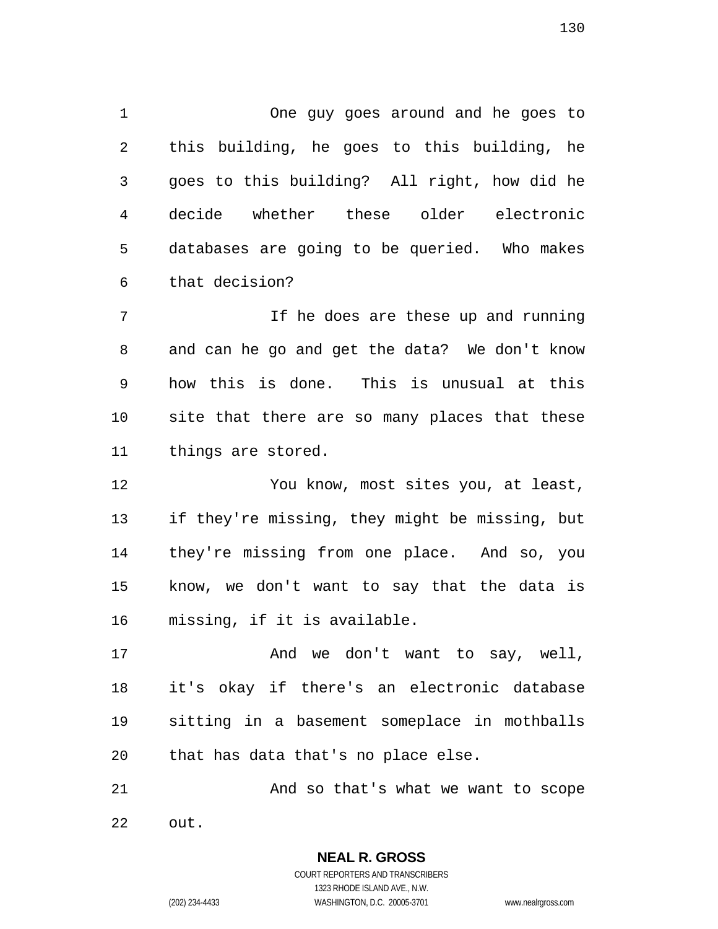One guy goes around and he goes to this building, he goes to this building, he goes to this building? All right, how did he decide whether these older electronic databases are going to be queried. Who makes that decision?

7 11 If he does are these up and running and can he go and get the data? We don't know how this is done. This is unusual at this site that there are so many places that these things are stored.

You know, most sites you, at least, if they're missing, they might be missing, but they're missing from one place. And so, you know, we don't want to say that the data is missing, if it is available.

17 And we don't want to say, well, it's okay if there's an electronic database sitting in a basement someplace in mothballs that has data that's no place else.

21 And so that's what we want to scope out.

> **NEAL R. GROSS**  COURT REPORTERS AND TRANSCRIBERS 1323 RHODE ISLAND AVE., N.W. (202) 234-4433 WASHINGTON, D.C. 20005-3701 www.nealrgross.com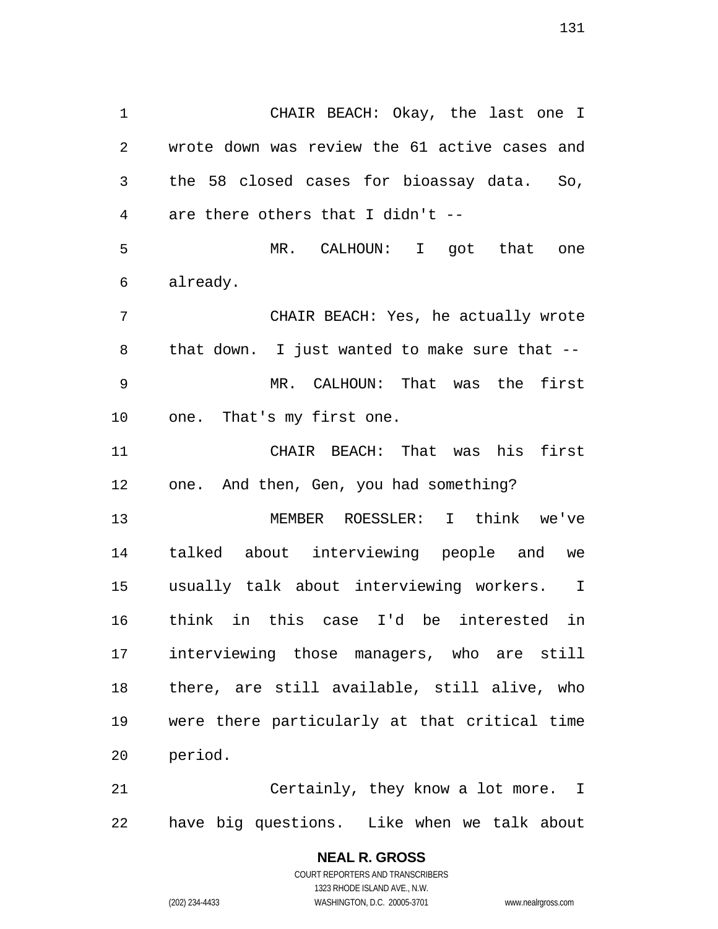CHAIR BEACH: Okay, the last one I wrote down was review the 61 active cases and the 58 closed cases for bioassay data. So, are there others that I didn't -- MR. CALHOUN: I got that one already. CHAIR BEACH: Yes, he actually wrote that down. I just wanted to make sure that -- MR. CALHOUN: That was the first one. That's my first one. CHAIR BEACH: That was his first one. And then, Gen, you had something? MEMBER ROESSLER: I think we've talked about interviewing people and we usually talk about interviewing workers. I think in this case I'd be interested in interviewing those managers, who are still there, are still available, still alive, who were there particularly at that critical time period.

Certainly, they know a lot more. I have big questions. Like when we talk about

> **NEAL R. GROSS**  COURT REPORTERS AND TRANSCRIBERS 1323 RHODE ISLAND AVE., N.W. (202) 234-4433 WASHINGTON, D.C. 20005-3701 www.nealrgross.com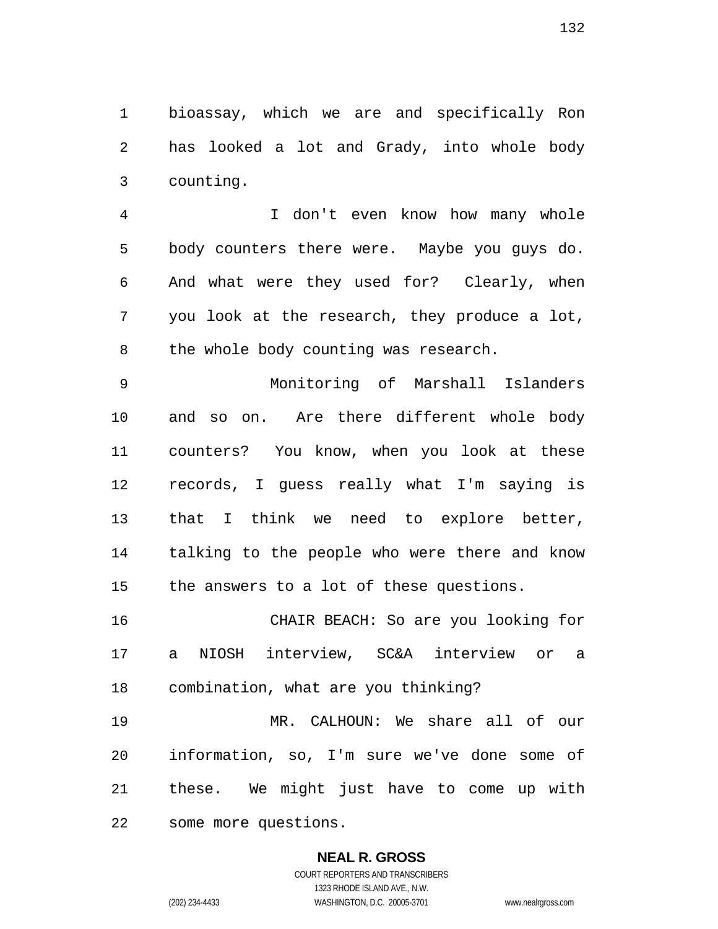bioassay, which we are and specifically Ron has looked a lot and Grady, into whole body counting.

I don't even know how many whole body counters there were. Maybe you guys do. And what were they used for? Clearly, when you look at the research, they produce a lot, the whole body counting was research.

Monitoring of Marshall Islanders and so on. Are there different whole body counters? You know, when you look at these records, I guess really what I'm saying is that I think we need to explore better, talking to the people who were there and know the answers to a lot of these questions.

CHAIR BEACH: So are you looking for a NIOSH interview, SC&A interview or a combination, what are you thinking?

MR. CALHOUN: We share all of our information, so, I'm sure we've done some of these. We might just have to come up with some more questions.

### **NEAL R. GROSS**

COURT REPORTERS AND TRANSCRIBERS 1323 RHODE ISLAND AVE., N.W. (202) 234-4433 WASHINGTON, D.C. 20005-3701 www.nealrgross.com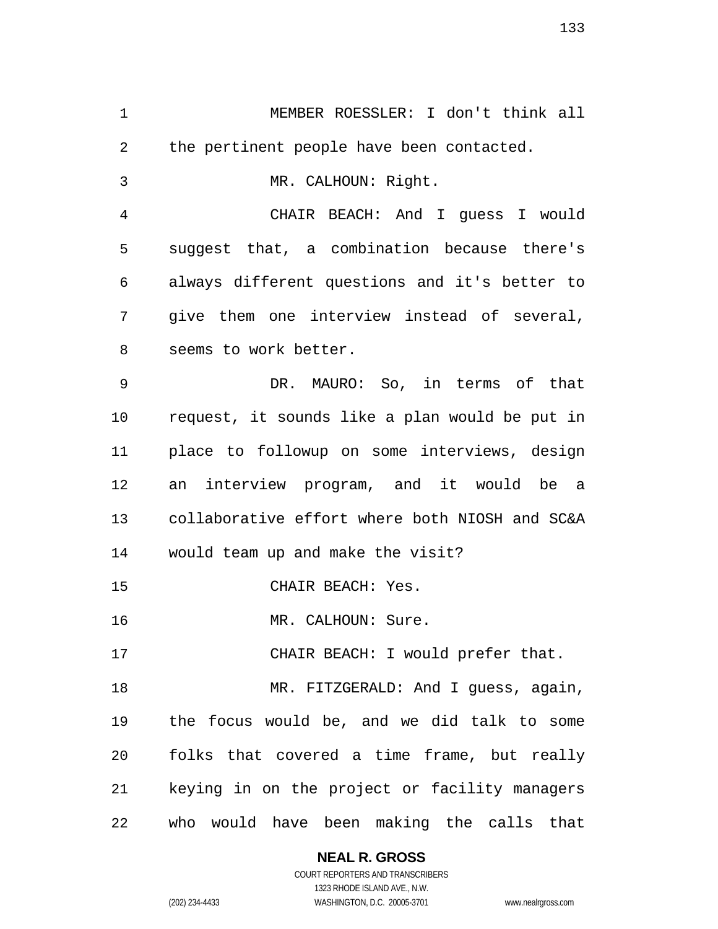MEMBER ROESSLER: I don't think all 2 the pertinent people have been contacted. MR. CALHOUN: Right. CHAIR BEACH: And I guess I would suggest that, a combination because there's always different questions and it's better to give them one interview instead of several, seems to work better. DR. MAURO: So, in terms of that request, it sounds like a plan would be put in place to followup on some interviews, design an interview program, and it would be a collaborative effort where both NIOSH and SC&A would team up and make the visit? CHAIR BEACH: Yes. MR. CALHOUN: Sure. 17 CHAIR BEACH: I would prefer that. 18 MR. FITZGERALD: And I guess, again, the focus would be, and we did talk to some folks that covered a time frame, but really keying in on the project or facility managers who would have been making the calls that

> **NEAL R. GROSS**  COURT REPORTERS AND TRANSCRIBERS

1323 RHODE ISLAND AVE., N.W. (202) 234-4433 WASHINGTON, D.C. 20005-3701 www.nealrgross.com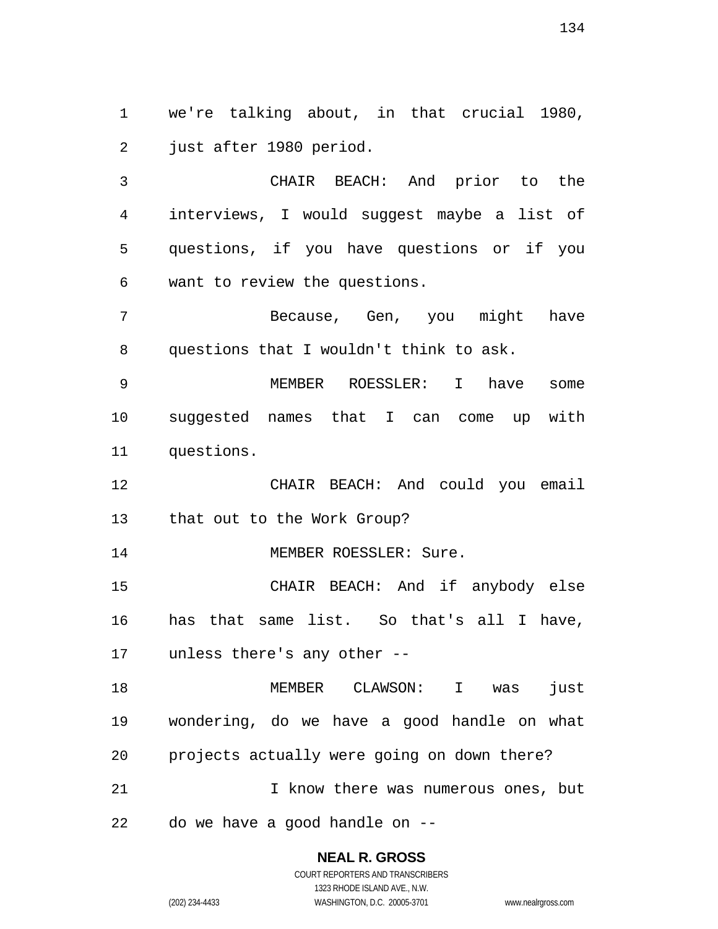we're talking about, in that crucial 1980, just after 1980 period.

CHAIR BEACH: And prior to the interviews, I would suggest maybe a list of questions, if you have questions or if you want to review the questions.

Because, Gen, you might have questions that I wouldn't think to ask.

MEMBER ROESSLER: I have some suggested names that I can come up with questions.

CHAIR BEACH: And could you email that out to the Work Group?

14 MEMBER ROESSLER: Sure.

CHAIR BEACH: And if anybody else has that same list. So that's all I have, unless there's any other --

MEMBER CLAWSON: I was just wondering, do we have a good handle on what projects actually were going on down there? 21 1 I know there was numerous ones, but do we have a good handle on --

# **NEAL R. GROSS**

COURT REPORTERS AND TRANSCRIBERS 1323 RHODE ISLAND AVE., N.W. (202) 234-4433 WASHINGTON, D.C. 20005-3701 www.nealrgross.com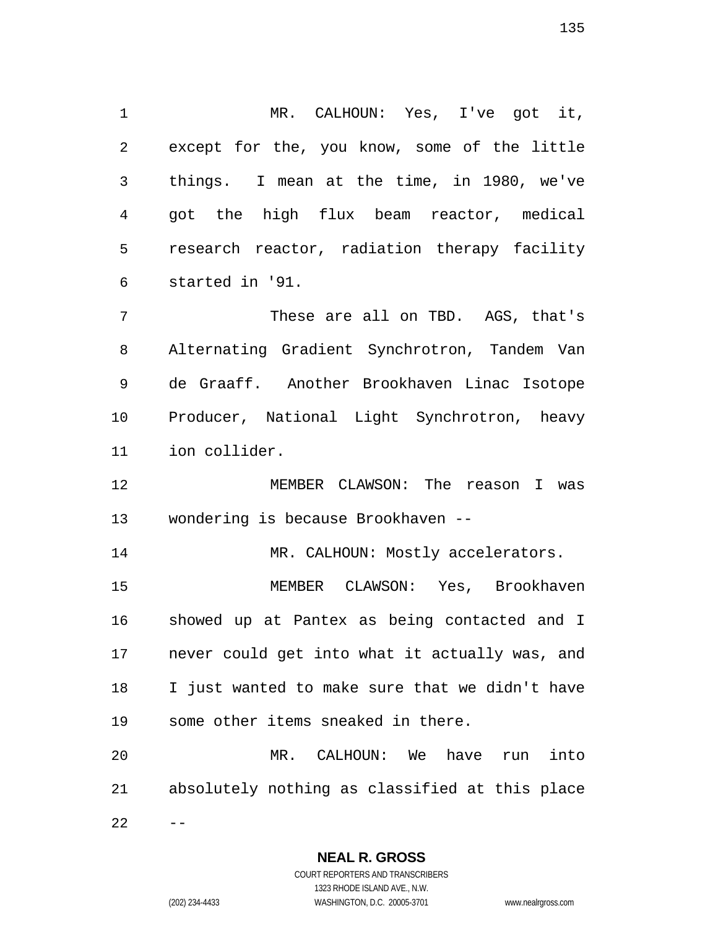MR. CALHOUN: Yes, I've got it, except for the, you know, some of the little things. I mean at the time, in 1980, we've got the high flux beam reactor, medical research reactor, radiation therapy facility started in '91.

These are all on TBD. AGS, that's Alternating Gradient Synchrotron, Tandem Van de Graaff. Another Brookhaven Linac Isotope Producer, National Light Synchrotron, heavy ion collider.

MEMBER CLAWSON: The reason I was wondering is because Brookhaven --

14 MR. CALHOUN: Mostly accelerators.

MEMBER CLAWSON: Yes, Brookhaven showed up at Pantex as being contacted and I never could get into what it actually was, and I just wanted to make sure that we didn't have some other items sneaked in there.

MR. CALHOUN: We have run into absolutely nothing as classified at this place  $22 - -$ 

> **NEAL R. GROSS**  COURT REPORTERS AND TRANSCRIBERS

1323 RHODE ISLAND AVE., N.W. (202) 234-4433 WASHINGTON, D.C. 20005-3701 www.nealrgross.com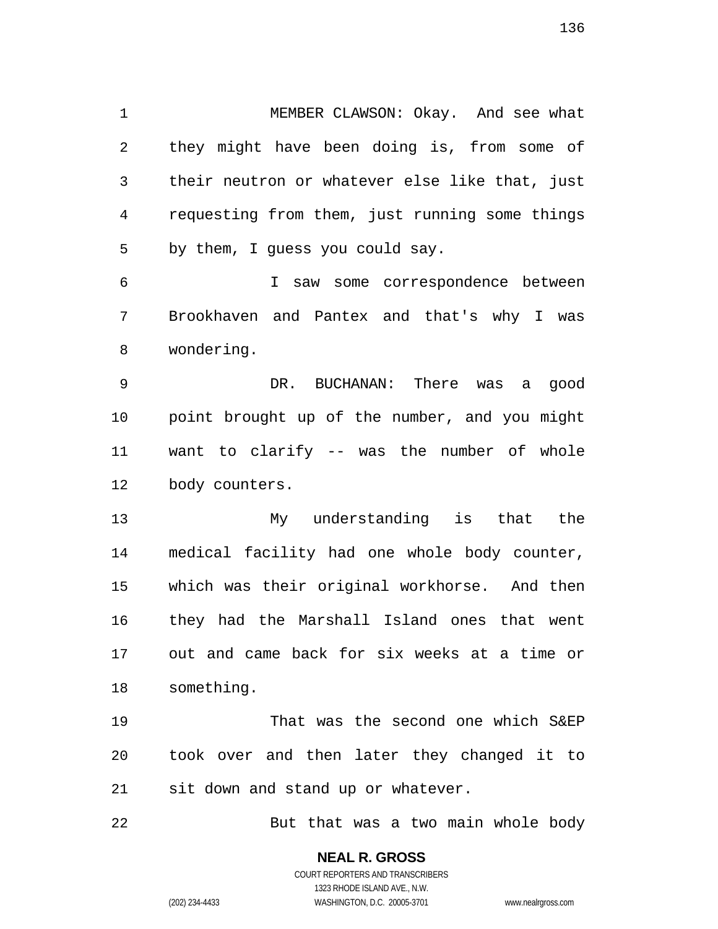MEMBER CLAWSON: Okay. And see what they might have been doing is, from some of their neutron or whatever else like that, just requesting from them, just running some things by them, I guess you could say.

I saw some correspondence between Brookhaven and Pantex and that's why I was wondering.

DR. BUCHANAN: There was a good point brought up of the number, and you might want to clarify -- was the number of whole body counters.

My understanding is that the medical facility had one whole body counter, which was their original workhorse. And then they had the Marshall Island ones that went out and came back for six weeks at a time or something.

That was the second one which S&EP took over and then later they changed it to sit down and stand up or whatever.

But that was a two main whole body

**NEAL R. GROSS**  COURT REPORTERS AND TRANSCRIBERS

1323 RHODE ISLAND AVE., N.W.

(202) 234-4433 WASHINGTON, D.C. 20005-3701 www.nealrgross.com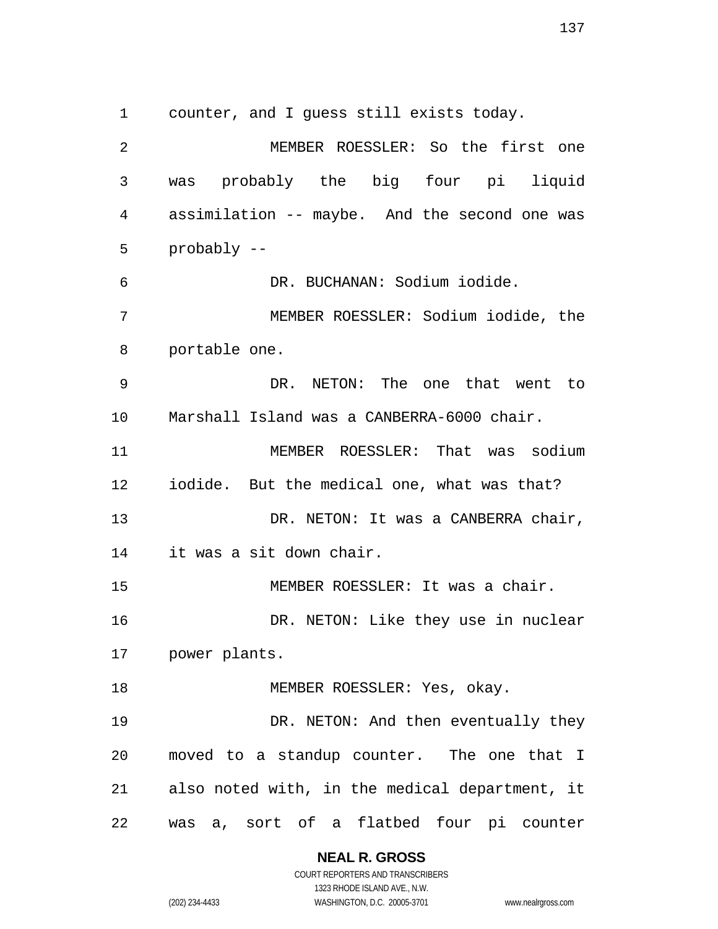counter, and I guess still exists today.

MEMBER ROESSLER: So the first one was probably the big four pi liquid assimilation -- maybe. And the second one was probably -- DR. BUCHANAN: Sodium iodide. MEMBER ROESSLER: Sodium iodide, the portable one. DR. NETON: The one that went to Marshall Island was a CANBERRA-6000 chair. MEMBER ROESSLER: That was sodium iodide. But the medical one, what was that? 13 DR. NETON: It was a CANBERRA chair, it was a sit down chair. MEMBER ROESSLER: It was a chair. 16 DR. NETON: Like they use in nuclear power plants. 18 MEMBER ROESSLER: Yes, okay. 19 DR. NETON: And then eventually they moved to a standup counter. The one that I also noted with, in the medical department, it was a, sort of a flatbed four pi counter

> **NEAL R. GROSS**  COURT REPORTERS AND TRANSCRIBERS

> > 1323 RHODE ISLAND AVE., N.W.

(202) 234-4433 WASHINGTON, D.C. 20005-3701 www.nealrgross.com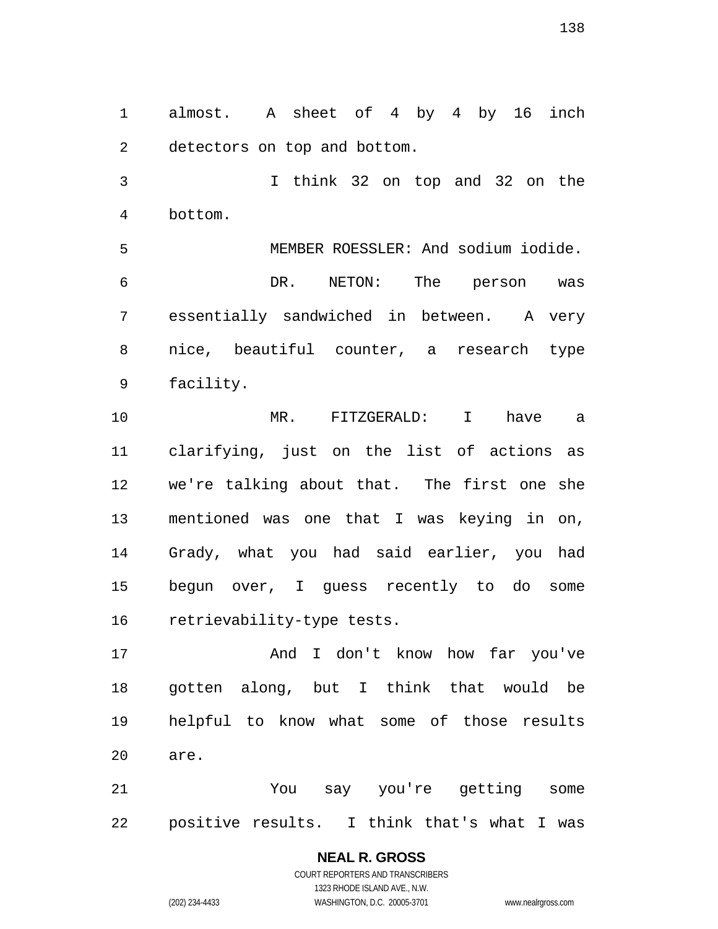almost. A sheet of 4 by 4 by 16 inch detectors on top and bottom.

I think 32 on top and 32 on the bottom.

MEMBER ROESSLER: And sodium iodide. DR. NETON: The person was essentially sandwiched in between. A very nice, beautiful counter, a research type facility.

MR. FITZGERALD: I have a clarifying, just on the list of actions as we're talking about that. The first one she mentioned was one that I was keying in on, Grady, what you had said earlier, you had begun over, I guess recently to do some retrievability-type tests.

And I don't know how far you've gotten along, but I think that would be helpful to know what some of those results are.

You say you're getting some positive results. I think that's what I was

> **NEAL R. GROSS**  COURT REPORTERS AND TRANSCRIBERS 1323 RHODE ISLAND AVE., N.W. (202) 234-4433 WASHINGTON, D.C. 20005-3701 www.nealrgross.com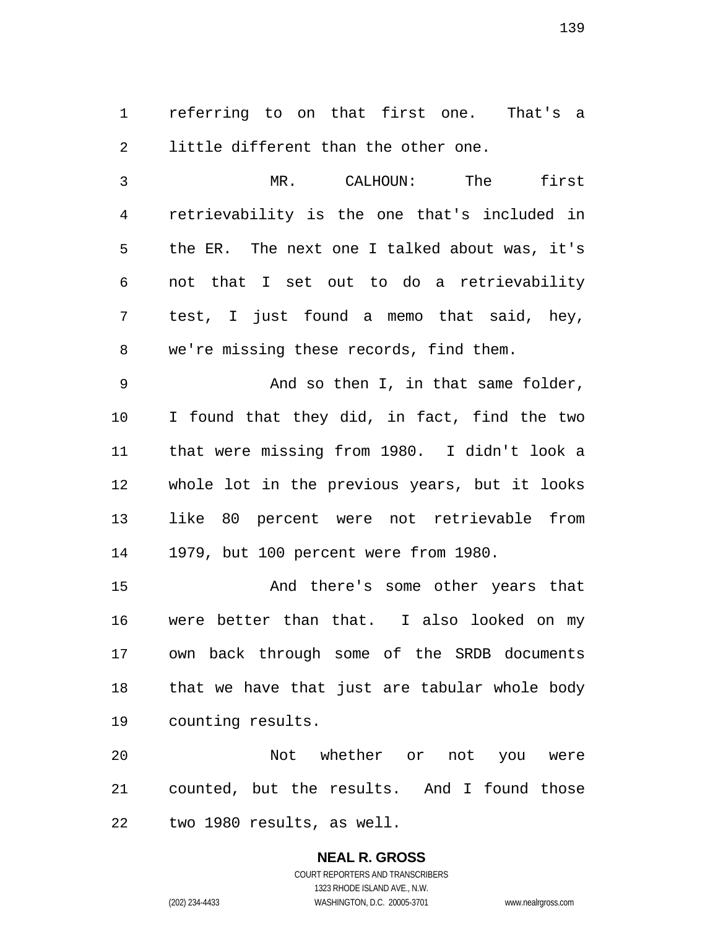referring to on that first one. That's a little different than the other one.

MR. CALHOUN: The first retrievability is the one that's included in the ER. The next one I talked about was, it's not that I set out to do a retrievability test, I just found a memo that said, hey, we're missing these records, find them.

And so then I, in that same folder, I found that they did, in fact, find the two that were missing from 1980. I didn't look a whole lot in the previous years, but it looks like 80 percent were not retrievable from 1979, but 100 percent were from 1980.

And there's some other years that were better than that. I also looked on my own back through some of the SRDB documents that we have that just are tabular whole body counting results.

Not whether or not you were counted, but the results. And I found those two 1980 results, as well.

# **NEAL R. GROSS**  COURT REPORTERS AND TRANSCRIBERS 1323 RHODE ISLAND AVE., N.W.

(202) 234-4433 WASHINGTON, D.C. 20005-3701 www.nealrgross.com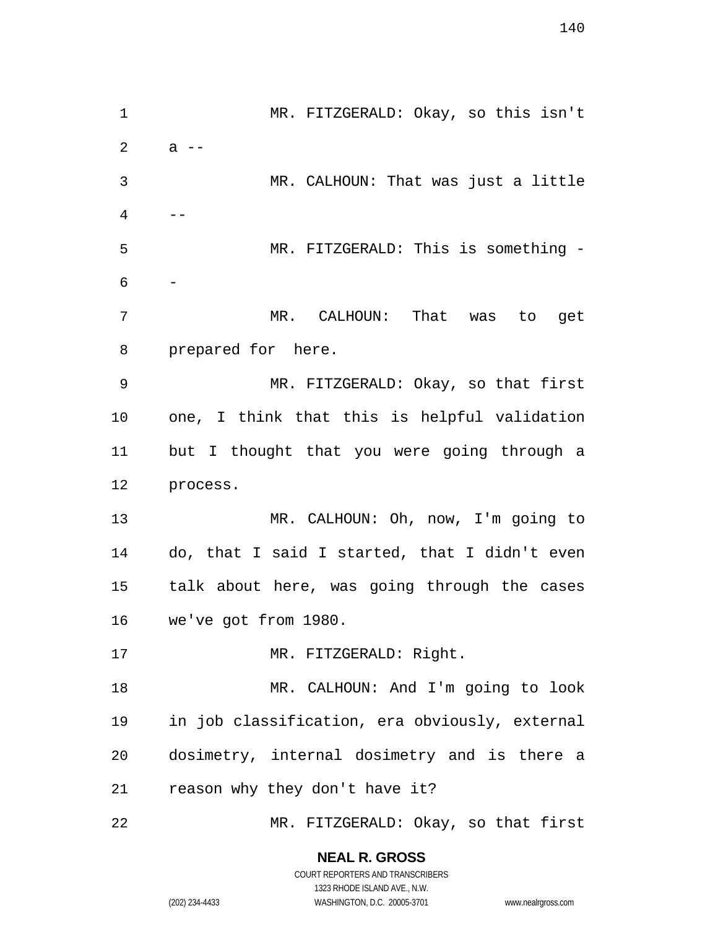MR. FITZGERALD: Okay, so this isn't  $2 \t a --$ MR. CALHOUN: That was just a little --MR. FITZGERALD: This is something - - MR. CALHOUN: That was to get prepared for here. MR. FITZGERALD: Okay, so that first one, I think that this is helpful validation but I thought that you were going through a process. MR. CALHOUN: Oh, now, I'm going to do, that I said I started, that I didn't even talk about here, was going through the cases we've got from 1980. 17 MR. FITZGERALD: Right. MR. CALHOUN: And I'm going to look in job classification, era obviously, external dosimetry, internal dosimetry and is there a reason why they don't have it? MR. FITZGERALD: Okay, so that first

> **NEAL R. GROSS**  COURT REPORTERS AND TRANSCRIBERS

> > 1323 RHODE ISLAND AVE., N.W.

(202) 234-4433 WASHINGTON, D.C. 20005-3701 www.nealrgross.com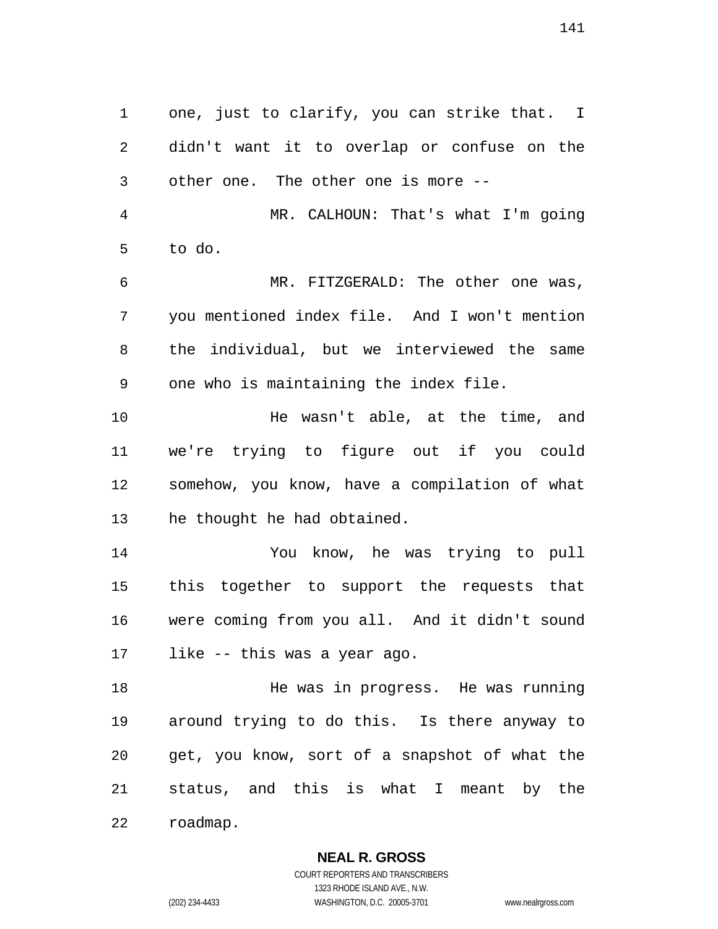one, just to clarify, you can strike that. I didn't want it to overlap or confuse on the other one. The other one is more --

MR. CALHOUN: That's what I'm going to do.

MR. FITZGERALD: The other one was, you mentioned index file. And I won't mention the individual, but we interviewed the same one who is maintaining the index file.

He wasn't able, at the time, and we're trying to figure out if you could somehow, you know, have a compilation of what he thought he had obtained.

You know, he was trying to pull this together to support the requests that were coming from you all. And it didn't sound like -- this was a year ago.

He was in progress. He was running around trying to do this. Is there anyway to get, you know, sort of a snapshot of what the status, and this is what I meant by the roadmap.

> **NEAL R. GROSS**  COURT REPORTERS AND TRANSCRIBERS 1323 RHODE ISLAND AVE., N.W.

(202) 234-4433 WASHINGTON, D.C. 20005-3701 www.nealrgross.com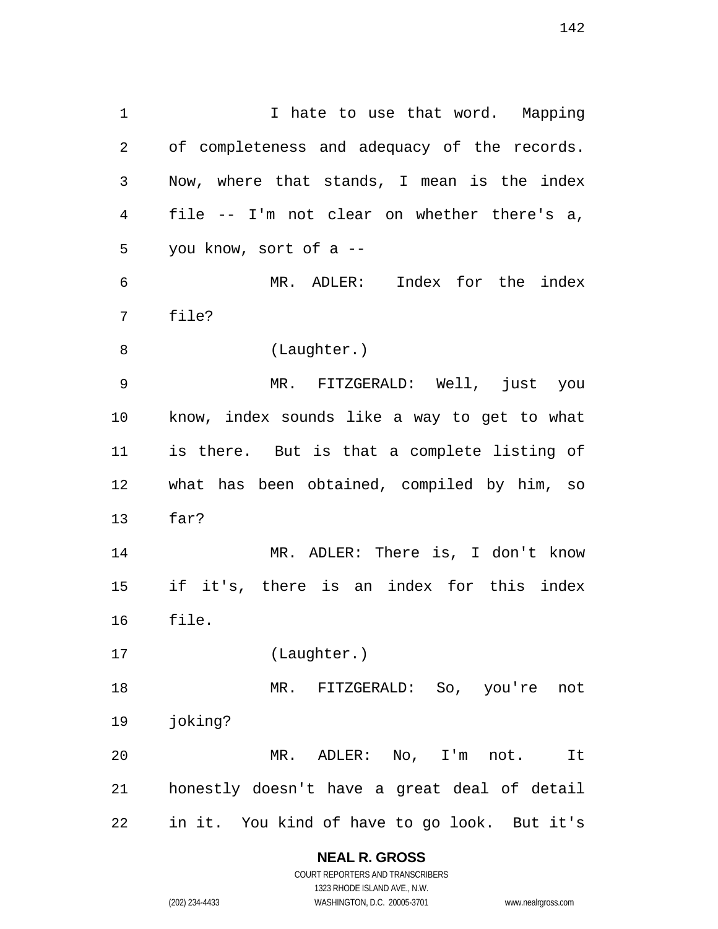1 1 I hate to use that word. Mapping of completeness and adequacy of the records. Now, where that stands, I mean is the index file -- I'm not clear on whether there's a, you know, sort of a -- MR. ADLER: Index for the index file? (Laughter.) MR. FITZGERALD: Well, just you know, index sounds like a way to get to what is there. But is that a complete listing of what has been obtained, compiled by him, so far? MR. ADLER: There is, I don't know if it's, there is an index for this index file. (Laughter.) MR. FITZGERALD: So, you're not joking? MR. ADLER: No, I'm not. It honestly doesn't have a great deal of detail in it. You kind of have to go look. But it's

> **NEAL R. GROSS**  COURT REPORTERS AND TRANSCRIBERS

1323 RHODE ISLAND AVE., N.W. (202) 234-4433 WASHINGTON, D.C. 20005-3701 www.nealrgross.com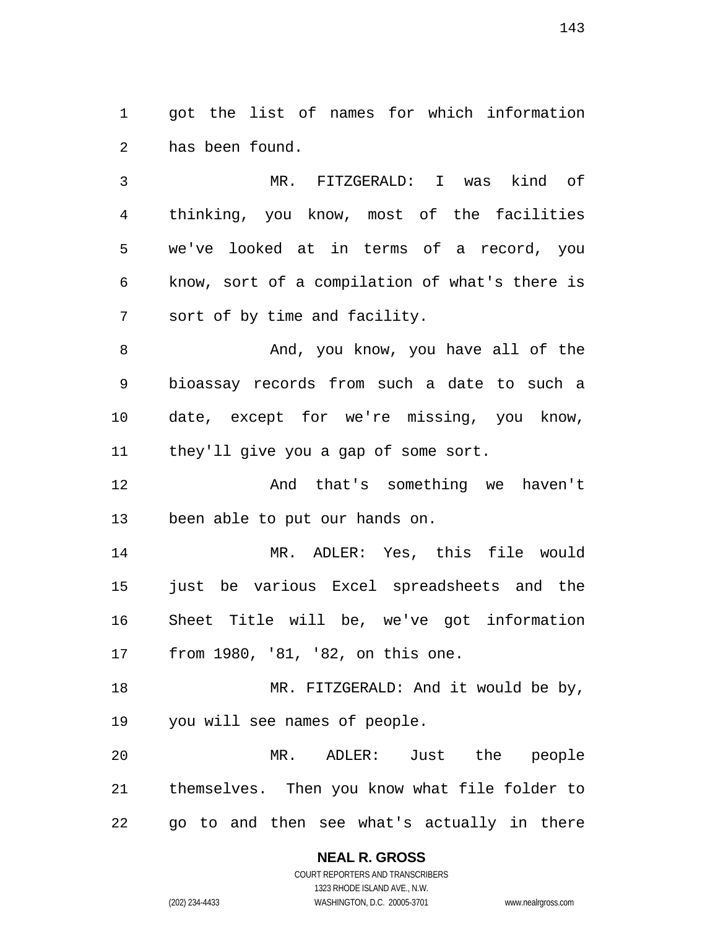got the list of names for which information has been found.

MR. FITZGERALD: I was kind of thinking, you know, most of the facilities we've looked at in terms of a record, you know, sort of a compilation of what's there is sort of by time and facility.

8 And, you know, you have all of the bioassay records from such a date to such a date, except for we're missing, you know, they'll give you a gap of some sort.

And that's something we haven't been able to put our hands on.

MR. ADLER: Yes, this file would just be various Excel spreadsheets and the Sheet Title will be, we've got information from 1980, '81, '82, on this one.

18 MR. FITZGERALD: And it would be by, you will see names of people.

MR. ADLER: Just the people themselves. Then you know what file folder to go to and then see what's actually in there

> **NEAL R. GROSS**  COURT REPORTERS AND TRANSCRIBERS 1323 RHODE ISLAND AVE., N.W. (202) 234-4433 WASHINGTON, D.C. 20005-3701 www.nealrgross.com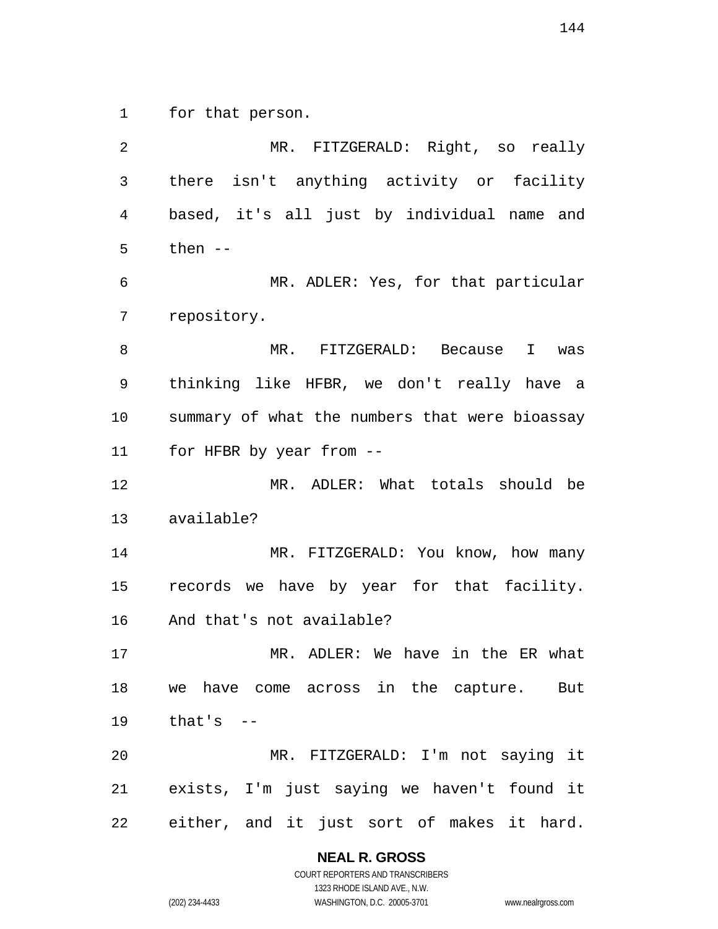for that person.

MR. FITZGERALD: Right, so really there isn't anything activity or facility based, it's all just by individual name and then -- MR. ADLER: Yes, for that particular repository. MR. FITZGERALD: Because I was thinking like HFBR, we don't really have a summary of what the numbers that were bioassay for HFBR by year from -- MR. ADLER: What totals should be available? 14 MR. FITZGERALD: You know, how many records we have by year for that facility. And that's not available? MR. ADLER: We have in the ER what we have come across in the capture. But that's -- MR. FITZGERALD: I'm not saying it exists, I'm just saying we haven't found it either, and it just sort of makes it hard.

**NEAL R. GROSS** 

COURT REPORTERS AND TRANSCRIBERS 1323 RHODE ISLAND AVE., N.W. (202) 234-4433 WASHINGTON, D.C. 20005-3701 www.nealrgross.com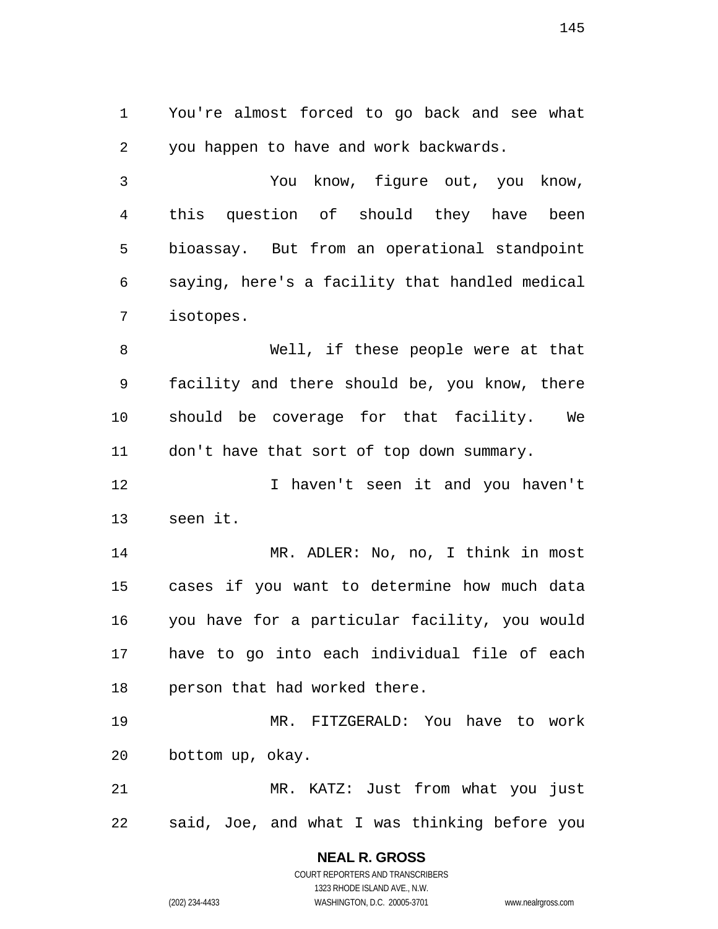You're almost forced to go back and see what you happen to have and work backwards.

You know, figure out, you know, this question of should they have been bioassay. But from an operational standpoint saying, here's a facility that handled medical isotopes.

Well, if these people were at that facility and there should be, you know, there should be coverage for that facility. We 11 don't have that sort of top down summary.

12 I haven't seen it and you haven't seen it.

MR. ADLER: No, no, I think in most cases if you want to determine how much data you have for a particular facility, you would have to go into each individual file of each person that had worked there.

MR. FITZGERALD: You have to work bottom up, okay.

MR. KATZ: Just from what you just said, Joe, and what I was thinking before you

> **NEAL R. GROSS**  COURT REPORTERS AND TRANSCRIBERS 1323 RHODE ISLAND AVE., N.W. (202) 234-4433 WASHINGTON, D.C. 20005-3701 www.nealrgross.com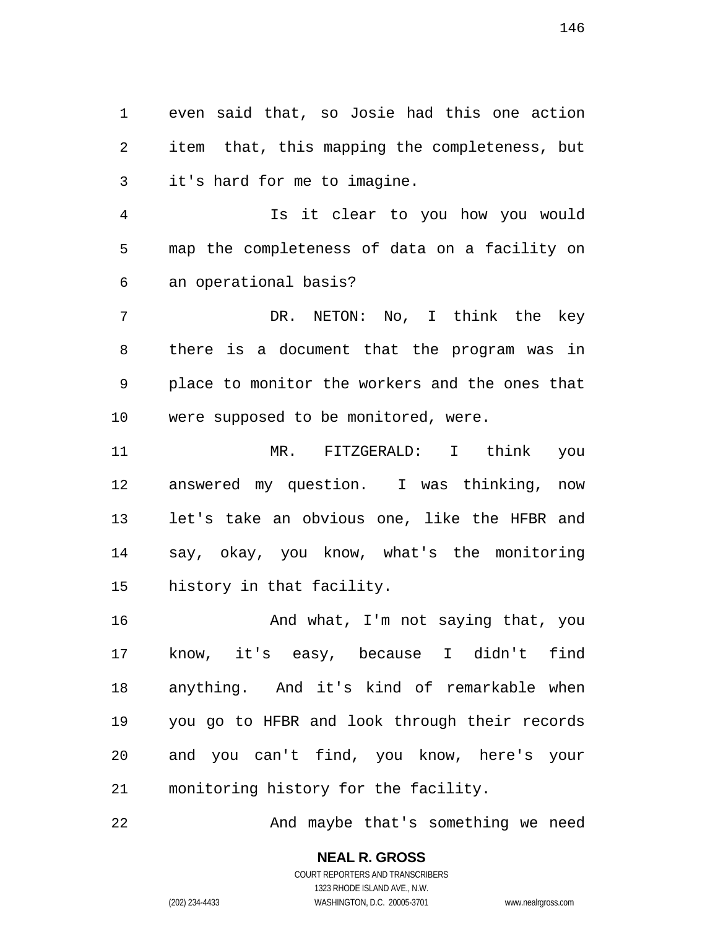even said that, so Josie had this one action item that, this mapping the completeness, but it's hard for me to imagine.

Is it clear to you how you would map the completeness of data on a facility on an operational basis?

DR. NETON: No, I think the key there is a document that the program was in place to monitor the workers and the ones that were supposed to be monitored, were.

MR. FITZGERALD: I think you answered my question. I was thinking, now let's take an obvious one, like the HFBR and say, okay, you know, what's the monitoring history in that facility.

And what, I'm not saying that, you know, it's easy, because I didn't find anything. And it's kind of remarkable when you go to HFBR and look through their records and you can't find, you know, here's your monitoring history for the facility.

And maybe that's something we need

## **NEAL R. GROSS**  COURT REPORTERS AND TRANSCRIBERS

1323 RHODE ISLAND AVE., N.W. (202) 234-4433 WASHINGTON, D.C. 20005-3701 www.nealrgross.com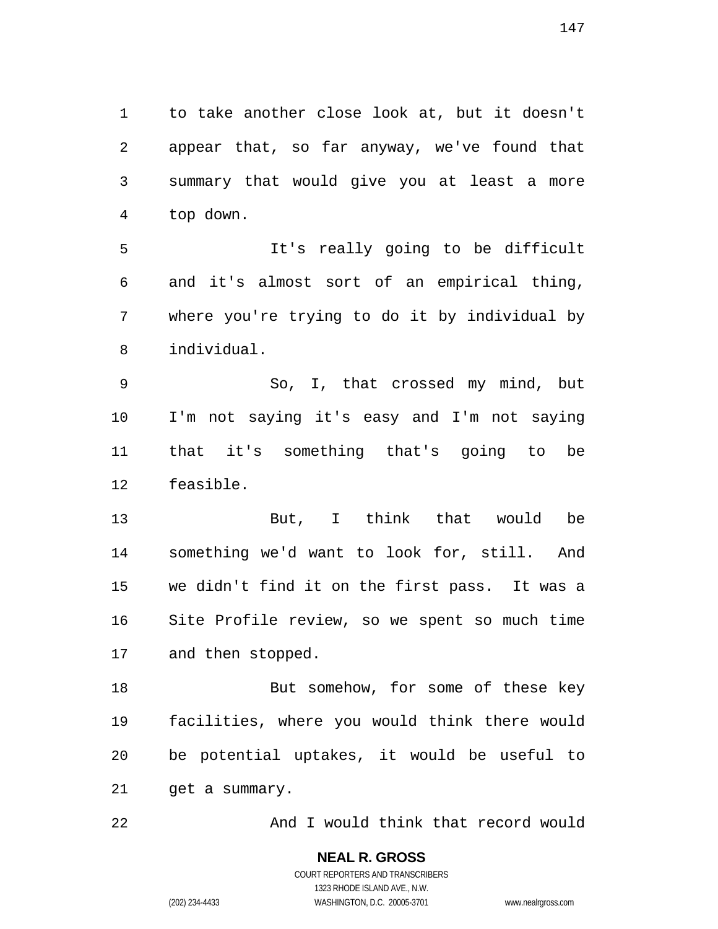to take another close look at, but it doesn't appear that, so far anyway, we've found that summary that would give you at least a more top down.

It's really going to be difficult and it's almost sort of an empirical thing, where you're trying to do it by individual by individual.

So, I, that crossed my mind, but I'm not saying it's easy and I'm not saying that it's something that's going to be feasible.

But, I think that would be something we'd want to look for, still. And we didn't find it on the first pass. It was a Site Profile review, so we spent so much time and then stopped.

18 But somehow, for some of these key facilities, where you would think there would be potential uptakes, it would be useful to get a summary.

And I would think that record would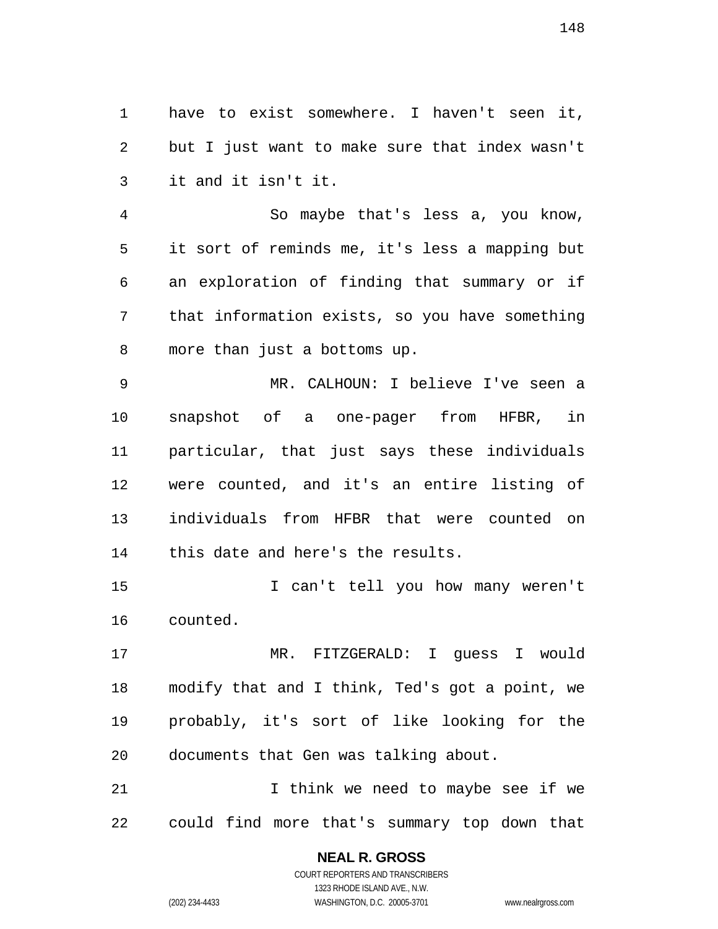have to exist somewhere. I haven't seen it, but I just want to make sure that index wasn't it and it isn't it.

So maybe that's less a, you know, it sort of reminds me, it's less a mapping but an exploration of finding that summary or if that information exists, so you have something more than just a bottoms up.

MR. CALHOUN: I believe I've seen a snapshot of a one-pager from HFBR, in particular, that just says these individuals were counted, and it's an entire listing of individuals from HFBR that were counted on this date and here's the results.

I can't tell you how many weren't counted.

MR. FITZGERALD: I guess I would modify that and I think, Ted's got a point, we probably, it's sort of like looking for the documents that Gen was talking about.

I think we need to maybe see if we could find more that's summary top down that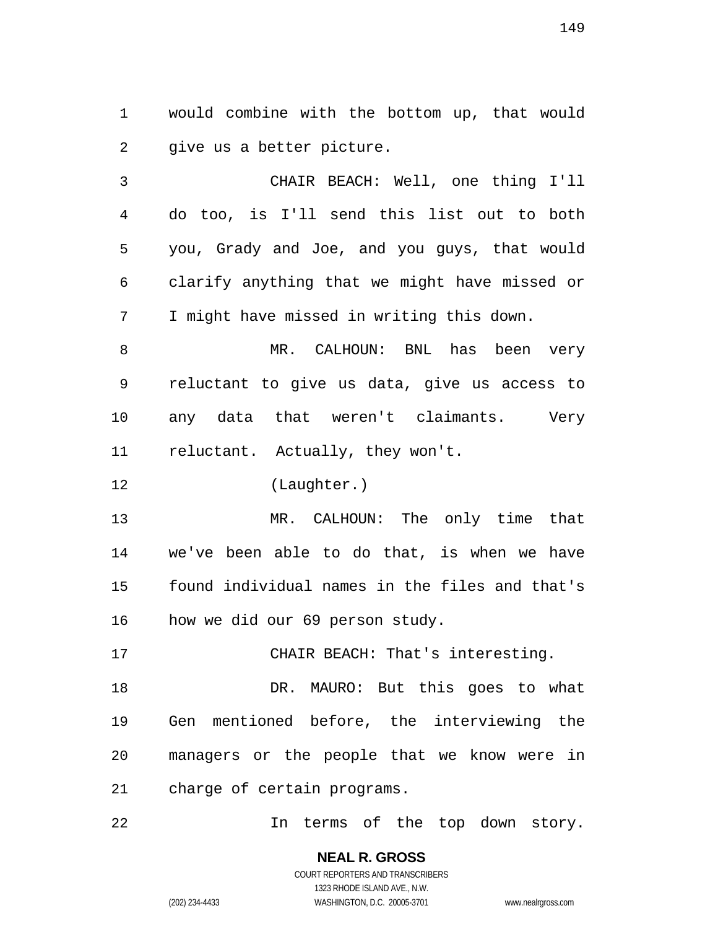would combine with the bottom up, that would give us a better picture.

CHAIR BEACH: Well, one thing I'll do too, is I'll send this list out to both you, Grady and Joe, and you guys, that would clarify anything that we might have missed or I might have missed in writing this down.

MR. CALHOUN: BNL has been very reluctant to give us data, give us access to any data that weren't claimants. Very reluctant. Actually, they won't.

(Laughter.)

MR. CALHOUN: The only time that we've been able to do that, is when we have found individual names in the files and that's how we did our 69 person study.

DR. MAURO: But this goes to what Gen mentioned before, the interviewing the managers or the people that we know were in charge of certain programs.

CHAIR BEACH: That's interesting.

In terms of the top down story.

**NEAL R. GROSS**  COURT REPORTERS AND TRANSCRIBERS 1323 RHODE ISLAND AVE., N.W.

(202) 234-4433 WASHINGTON, D.C. 20005-3701 www.nealrgross.com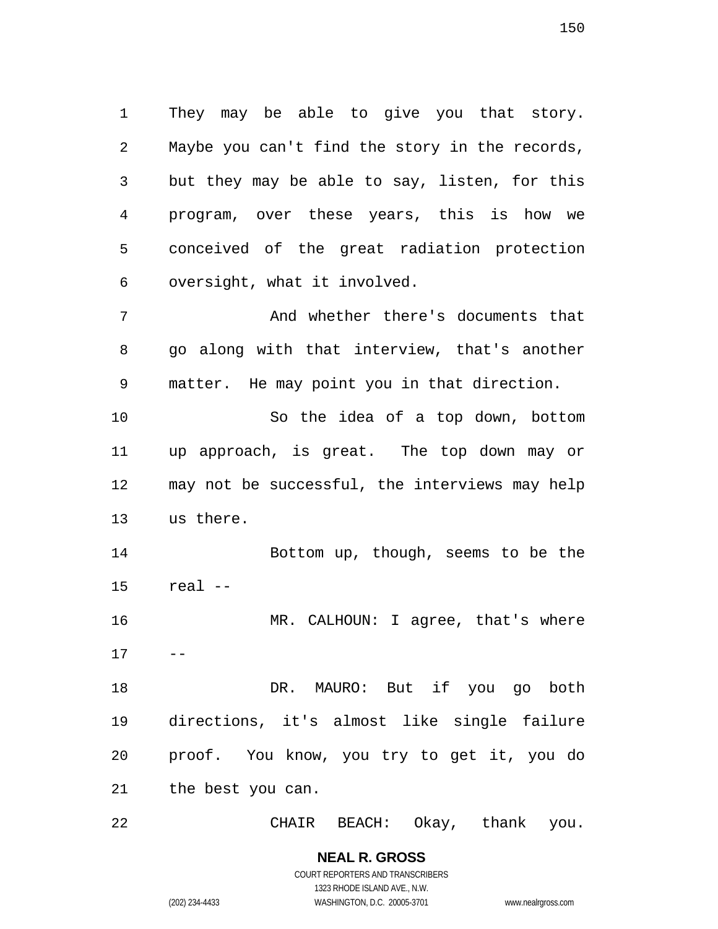They may be able to give you that story. Maybe you can't find the story in the records, but they may be able to say, listen, for this program, over these years, this is how we conceived of the great radiation protection oversight, what it involved.

And whether there's documents that go along with that interview, that's another matter. He may point you in that direction.

So the idea of a top down, bottom up approach, is great. The top down may or may not be successful, the interviews may help us there.

Bottom up, though, seems to be the real --

MR. CALHOUN: I agree, that's where  $17 - -$ 

18 DR. MAURO: But if you go both directions, it's almost like single failure proof. You know, you try to get it, you do the best you can.

CHAIR BEACH: Okay, thank you.

**NEAL R. GROSS**  COURT REPORTERS AND TRANSCRIBERS 1323 RHODE ISLAND AVE., N.W. (202) 234-4433 WASHINGTON, D.C. 20005-3701 www.nealrgross.com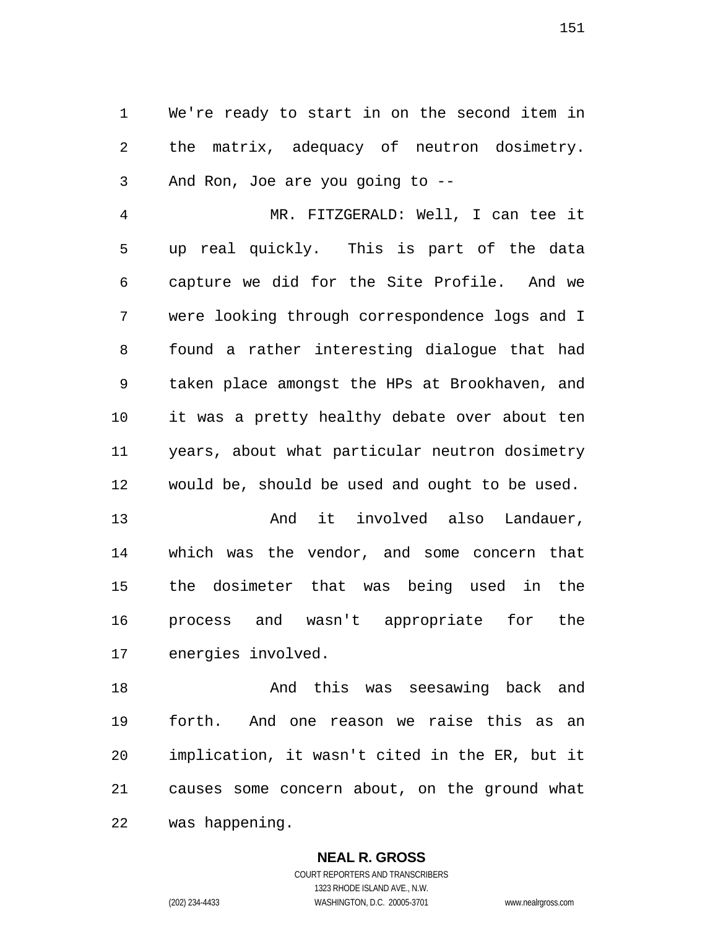We're ready to start in on the second item in the matrix, adequacy of neutron dosimetry. And Ron, Joe are you going to --

MR. FITZGERALD: Well, I can tee it up real quickly. This is part of the data capture we did for the Site Profile. And we were looking through correspondence logs and I found a rather interesting dialogue that had taken place amongst the HPs at Brookhaven, and it was a pretty healthy debate over about ten years, about what particular neutron dosimetry would be, should be used and ought to be used.

13 and it involved also Landauer, which was the vendor, and some concern that the dosimeter that was being used in the process and wasn't appropriate for the energies involved.

And this was seesawing back and forth. And one reason we raise this as an implication, it wasn't cited in the ER, but it causes some concern about, on the ground what was happening.

> **NEAL R. GROSS**  COURT REPORTERS AND TRANSCRIBERS

> > 1323 RHODE ISLAND AVE., N.W.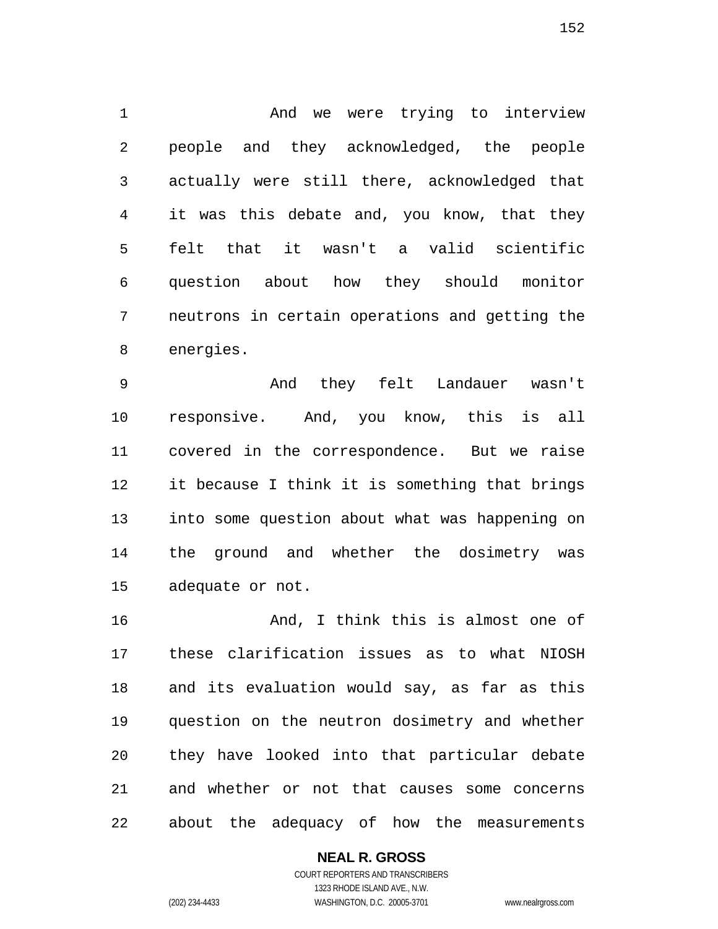And we were trying to interview people and they acknowledged, the people actually were still there, acknowledged that it was this debate and, you know, that they felt that it wasn't a valid scientific question about how they should monitor neutrons in certain operations and getting the energies.

And they felt Landauer wasn't responsive. And, you know, this is all covered in the correspondence. But we raise it because I think it is something that brings into some question about what was happening on the ground and whether the dosimetry was adequate or not.

16 And, I think this is almost one of these clarification issues as to what NIOSH and its evaluation would say, as far as this question on the neutron dosimetry and whether they have looked into that particular debate and whether or not that causes some concerns about the adequacy of how the measurements

**NEAL R. GROSS**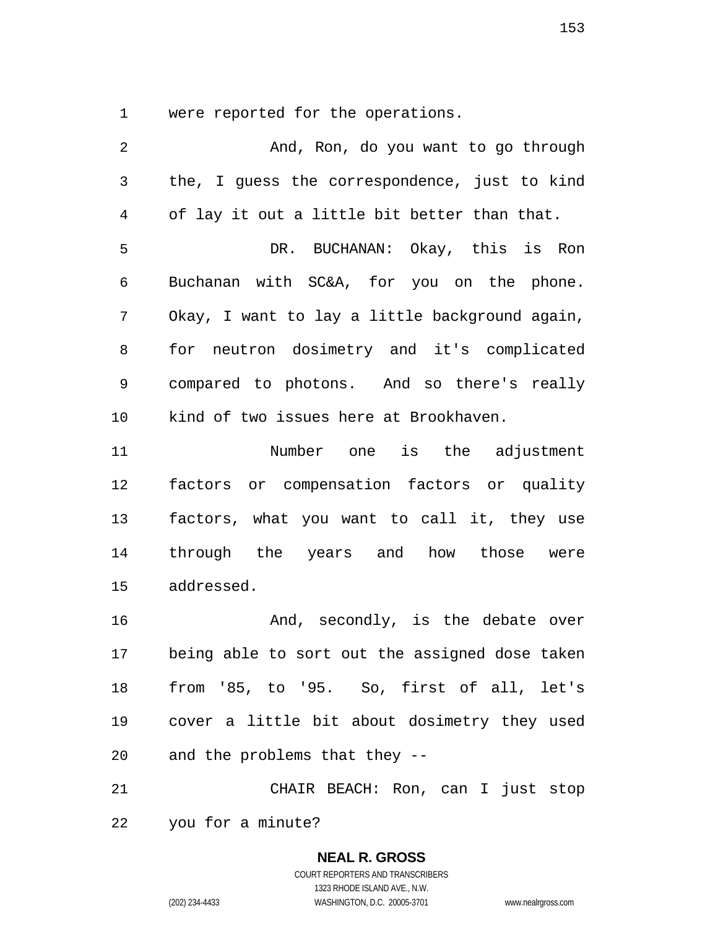were reported for the operations.

2 And, Ron, do you want to go through the, I guess the correspondence, just to kind of lay it out a little bit better than that. DR. BUCHANAN: Okay, this is Ron Buchanan with SC&A, for you on the phone. Okay, I want to lay a little background again, for neutron dosimetry and it's complicated compared to photons. And so there's really kind of two issues here at Brookhaven. Number one is the adjustment factors or compensation factors or quality factors, what you want to call it, they use through the years and how those were addressed. 16 And, secondly, is the debate over being able to sort out the assigned dose taken from '85, to '95. So, first of all, let's cover a little bit about dosimetry they used and the problems that they -- CHAIR BEACH: Ron, can I just stop you for a minute?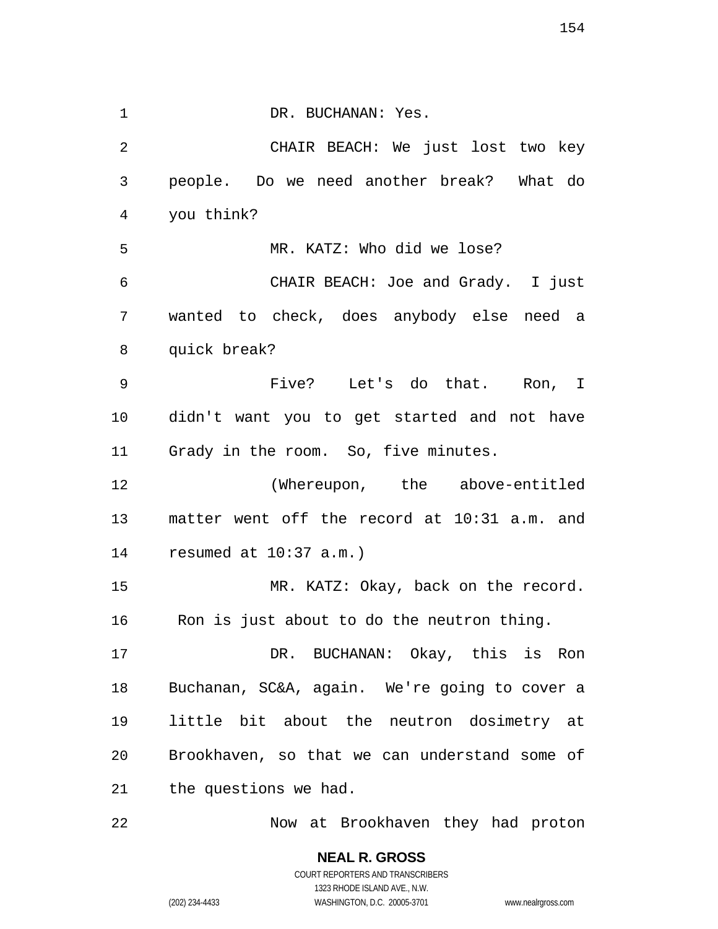1 DR. BUCHANAN: Yes.

CHAIR BEACH: We just lost two key people. Do we need another break? What do you think? MR. KATZ: Who did we lose? CHAIR BEACH: Joe and Grady. I just wanted to check, does anybody else need a quick break? Five? Let's do that. Ron, I didn't want you to get started and not have Grady in the room. So, five minutes. (Whereupon, the above-entitled matter went off the record at 10:31 a.m. and resumed at 10:37 a.m.) 15 MR. KATZ: Okay, back on the record. Ron is just about to do the neutron thing. DR. BUCHANAN: Okay, this is Ron Buchanan, SC&A, again. We're going to cover a little bit about the neutron dosimetry at Brookhaven, so that we can understand some of the questions we had.

Now at Brookhaven they had proton

COURT REPORTERS AND TRANSCRIBERS 1323 RHODE ISLAND AVE., N.W. (202) 234-4433 WASHINGTON, D.C. 20005-3701 www.nealrgross.com

**NEAL R. GROSS**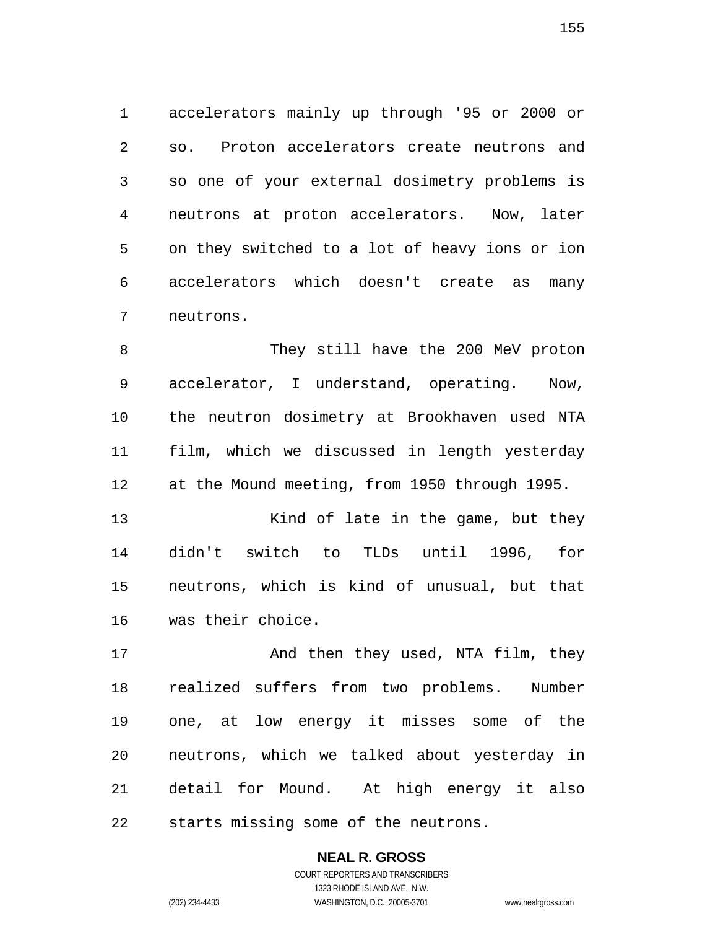accelerators mainly up through '95 or 2000 or so. Proton accelerators create neutrons and so one of your external dosimetry problems is neutrons at proton accelerators. Now, later on they switched to a lot of heavy ions or ion accelerators which doesn't create as many neutrons.

They still have the 200 MeV proton accelerator, I understand, operating. Now, the neutron dosimetry at Brookhaven used NTA film, which we discussed in length yesterday at the Mound meeting, from 1950 through 1995.

13 Kind of late in the game, but they didn't switch to TLDs until 1996, for neutrons, which is kind of unusual, but that was their choice.

17 And then they used, NTA film, they realized suffers from two problems. Number one, at low energy it misses some of the neutrons, which we talked about yesterday in detail for Mound. At high energy it also starts missing some of the neutrons.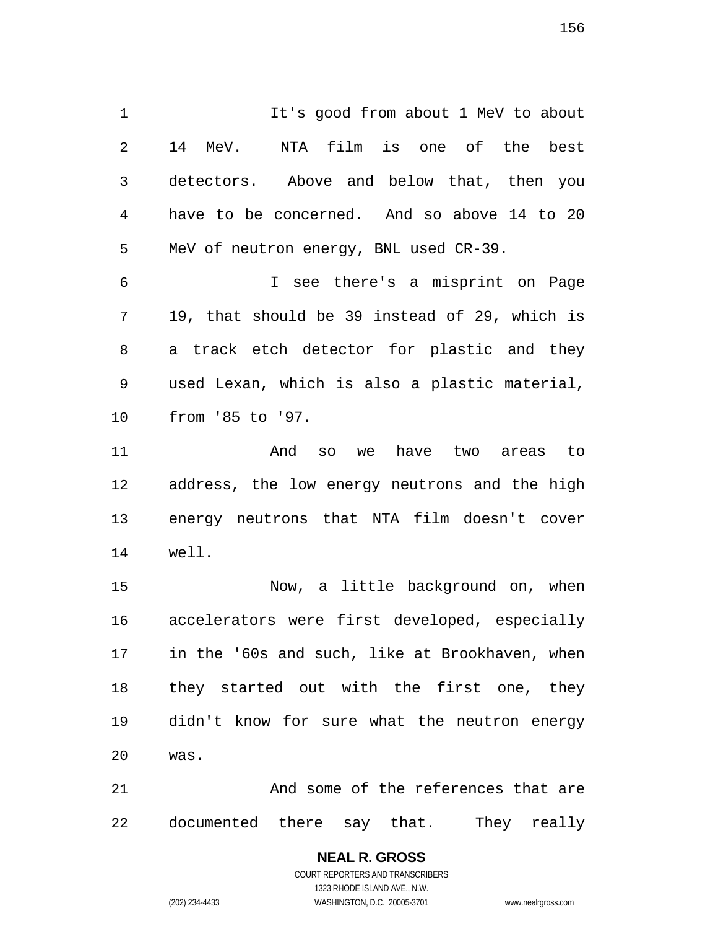1 It's good from about 1 MeV to about 14 MeV. NTA film is one of the best detectors. Above and below that, then you have to be concerned. And so above 14 to 20 MeV of neutron energy, BNL used CR-39. I see there's a misprint on Page

19, that should be 39 instead of 29, which is a track etch detector for plastic and they used Lexan, which is also a plastic material, from '85 to '97.

And so we have two areas to address, the low energy neutrons and the high energy neutrons that NTA film doesn't cover well.

Now, a little background on, when accelerators were first developed, especially in the '60s and such, like at Brookhaven, when they started out with the first one, they didn't know for sure what the neutron energy was.

21 And some of the references that are documented there say that. They really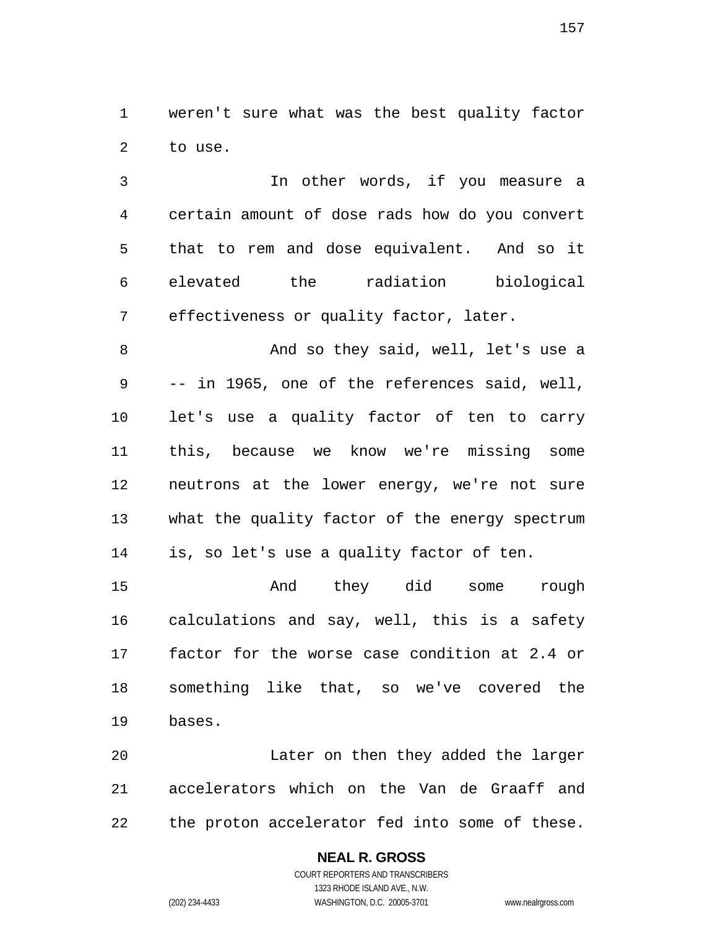weren't sure what was the best quality factor to use.

In other words, if you measure a certain amount of dose rads how do you convert that to rem and dose equivalent. And so it elevated the radiation biological effectiveness or quality factor, later.

And so they said, well, let's use a -- in 1965, one of the references said, well, let's use a quality factor of ten to carry this, because we know we're missing some neutrons at the lower energy, we're not sure what the quality factor of the energy spectrum is, so let's use a quality factor of ten.

And they did some rough calculations and say, well, this is a safety factor for the worse case condition at 2.4 or something like that, so we've covered the bases.

Later on then they added the larger accelerators which on the Van de Graaff and the proton accelerator fed into some of these.

# **NEAL R. GROSS**

COURT REPORTERS AND TRANSCRIBERS 1323 RHODE ISLAND AVE., N.W. (202) 234-4433 WASHINGTON, D.C. 20005-3701 www.nealrgross.com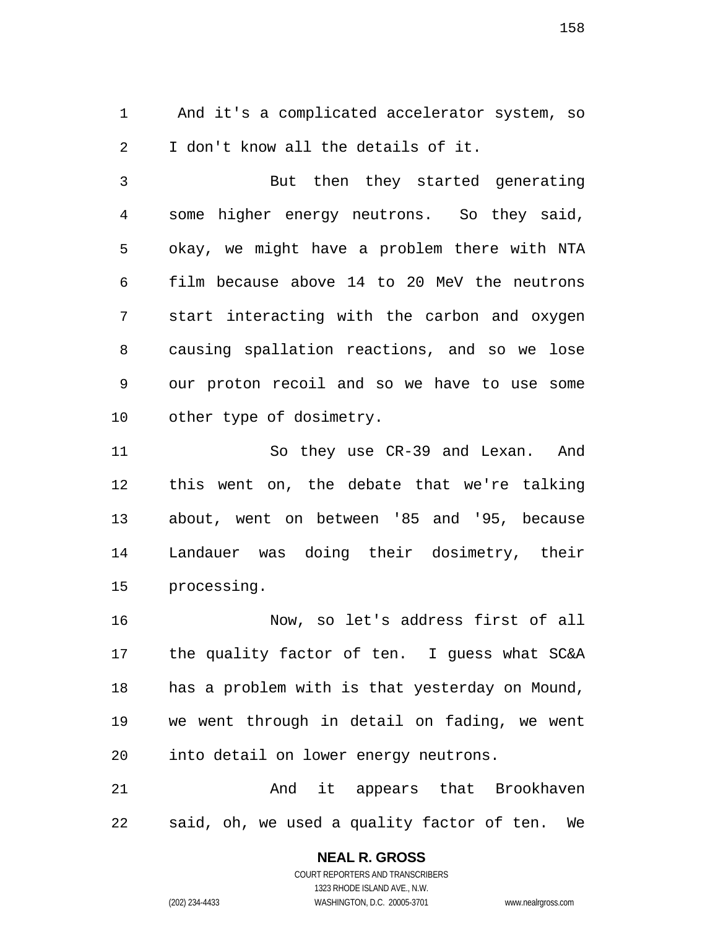And it's a complicated accelerator system, so I don't know all the details of it.

But then they started generating some higher energy neutrons. So they said, okay, we might have a problem there with NTA film because above 14 to 20 MeV the neutrons start interacting with the carbon and oxygen causing spallation reactions, and so we lose our proton recoil and so we have to use some other type of dosimetry.

So they use CR-39 and Lexan. And this went on, the debate that we're talking about, went on between '85 and '95, because Landauer was doing their dosimetry, their processing.

Now, so let's address first of all the quality factor of ten. I guess what SC&A has a problem with is that yesterday on Mound, we went through in detail on fading, we went into detail on lower energy neutrons.

And it appears that Brookhaven said, oh, we used a quality factor of ten. We

**NEAL R. GROSS** 

COURT REPORTERS AND TRANSCRIBERS 1323 RHODE ISLAND AVE., N.W. (202) 234-4433 WASHINGTON, D.C. 20005-3701 www.nealrgross.com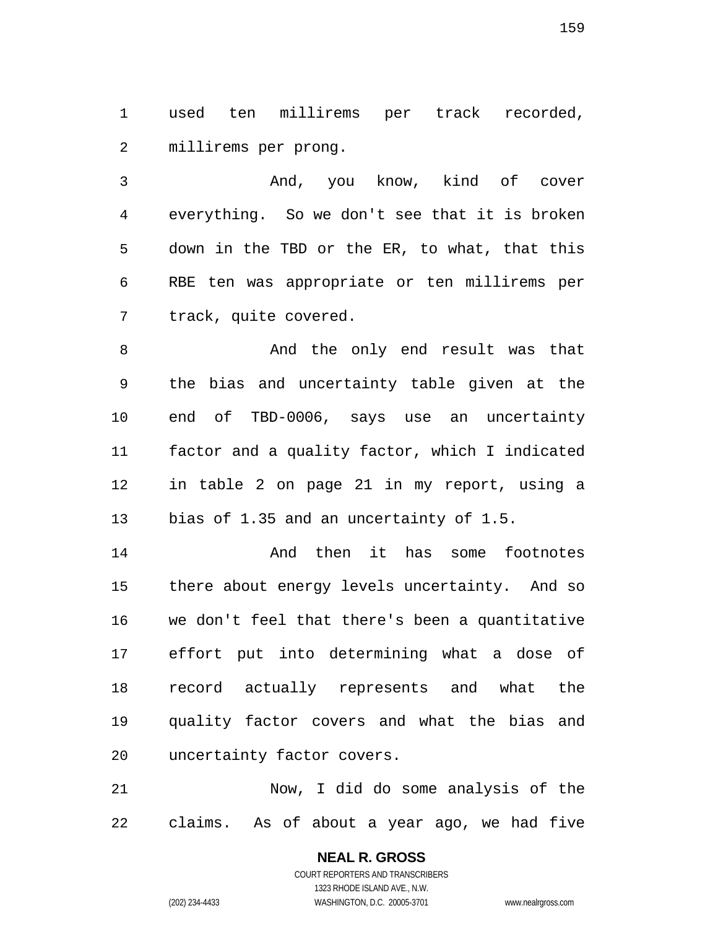used ten millirems per track recorded, millirems per prong.

And, you know, kind of cover everything. So we don't see that it is broken down in the TBD or the ER, to what, that this RBE ten was appropriate or ten millirems per track, quite covered.

8 And the only end result was that the bias and uncertainty table given at the end of TBD-0006, says use an uncertainty factor and a quality factor, which I indicated in table 2 on page 21 in my report, using a 13 bias of 1.35 and an uncertainty of 1.5.

And then it has some footnotes there about energy levels uncertainty. And so we don't feel that there's been a quantitative effort put into determining what a dose of record actually represents and what the quality factor covers and what the bias and uncertainty factor covers.

Now, I did do some analysis of the claims. As of about a year ago, we had five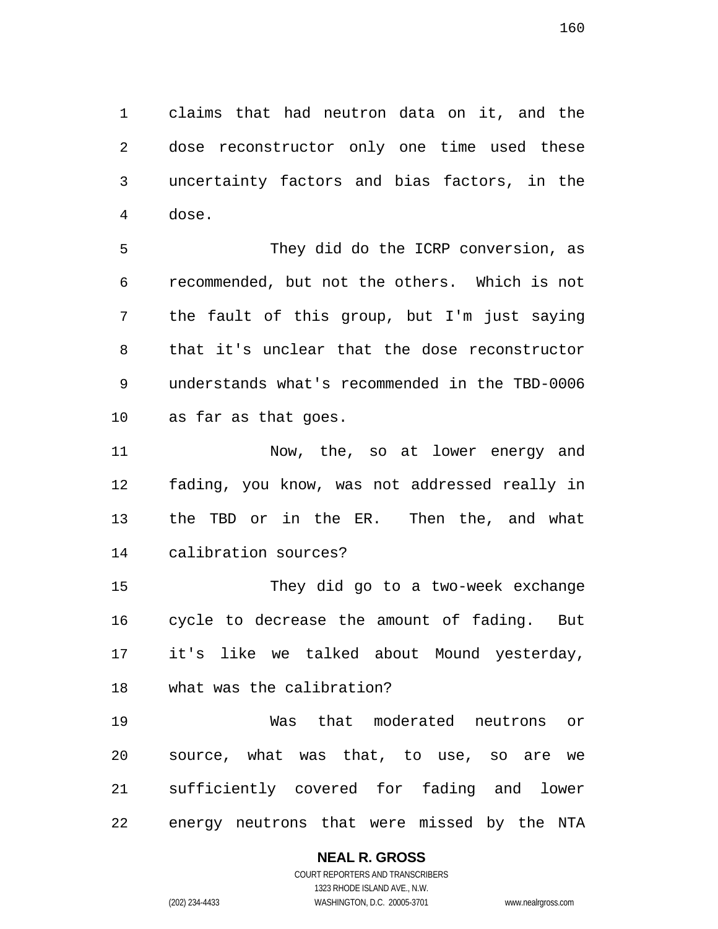claims that had neutron data on it, and the dose reconstructor only one time used these uncertainty factors and bias factors, in the dose.

They did do the ICRP conversion, as recommended, but not the others. Which is not the fault of this group, but I'm just saying that it's unclear that the dose reconstructor understands what's recommended in the TBD-0006 as far as that goes.

Now, the, so at lower energy and fading, you know, was not addressed really in the TBD or in the ER. Then the, and what calibration sources?

They did go to a two-week exchange cycle to decrease the amount of fading. But it's like we talked about Mound yesterday, what was the calibration?

Was that moderated neutrons or source, what was that, to use, so are we sufficiently covered for fading and lower energy neutrons that were missed by the NTA

#### **NEAL R. GROSS**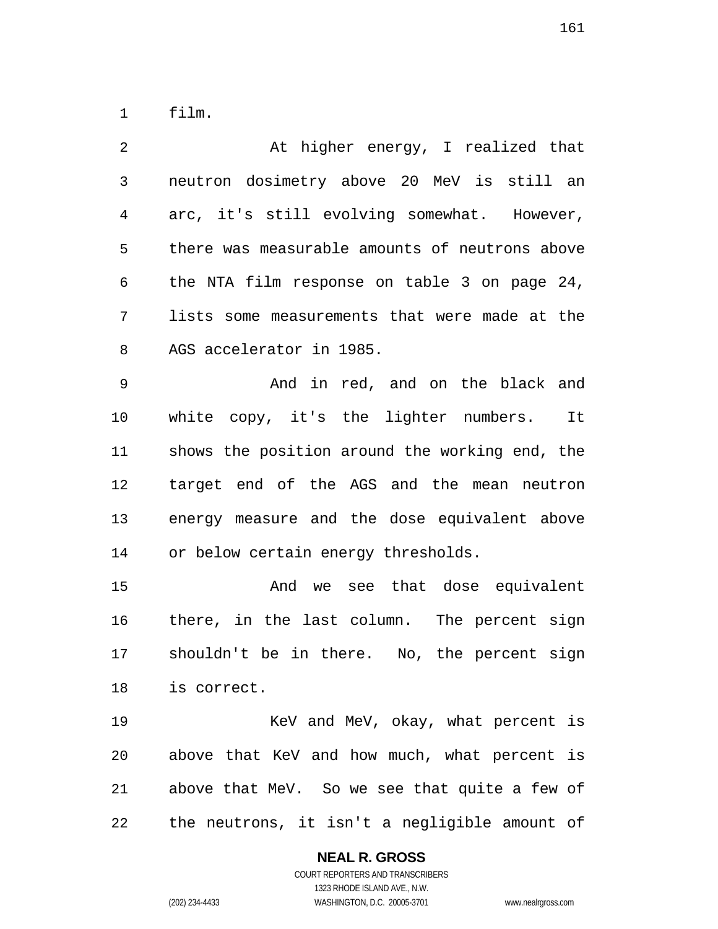film.

| 2              | At higher energy, I realized that              |
|----------------|------------------------------------------------|
| $\mathfrak{Z}$ | neutron dosimetry above 20 MeV is still an     |
| 4              | arc, it's still evolving somewhat. However,    |
| 5              | there was measurable amounts of neutrons above |
| 6              | the NTA film response on table 3 on page 24,   |
| 7              | lists some measurements that were made at the  |
| 8              | AGS accelerator in 1985.                       |
| 9              | And in red, and on the black and               |
| 10             | white copy, it's the lighter numbers. It       |
| 11             | shows the position around the working end, the |
| 12             | target end of the AGS and the mean neutron     |
| 13             | energy measure and the dose equivalent above   |
| 14             | or below certain energy thresholds.            |
| 15             | And we see that dose equivalent                |
| 16             | there, in the last column. The percent sign    |
| 17             | shouldn't be in there. No, the percent sign    |
| 18             | is correct.                                    |
| 19             | KeV and MeV, okay, what percent is             |
| 20             | above that KeV and how much, what percent is   |
| 21             | above that MeV. So we see that quite a few of  |
| 22             | the neutrons, it isn't a negligible amount of  |

**NEAL R. GROSS**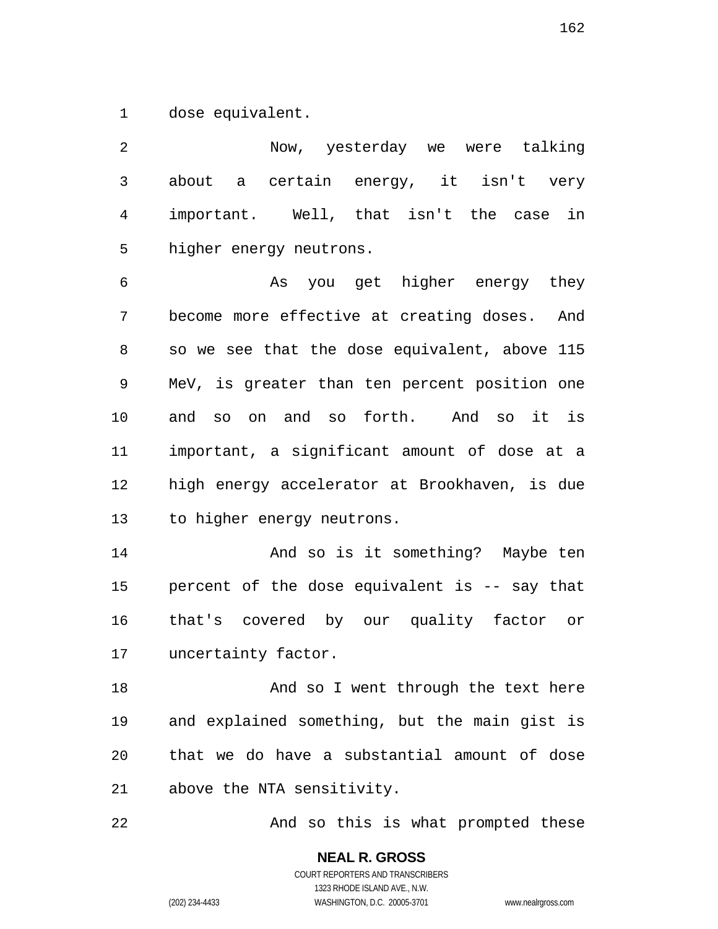dose equivalent.

Now, yesterday we were talking about a certain energy, it isn't very important. Well, that isn't the case in higher energy neutrons. As you get higher energy they become more effective at creating doses. And so we see that the dose equivalent, above 115 MeV, is greater than ten percent position one and so on and so forth. And so it is important, a significant amount of dose at a high energy accelerator at Brookhaven, is due to higher energy neutrons. And so is it something? Maybe ten percent of the dose equivalent is -- say that that's covered by our quality factor or uncertainty factor. 18 And so I went through the text here and explained something, but the main gist is that we do have a substantial amount of dose above the NTA sensitivity.

22 And so this is what prompted these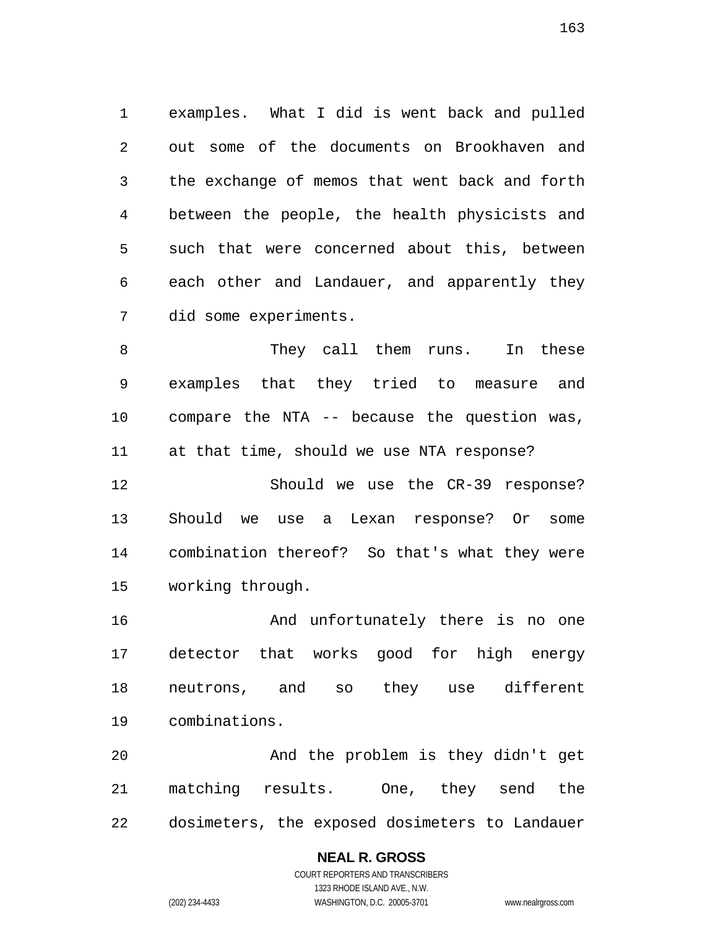examples. What I did is went back and pulled out some of the documents on Brookhaven and the exchange of memos that went back and forth between the people, the health physicists and such that were concerned about this, between each other and Landauer, and apparently they did some experiments.

8 They call them runs. In these examples that they tried to measure and compare the NTA -- because the question was, at that time, should we use NTA response?

Should we use the CR-39 response? Should we use a Lexan response? Or some combination thereof? So that's what they were working through.

And unfortunately there is no one detector that works good for high energy neutrons, and so they use different combinations.

And the problem is they didn't get matching results. One, they send the dosimeters, the exposed dosimeters to Landauer

#### **NEAL R. GROSS**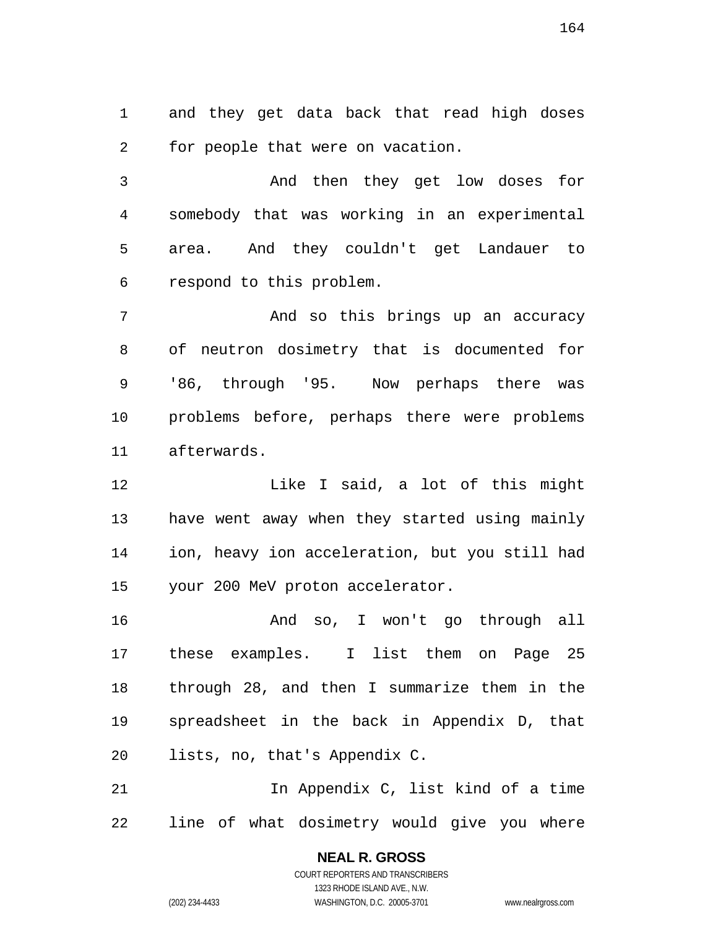and they get data back that read high doses for people that were on vacation.

And then they get low doses for somebody that was working in an experimental area. And they couldn't get Landauer to respond to this problem.

And so this brings up an accuracy of neutron dosimetry that is documented for '86, through '95. Now perhaps there was problems before, perhaps there were problems afterwards.

Like I said, a lot of this might have went away when they started using mainly ion, heavy ion acceleration, but you still had your 200 MeV proton accelerator.

And so, I won't go through all these examples. I list them on Page 25 through 28, and then I summarize them in the spreadsheet in the back in Appendix D, that lists, no, that's Appendix C.

In Appendix C, list kind of a time line of what dosimetry would give you where

> **NEAL R. GROSS**  COURT REPORTERS AND TRANSCRIBERS 1323 RHODE ISLAND AVE., N.W. (202) 234-4433 WASHINGTON, D.C. 20005-3701 www.nealrgross.com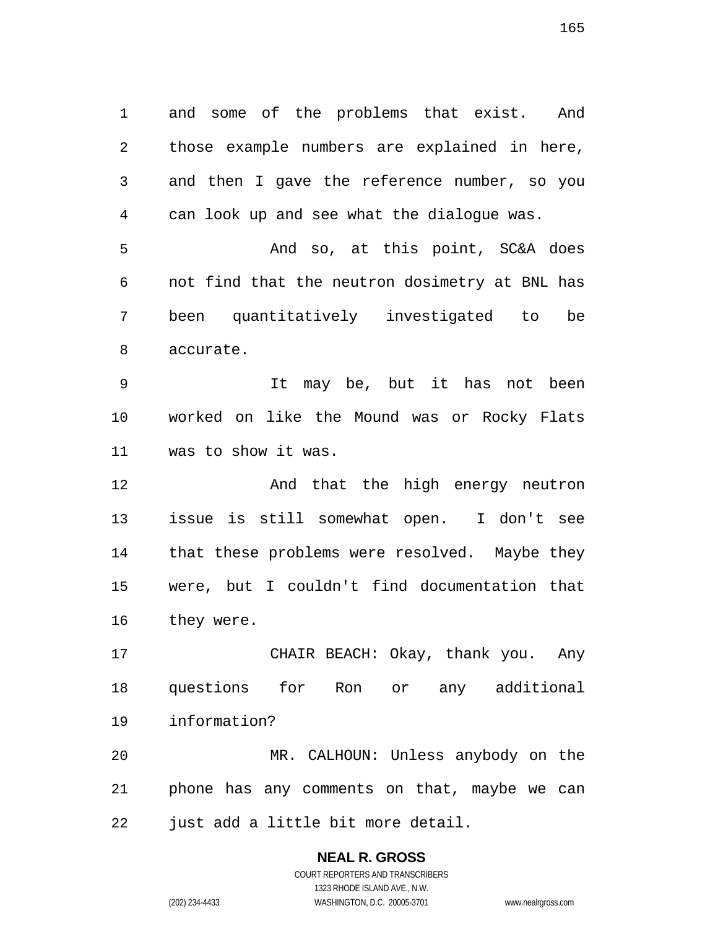and some of the problems that exist. And those example numbers are explained in here, and then I gave the reference number, so you can look up and see what the dialogue was. And so, at this point, SC&A does not find that the neutron dosimetry at BNL has been quantitatively investigated to be

accurate.

It may be, but it has not been worked on like the Mound was or Rocky Flats was to show it was.

**And that the high energy neutron** issue is still somewhat open. I don't see that these problems were resolved. Maybe they were, but I couldn't find documentation that they were.

CHAIR BEACH: Okay, thank you. Any questions for Ron or any additional information?

MR. CALHOUN: Unless anybody on the phone has any comments on that, maybe we can just add a little bit more detail.

# **NEAL R. GROSS**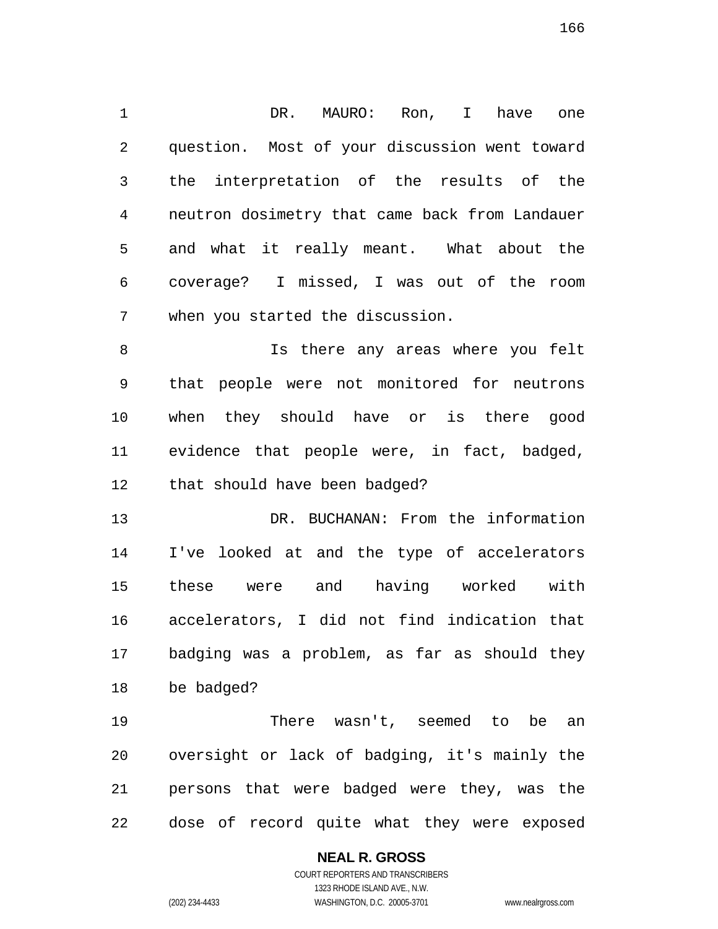DR. MAURO: Ron, I have one question. Most of your discussion went toward the interpretation of the results of the neutron dosimetry that came back from Landauer and what it really meant. What about the coverage? I missed, I was out of the room when you started the discussion.

Is there any areas where you felt that people were not monitored for neutrons when they should have or is there good evidence that people were, in fact, badged, that should have been badged?

DR. BUCHANAN: From the information I've looked at and the type of accelerators these were and having worked with accelerators, I did not find indication that badging was a problem, as far as should they be badged?

There wasn't, seemed to be an oversight or lack of badging, it's mainly the persons that were badged were they, was the dose of record quite what they were exposed

#### **NEAL R. GROSS**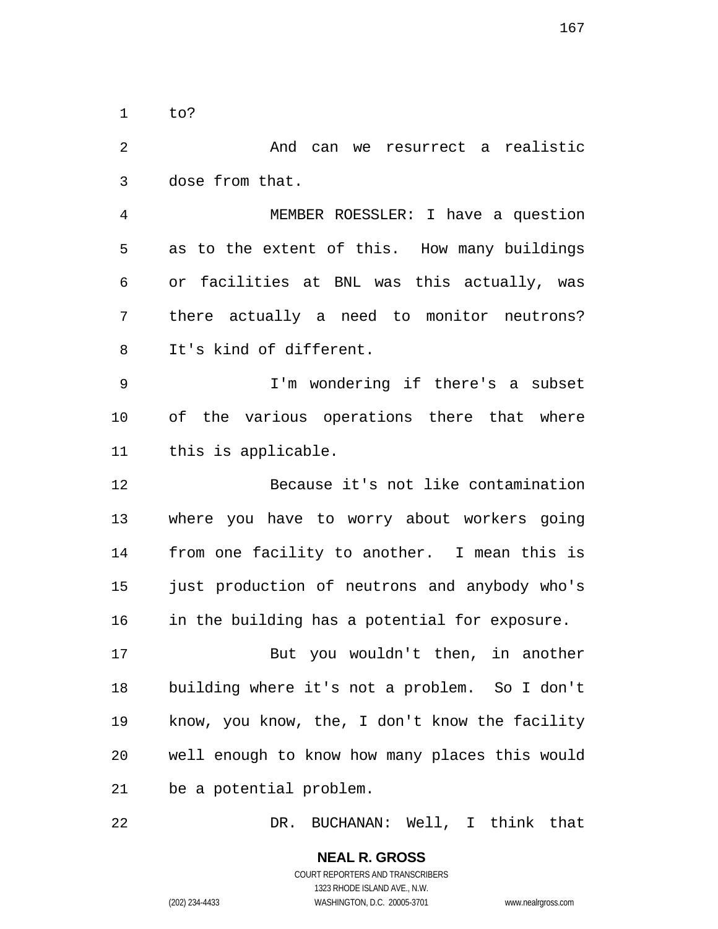to?

And can we resurrect a realistic dose from that. MEMBER ROESSLER: I have a question as to the extent of this. How many buildings or facilities at BNL was this actually, was there actually a need to monitor neutrons? It's kind of different. I'm wondering if there's a subset of the various operations there that where this is applicable. Because it's not like contamination where you have to worry about workers going from one facility to another. I mean this is just production of neutrons and anybody who's in the building has a potential for exposure. But you wouldn't then, in another building where it's not a problem. So I don't know, you know, the, I don't know the facility well enough to know how many places this would be a potential problem.

DR. BUCHANAN: Well, I think that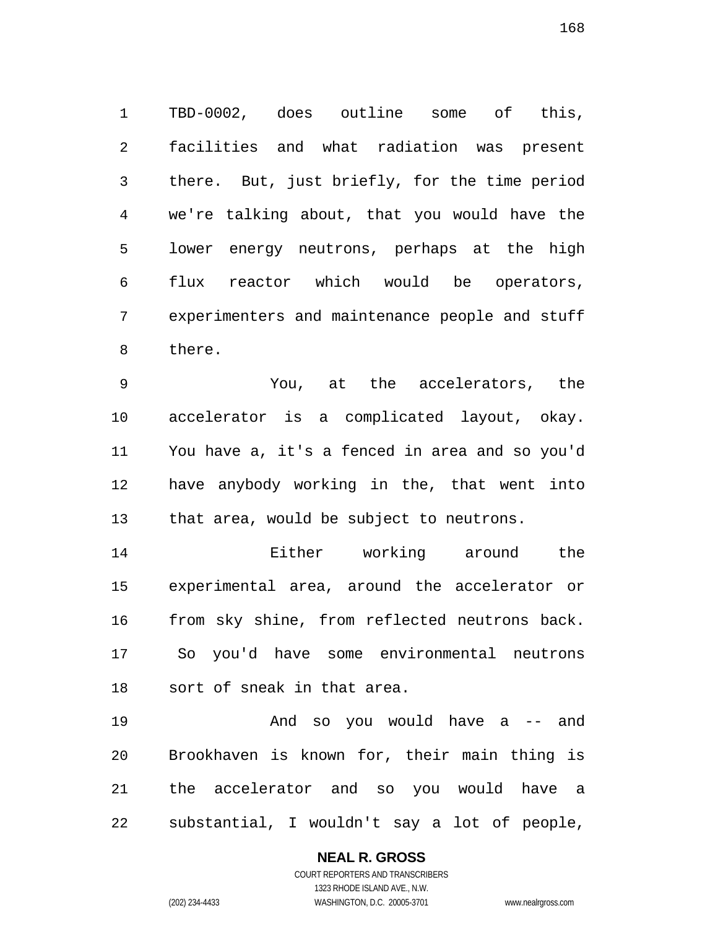TBD-0002, does outline some of this, facilities and what radiation was present there. But, just briefly, for the time period we're talking about, that you would have the lower energy neutrons, perhaps at the high flux reactor which would be operators, experimenters and maintenance people and stuff there.

You, at the accelerators, the accelerator is a complicated layout, okay. You have a, it's a fenced in area and so you'd have anybody working in the, that went into that area, would be subject to neutrons.

Either working around the experimental area, around the accelerator or from sky shine, from reflected neutrons back. So you'd have some environmental neutrons sort of sneak in that area.

And so you would have a -- and Brookhaven is known for, their main thing is the accelerator and so you would have a substantial, I wouldn't say a lot of people,

**NEAL R. GROSS**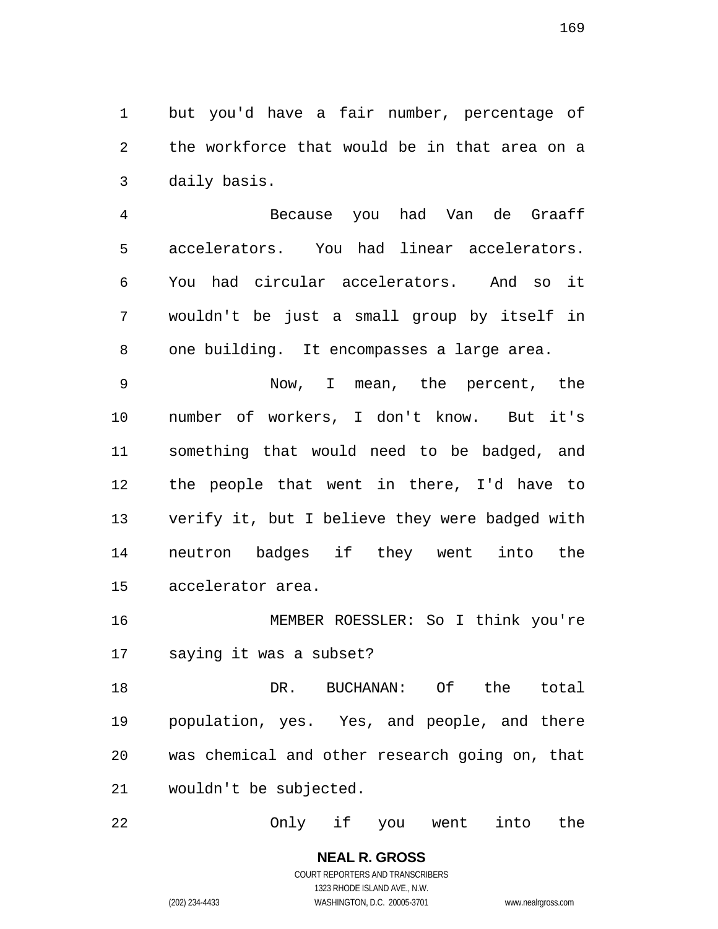but you'd have a fair number, percentage of the workforce that would be in that area on a daily basis.

Because you had Van de Graaff accelerators. You had linear accelerators. You had circular accelerators. And so it wouldn't be just a small group by itself in one building. It encompasses a large area.

Now, I mean, the percent, the number of workers, I don't know. But it's something that would need to be badged, and the people that went in there, I'd have to verify it, but I believe they were badged with neutron badges if they went into the accelerator area.

MEMBER ROESSLER: So I think you're saying it was a subset?

18 DR. BUCHANAN: Of the total population, yes. Yes, and people, and there was chemical and other research going on, that wouldn't be subjected.

Only if you went into the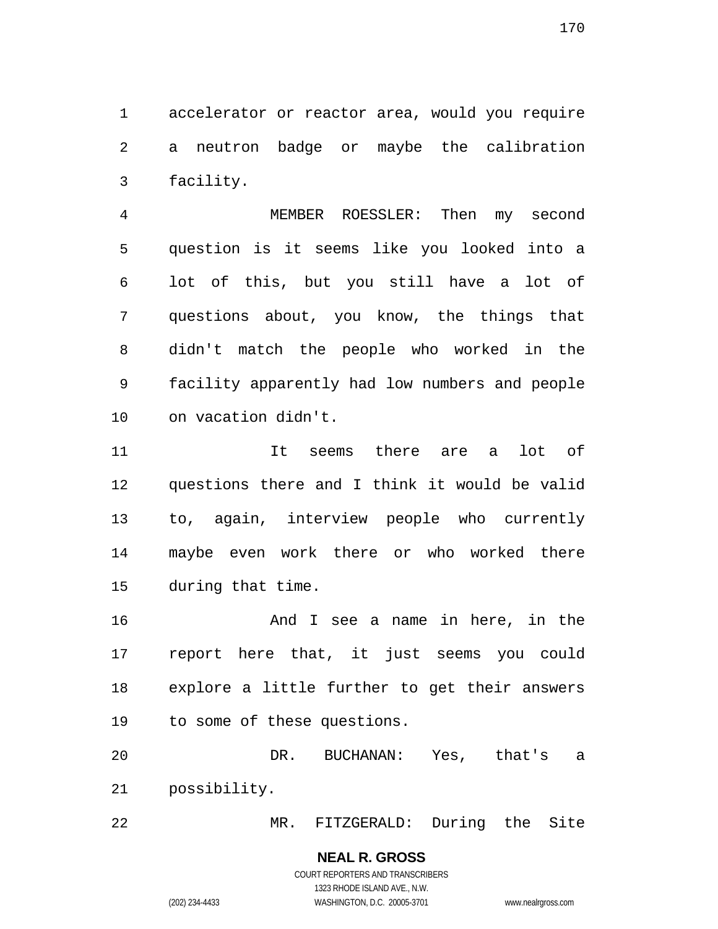accelerator or reactor area, would you require a neutron badge or maybe the calibration facility.

MEMBER ROESSLER: Then my second question is it seems like you looked into a lot of this, but you still have a lot of questions about, you know, the things that didn't match the people who worked in the facility apparently had low numbers and people on vacation didn't.

It seems there are a lot of questions there and I think it would be valid to, again, interview people who currently maybe even work there or who worked there during that time.

And I see a name in here, in the report here that, it just seems you could explore a little further to get their answers to some of these questions.

DR. BUCHANAN: Yes, that's a possibility.

MR. FITZGERALD: During the Site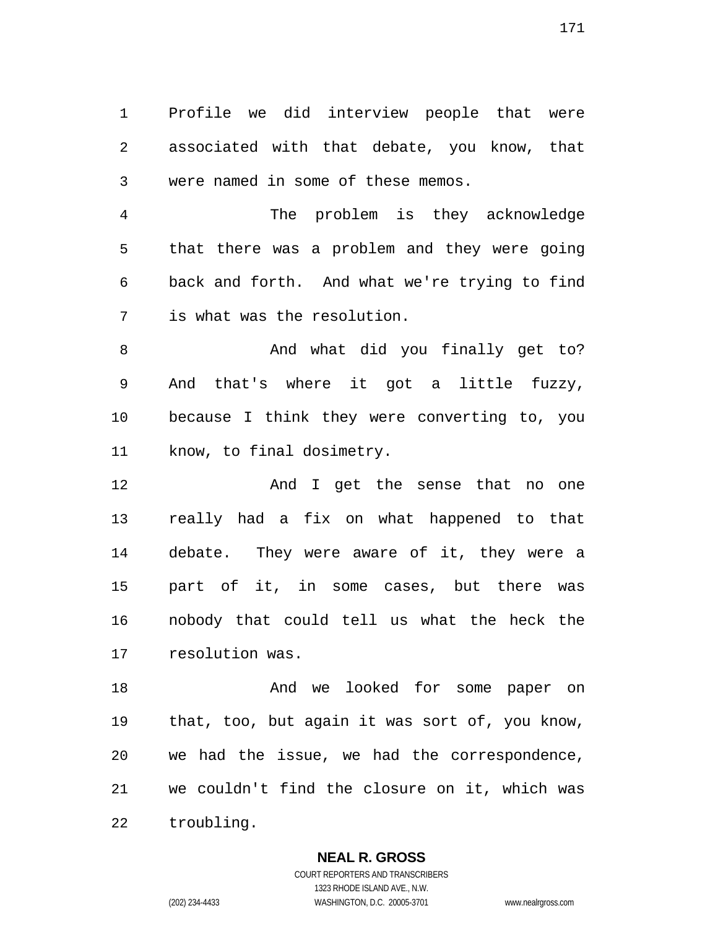Profile we did interview people that were associated with that debate, you know, that were named in some of these memos.

The problem is they acknowledge that there was a problem and they were going back and forth. And what we're trying to find is what was the resolution.

8 And what did you finally get to? And that's where it got a little fuzzy, because I think they were converting to, you know, to final dosimetry.

**And I** get the sense that no one really had a fix on what happened to that debate. They were aware of it, they were a part of it, in some cases, but there was nobody that could tell us what the heck the resolution was.

18 And we looked for some paper on that, too, but again it was sort of, you know, we had the issue, we had the correspondence, we couldn't find the closure on it, which was troubling.

#### **NEAL R. GROSS**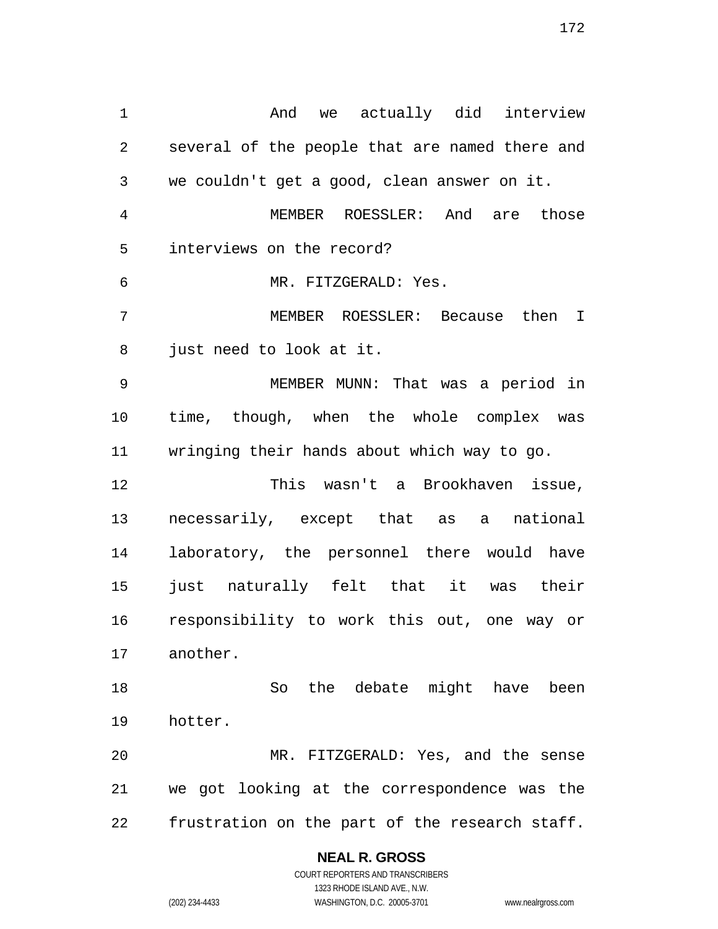And we actually did interview several of the people that are named there and we couldn't get a good, clean answer on it. MEMBER ROESSLER: And are those interviews on the record? MR. FITZGERALD: Yes. MEMBER ROESSLER: Because then I just need to look at it. MEMBER MUNN: That was a period in time, though, when the whole complex was wringing their hands about which way to go. This wasn't a Brookhaven issue, necessarily, except that as a national laboratory, the personnel there would have just naturally felt that it was their responsibility to work this out, one way or another. So the debate might have been hotter. MR. FITZGERALD: Yes, and the sense we got looking at the correspondence was the frustration on the part of the research staff.

#### **NEAL R. GROSS**

COURT REPORTERS AND TRANSCRIBERS 1323 RHODE ISLAND AVE., N.W. (202) 234-4433 WASHINGTON, D.C. 20005-3701 www.nealrgross.com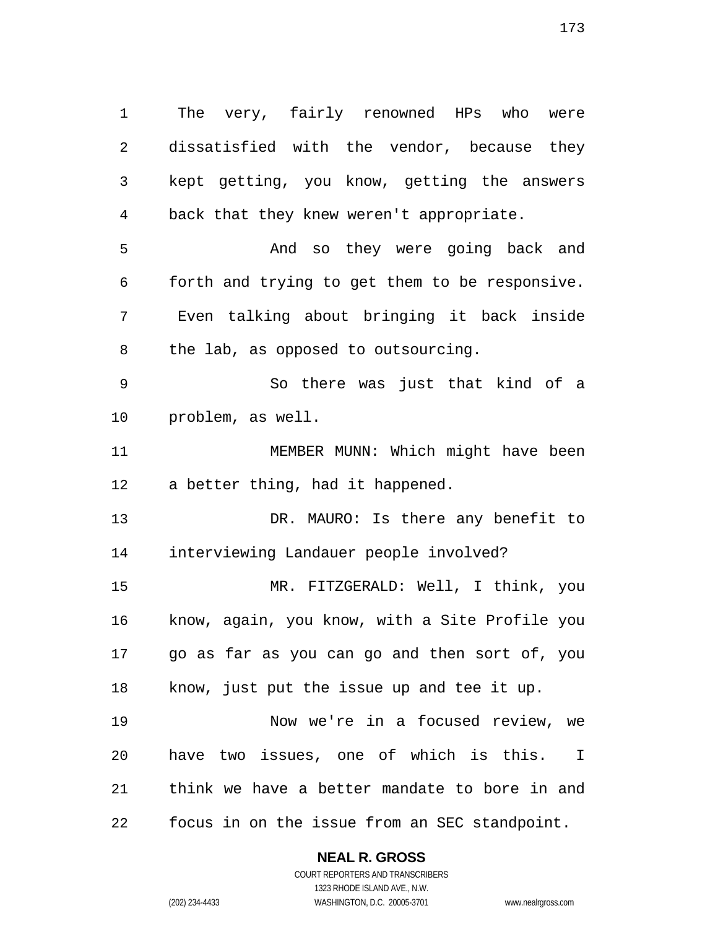The very, fairly renowned HPs who were dissatisfied with the vendor, because they kept getting, you know, getting the answers back that they knew weren't appropriate. And so they were going back and forth and trying to get them to be responsive. Even talking about bringing it back inside the lab, as opposed to outsourcing. So there was just that kind of a problem, as well. 11 MEMBER MUNN: Which might have been a better thing, had it happened. 13 DR. MAURO: Is there any benefit to interviewing Landauer people involved? MR. FITZGERALD: Well, I think, you know, again, you know, with a Site Profile you go as far as you can go and then sort of, you know, just put the issue up and tee it up. Now we're in a focused review, we

have two issues, one of which is this. I think we have a better mandate to bore in and focus in on the issue from an SEC standpoint.

**NEAL R. GROSS**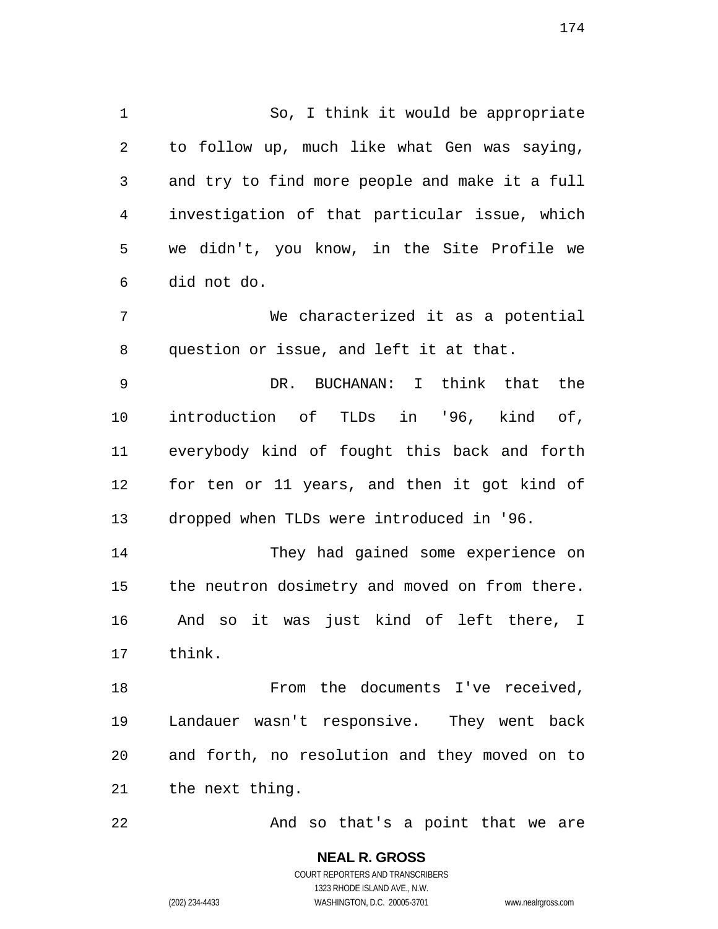So, I think it would be appropriate to follow up, much like what Gen was saying, and try to find more people and make it a full investigation of that particular issue, which we didn't, you know, in the Site Profile we did not do. We characterized it as a potential question or issue, and left it at that. DR. BUCHANAN: I think that the introduction of TLDs in '96, kind of, everybody kind of fought this back and forth for ten or 11 years, and then it got kind of dropped when TLDs were introduced in '96. They had gained some experience on

And so it was just kind of left there, I think.

the neutron dosimetry and moved on from there.

18 From the documents I've received, Landauer wasn't responsive. They went back and forth, no resolution and they moved on to the next thing.

22 And so that's a point that we are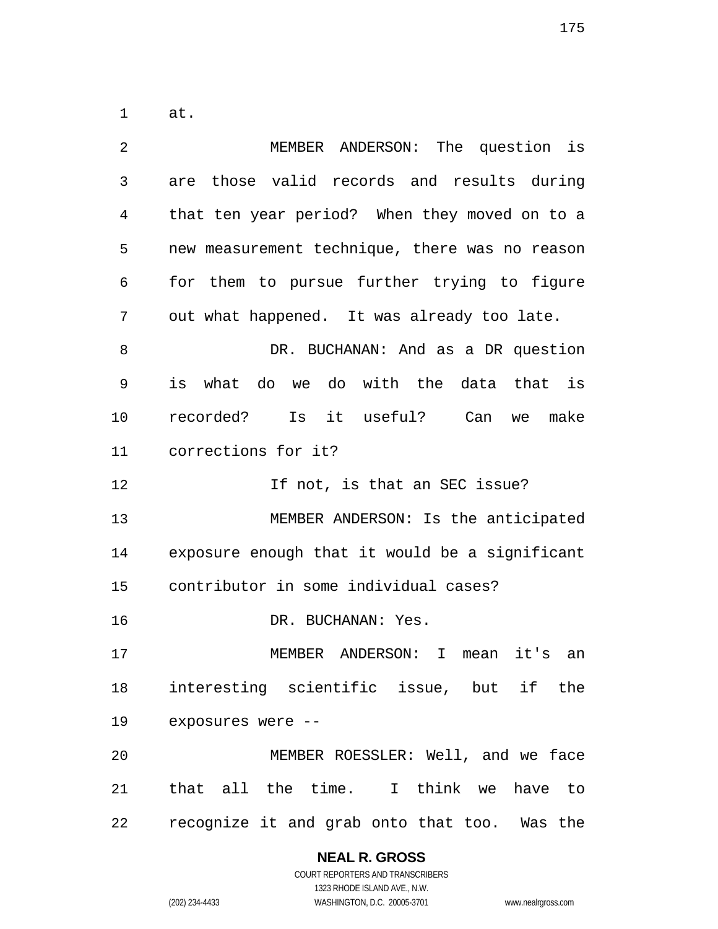at.

| $\overline{2}$ | MEMBER ANDERSON: The question is               |
|----------------|------------------------------------------------|
| 3              | are those valid records and results during     |
| 4              | that ten year period? When they moved on to a  |
| 5              | new measurement technique, there was no reason |
| 6              | for them to pursue further trying to figure    |
| 7              | out what happened. It was already too late.    |
| 8              | DR. BUCHANAN: And as a DR question             |
| 9              | is what do we do with the data that is         |
| 10             | Is it useful? Can<br>recorded?<br>make<br>we   |
| 11             | corrections for it?                            |
| 12             | If not, is that an SEC issue?                  |
| 13             | MEMBER ANDERSON: Is the anticipated            |
| 14             | exposure enough that it would be a significant |
| 15             | contributor in some individual cases?          |
| 16             | DR. BUCHANAN: Yes.                             |
| 17             | MEMBER ANDERSON:<br>I mean<br>it's<br>an       |
| 18             | interesting scientific issue, but if the       |
| 19             | exposures were --                              |
| 20             | MEMBER ROESSLER: Well, and we face             |
| 21             | that all the time. I think we have to          |
| 22             | recognize it and grab onto that too. Was the   |

## **NEAL R. GROSS**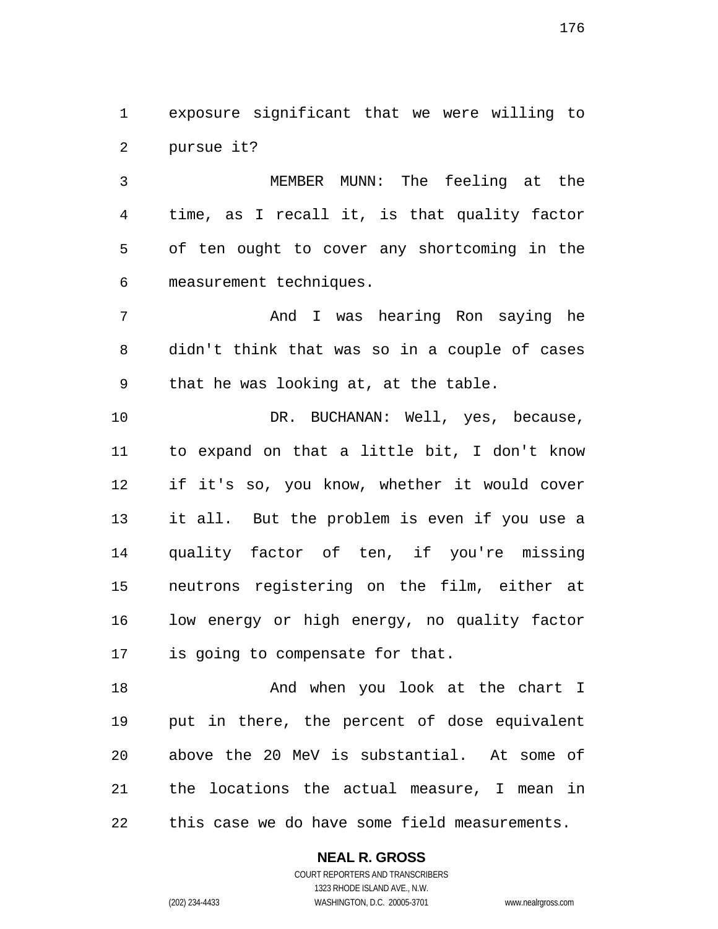exposure significant that we were willing to pursue it?

MEMBER MUNN: The feeling at the time, as I recall it, is that quality factor of ten ought to cover any shortcoming in the measurement techniques.

And I was hearing Ron saying he didn't think that was so in a couple of cases that he was looking at, at the table.

10 DR. BUCHANAN: Well, yes, because, to expand on that a little bit, I don't know if it's so, you know, whether it would cover it all. But the problem is even if you use a quality factor of ten, if you're missing neutrons registering on the film, either at low energy or high energy, no quality factor is going to compensate for that.

18 And when you look at the chart I put in there, the percent of dose equivalent above the 20 MeV is substantial. At some of the locations the actual measure, I mean in this case we do have some field measurements.

### **NEAL R. GROSS**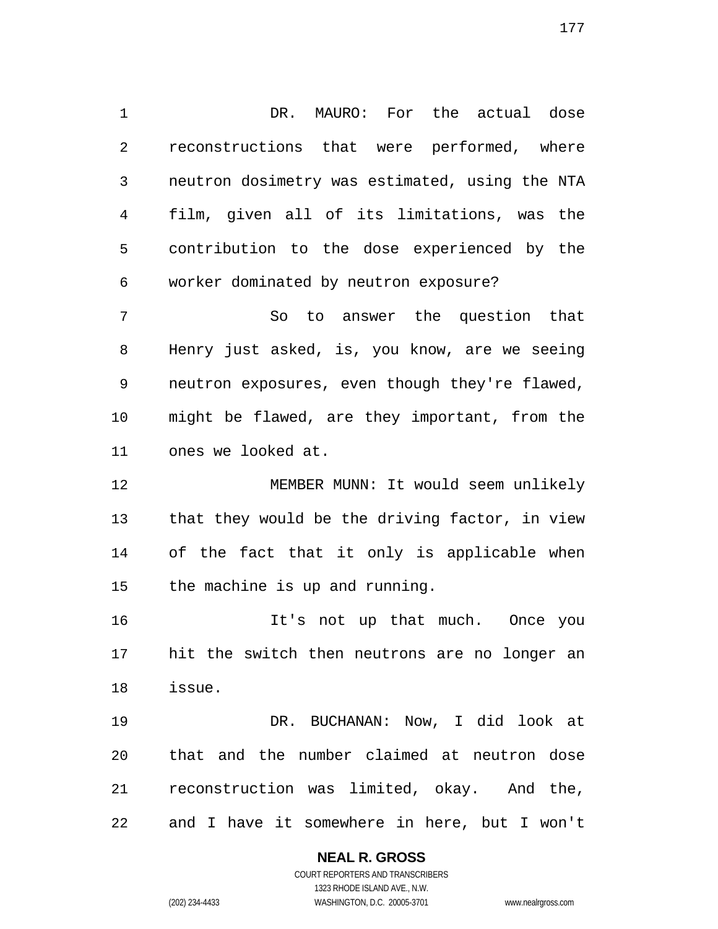DR. MAURO: For the actual dose reconstructions that were performed, where neutron dosimetry was estimated, using the NTA film, given all of its limitations, was the contribution to the dose experienced by the worker dominated by neutron exposure?

So to answer the question that Henry just asked, is, you know, are we seeing neutron exposures, even though they're flawed, might be flawed, are they important, from the ones we looked at.

MEMBER MUNN: It would seem unlikely that they would be the driving factor, in view of the fact that it only is applicable when the machine is up and running.

It's not up that much. Once you hit the switch then neutrons are no longer an issue.

DR. BUCHANAN: Now, I did look at that and the number claimed at neutron dose reconstruction was limited, okay. And the, and I have it somewhere in here, but I won't

# **NEAL R. GROSS**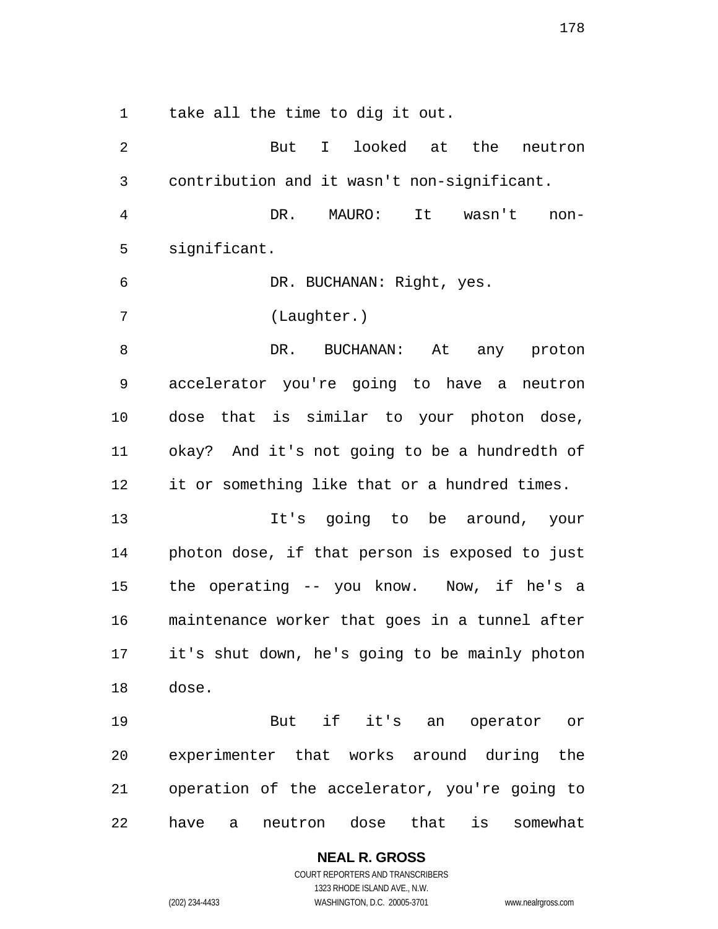take all the time to dig it out.

2 But I looked at the neutron contribution and it wasn't non-significant. DR. MAURO: It wasn't non-significant. DR. BUCHANAN: Right, yes. (Laughter.) DR. BUCHANAN: At any proton accelerator you're going to have a neutron dose that is similar to your photon dose, okay? And it's not going to be a hundredth of it or something like that or a hundred times. It's going to be around, your photon dose, if that person is exposed to just the operating -- you know. Now, if he's a maintenance worker that goes in a tunnel after it's shut down, he's going to be mainly photon dose. But if it's an operator or experimenter that works around during the operation of the accelerator, you're going to have a neutron dose that is somewhat

> **NEAL R. GROSS**  COURT REPORTERS AND TRANSCRIBERS

> > 1323 RHODE ISLAND AVE., N.W.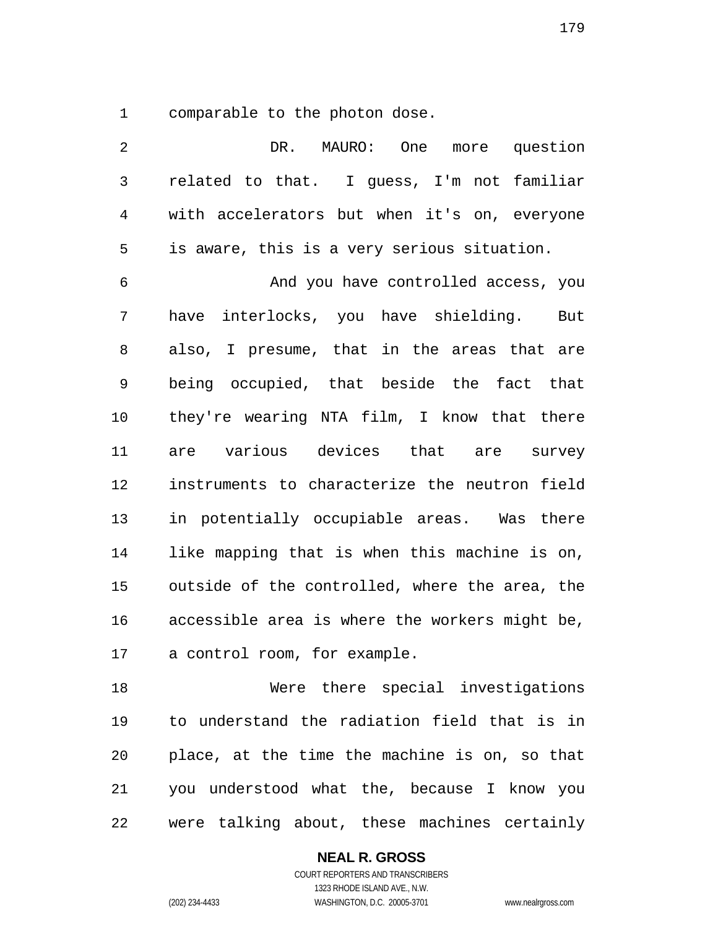comparable to the photon dose.

| 3  | related to that. I guess, I'm not familiar     |
|----|------------------------------------------------|
| 4  | with accelerators but when it's on, everyone   |
| 5  | is aware, this is a very serious situation.    |
| 6  | And you have controlled access, you            |
| 7  | have interlocks, you have shielding. But       |
| 8  | also, I presume, that in the areas that are    |
| 9  | being occupied, that beside the fact that      |
| 10 | they're wearing NTA film, I know that there    |
| 11 | are various devices that are survey            |
| 12 | instruments to characterize the neutron field  |
| 13 | in potentially occupiable areas. Was there     |
| 14 | like mapping that is when this machine is on,  |
| 15 | outside of the controlled, where the area, the |
| 16 | accessible area is where the workers might be, |
| 17 | a control room, for example.                   |
| 18 | Were there special investigations              |
| 19 | to understand the radiation field that is in   |
| 20 | place, at the time the machine is on, so that  |
| 21 | you understood what the, because I know you    |
| 22 | were talking about, these machines certainly   |

DR. MAURO: One more question

**NEAL R. GROSS**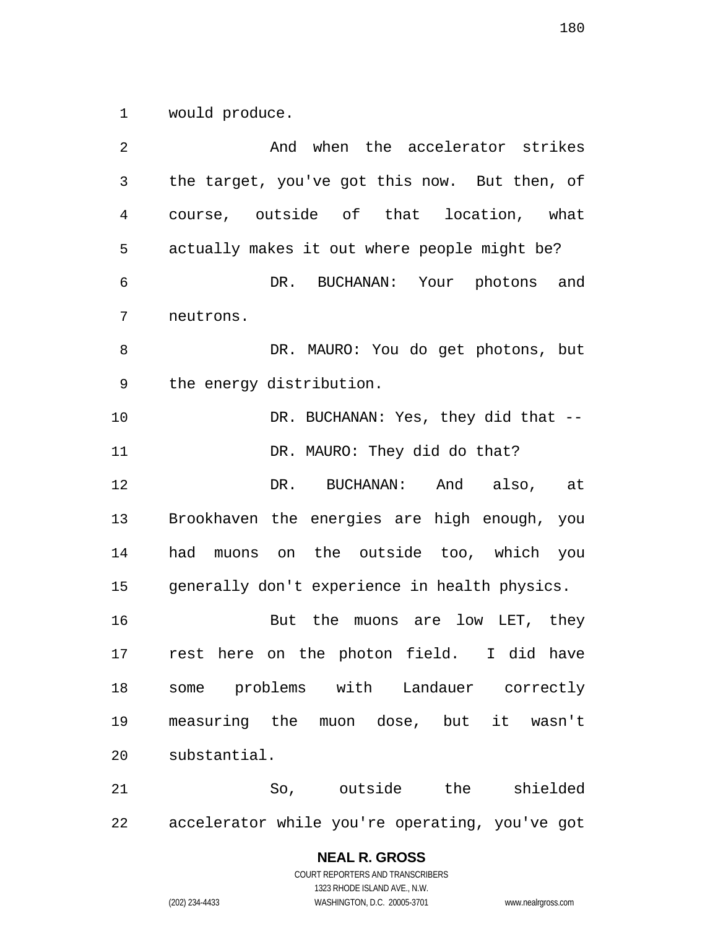would produce.

And when the accelerator strikes the target, you've got this now. But then, of course, outside of that location, what actually makes it out where people might be? DR. BUCHANAN: Your photons and neutrons. DR. MAURO: You do get photons, but the energy distribution. 10 DR. BUCHANAN: Yes, they did that --11 DR. MAURO: They did do that? DR. BUCHANAN: And also, at Brookhaven the energies are high enough, you had muons on the outside too, which you generally don't experience in health physics. 16 But the muons are low LET, they rest here on the photon field. I did have some problems with Landauer correctly measuring the muon dose, but it wasn't substantial. So, outside the shielded accelerator while you're operating, you've got

# **NEAL R. GROSS**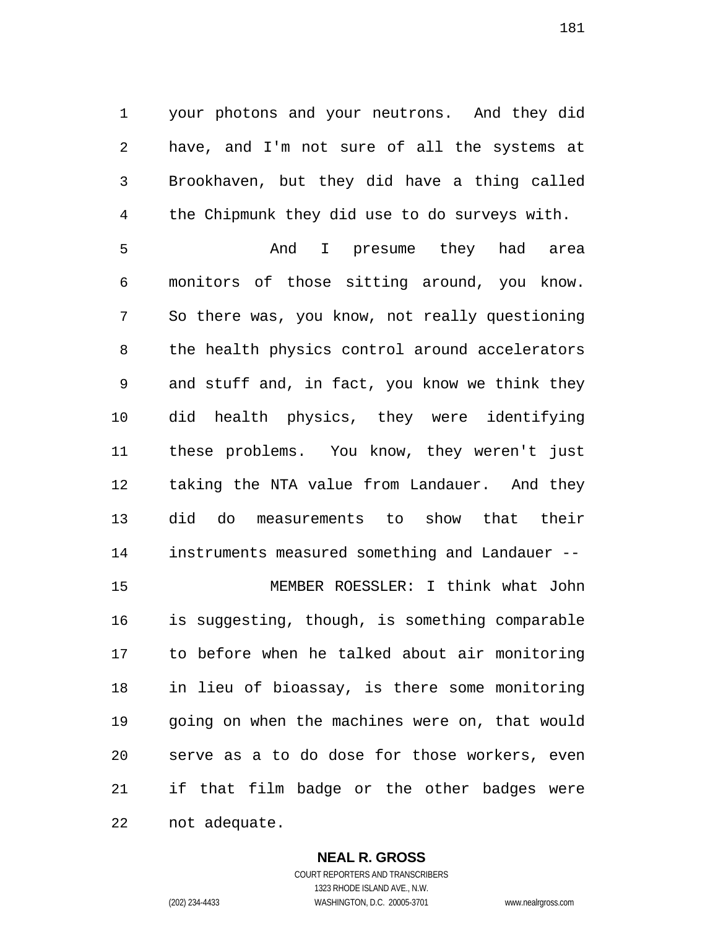your photons and your neutrons. And they did have, and I'm not sure of all the systems at Brookhaven, but they did have a thing called the Chipmunk they did use to do surveys with.

And I presume they had area monitors of those sitting around, you know. So there was, you know, not really questioning the health physics control around accelerators and stuff and, in fact, you know we think they did health physics, they were identifying these problems. You know, they weren't just taking the NTA value from Landauer. And they did do measurements to show that their instruments measured something and Landauer -- MEMBER ROESSLER: I think what John is suggesting, though, is something comparable

to before when he talked about air monitoring in lieu of bioassay, is there some monitoring going on when the machines were on, that would serve as a to do dose for those workers, even if that film badge or the other badges were not adequate.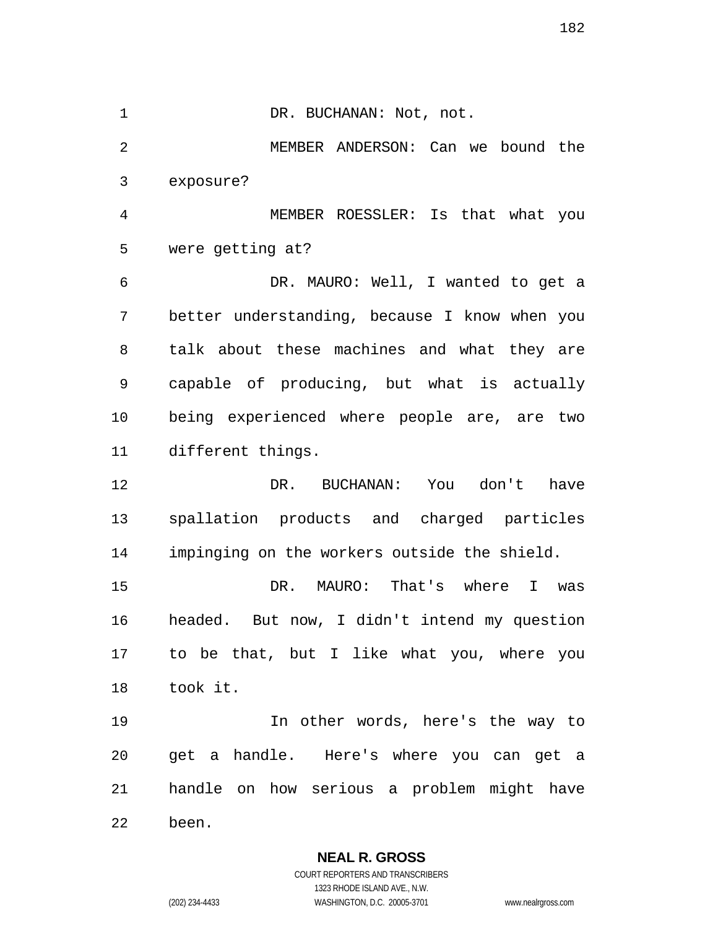1 DR. BUCHANAN: Not, not. MEMBER ANDERSON: Can we bound the exposure? MEMBER ROESSLER: Is that what you were getting at? DR. MAURO: Well, I wanted to get a better understanding, because I know when you talk about these machines and what they are capable of producing, but what is actually being experienced where people are, are two different things. DR. BUCHANAN: You don't have spallation products and charged particles impinging on the workers outside the shield. DR. MAURO: That's where I was headed. But now, I didn't intend my question to be that, but I like what you, where you took it. In other words, here's the way to get a handle. Here's where you can get a handle on how serious a problem might have been.

> **NEAL R. GROSS**  COURT REPORTERS AND TRANSCRIBERS

1323 RHODE ISLAND AVE., N.W. (202) 234-4433 WASHINGTON, D.C. 20005-3701 www.nealrgross.com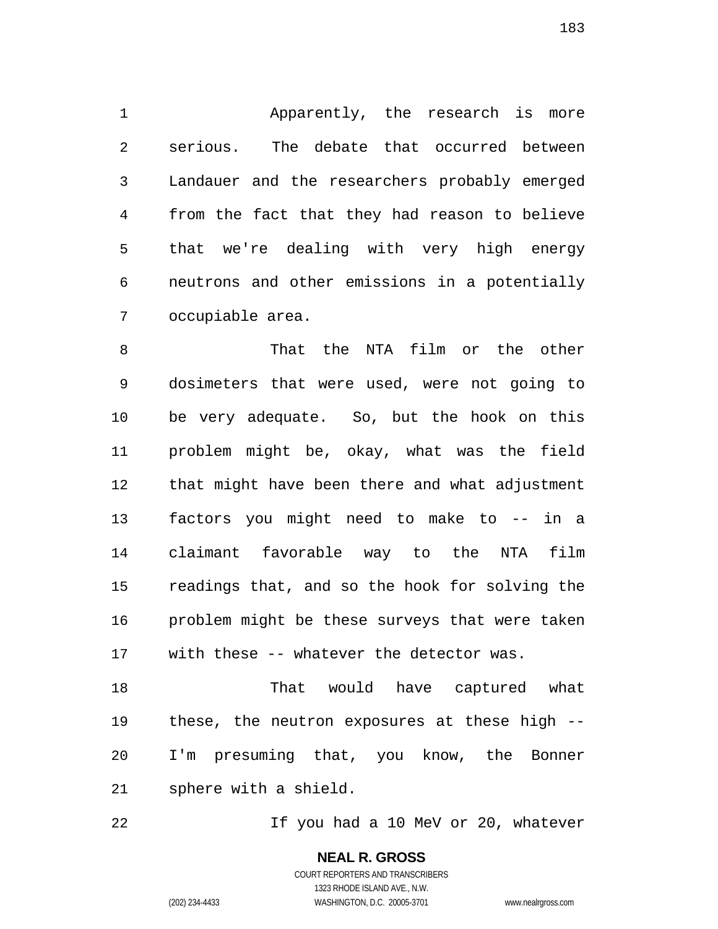Apparently, the research is more serious. The debate that occurred between Landauer and the researchers probably emerged from the fact that they had reason to believe that we're dealing with very high energy neutrons and other emissions in a potentially occupiable area.

That the NTA film or the other dosimeters that were used, were not going to be very adequate. So, but the hook on this problem might be, okay, what was the field that might have been there and what adjustment factors you might need to make to -- in a claimant favorable way to the NTA film readings that, and so the hook for solving the problem might be these surveys that were taken with these -- whatever the detector was.

That would have captured what these, the neutron exposures at these high -- I'm presuming that, you know, the Bonner sphere with a shield.

If you had a 10 MeV or 20, whatever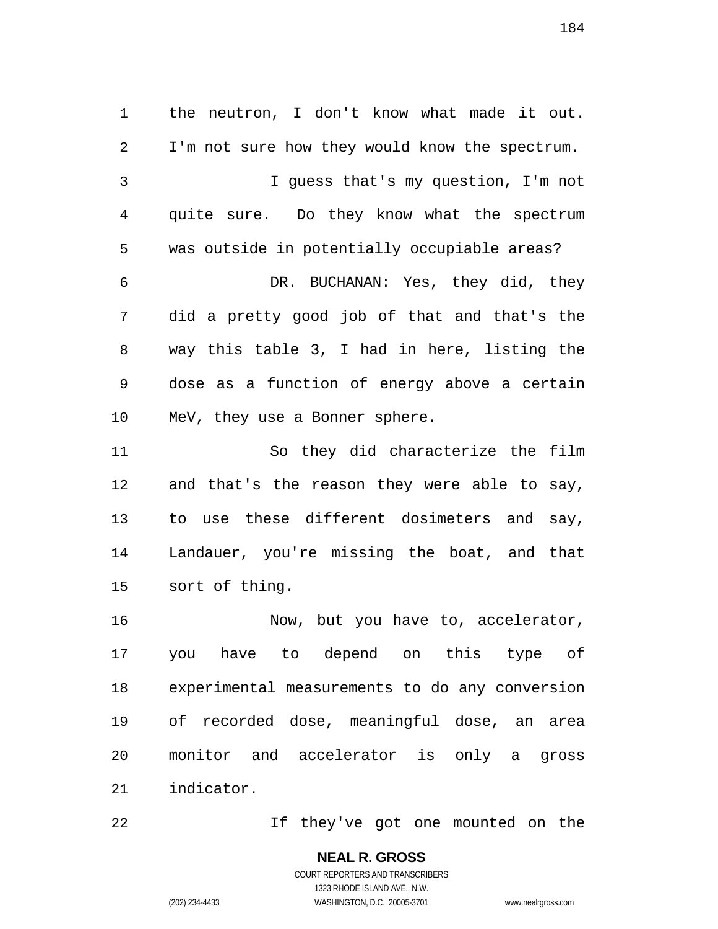the neutron, I don't know what made it out. I'm not sure how they would know the spectrum. I guess that's my question, I'm not quite sure. Do they know what the spectrum was outside in potentially occupiable areas? DR. BUCHANAN: Yes, they did, they did a pretty good job of that and that's the way this table 3, I had in here, listing the dose as a function of energy above a certain MeV, they use a Bonner sphere. So they did characterize the film and that's the reason they were able to say, to use these different dosimeters and say, Landauer, you're missing the boat, and that

sort of thing.

16 Mow, but you have to, accelerator, you have to depend on this type of experimental measurements to do any conversion of recorded dose, meaningful dose, an area monitor and accelerator is only a gross indicator.

If they've got one mounted on the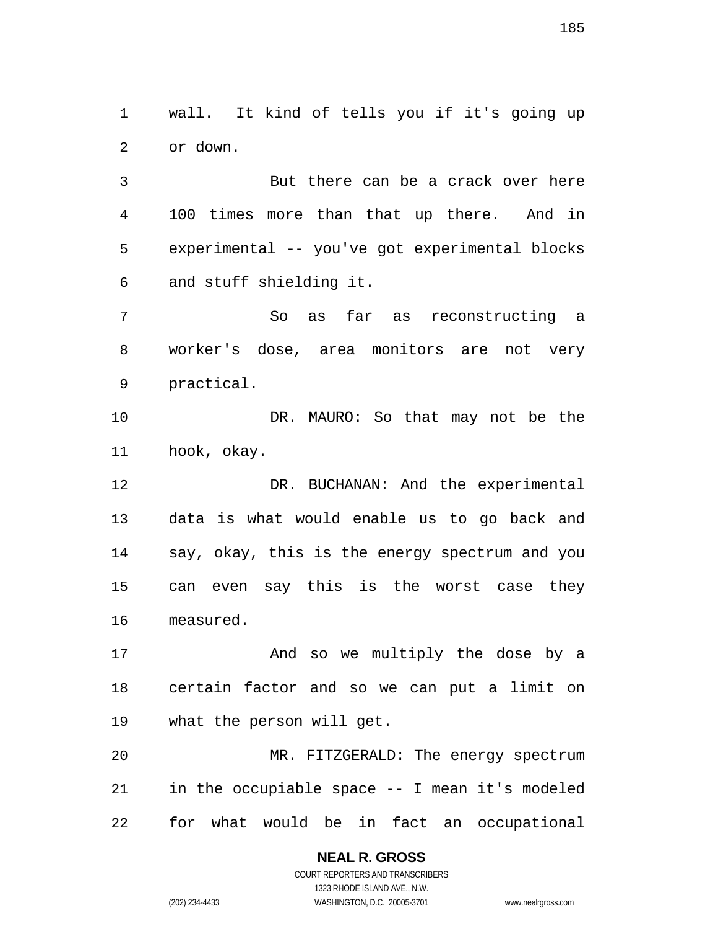wall. It kind of tells you if it's going up or down.

But there can be a crack over here 100 times more than that up there. And in experimental -- you've got experimental blocks and stuff shielding it.

So as far as reconstructing a worker's dose, area monitors are not very practical.

DR. MAURO: So that may not be the hook, okay.

DR. BUCHANAN: And the experimental data is what would enable us to go back and say, okay, this is the energy spectrum and you can even say this is the worst case they measured.

And so we multiply the dose by a certain factor and so we can put a limit on what the person will get.

MR. FITZGERALD: The energy spectrum in the occupiable space -- I mean it's modeled for what would be in fact an occupational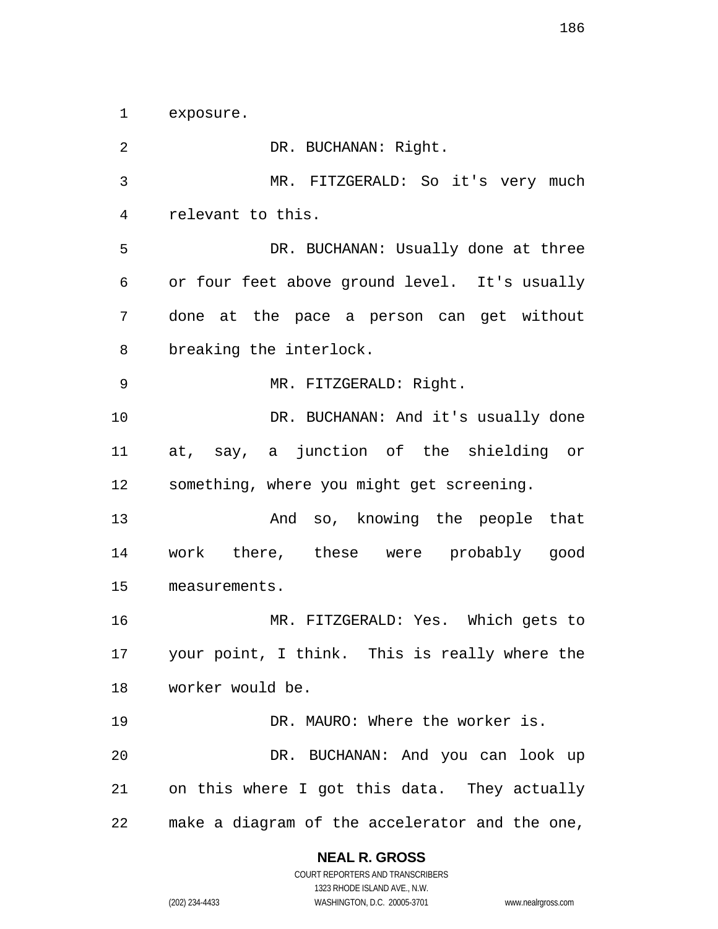exposure.

DR. BUCHANAN: Right. MR. FITZGERALD: So it's very much relevant to this. DR. BUCHANAN: Usually done at three or four feet above ground level. It's usually done at the pace a person can get without breaking the interlock. MR. FITZGERALD: Right. 10 DR. BUCHANAN: And it's usually done at, say, a junction of the shielding or something, where you might get screening. And so, knowing the people that work there, these were probably good measurements. MR. FITZGERALD: Yes. Which gets to your point, I think. This is really where the worker would be. 19 DR. MAURO: Where the worker is. DR. BUCHANAN: And you can look up on this where I got this data. They actually make a diagram of the accelerator and the one,

## **NEAL R. GROSS**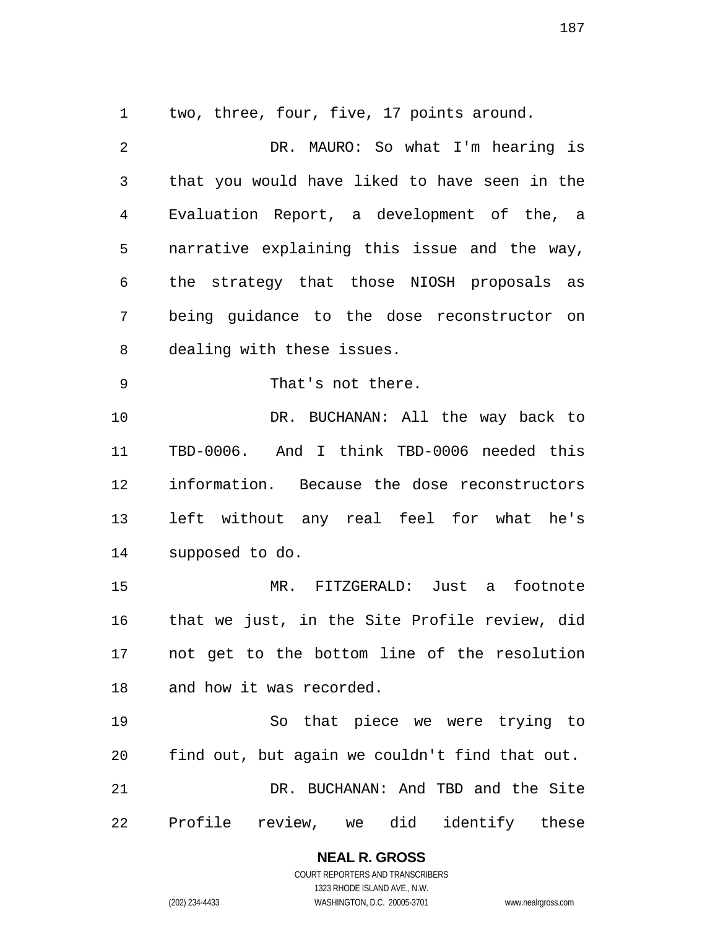two, three, four, five, 17 points around.

DR. MAURO: So what I'm hearing is that you would have liked to have seen in the Evaluation Report, a development of the, a narrative explaining this issue and the way, the strategy that those NIOSH proposals as being guidance to the dose reconstructor on dealing with these issues. That's not there. DR. BUCHANAN: All the way back to TBD-0006. And I think TBD-0006 needed this information. Because the dose reconstructors left without any real feel for what he's supposed to do. MR. FITZGERALD: Just a footnote that we just, in the Site Profile review, did not get to the bottom line of the resolution and how it was recorded. So that piece we were trying to find out, but again we couldn't find that out. DR. BUCHANAN: And TBD and the Site Profile review, we did identify these

> **NEAL R. GROSS**  COURT REPORTERS AND TRANSCRIBERS 1323 RHODE ISLAND AVE., N.W.

(202) 234-4433 WASHINGTON, D.C. 20005-3701 www.nealrgross.com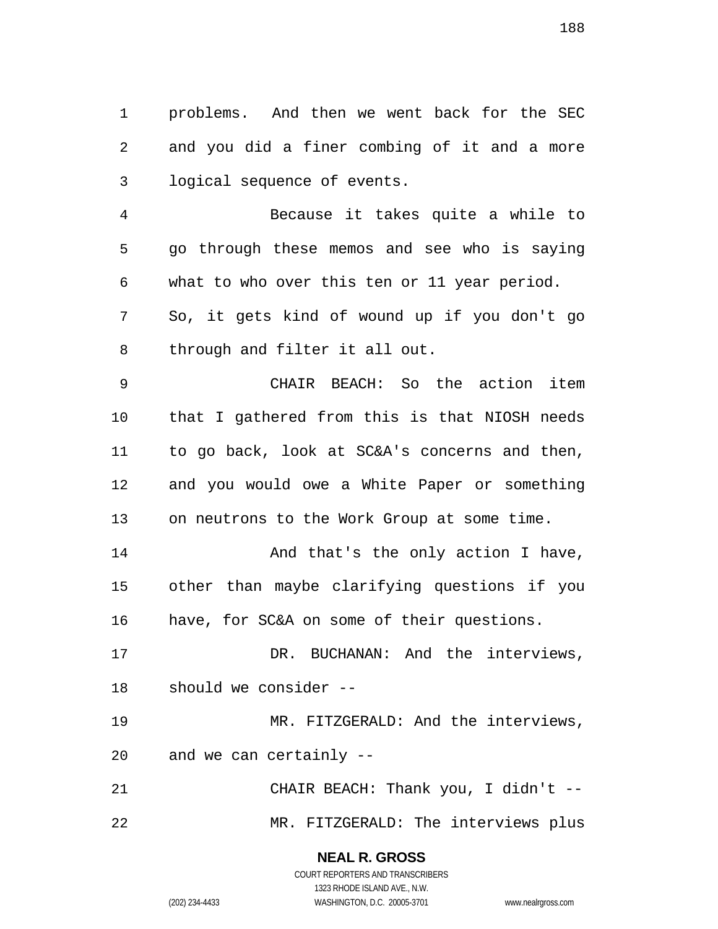problems. And then we went back for the SEC and you did a finer combing of it and a more logical sequence of events.

Because it takes quite a while to go through these memos and see who is saying what to who over this ten or 11 year period. So, it gets kind of wound up if you don't go

through and filter it all out.

CHAIR BEACH: So the action item that I gathered from this is that NIOSH needs to go back, look at SC&A's concerns and then, and you would owe a White Paper or something on neutrons to the Work Group at some time.

14 And that's the only action I have, other than maybe clarifying questions if you have, for SC&A on some of their questions.

DR. BUCHANAN: And the interviews, should we consider --

MR. FITZGERALD: And the interviews, and we can certainly --

CHAIR BEACH: Thank you, I didn't -- MR. FITZGERALD: The interviews plus

> **NEAL R. GROSS**  COURT REPORTERS AND TRANSCRIBERS

> > 1323 RHODE ISLAND AVE., N.W.

(202) 234-4433 WASHINGTON, D.C. 20005-3701 www.nealrgross.com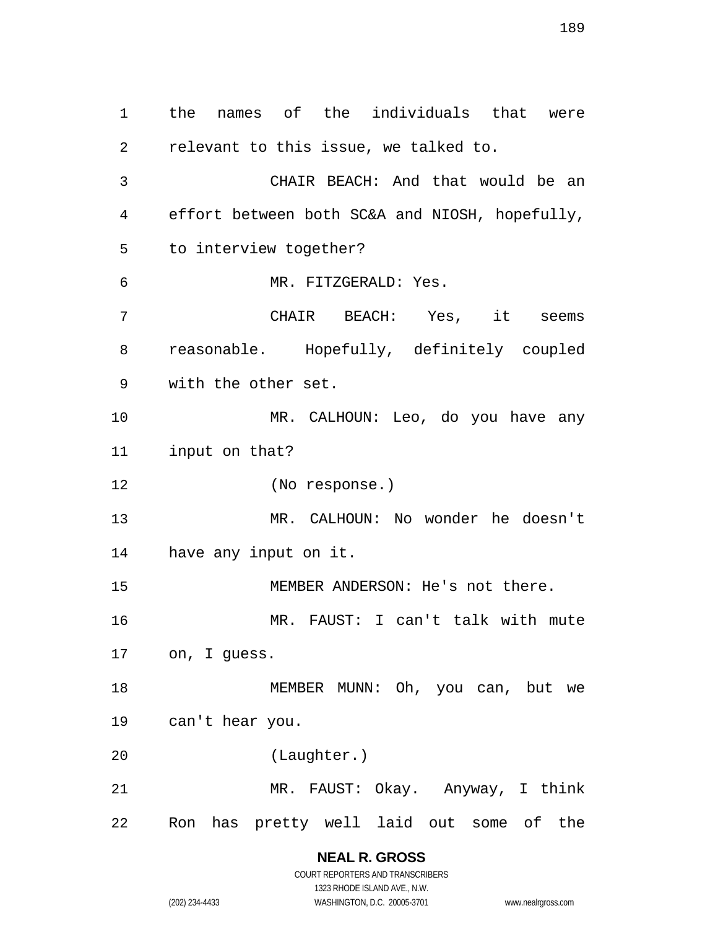the names of the individuals that were relevant to this issue, we talked to. CHAIR BEACH: And that would be an effort between both SC&A and NIOSH, hopefully, to interview together? MR. FITZGERALD: Yes. CHAIR BEACH: Yes, it seems reasonable. Hopefully, definitely coupled with the other set. MR. CALHOUN: Leo, do you have any input on that? (No response.) MR. CALHOUN: No wonder he doesn't have any input on it. MEMBER ANDERSON: He's not there. MR. FAUST: I can't talk with mute on, I guess. MEMBER MUNN: Oh, you can, but we can't hear you. (Laughter.) MR. FAUST: Okay. Anyway, I think Ron has pretty well laid out some of the

> **NEAL R. GROSS**  COURT REPORTERS AND TRANSCRIBERS

> > 1323 RHODE ISLAND AVE., N.W.

(202) 234-4433 WASHINGTON, D.C. 20005-3701 www.nealrgross.com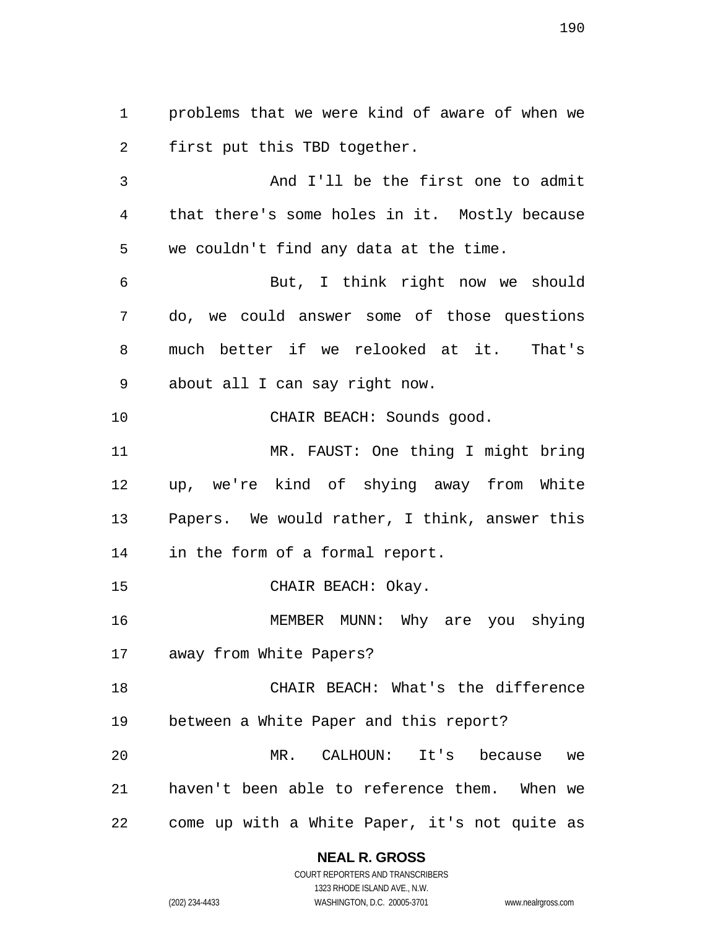problems that we were kind of aware of when we first put this TBD together.

And I'll be the first one to admit that there's some holes in it. Mostly because we couldn't find any data at the time.

But, I think right now we should do, we could answer some of those questions much better if we relooked at it. That's about all I can say right now.

CHAIR BEACH: Sounds good.

MR. FAUST: One thing I might bring up, we're kind of shying away from White Papers. We would rather, I think, answer this in the form of a formal report.

15 CHAIR BEACH: Okay.

MEMBER MUNN: Why are you shying away from White Papers?

CHAIR BEACH: What's the difference between a White Paper and this report? MR. CALHOUN: It's because we haven't been able to reference them. When we come up with a White Paper, it's not quite as

## **NEAL R. GROSS**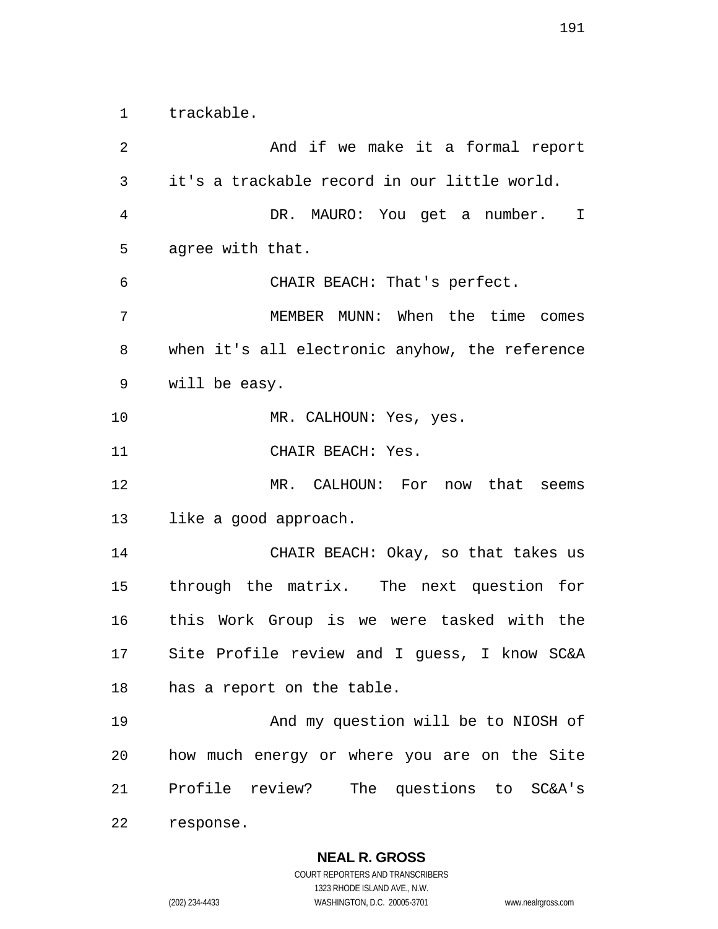trackable.

And if we make it a formal report it's a trackable record in our little world. DR. MAURO: You get a number. I agree with that. CHAIR BEACH: That's perfect. MEMBER MUNN: When the time comes when it's all electronic anyhow, the reference will be easy. 10 MR. CALHOUN: Yes, yes. CHAIR BEACH: Yes. MR. CALHOUN: For now that seems like a good approach. CHAIR BEACH: Okay, so that takes us through the matrix. The next question for this Work Group is we were tasked with the Site Profile review and I guess, I know SC&A has a report on the table. And my question will be to NIOSH of how much energy or where you are on the Site Profile review? The questions to SC&A's response.

**NEAL R. GROSS**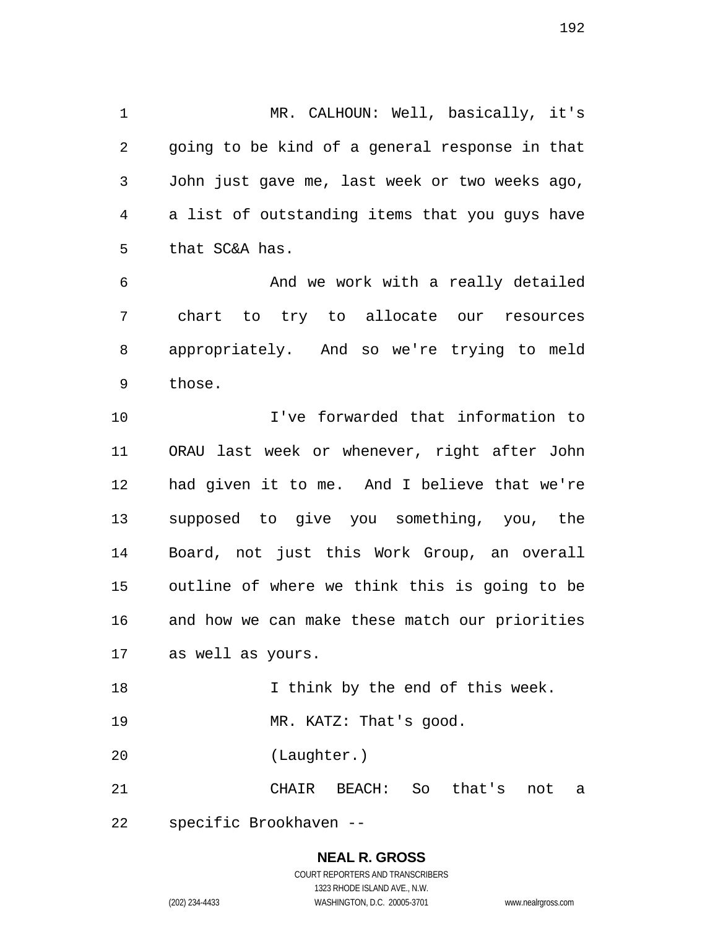MR. CALHOUN: Well, basically, it's going to be kind of a general response in that John just gave me, last week or two weeks ago, a list of outstanding items that you guys have that SC&A has.

And we work with a really detailed chart to try to allocate our resources appropriately. And so we're trying to meld those.

I've forwarded that information to ORAU last week or whenever, right after John had given it to me. And I believe that we're supposed to give you something, you, the Board, not just this Work Group, an overall outline of where we think this is going to be and how we can make these match our priorities as well as yours.

19 MR. KATZ: That's good.

I think by the end of this week.

(Laughter.)

CHAIR BEACH: So that's not a

specific Brookhaven --

**NEAL R. GROSS**  COURT REPORTERS AND TRANSCRIBERS 1323 RHODE ISLAND AVE., N.W.

(202) 234-4433 WASHINGTON, D.C. 20005-3701 www.nealrgross.com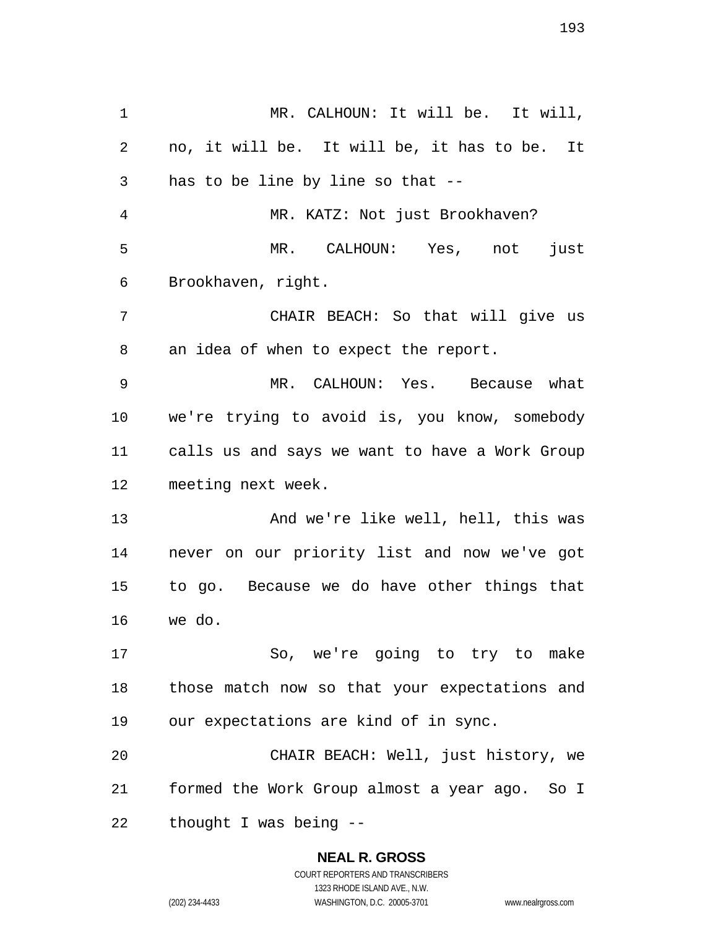MR. CALHOUN: It will be. It will, no, it will be. It will be, it has to be. It has to be line by line so that -- MR. KATZ: Not just Brookhaven? MR. CALHOUN: Yes, not just Brookhaven, right. CHAIR BEACH: So that will give us an idea of when to expect the report. MR. CALHOUN: Yes. Because what we're trying to avoid is, you know, somebody calls us and says we want to have a Work Group meeting next week. 13 And we're like well, hell, this was never on our priority list and now we've got to go. Because we do have other things that we do. So, we're going to try to make those match now so that your expectations and our expectations are kind of in sync. CHAIR BEACH: Well, just history, we formed the Work Group almost a year ago. So I thought I was being --

## **NEAL R. GROSS**  COURT REPORTERS AND TRANSCRIBERS

1323 RHODE ISLAND AVE., N.W. (202) 234-4433 WASHINGTON, D.C. 20005-3701 www.nealrgross.com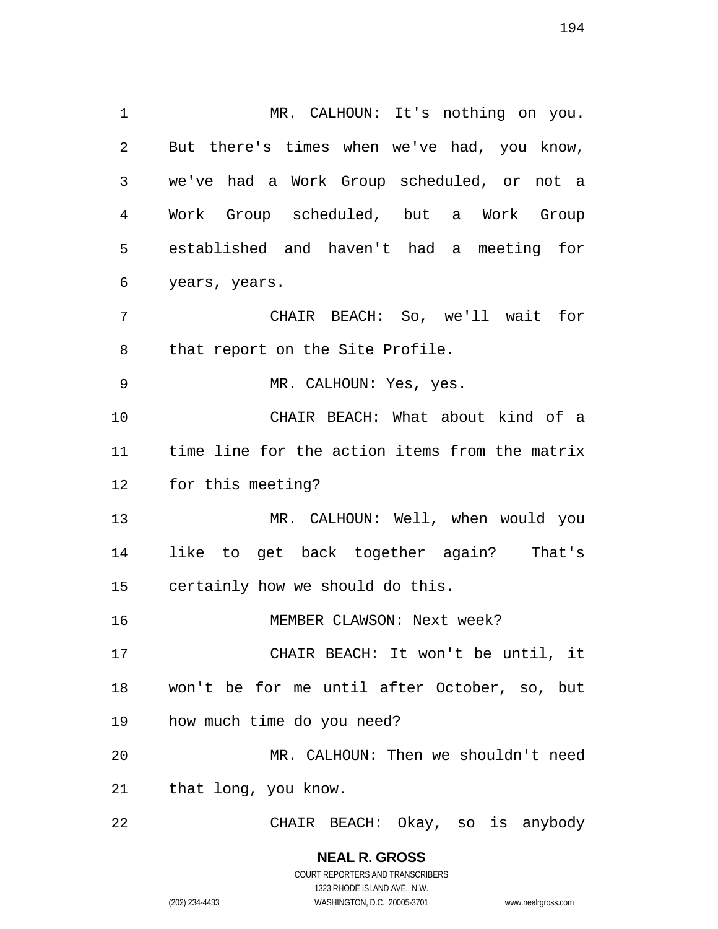MR. CALHOUN: It's nothing on you. But there's times when we've had, you know, we've had a Work Group scheduled, or not a Work Group scheduled, but a Work Group established and haven't had a meeting for years, years. CHAIR BEACH: So, we'll wait for that report on the Site Profile. MR. CALHOUN: Yes, yes. CHAIR BEACH: What about kind of a time line for the action items from the matrix for this meeting? MR. CALHOUN: Well, when would you like to get back together again? That's certainly how we should do this. MEMBER CLAWSON: Next week? CHAIR BEACH: It won't be until, it won't be for me until after October, so, but how much time do you need? MR. CALHOUN: Then we shouldn't need that long, you know. CHAIR BEACH: Okay, so is anybody

> **NEAL R. GROSS**  COURT REPORTERS AND TRANSCRIBERS 1323 RHODE ISLAND AVE., N.W. (202) 234-4433 WASHINGTON, D.C. 20005-3701 www.nealrgross.com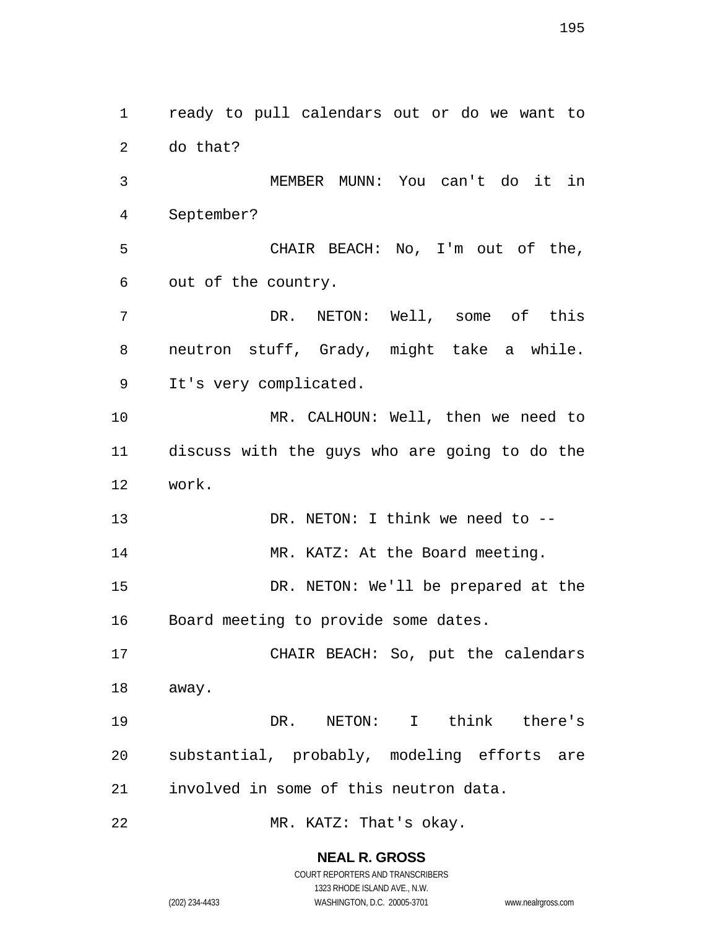ready to pull calendars out or do we want to do that? MEMBER MUNN: You can't do it in September? CHAIR BEACH: No, I'm out of the, out of the country. DR. NETON: Well, some of this neutron stuff, Grady, might take a while. It's very complicated. MR. CALHOUN: Well, then we need to discuss with the guys who are going to do the work. 13 DR. NETON: I think we need to --14 MR. KATZ: At the Board meeting. DR. NETON: We'll be prepared at the Board meeting to provide some dates. CHAIR BEACH: So, put the calendars away. DR. NETON: I think there's substantial, probably, modeling efforts are involved in some of this neutron data. MR. KATZ: That's okay.

**NEAL R. GROSS** 

COURT REPORTERS AND TRANSCRIBERS 1323 RHODE ISLAND AVE., N.W. (202) 234-4433 WASHINGTON, D.C. 20005-3701 www.nealrgross.com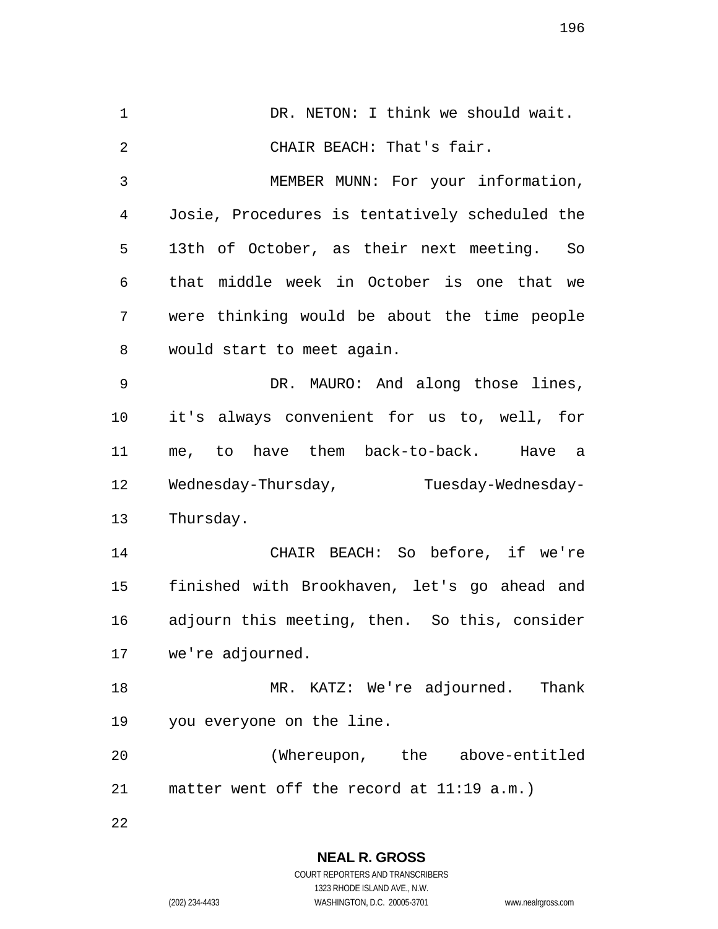1 DR. NETON: I think we should wait. CHAIR BEACH: That's fair. MEMBER MUNN: For your information, Josie, Procedures is tentatively scheduled the 13th of October, as their next meeting. So that middle week in October is one that we were thinking would be about the time people would start to meet again. DR. MAURO: And along those lines, it's always convenient for us to, well, for me, to have them back-to-back. Have a 12 Wednesday-Thursday, Tuesday-Wednesday-Thursday. CHAIR BEACH: So before, if we're finished with Brookhaven, let's go ahead and adjourn this meeting, then. So this, consider we're adjourned. MR. KATZ: We're adjourned. Thank you everyone on the line. (Whereupon, the above-entitled matter went off the record at 11:19 a.m.) 

> **NEAL R. GROSS**  COURT REPORTERS AND TRANSCRIBERS 1323 RHODE ISLAND AVE., N.W.

(202) 234-4433 WASHINGTON, D.C. 20005-3701 www.nealrgross.com